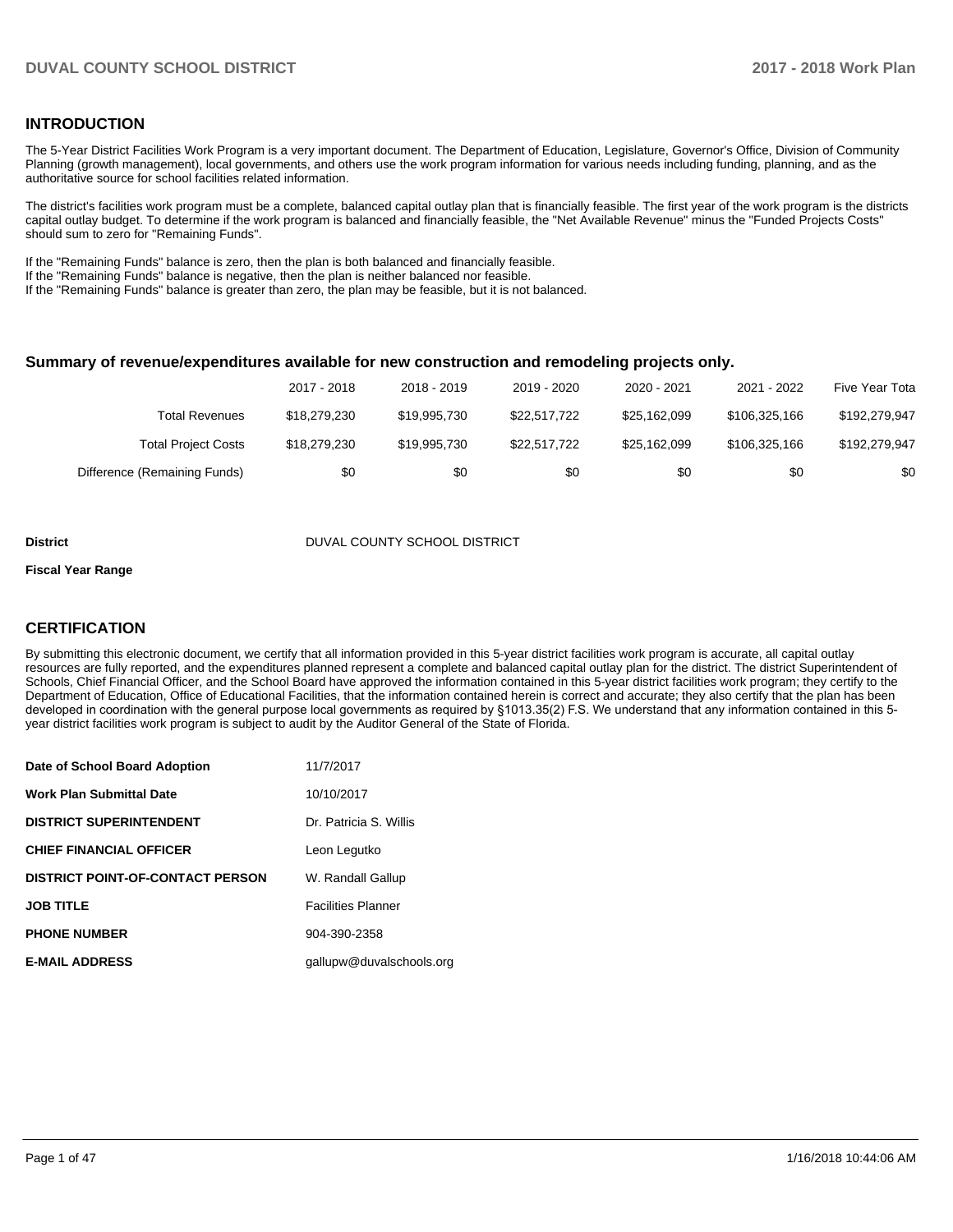### **INTRODUCTION**

The 5-Year District Facilities Work Program is a very important document. The Department of Education, Legislature, Governor's Office, Division of Community Planning (growth management), local governments, and others use the work program information for various needs including funding, planning, and as the authoritative source for school facilities related information.

The district's facilities work program must be a complete, balanced capital outlay plan that is financially feasible. The first year of the work program is the districts capital outlay budget. To determine if the work program is balanced and financially feasible, the "Net Available Revenue" minus the "Funded Projects Costs" should sum to zero for "Remaining Funds".

If the "Remaining Funds" balance is zero, then the plan is both balanced and financially feasible.

If the "Remaining Funds" balance is negative, then the plan is neither balanced nor feasible.

If the "Remaining Funds" balance is greater than zero, the plan may be feasible, but it is not balanced.

### **Summary of revenue/expenditures available for new construction and remodeling projects only.**

|                              | 2017 - 2018  | 2018 - 2019  | 2019 - 2020  | 2020 - 2021  | 2021 - 2022   | Five Year Tota |
|------------------------------|--------------|--------------|--------------|--------------|---------------|----------------|
| Total Revenues               | \$18,279,230 | \$19,995,730 | \$22.517.722 | \$25,162,099 | \$106,325,166 | \$192,279,947  |
| <b>Total Project Costs</b>   | \$18,279,230 | \$19,995,730 | \$22.517.722 | \$25,162,099 | \$106,325,166 | \$192,279,947  |
| Difference (Remaining Funds) | \$0          | \$0          | \$0          | \$0          | \$0           | \$0            |

#### **District** District DUVAL COUNTY SCHOOL DISTRICT

#### **Fiscal Year Range**

### **CERTIFICATION**

By submitting this electronic document, we certify that all information provided in this 5-year district facilities work program is accurate, all capital outlay resources are fully reported, and the expenditures planned represent a complete and balanced capital outlay plan for the district. The district Superintendent of Schools, Chief Financial Officer, and the School Board have approved the information contained in this 5-year district facilities work program; they certify to the Department of Education, Office of Educational Facilities, that the information contained herein is correct and accurate; they also certify that the plan has been developed in coordination with the general purpose local governments as required by §1013.35(2) F.S. We understand that any information contained in this 5year district facilities work program is subject to audit by the Auditor General of the State of Florida.

| Date of School Board Adoption           | 11/7/2017                 |
|-----------------------------------------|---------------------------|
| Work Plan Submittal Date                | 10/10/2017                |
| <b>DISTRICT SUPERINTENDENT</b>          | Dr. Patricia S. Willis    |
| <b>CHIEF FINANCIAL OFFICER</b>          | Leon Legutko              |
| <b>DISTRICT POINT-OF-CONTACT PERSON</b> | W. Randall Gallup         |
| <b>JOB TITLE</b>                        | <b>Facilities Planner</b> |
| <b>PHONE NUMBER</b>                     | 904-390-2358              |
| <b>E-MAIL ADDRESS</b>                   | gallupw@duvalschools.org  |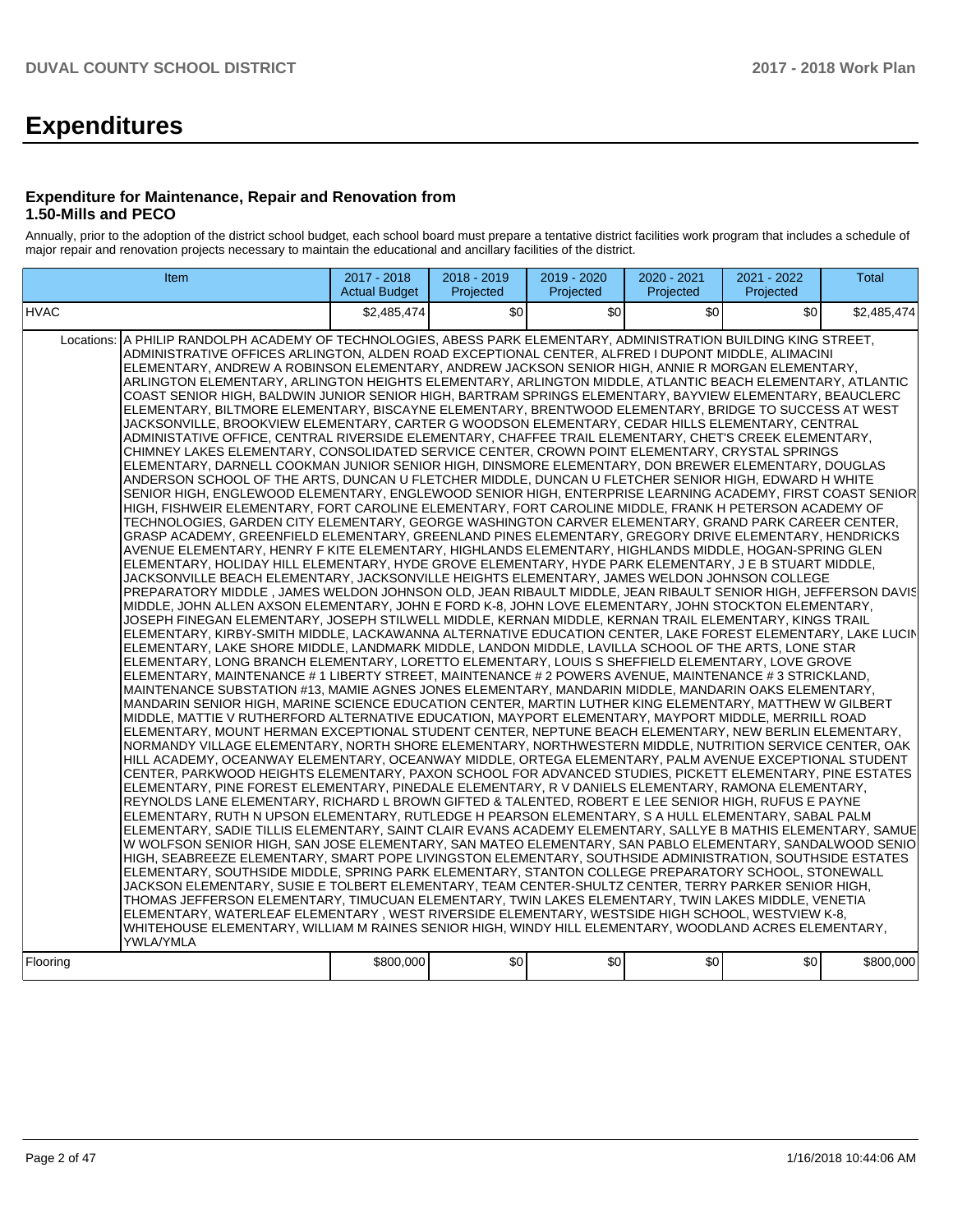# **Expenditures**

### **Expenditure for Maintenance, Repair and Renovation from 1.50-Mills and PECO**

Annually, prior to the adoption of the district school budget, each school board must prepare a tentative district facilities work program that includes a schedule of major repair and renovation projects necessary to maintain the educational and ancillary facilities of the district.

| Item                                                                                                                                                                                                                                                                                                                                                                                                                                                                                                                                                                                                                                                                                                                                                                                                                                                                                                                                                                                                                                                                                                                                                                                                                                                                                                                                                                                                                                                                                                                                                                                                                                                                                                                                                                                                                                                                                                                                                                                                                                                                                                                                                                                                                                                                                                                                                                                                                                                                                                                                                                                                                                                                                                                                                                                                                                                                                                                                                                                                                                                                                                                                                                                                                                                                                                                                                                                                                                                                                                                                                                                                                                                                                                                                                                                                                                                                                                                                                                                                                                                                                                                                                                                                                                                                                                                                                                                                                                                                                                                                                                                                                                                                                                                              | 2017 - 2018          | 2018 - 2019      | 2019 - 2020                                       | 2020 - 2021 | 2021 - 2022 | <b>Total</b> |
|-----------------------------------------------------------------------------------------------------------------------------------------------------------------------------------------------------------------------------------------------------------------------------------------------------------------------------------------------------------------------------------------------------------------------------------------------------------------------------------------------------------------------------------------------------------------------------------------------------------------------------------------------------------------------------------------------------------------------------------------------------------------------------------------------------------------------------------------------------------------------------------------------------------------------------------------------------------------------------------------------------------------------------------------------------------------------------------------------------------------------------------------------------------------------------------------------------------------------------------------------------------------------------------------------------------------------------------------------------------------------------------------------------------------------------------------------------------------------------------------------------------------------------------------------------------------------------------------------------------------------------------------------------------------------------------------------------------------------------------------------------------------------------------------------------------------------------------------------------------------------------------------------------------------------------------------------------------------------------------------------------------------------------------------------------------------------------------------------------------------------------------------------------------------------------------------------------------------------------------------------------------------------------------------------------------------------------------------------------------------------------------------------------------------------------------------------------------------------------------------------------------------------------------------------------------------------------------------------------------------------------------------------------------------------------------------------------------------------------------------------------------------------------------------------------------------------------------------------------------------------------------------------------------------------------------------------------------------------------------------------------------------------------------------------------------------------------------------------------------------------------------------------------------------------------------------------------------------------------------------------------------------------------------------------------------------------------------------------------------------------------------------------------------------------------------------------------------------------------------------------------------------------------------------------------------------------------------------------------------------------------------------------------------------------------------------------------------------------------------------------------------------------------------------------------------------------------------------------------------------------------------------------------------------------------------------------------------------------------------------------------------------------------------------------------------------------------------------------------------------------------------------------------------------------------------------------------------------------------------------------------------------------------------------------------------------------------------------------------------------------------------------------------------------------------------------------------------------------------------------------------------------------------------------------------------------------------------------------------------------------------------------------------------------------------------------------------------------------------------|----------------------|------------------|---------------------------------------------------|-------------|-------------|--------------|
|                                                                                                                                                                                                                                                                                                                                                                                                                                                                                                                                                                                                                                                                                                                                                                                                                                                                                                                                                                                                                                                                                                                                                                                                                                                                                                                                                                                                                                                                                                                                                                                                                                                                                                                                                                                                                                                                                                                                                                                                                                                                                                                                                                                                                                                                                                                                                                                                                                                                                                                                                                                                                                                                                                                                                                                                                                                                                                                                                                                                                                                                                                                                                                                                                                                                                                                                                                                                                                                                                                                                                                                                                                                                                                                                                                                                                                                                                                                                                                                                                                                                                                                                                                                                                                                                                                                                                                                                                                                                                                                                                                                                                                                                                                                                   | <b>Actual Budget</b> | Projected        | Projected                                         | Projected   | Projected   |              |
| <b>HVAC</b>                                                                                                                                                                                                                                                                                                                                                                                                                                                                                                                                                                                                                                                                                                                                                                                                                                                                                                                                                                                                                                                                                                                                                                                                                                                                                                                                                                                                                                                                                                                                                                                                                                                                                                                                                                                                                                                                                                                                                                                                                                                                                                                                                                                                                                                                                                                                                                                                                                                                                                                                                                                                                                                                                                                                                                                                                                                                                                                                                                                                                                                                                                                                                                                                                                                                                                                                                                                                                                                                                                                                                                                                                                                                                                                                                                                                                                                                                                                                                                                                                                                                                                                                                                                                                                                                                                                                                                                                                                                                                                                                                                                                                                                                                                                       | \$2,485,474          | \$0              | \$0                                               | \$0         | \$0         | \$2,485,474  |
| Locations: A PHILIP RANDOLPH ACADEMY OF TECHNOLOGIES, ABESS PARK ELEMENTARY, ADMINISTRATION BUILDING KING STREET,<br>ADMINISTRATIVE OFFICES ARLINGTON, ALDEN ROAD EXCEPTIONAL CENTER, ALFRED I DUPONT MIDDLE, ALIMACINI<br>ELEMENTARY, ANDREW A ROBINSON ELEMENTARY, ANDREW JACKSON SENIOR HIGH, ANNIE R MORGAN ELEMENTARY,<br>ARLINGTON ELEMENTARY, ARLINGTON HEIGHTS ELEMENTARY, ARLINGTON MIDDLE, ATLANTIC BEACH ELEMENTARY, ATLANTIC<br>COAST SENIOR HIGH, BALDWIN JUNIOR SENIOR HIGH, BARTRAM SPRINGS ELEMENTARY, BAYVIEW ELEMENTARY, BEAUCLERC<br>ELEMENTARY, BILTMORE ELEMENTARY, BISCAYNE ELEMENTARY, BRENTWOOD ELEMENTARY, BRIDGE TO SUCCESS AT WEST<br>JACKSONVILLE, BROOKVIEW ELEMENTARY, CARTER G WOODSON ELEMENTARY, CEDAR HILLS ELEMENTARY, CENTRAL<br>ADMINISTATIVE OFFICE, CENTRAL RIVERSIDE ELEMENTARY, CHAFFEE TRAIL ELEMENTARY, CHET'S CREEK ELEMENTARY,<br>CHIMNEY LAKES ELEMENTARY, CONSOLIDATED SERVICE CENTER, CROWN POINT ELEMENTARY, CRYSTAL SPRINGS<br>ELEMENTARY, DARNELL COOKMAN JUNIOR SENIOR HIGH, DINSMORE ELEMENTARY, DON BREWER ELEMENTARY, DOUGLAS<br>ANDERSON SCHOOL OF THE ARTS, DUNCAN U FLETCHER MIDDLE, DUNCAN U FLETCHER SENIOR HIGH, EDWARD H WHITE<br>SENIOR HIGH, ENGLEWOOD ELEMENTARY, ENGLEWOOD SENIOR HIGH, ENTERPRISE LEARNING ACADEMY, FIRST COAST SENIOR<br>HIGH, FISHWEIR ELEMENTARY, FORT CAROLINE ELEMENTARY, FORT CAROLINE MIDDLE, FRANK H PETERSON ACADEMY OF<br>TECHNOLOGIES, GARDEN CITY ELEMENTARY, GEORGE WASHINGTON CARVER ELEMENTARY, GRAND PARK CAREER CENTER,<br>GRASP ACADEMY, GREENFIELD ELEMENTARY, GREENLAND PINES ELEMENTARY, GREGORY DRIVE ELEMENTARY, HENDRICKS<br>AVENUE ELEMENTARY, HENRY F KITE ELEMENTARY, HIGHLANDS ELEMENTARY, HIGHLANDS MIDDLE, HOGAN-SPRING GLEN<br>ELEMENTARY, HOLIDAY HILL ELEMENTARY, HYDE GROVE ELEMENTARY, HYDE PARK ELEMENTARY, J E B STUART MIDDLE,<br>JACKSONVILLE BEACH ELEMENTARY, JACKSONVILLE HEIGHTS ELEMENTARY, JAMES WELDON JOHNSON COLLEGE<br>PREPARATORY MIDDLE, JAMES WELDON JOHNSON OLD, JEAN RIBAULT MIDDLE, JEAN RIBAULT SENIOR HIGH, JEFFERSON DAVIS<br>MIDDLE, JOHN ALLEN AXSON ELEMENTARY, JOHN E FORD K-8, JOHN LOVE ELEMENTARY, JOHN STOCKTON ELEMENTARY,<br>JOSEPH FINEGAN ELEMENTARY, JOSEPH STILWELL MIDDLE, KERNAN MIDDLE, KERNAN TRAIL ELEMENTARY, KINGS TRAIL<br>ELEMENTARY, KIRBY-SMITH MIDDLE, LACKAWANNA ALTERNATIVE EDUCATION CENTER, LAKE FOREST ELEMENTARY, LAKE LUCIN<br>ELEMENTARY, LAKE SHORE MIDDLE, LANDMARK MIDDLE, LANDON MIDDLE, LAVILLA SCHOOL OF THE ARTS, LONE STAR<br>ELEMENTARY, LONG BRANCH ELEMENTARY, LORETTO ELEMENTARY, LOUIS S SHEFFIELD ELEMENTARY, LOVE GROVE<br>ELEMENTARY, MAINTENANCE # 1 LIBERTY STREET, MAINTENANCE # 2 POWERS AVENUE, MAINTENANCE # 3 STRICKLAND,<br>MAINTENANCE SUBSTATION #13, MAMIE AGNES JONES ELEMENTARY, MANDARIN MIDDLE, MANDARIN OAKS ELEMENTARY,<br>MANDARIN SENIOR HIGH, MARINE SCIENCE EDUCATION CENTER, MARTIN LUTHER KING ELEMENTARY, MATTHEW W GILBERT<br>MIDDLE, MATTIE V RUTHERFORD ALTERNATIVE EDUCATION, MAYPORT ELEMENTARY, MAYPORT MIDDLE, MERRILL ROAD<br>ELEMENTARY, MOUNT HERMAN EXCEPTIONAL STUDENT CENTER, NEPTUNE BEACH ELEMENTARY, NEW BERLIN ELEMENTARY,<br>NORMANDY VILLAGE ELEMENTARY, NORTH SHORE ELEMENTARY, NORTHWESTERN MIDDLE, NUTRITION SERVICE CENTER, OAK<br>HILL ACADEMY, OCEANWAY ELEMENTARY, OCEANWAY MIDDLE, ORTEGA ELEMENTARY, PALM AVENUE EXCEPTIONAL STUDENT<br>CENTER, PARKWOOD HEIGHTS ELEMENTARY, PAXON SCHOOL FOR ADVANCED STUDIES, PICKETT ELEMENTARY, PINE ESTATES<br>ELEMENTARY, PINE FOREST ELEMENTARY, PINEDALE ELEMENTARY, R V DANIELS ELEMENTARY, RAMONA ELEMENTARY,<br>REYNOLDS LANE ELEMENTARY, RICHARD L BROWN GIFTED & TALENTED, ROBERT E LEE SENIOR HIGH, RUFUS E PAYNE<br>ELEMENTARY, RUTH N UPSON ELEMENTARY, RUTLEDGE H PEARSON ELEMENTARY, S A HULL ELEMENTARY, SABAL PALM<br>ELEMENTARY, SADIE TILLIS ELEMENTARY, SAINT CLAIR EVANS ACADEMY ELEMENTARY, SALLYE B MATHIS ELEMENTARY, SAMUE<br>W WOLFSON SENIOR HIGH, SAN JOSE ELEMENTARY, SAN MATEO ELEMENTARY, SAN PABLO ELEMENTARY, SANDALWOOD SENIO<br>HIGH, SEABREEZE ELEMENTARY, SMART POPE LIVINGSTON ELEMENTARY, SOUTHSIDE ADMINISTRATION, SOUTHSIDE ESTATES<br>ELEMENTARY, SOUTHSIDE MIDDLE, SPRING PARK ELEMENTARY, STANTON COLLEGE PREPARATORY SCHOOL, STONEWALL<br>JACKSON ELEMENTARY, SUSIE E TOLBERT ELEMENTARY, TEAM CENTER-SHULTZ CENTER, TERRY PARKER SENIOR HIGH,<br>THOMAS JEFFERSON ELEMENTARY, TIMUCUAN ELEMENTARY, TWIN LAKES ELEMENTARY, TWIN LAKES MIDDLE, VENETIA<br>ELEMENTARY, WATERLEAF ELEMENTARY, WEST RIVERSIDE ELEMENTARY, WESTSIDE HIGH SCHOOL, WESTVIEW K-8,<br>WHITEHOUSE ELEMENTARY, WILLIAM M RAINES SENIOR HIGH, WINDY HILL ELEMENTARY, WOODLAND ACRES ELEMENTARY,<br>YWLA/YMLA<br>  Floorina | \$800,000            | \$0 <sub>1</sub> | $\mathcal{S}$ <sup><math>\mathcal{O}</math></sup> | \$0         | \$0         | \$800,000    |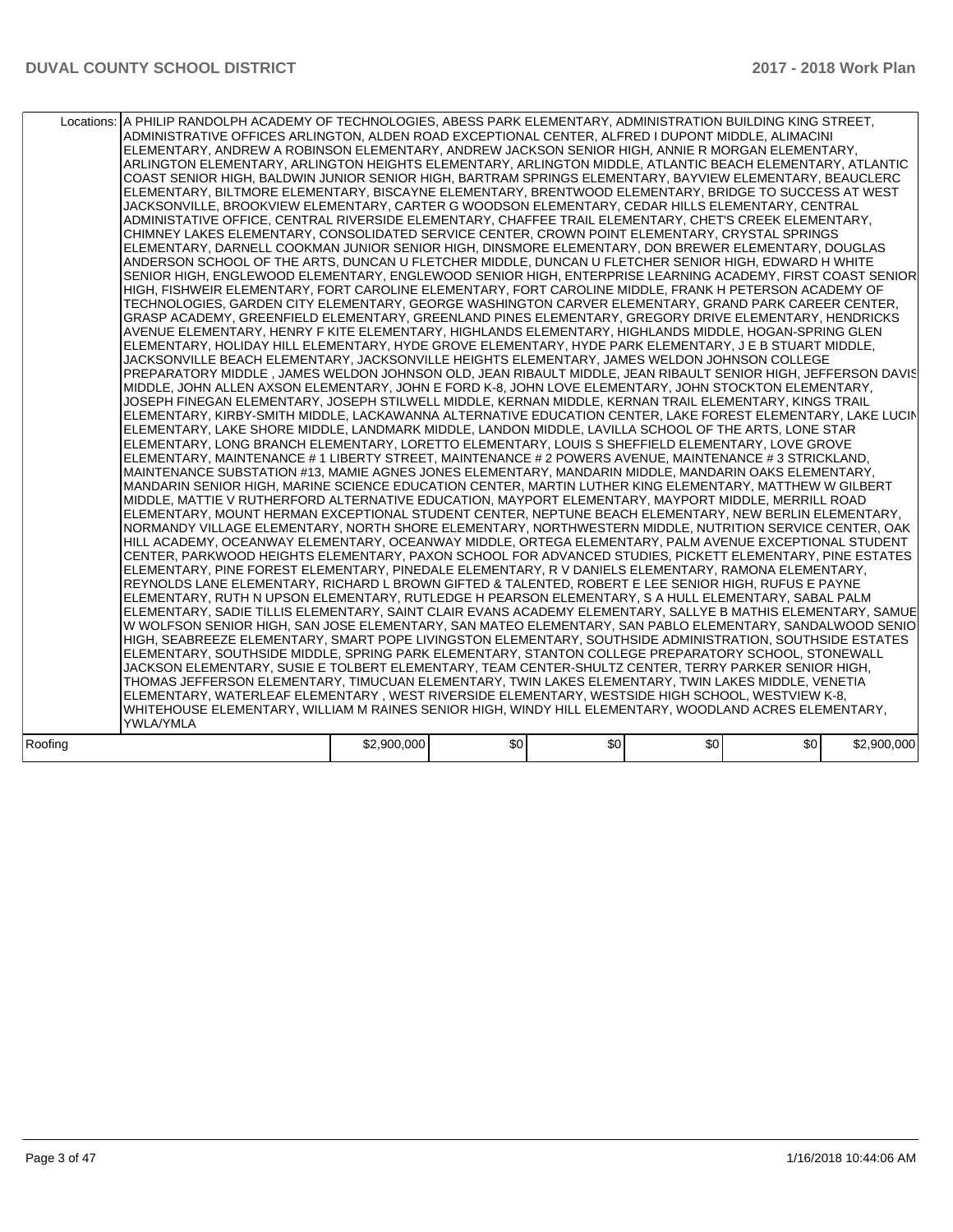| Locations: A PHILIP RANDOLPH ACADEMY OF TECHNOLOGIES, ABESS PARK ELEMENTARY, ADMINISTRATION BUILDING KING STREET,<br>ADMINISTRATIVE OFFICES ARLINGTON, ALDEN ROAD EXCEPTIONAL CENTER, ALFRED I DUPONT MIDDLE, ALIMACINI<br>ELEMENTARY, ANDREW A ROBINSON ELEMENTARY, ANDREW JACKSON SENIOR HIGH, ANNIE R MORGAN ELEMENTARY,<br>ARLINGTON ELEMENTARY, ARLINGTON HEIGHTS ELEMENTARY, ARLINGTON MIDDLE, ATLANTIC BEACH ELEMENTARY, ATLANTIC<br>COAST SENIOR HIGH, BALDWIN JUNIOR SENIOR HIGH, BARTRAM SPRINGS ELEMENTARY, BAYVIEW ELEMENTARY, BEAUCLERC<br>ELEMENTARY, BILTMORE ELEMENTARY, BISCAYNE ELEMENTARY, BRENTWOOD ELEMENTARY, BRIDGE TO SUCCESS AT WEST<br>JACKSONVILLE, BROOKVIEW ELEMENTARY, CARTER G WOODSON ELEMENTARY, CEDAR HILLS ELEMENTARY, CENTRAL<br>ADMINISTATIVE OFFICE, CENTRAL RIVERSIDE ELEMENTARY, CHAFFEE TRAIL ELEMENTARY, CHET'S CREEK ELEMENTARY,<br>CHIMNEY LAKES ELEMENTARY, CONSOLIDATED SERVICE CENTER, CROWN POINT ELEMENTARY, CRYSTAL SPRINGS<br>ELEMENTARY, DARNELL COOKMAN JUNIOR SENIOR HIGH, DINSMORE ELEMENTARY, DON BREWER ELEMENTARY, DOUGLAS<br>ANDERSON SCHOOL OF THE ARTS, DUNCAN U FLETCHER MIDDLE, DUNCAN U FLETCHER SENIOR HIGH, EDWARD H WHITE<br>SENIOR HIGH, ENGLEWOOD ELEMENTARY, ENGLEWOOD SENIOR HIGH, ENTERPRISE LEARNING ACADEMY, FIRST COAST SENIOR<br>HIGH, FISHWEIR ELEMENTARY, FORT CAROLINE ELEMENTARY, FORT CAROLINE MIDDLE, FRANK H PETERSON ACADEMY OF<br>TECHNOLOGIES, GARDEN CITY ELEMENTARY, GEORGE WASHINGTON CARVER ELEMENTARY, GRAND PARK CAREER CENTER,<br>GRASP ACADEMY, GREENFIELD ELEMENTARY, GREENLAND PINES ELEMENTARY, GREGORY DRIVE ELEMENTARY, HENDRICKS<br>AVENUE ELEMENTARY, HENRY F KITE ELEMENTARY, HIGHLANDS ELEMENTARY, HIGHLANDS MIDDLE, HOGAN-SPRING GLEN<br>ELEMENTARY, HOLIDAY HILL ELEMENTARY, HYDE GROVE ELEMENTARY, HYDE PARK ELEMENTARY, J E B STUART MIDDLE,<br>JACKSONVILLE BEACH ELEMENTARY, JACKSONVILLE HEIGHTS ELEMENTARY, JAMES WELDON JOHNSON COLLEGE<br>PREPARATORY MIDDLE, JAMES WELDON JOHNSON OLD, JEAN RIBAULT MIDDLE, JEAN RIBAULT SENIOR HIGH, JEFFERSON DAVIS<br>MIDDLE, JOHN ALLEN AXSON ELEMENTARY, JOHN E FORD K-8, JOHN LOVE ELEMENTARY, JOHN STOCKTON ELEMENTARY,<br>JOSEPH FINEGAN ELEMENTARY, JOSEPH STILWELL MIDDLE, KERNAN MIDDLE, KERNAN TRAIL ELEMENTARY, KINGS TRAIL<br>ELEMENTARY, KIRBY-SMITH MIDDLE, LACKAWANNA ALTERNATIVE EDUCATION CENTER, LAKE FOREST ELEMENTARY, LAKE LUCIN<br>ELEMENTARY, LAKE SHORE MIDDLE, LANDMARK MIDDLE, LANDON MIDDLE, LAVILLA SCHOOL OF THE ARTS, LONE STAR<br>ELEMENTARY, LONG BRANCH ELEMENTARY, LORETTO ELEMENTARY, LOUIS S SHEFFIELD ELEMENTARY, LOVE GROVE<br>ELEMENTARY, MAINTENANCE # 1 LIBERTY STREET, MAINTENANCE # 2 POWERS AVENUE, MAINTENANCE # 3 STRICKLAND,<br>MAINTENANCE SUBSTATION #13, MAMIE AGNES JONES ELEMENTARY, MANDARIN MIDDLE, MANDARIN OAKS ELEMENTARY,<br>MANDARIN SENIOR HIGH, MARINE SCIENCE EDUCATION CENTER, MARTIN LUTHER KING ELEMENTARY, MATTHEW W GILBERT<br>MIDDLE, MATTIE V RUTHERFORD ALTERNATIVE EDUCATION, MAYPORT ELEMENTARY, MAYPORT MIDDLE, MERRILL ROAD<br>ELEMENTARY, MOUNT HERMAN EXCEPTIONAL STUDENT CENTER, NEPTUNE BEACH ELEMENTARY, NEW BERLIN ELEMENTARY,<br>NORMANDY VILLAGE ELEMENTARY, NORTH SHORE ELEMENTARY, NORTHWESTERN MIDDLE, NUTRITION SERVICE CENTER, OAK<br>HILL ACADEMY, OCEANWAY ELEMENTARY, OCEANWAY MIDDLE, ORTEGA ELEMENTARY, PALM AVENUE EXCEPTIONAL STUDENT<br>CENTER. PARKWOOD HEIGHTS ELEMENTARY, PAXON SCHOOL FOR ADVANCED STUDIES. PICKETT ELEMENTARY, PINE ESTATES<br>ELEMENTARY, PINE FOREST ELEMENTARY, PINEDALE ELEMENTARY, R V DANIELS ELEMENTARY, RAMONA ELEMENTARY,<br>REYNOLDS LANE ELEMENTARY, RICHARD L BROWN GIFTED & TALENTED, ROBERT E LEE SENIOR HIGH, RUFUS E PAYNE<br>ELEMENTARY, RUTH N UPSON ELEMENTARY, RUTLEDGE H PEARSON ELEMENTARY, S A HULL ELEMENTARY, SABAL PALM<br>ELEMENTARY, SADIE TILLIS ELEMENTARY, SAINT CLAIR EVANS ACADEMY ELEMENTARY, SALLYE B MATHIS ELEMENTARY, SAMUE<br>W WOLFSON SENIOR HIGH, SAN JOSE ELEMENTARY, SAN MATEO ELEMENTARY, SAN PABLO ELEMENTARY, SANDALWOOD SENIO<br>HIGH, SEABREEZE ELEMENTARY, SMART POPE LIVINGSTON ELEMENTARY, SOUTHSIDE ADMINISTRATION, SOUTHSIDE ESTATES<br>ELEMENTARY, SOUTHSIDE MIDDLE, SPRING PARK ELEMENTARY, STANTON COLLEGE PREPARATORY SCHOOL, STONEWALL<br>JACKSON ELEMENTARY, SUSIE E TOLBERT ELEMENTARY, TEAM CENTER-SHULTZ CENTER, TERRY PARKER SENIOR HIGH,<br>THOMAS JEFFERSON ELEMENTARY, TIMUCUAN ELEMENTARY, TWIN LAKES ELEMENTARY, TWIN LAKES MIDDLE, VENETIA<br>ELEMENTARY, WATERLEAF ELEMENTARY, WEST RIVERSIDE ELEMENTARY, WESTSIDE HIGH SCHOOL, WESTVIEW K-8,<br>WHITEHOUSE ELEMENTARY, WILLIAM M RAINES SENIOR HIGH, WINDY HILL ELEMENTARY, WOODLAND ACRES ELEMENTARY,<br><b>YWLA/YMLA</b><br>\$0<br>\$0<br>\$0<br>\$2,900,000<br>\$0<br>\$2,900,000 |         |  |  |  |
|--------------------------------------------------------------------------------------------------------------------------------------------------------------------------------------------------------------------------------------------------------------------------------------------------------------------------------------------------------------------------------------------------------------------------------------------------------------------------------------------------------------------------------------------------------------------------------------------------------------------------------------------------------------------------------------------------------------------------------------------------------------------------------------------------------------------------------------------------------------------------------------------------------------------------------------------------------------------------------------------------------------------------------------------------------------------------------------------------------------------------------------------------------------------------------------------------------------------------------------------------------------------------------------------------------------------------------------------------------------------------------------------------------------------------------------------------------------------------------------------------------------------------------------------------------------------------------------------------------------------------------------------------------------------------------------------------------------------------------------------------------------------------------------------------------------------------------------------------------------------------------------------------------------------------------------------------------------------------------------------------------------------------------------------------------------------------------------------------------------------------------------------------------------------------------------------------------------------------------------------------------------------------------------------------------------------------------------------------------------------------------------------------------------------------------------------------------------------------------------------------------------------------------------------------------------------------------------------------------------------------------------------------------------------------------------------------------------------------------------------------------------------------------------------------------------------------------------------------------------------------------------------------------------------------------------------------------------------------------------------------------------------------------------------------------------------------------------------------------------------------------------------------------------------------------------------------------------------------------------------------------------------------------------------------------------------------------------------------------------------------------------------------------------------------------------------------------------------------------------------------------------------------------------------------------------------------------------------------------------------------------------------------------------------------------------------------------------------------------------------------------------------------------------------------------------------------------------------------------------------------------------------------------------------------------------------------------------------------------------------------------------------------------------------------------------------------------------------------------------------------------------------------------------------------------------------------------------------------------------------------------------------------------------------------------------------------------------------------------------------------------------------------------------------------------------------------------------------------------------------------------------------------------------------------------------------------------------------------------------------------------------------------------------------------------------------------------------------------------------------------------------------------------------|---------|--|--|--|
|                                                                                                                                                                                                                                                                                                                                                                                                                                                                                                                                                                                                                                                                                                                                                                                                                                                                                                                                                                                                                                                                                                                                                                                                                                                                                                                                                                                                                                                                                                                                                                                                                                                                                                                                                                                                                                                                                                                                                                                                                                                                                                                                                                                                                                                                                                                                                                                                                                                                                                                                                                                                                                                                                                                                                                                                                                                                                                                                                                                                                                                                                                                                                                                                                                                                                                                                                                                                                                                                                                                                                                                                                                                                                                                                                                                                                                                                                                                                                                                                                                                                                                                                                                                                                                                                                                                                                                                                                                                                                                                                                                                                                                                                                                                                                                                      |         |  |  |  |
|                                                                                                                                                                                                                                                                                                                                                                                                                                                                                                                                                                                                                                                                                                                                                                                                                                                                                                                                                                                                                                                                                                                                                                                                                                                                                                                                                                                                                                                                                                                                                                                                                                                                                                                                                                                                                                                                                                                                                                                                                                                                                                                                                                                                                                                                                                                                                                                                                                                                                                                                                                                                                                                                                                                                                                                                                                                                                                                                                                                                                                                                                                                                                                                                                                                                                                                                                                                                                                                                                                                                                                                                                                                                                                                                                                                                                                                                                                                                                                                                                                                                                                                                                                                                                                                                                                                                                                                                                                                                                                                                                                                                                                                                                                                                                                                      | Roofing |  |  |  |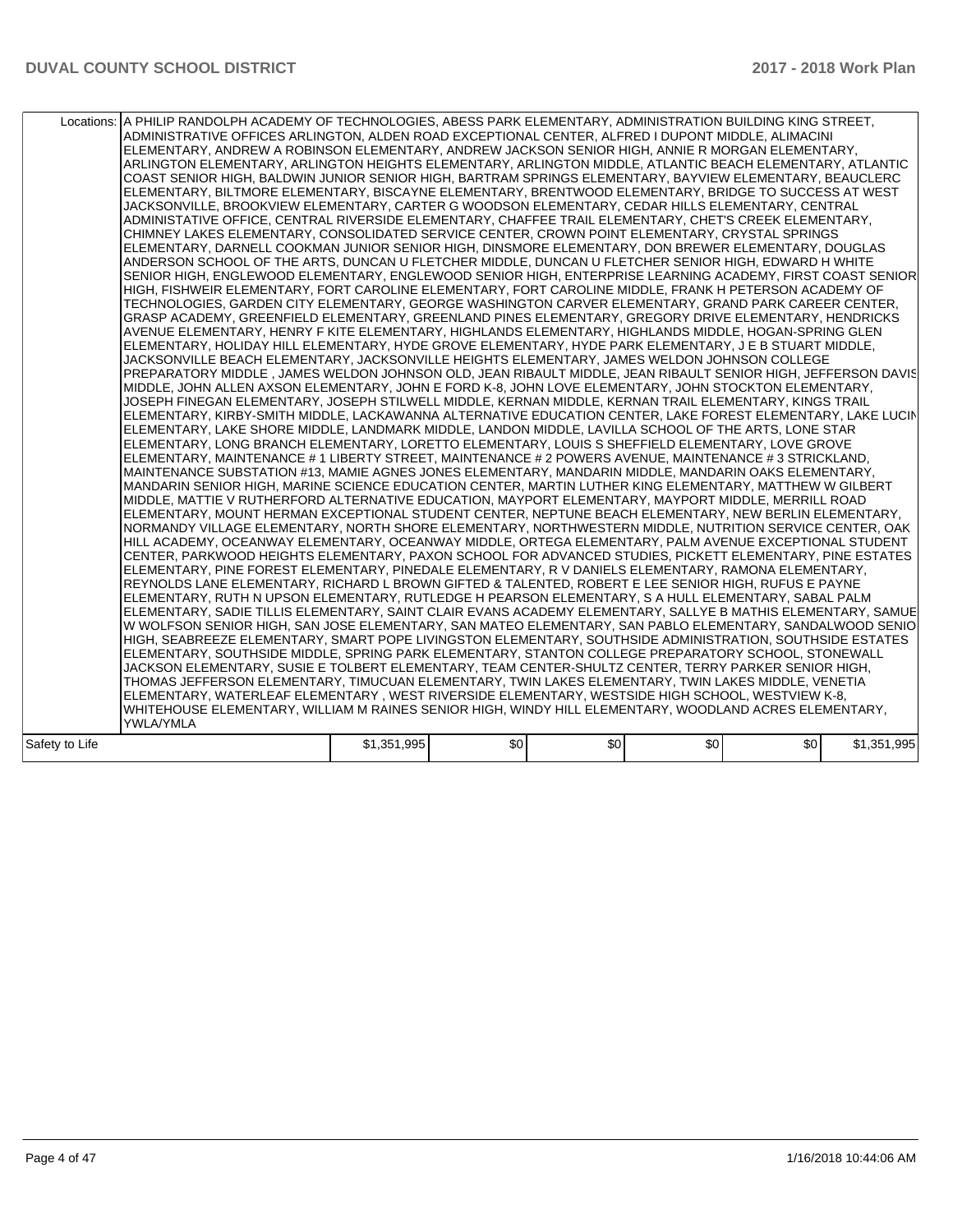|                | Locations:   A PHILIP RANDOLPH ACADEMY OF TECHNOLOGIES, ABESS PARK ELEMENTARY, ADMINISTRATION BUILDING KING STREET,<br>ADMINISTRATIVE OFFICES ARLINGTON, ALDEN ROAD EXCEPTIONAL CENTER, ALFRED I DUPONT MIDDLE, ALIMACINI<br>ELEMENTARY, ANDREW A ROBINSON ELEMENTARY, ANDREW JACKSON SENIOR HIGH, ANNIE R MORGAN ELEMENTARY,<br>ARLINGTON ELEMENTARY, ARLINGTON HEIGHTS ELEMENTARY, ARLINGTON MIDDLE, ATLANTIC BEACH ELEMENTARY, ATLANTIC<br>COAST SENIOR HIGH, BALDWIN JUNIOR SENIOR HIGH, BARTRAM SPRINGS ELEMENTARY, BAYVIEW ELEMENTARY, BEAUCLERC<br>ELEMENTARY, BILTMORE ELEMENTARY, BISCAYNE ELEMENTARY, BRENTWOOD ELEMENTARY, BRIDGE TO SUCCESS AT WEST<br>JACKSONVILLE. BROOKVIEW ELEMENTARY. CARTER G WOODSON ELEMENTARY. CEDAR HILLS ELEMENTARY. CENTRAL<br>ADMINISTATIVE OFFICE, CENTRAL RIVERSIDE ELEMENTARY, CHAFFEE TRAIL ELEMENTARY, CHET'S CREEK ELEMENTARY,<br>CHIMNEY LAKES ELEMENTARY, CONSOLIDATED SERVICE CENTER, CROWN POINT ELEMENTARY, CRYSTAL SPRINGS<br>ELEMENTARY, DARNELL COOKMAN JUNIOR SENIOR HIGH, DINSMORE ELEMENTARY, DON BREWER ELEMENTARY, DOUGLAS<br>ANDERSON SCHOOL OF THE ARTS, DUNCAN U FLETCHER MIDDLE, DUNCAN U FLETCHER SENIOR HIGH, EDWARD H WHITE<br>SENIOR HIGH, ENGLEWOOD ELEMENTARY, ENGLEWOOD SENIOR HIGH, ENTERPRISE LEARNING ACADEMY, FIRST COAST SENIOR<br>HIGH, FISHWEIR ELEMENTARY, FORT CAROLINE ELEMENTARY, FORT CAROLINE MIDDLE, FRANK H PETERSON ACADEMY OF<br>TECHNOLOGIES, GARDEN CITY ELEMENTARY, GEORGE WASHINGTON CARVER ELEMENTARY, GRAND PARK CAREER CENTER,<br>GRASP ACADEMY, GREENFIELD ELEMENTARY, GREENLAND PINES ELEMENTARY, GREGORY DRIVE ELEMENTARY, HENDRICKS<br>AVENUE ELEMENTARY, HENRY F KITE ELEMENTARY, HIGHLANDS ELEMENTARY, HIGHLANDS MIDDLE, HOGAN-SPRING GLEN<br>ELEMENTARY, HOLIDAY HILL ELEMENTARY, HYDE GROVE ELEMENTARY, HYDE PARK ELEMENTARY, J E B STUART MIDDLE,<br>JACKSONVILLE BEACH ELEMENTARY, JACKSONVILLE HEIGHTS ELEMENTARY, JAMES WELDON JOHNSON COLLEGE<br>PREPARATORY MIDDLE, JAMES WELDON JOHNSON OLD, JEAN RIBAULT MIDDLE, JEAN RIBAULT SENIOR HIGH, JEFFERSON DAVIS<br>MIDDLE, JOHN ALLEN AXSON ELEMENTARY, JOHN E FORD K-8, JOHN LOVE ELEMENTARY, JOHN STOCKTON ELEMENTARY,<br>JOSEPH FINEGAN ELEMENTARY, JOSEPH STILWELL MIDDLE, KERNAN MIDDLE, KERNAN TRAIL ELEMENTARY, KINGS TRAIL<br>ELEMENTARY, KIRBY-SMITH MIDDLE, LACKAWANNA ALTERNATIVE EDUCATION CENTER, LAKE FOREST ELEMENTARY, LAKE LUCIN<br>ELEMENTARY, LAKE SHORE MIDDLE, LANDMARK MIDDLE, LANDON MIDDLE, LAVILLA SCHOOL OF THE ARTS, LONE STAR<br>ELEMENTARY, LONG BRANCH ELEMENTARY, LORETTO ELEMENTARY, LOUIS S SHEFFIELD ELEMENTARY, LOVE GROVE<br>ELEMENTARY, MAINTENANCE # 1 LIBERTY STREET, MAINTENANCE # 2 POWERS AVENUE, MAINTENANCE # 3 STRICKLAND,<br>MAINTENANCE SUBSTATION #13, MAMIE AGNES JONES ELEMENTARY, MANDARIN MIDDLE, MANDARIN OAKS ELEMENTARY,<br>MANDARIN SENIOR HIGH, MARINE SCIENCE EDUCATION CENTER, MARTIN LUTHER KING ELEMENTARY, MATTHEW W GILBERT<br>MIDDLE, MATTIE V RUTHERFORD ALTERNATIVE EDUCATION, MAYPORT ELEMENTARY, MAYPORT MIDDLE, MERRILL ROAD<br>ELEMENTARY, MOUNT HERMAN EXCEPTIONAL STUDENT CENTER, NEPTUNE BEACH ELEMENTARY, NEW BERLIN ELEMENTARY,<br>NORMANDY VILLAGE ELEMENTARY, NORTH SHORE ELEMENTARY, NORTHWESTERN MIDDLE, NUTRITION SERVICE CENTER, OAK<br>HILL ACADEMY, OCEANWAY ELEMENTARY, OCEANWAY MIDDLE, ORTEGA ELEMENTARY, PALM AVENUE EXCEPTIONAL STUDENT<br>CENTER, PARKWOOD HEIGHTS ELEMENTARY, PAXON SCHOOL FOR ADVANCED STUDIES, PICKETT ELEMENTARY, PINE ESTATES<br>ELEMENTARY, PINE FOREST ELEMENTARY, PINEDALE ELEMENTARY, R V DANIELS ELEMENTARY, RAMONA ELEMENTARY,<br>REYNOLDS LANE ELEMENTARY, RICHARD L BROWN GIFTED & TALENTED, ROBERT E LEE SENIOR HIGH, RUFUS E PAYNE<br>ELEMENTARY, RUTH N UPSON ELEMENTARY, RUTLEDGE H PEARSON ELEMENTARY, S A HULL ELEMENTARY, SABAL PALM<br>ELEMENTARY, SADIE TILLIS ELEMENTARY, SAINT CLAIR EVANS ACADEMY ELEMENTARY, SALLYE B MATHIS ELEMENTARY, SAMUE<br>W WOLFSON SENIOR HIGH, SAN JOSE ELEMENTARY, SAN MATEO ELEMENTARY, SAN PABLO ELEMENTARY, SANDALWOOD SENIO<br>HIGH, SEABREEZE ELEMENTARY, SMART POPE LIVINGSTON ELEMENTARY, SOUTHSIDE ADMINISTRATION, SOUTHSIDE ESTATES<br>ELEMENTARY, SOUTHSIDE MIDDLE, SPRING PARK ELEMENTARY, STANTON COLLEGE PREPARATORY SCHOOL, STONEWALL<br>JACKSON ELEMENTARY, SUSIE E TOLBERT ELEMENTARY, TEAM CENTER-SHULTZ CENTER, TERRY PARKER SENIOR HIGH,<br>THOMAS JEFFERSON ELEMENTARY, TIMUCUAN ELEMENTARY, TWIN LAKES ELEMENTARY, TWIN LAKES MIDDLE, VENETIA<br>ELEMENTARY, WATERLEAF ELEMENTARY, WEST RIVERSIDE ELEMENTARY, WESTSIDE HIGH SCHOOL, WESTVIEW K-8,<br>WHITEHOUSE ELEMENTARY, WILLIAM M RAINES SENIOR HIGH, WINDY HILL ELEMENTARY, WOODLAND ACRES ELEMENTARY,<br><b>YWLA/YMLA</b> |             |                  |     |     |     |             |
|----------------|------------------------------------------------------------------------------------------------------------------------------------------------------------------------------------------------------------------------------------------------------------------------------------------------------------------------------------------------------------------------------------------------------------------------------------------------------------------------------------------------------------------------------------------------------------------------------------------------------------------------------------------------------------------------------------------------------------------------------------------------------------------------------------------------------------------------------------------------------------------------------------------------------------------------------------------------------------------------------------------------------------------------------------------------------------------------------------------------------------------------------------------------------------------------------------------------------------------------------------------------------------------------------------------------------------------------------------------------------------------------------------------------------------------------------------------------------------------------------------------------------------------------------------------------------------------------------------------------------------------------------------------------------------------------------------------------------------------------------------------------------------------------------------------------------------------------------------------------------------------------------------------------------------------------------------------------------------------------------------------------------------------------------------------------------------------------------------------------------------------------------------------------------------------------------------------------------------------------------------------------------------------------------------------------------------------------------------------------------------------------------------------------------------------------------------------------------------------------------------------------------------------------------------------------------------------------------------------------------------------------------------------------------------------------------------------------------------------------------------------------------------------------------------------------------------------------------------------------------------------------------------------------------------------------------------------------------------------------------------------------------------------------------------------------------------------------------------------------------------------------------------------------------------------------------------------------------------------------------------------------------------------------------------------------------------------------------------------------------------------------------------------------------------------------------------------------------------------------------------------------------------------------------------------------------------------------------------------------------------------------------------------------------------------------------------------------------------------------------------------------------------------------------------------------------------------------------------------------------------------------------------------------------------------------------------------------------------------------------------------------------------------------------------------------------------------------------------------------------------------------------------------------------------------------------------------------------------------------------------------------------------------------------------------------------------------------------------------------------------------------------------------------------------------------------------------------------------------------------------------------------------------------------------------------------------------------------------------------------------------------------------------------------------------------------------------------------------------------------|-------------|------------------|-----|-----|-----|-------------|
| Safety to Life |                                                                                                                                                                                                                                                                                                                                                                                                                                                                                                                                                                                                                                                                                                                                                                                                                                                                                                                                                                                                                                                                                                                                                                                                                                                                                                                                                                                                                                                                                                                                                                                                                                                                                                                                                                                                                                                                                                                                                                                                                                                                                                                                                                                                                                                                                                                                                                                                                                                                                                                                                                                                                                                                                                                                                                                                                                                                                                                                                                                                                                                                                                                                                                                                                                                                                                                                                                                                                                                                                                                                                                                                                                                                                                                                                                                                                                                                                                                                                                                                                                                                                                                                                                                                                                                                                                                                                                                                                                                                                                                                                                                                                                                                                                                              | \$1,351,995 | \$0 <sub>1</sub> | \$0 | \$0 | \$0 | \$1,351,995 |
|                |                                                                                                                                                                                                                                                                                                                                                                                                                                                                                                                                                                                                                                                                                                                                                                                                                                                                                                                                                                                                                                                                                                                                                                                                                                                                                                                                                                                                                                                                                                                                                                                                                                                                                                                                                                                                                                                                                                                                                                                                                                                                                                                                                                                                                                                                                                                                                                                                                                                                                                                                                                                                                                                                                                                                                                                                                                                                                                                                                                                                                                                                                                                                                                                                                                                                                                                                                                                                                                                                                                                                                                                                                                                                                                                                                                                                                                                                                                                                                                                                                                                                                                                                                                                                                                                                                                                                                                                                                                                                                                                                                                                                                                                                                                                              |             |                  |     |     |     |             |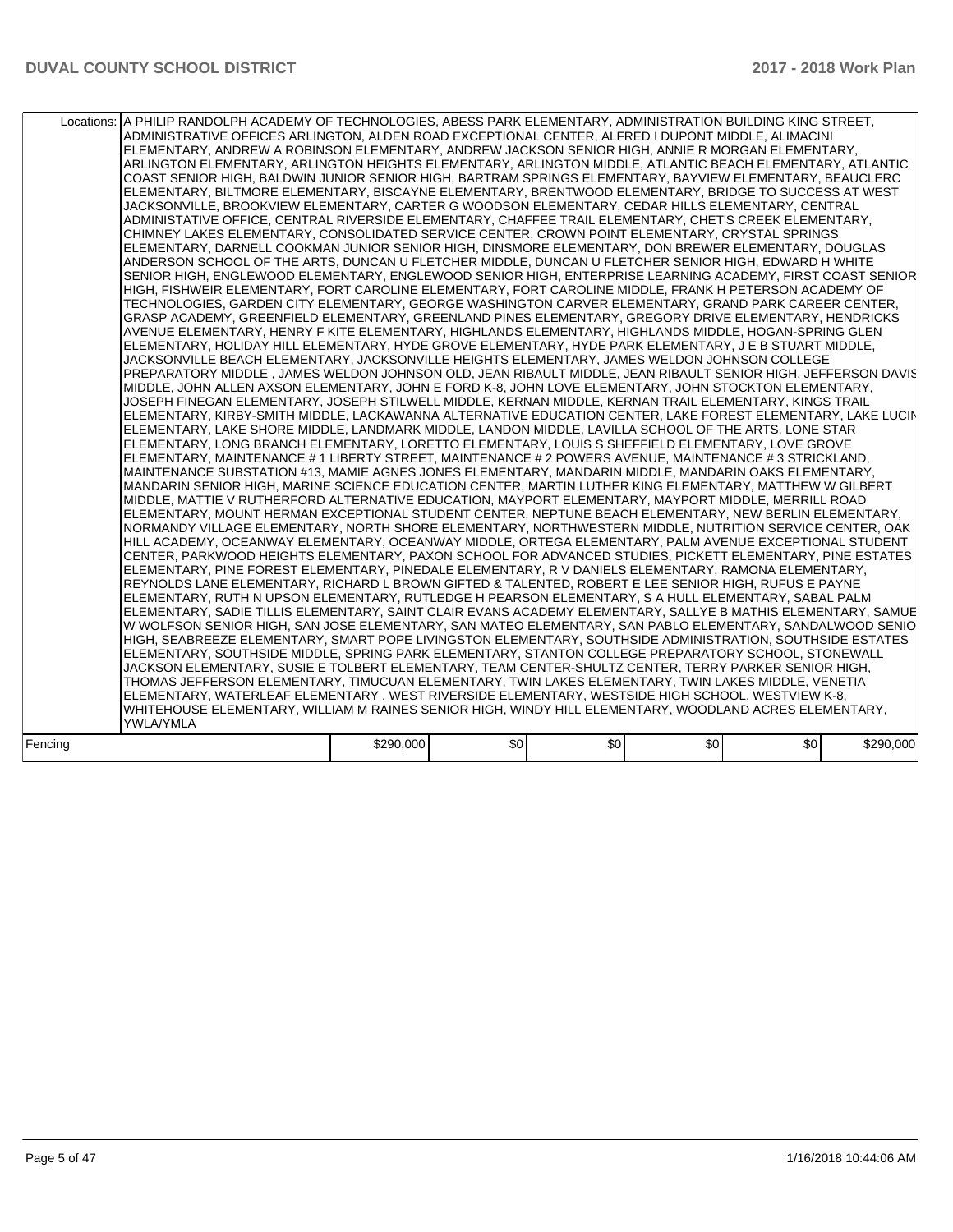| Locations: A PHILIP RANDOLPH ACADEMY OF TECHNOLOGIES, ABESS PARK ELEMENTARY, ADMINISTRATION BUILDING KING STREET,<br>ADMINISTRATIVE OFFICES ARLINGTON, ALDEN ROAD EXCEPTIONAL CENTER, ALFRED I DUPONT MIDDLE, ALIMACINI<br>ELEMENTARY, ANDREW A ROBINSON ELEMENTARY, ANDREW JACKSON SENIOR HIGH, ANNIE R MORGAN ELEMENTARY,<br>ARLINGTON ELEMENTARY, ARLINGTON HEIGHTS ELEMENTARY, ARLINGTON MIDDLE, ATLANTIC BEACH ELEMENTARY, ATLANTIC<br>COAST SENIOR HIGH, BALDWIN JUNIOR SENIOR HIGH, BARTRAM SPRINGS ELEMENTARY, BAYVIEW ELEMENTARY, BEAUCLERC<br>ELEMENTARY, BILTMORE ELEMENTARY, BISCAYNE ELEMENTARY, BRENTWOOD ELEMENTARY, BRIDGE TO SUCCESS AT WEST<br>JACKSONVILLE, BROOKVIEW ELEMENTARY, CARTER G WOODSON ELEMENTARY, CEDAR HILLS ELEMENTARY, CENTRAL<br>ADMINISTATIVE OFFICE, CENTRAL RIVERSIDE ELEMENTARY, CHAFFEE TRAIL ELEMENTARY, CHET'S CREEK ELEMENTARY,<br>CHIMNEY LAKES ELEMENTARY, CONSOLIDATED SERVICE CENTER, CROWN POINT ELEMENTARY, CRYSTAL SPRINGS<br>ELEMENTARY, DARNELL COOKMAN JUNIOR SENIOR HIGH, DINSMORE ELEMENTARY, DON BREWER ELEMENTARY, DOUGLAS<br>ANDERSON SCHOOL OF THE ARTS, DUNCAN U FLETCHER MIDDLE, DUNCAN U FLETCHER SENIOR HIGH, EDWARD H WHITE<br>SENIOR HIGH, ENGLEWOOD ELEMENTARY, ENGLEWOOD SENIOR HIGH, ENTERPRISE LEARNING ACADEMY, FIRST COAST SENIOR<br>HIGH, FISHWEIR ELEMENTARY, FORT CAROLINE ELEMENTARY, FORT CAROLINE MIDDLE, FRANK H PETERSON ACADEMY OF<br>TECHNOLOGIES, GARDEN CITY ELEMENTARY, GEORGE WASHINGTON CARVER ELEMENTARY, GRAND PARK CAREER CENTER,<br>GRASP ACADEMY, GREENFIELD ELEMENTARY, GREENLAND PINES ELEMENTARY, GREGORY DRIVE ELEMENTARY, HENDRICKS<br>AVENUE ELEMENTARY, HENRY F KITE ELEMENTARY, HIGHLANDS ELEMENTARY, HIGHLANDS MIDDLE, HOGAN-SPRING GLEN<br>ELEMENTARY, HOLIDAY HILL ELEMENTARY, HYDE GROVE ELEMENTARY, HYDE PARK ELEMENTARY, J E B STUART MIDDLE,<br>JACKSONVILLE BEACH ELEMENTARY, JACKSONVILLE HEIGHTS ELEMENTARY, JAMES WELDON JOHNSON COLLEGE<br>PREPARATORY MIDDLE, JAMES WELDON JOHNSON OLD, JEAN RIBAULT MIDDLE, JEAN RIBAULT SENIOR HIGH, JEFFERSON DAVIS<br>MIDDLE, JOHN ALLEN AXSON ELEMENTARY, JOHN E FORD K-8, JOHN LOVE ELEMENTARY, JOHN STOCKTON ELEMENTARY,<br>JOSEPH FINEGAN ELEMENTARY, JOSEPH STILWELL MIDDLE, KERNAN MIDDLE, KERNAN TRAIL ELEMENTARY, KINGS TRAIL<br>ELEMENTARY, KIRBY-SMITH MIDDLE, LACKAWANNA ALTERNATIVE EDUCATION CENTER, LAKE FOREST ELEMENTARY, LAKE LUCIN<br>ELEMENTARY, LAKE SHORE MIDDLE, LANDMARK MIDDLE, LANDON MIDDLE, LAVILLA SCHOOL OF THE ARTS, LONE STAR<br>ELEMENTARY, LONG BRANCH ELEMENTARY, LORETTO ELEMENTARY, LOUIS S SHEFFIELD ELEMENTARY, LOVE GROVE<br>ELEMENTARY, MAINTENANCE # 1 LIBERTY STREET, MAINTENANCE # 2 POWERS AVENUE, MAINTENANCE # 3 STRICKLAND,<br>MAINTENANCE SUBSTATION #13, MAMIE AGNES JONES ELEMENTARY, MANDARIN MIDDLE, MANDARIN OAKS ELEMENTARY,<br>MANDARIN SENIOR HIGH, MARINE SCIENCE EDUCATION CENTER, MARTIN LUTHER KING ELEMENTARY, MATTHEW W GILBERT<br>MIDDLE, MATTIE V RUTHERFORD ALTERNATIVE EDUCATION, MAYPORT ELEMENTARY, MAYPORT MIDDLE, MERRILL ROAD<br>ELEMENTARY, MOUNT HERMAN EXCEPTIONAL STUDENT CENTER, NEPTUNE BEACH ELEMENTARY, NEW BERLIN ELEMENTARY,<br>NORMANDY VILLAGE ELEMENTARY, NORTH SHORE ELEMENTARY, NORTHWESTERN MIDDLE, NUTRITION SERVICE CENTER, OAK<br>HILL ACADEMY, OCEANWAY ELEMENTARY, OCEANWAY MIDDLE, ORTEGA ELEMENTARY, PALM AVENUE EXCEPTIONAL STUDENT<br>CENTER. PARKWOOD HEIGHTS ELEMENTARY, PAXON SCHOOL FOR ADVANCED STUDIES. PICKETT ELEMENTARY, PINE ESTATES<br>ELEMENTARY, PINE FOREST ELEMENTARY, PINEDALE ELEMENTARY, R V DANIELS ELEMENTARY, RAMONA ELEMENTARY,<br>REYNOLDS LANE ELEMENTARY, RICHARD L BROWN GIFTED & TALENTED, ROBERT E LEE SENIOR HIGH, RUFUS E PAYNE<br>ELEMENTARY, RUTH N UPSON ELEMENTARY, RUTLEDGE H PEARSON ELEMENTARY, S A HULL ELEMENTARY, SABAL PALM<br>ELEMENTARY, SADIE TILLIS ELEMENTARY, SAINT CLAIR EVANS ACADEMY ELEMENTARY, SALLYE B MATHIS ELEMENTARY, SAMUE<br>W WOLFSON SENIOR HIGH, SAN JOSE ELEMENTARY, SAN MATEO ELEMENTARY, SAN PABLO ELEMENTARY, SANDALWOOD SENIO<br>HIGH, SEABREEZE ELEMENTARY, SMART POPE LIVINGSTON ELEMENTARY, SOUTHSIDE ADMINISTRATION, SOUTHSIDE ESTATES<br>ELEMENTARY, SOUTHSIDE MIDDLE, SPRING PARK ELEMENTARY, STANTON COLLEGE PREPARATORY SCHOOL, STONEWALL<br>JACKSON ELEMENTARY, SUSIE E TOLBERT ELEMENTARY, TEAM CENTER-SHULTZ CENTER, TERRY PARKER SENIOR HIGH,<br>THOMAS JEFFERSON ELEMENTARY, TIMUCUAN ELEMENTARY, TWIN LAKES ELEMENTARY, TWIN LAKES MIDDLE, VENETIA<br>ELEMENTARY, WATERLEAF ELEMENTARY, WEST RIVERSIDE ELEMENTARY, WESTSIDE HIGH SCHOOL, WESTVIEW K-8,<br>WHITEHOUSE ELEMENTARY, WILLIAM M RAINES SENIOR HIGH, WINDY HILL ELEMENTARY, WOODLAND ACRES ELEMENTARY, |                  |  |  |  |           |
|--------------------------------------------------------------------------------------------------------------------------------------------------------------------------------------------------------------------------------------------------------------------------------------------------------------------------------------------------------------------------------------------------------------------------------------------------------------------------------------------------------------------------------------------------------------------------------------------------------------------------------------------------------------------------------------------------------------------------------------------------------------------------------------------------------------------------------------------------------------------------------------------------------------------------------------------------------------------------------------------------------------------------------------------------------------------------------------------------------------------------------------------------------------------------------------------------------------------------------------------------------------------------------------------------------------------------------------------------------------------------------------------------------------------------------------------------------------------------------------------------------------------------------------------------------------------------------------------------------------------------------------------------------------------------------------------------------------------------------------------------------------------------------------------------------------------------------------------------------------------------------------------------------------------------------------------------------------------------------------------------------------------------------------------------------------------------------------------------------------------------------------------------------------------------------------------------------------------------------------------------------------------------------------------------------------------------------------------------------------------------------------------------------------------------------------------------------------------------------------------------------------------------------------------------------------------------------------------------------------------------------------------------------------------------------------------------------------------------------------------------------------------------------------------------------------------------------------------------------------------------------------------------------------------------------------------------------------------------------------------------------------------------------------------------------------------------------------------------------------------------------------------------------------------------------------------------------------------------------------------------------------------------------------------------------------------------------------------------------------------------------------------------------------------------------------------------------------------------------------------------------------------------------------------------------------------------------------------------------------------------------------------------------------------------------------------------------------------------------------------------------------------------------------------------------------------------------------------------------------------------------------------------------------------------------------------------------------------------------------------------------------------------------------------------------------------------------------------------------------------------------------------------------------------------------------------------------------------------------------------------------------------------------------------------------------------------------------------------------------------------------------------------------------------------------------------------------------------------------------------------------------------------------------------------------------------------------------------------------------------------------------------------------------------------------------------------------|------------------|--|--|--|-----------|
|                                                                                                                                                                                                                                                                                                                                                                                                                                                                                                                                                                                                                                                                                                                                                                                                                                                                                                                                                                                                                                                                                                                                                                                                                                                                                                                                                                                                                                                                                                                                                                                                                                                                                                                                                                                                                                                                                                                                                                                                                                                                                                                                                                                                                                                                                                                                                                                                                                                                                                                                                                                                                                                                                                                                                                                                                                                                                                                                                                                                                                                                                                                                                                                                                                                                                                                                                                                                                                                                                                                                                                                                                                                                                                                                                                                                                                                                                                                                                                                                                                                                                                                                                                                                                                                                                                                                                                                                                                                                                                                                                                                                                                                                                                        | <b>YWLA/YMLA</b> |  |  |  |           |
| \$0<br>\$0<br>\$0<br>\$290,000<br>\$0<br>Fencing                                                                                                                                                                                                                                                                                                                                                                                                                                                                                                                                                                                                                                                                                                                                                                                                                                                                                                                                                                                                                                                                                                                                                                                                                                                                                                                                                                                                                                                                                                                                                                                                                                                                                                                                                                                                                                                                                                                                                                                                                                                                                                                                                                                                                                                                                                                                                                                                                                                                                                                                                                                                                                                                                                                                                                                                                                                                                                                                                                                                                                                                                                                                                                                                                                                                                                                                                                                                                                                                                                                                                                                                                                                                                                                                                                                                                                                                                                                                                                                                                                                                                                                                                                                                                                                                                                                                                                                                                                                                                                                                                                                                                                                       |                  |  |  |  | \$290,000 |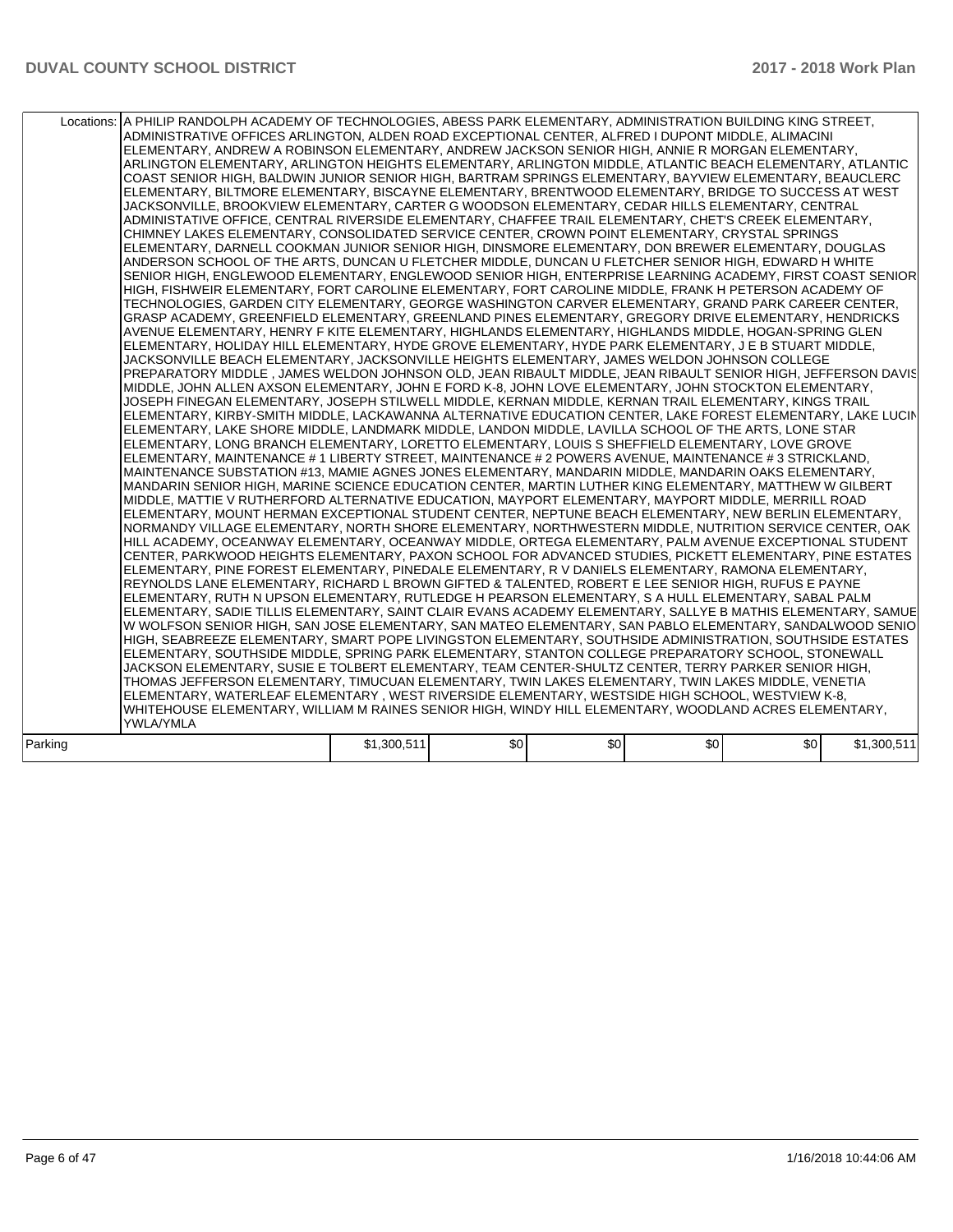| Locations: A PHILIP RANDOLPH ACADEMY OF TECHNOLOGIES, ABESS PARK ELEMENTARY, ADMINISTRATION BUILDING KING STREET,<br>ADMINISTRATIVE OFFICES ARLINGTON, ALDEN ROAD EXCEPTIONAL CENTER, ALFRED I DUPONT MIDDLE, ALIMACINI<br>ELEMENTARY, ANDREW A ROBINSON ELEMENTARY, ANDREW JACKSON SENIOR HIGH, ANNIE R MORGAN ELEMENTARY,<br>ARLINGTON ELEMENTARY, ARLINGTON HEIGHTS ELEMENTARY, ARLINGTON MIDDLE, ATLANTIC BEACH ELEMENTARY, ATLANTIC<br>COAST SENIOR HIGH, BALDWIN JUNIOR SENIOR HIGH, BARTRAM SPRINGS ELEMENTARY, BAYVIEW ELEMENTARY, BEAUCLERC<br>ELEMENTARY, BILTMORE ELEMENTARY, BISCAYNE ELEMENTARY, BRENTWOOD ELEMENTARY, BRIDGE TO SUCCESS AT WEST<br>JACKSONVILLE, BROOKVIEW ELEMENTARY, CARTER G WOODSON ELEMENTARY, CEDAR HILLS ELEMENTARY, CENTRAL<br>ADMINISTATIVE OFFICE, CENTRAL RIVERSIDE ELEMENTARY, CHAFFEE TRAIL ELEMENTARY, CHET'S CREEK ELEMENTARY,<br>CHIMNEY LAKES ELEMENTARY, CONSOLIDATED SERVICE CENTER, CROWN POINT ELEMENTARY, CRYSTAL SPRINGS<br>ELEMENTARY, DARNELL COOKMAN JUNIOR SENIOR HIGH, DINSMORE ELEMENTARY, DON BREWER ELEMENTARY, DOUGLAS<br>ANDERSON SCHOOL OF THE ARTS, DUNCAN U FLETCHER MIDDLE, DUNCAN U FLETCHER SENIOR HIGH, EDWARD H WHITE<br>SENIOR HIGH, ENGLEWOOD ELEMENTARY, ENGLEWOOD SENIOR HIGH, ENTERPRISE LEARNING ACADEMY, FIRST COAST SENIOR<br>HIGH, FISHWEIR ELEMENTARY, FORT CAROLINE ELEMENTARY, FORT CAROLINE MIDDLE, FRANK H PETERSON ACADEMY OF<br>TECHNOLOGIES, GARDEN CITY ELEMENTARY, GEORGE WASHINGTON CARVER ELEMENTARY, GRAND PARK CAREER CENTER,<br>GRASP ACADEMY, GREENFIELD ELEMENTARY, GREENLAND PINES ELEMENTARY, GREGORY DRIVE ELEMENTARY, HENDRICKS<br>AVENUE ELEMENTARY, HENRY F KITE ELEMENTARY, HIGHLANDS ELEMENTARY, HIGHLANDS MIDDLE, HOGAN-SPRING GLEN<br>ELEMENTARY, HOLIDAY HILL ELEMENTARY, HYDE GROVE ELEMENTARY, HYDE PARK ELEMENTARY, J E B STUART MIDDLE,<br>JACKSONVILLE BEACH ELEMENTARY, JACKSONVILLE HEIGHTS ELEMENTARY, JAMES WELDON JOHNSON COLLEGE<br>PREPARATORY MIDDLE, JAMES WELDON JOHNSON OLD, JEAN RIBAULT MIDDLE, JEAN RIBAULT SENIOR HIGH, JEFFERSON DAVIS<br>MIDDLE, JOHN ALLEN AXSON ELEMENTARY, JOHN E FORD K-8, JOHN LOVE ELEMENTARY, JOHN STOCKTON ELEMENTARY,<br>JOSEPH FINEGAN ELEMENTARY, JOSEPH STILWELL MIDDLE, KERNAN MIDDLE, KERNAN TRAIL ELEMENTARY, KINGS TRAIL<br>ELEMENTARY, KIRBY-SMITH MIDDLE, LACKAWANNA ALTERNATIVE EDUCATION CENTER, LAKE FOREST ELEMENTARY, LAKE LUCIN<br>ELEMENTARY, LAKE SHORE MIDDLE, LANDMARK MIDDLE, LANDON MIDDLE, LAVILLA SCHOOL OF THE ARTS, LONE STAR<br>ELEMENTARY, LONG BRANCH ELEMENTARY, LORETTO ELEMENTARY, LOUIS S SHEFFIELD ELEMENTARY, LOVE GROVE<br>ELEMENTARY, MAINTENANCE # 1 LIBERTY STREET, MAINTENANCE # 2 POWERS AVENUE, MAINTENANCE # 3 STRICKLAND,<br>MAINTENANCE SUBSTATION #13, MAMIE AGNES JONES ELEMENTARY, MANDARIN MIDDLE, MANDARIN OAKS ELEMENTARY,<br>MANDARIN SENIOR HIGH, MARINE SCIENCE EDUCATION CENTER, MARTIN LUTHER KING ELEMENTARY, MATTHEW W GILBERT<br>MIDDLE, MATTIE V RUTHERFORD ALTERNATIVE EDUCATION, MAYPORT ELEMENTARY, MAYPORT MIDDLE, MERRILL ROAD<br>ELEMENTARY, MOUNT HERMAN EXCEPTIONAL STUDENT CENTER, NEPTUNE BEACH ELEMENTARY, NEW BERLIN ELEMENTARY,<br>NORMANDY VILLAGE ELEMENTARY, NORTH SHORE ELEMENTARY, NORTHWESTERN MIDDLE, NUTRITION SERVICE CENTER, OAK<br>HILL ACADEMY, OCEANWAY ELEMENTARY, OCEANWAY MIDDLE, ORTEGA ELEMENTARY, PALM AVENUE EXCEPTIONAL STUDENT<br>CENTER. PARKWOOD HEIGHTS ELEMENTARY, PAXON SCHOOL FOR ADVANCED STUDIES. PICKETT ELEMENTARY, PINE ESTATES<br>ELEMENTARY, PINE FOREST ELEMENTARY, PINEDALE ELEMENTARY, R V DANIELS ELEMENTARY, RAMONA ELEMENTARY,<br>REYNOLDS LANE ELEMENTARY, RICHARD L BROWN GIFTED & TALENTED, ROBERT E LEE SENIOR HIGH, RUFUS E PAYNE<br>ELEMENTARY, RUTH N UPSON ELEMENTARY, RUTLEDGE H PEARSON ELEMENTARY, S A HULL ELEMENTARY, SABAL PALM<br>ELEMENTARY, SADIE TILLIS ELEMENTARY, SAINT CLAIR EVANS ACADEMY ELEMENTARY, SALLYE B MATHIS ELEMENTARY, SAMUE<br>W WOLFSON SENIOR HIGH, SAN JOSE ELEMENTARY, SAN MATEO ELEMENTARY, SAN PABLO ELEMENTARY, SANDALWOOD SENIO<br>HIGH, SEABREEZE ELEMENTARY, SMART POPE LIVINGSTON ELEMENTARY, SOUTHSIDE ADMINISTRATION, SOUTHSIDE ESTATES<br>ELEMENTARY, SOUTHSIDE MIDDLE, SPRING PARK ELEMENTARY, STANTON COLLEGE PREPARATORY SCHOOL, STONEWALL |  |  |             |
|---------------------------------------------------------------------------------------------------------------------------------------------------------------------------------------------------------------------------------------------------------------------------------------------------------------------------------------------------------------------------------------------------------------------------------------------------------------------------------------------------------------------------------------------------------------------------------------------------------------------------------------------------------------------------------------------------------------------------------------------------------------------------------------------------------------------------------------------------------------------------------------------------------------------------------------------------------------------------------------------------------------------------------------------------------------------------------------------------------------------------------------------------------------------------------------------------------------------------------------------------------------------------------------------------------------------------------------------------------------------------------------------------------------------------------------------------------------------------------------------------------------------------------------------------------------------------------------------------------------------------------------------------------------------------------------------------------------------------------------------------------------------------------------------------------------------------------------------------------------------------------------------------------------------------------------------------------------------------------------------------------------------------------------------------------------------------------------------------------------------------------------------------------------------------------------------------------------------------------------------------------------------------------------------------------------------------------------------------------------------------------------------------------------------------------------------------------------------------------------------------------------------------------------------------------------------------------------------------------------------------------------------------------------------------------------------------------------------------------------------------------------------------------------------------------------------------------------------------------------------------------------------------------------------------------------------------------------------------------------------------------------------------------------------------------------------------------------------------------------------------------------------------------------------------------------------------------------------------------------------------------------------------------------------------------------------------------------------------------------------------------------------------------------------------------------------------------------------------------------------------------------------------------------------------------------------------------------------------------------------------------------------------------------------------------------------------------------------------------------------------------------------------------------------------------------------------------------------------------------------------------------------------------------------------------------------------------------------------------------------------------------------------------------------------------------------------------------------------------------------------------------------------------------------------------------------------------------------------------------------------------------------------|--|--|-------------|
| JACKSON ELEMENTARY, SUSIE E TOLBERT ELEMENTARY, TEAM CENTER-SHULTZ CENTER, TERRY PARKER SENIOR HIGH,<br>THOMAS JEFFERSON ELEMENTARY, TIMUCUAN ELEMENTARY, TWIN LAKES ELEMENTARY, TWIN LAKES MIDDLE, VENETIA<br>ELEMENTARY, WATERLEAF ELEMENTARY, WEST RIVERSIDE ELEMENTARY, WESTSIDE HIGH SCHOOL, WESTVIEW K-8,<br>WHITEHOUSE ELEMENTARY, WILLIAM M RAINES SENIOR HIGH, WINDY HILL ELEMENTARY, WOODLAND ACRES ELEMENTARY,<br><b>YWLA/YMLA</b>                                                                                                                                                                                                                                                                                                                                                                                                                                                                                                                                                                                                                                                                                                                                                                                                                                                                                                                                                                                                                                                                                                                                                                                                                                                                                                                                                                                                                                                                                                                                                                                                                                                                                                                                                                                                                                                                                                                                                                                                                                                                                                                                                                                                                                                                                                                                                                                                                                                                                                                                                                                                                                                                                                                                                                                                                                                                                                                                                                                                                                                                                                                                                                                                                                                                                                                                                                                                                                                                                                                                                                                                                                                                                                                                                                                                                             |  |  |             |
| \$0<br>\$0<br>\$0<br>Parking<br>\$1,300,511<br>\$0                                                                                                                                                                                                                                                                                                                                                                                                                                                                                                                                                                                                                                                                                                                                                                                                                                                                                                                                                                                                                                                                                                                                                                                                                                                                                                                                                                                                                                                                                                                                                                                                                                                                                                                                                                                                                                                                                                                                                                                                                                                                                                                                                                                                                                                                                                                                                                                                                                                                                                                                                                                                                                                                                                                                                                                                                                                                                                                                                                                                                                                                                                                                                                                                                                                                                                                                                                                                                                                                                                                                                                                                                                                                                                                                                                                                                                                                                                                                                                                                                                                                                                                                                                                                                        |  |  | \$1,300,511 |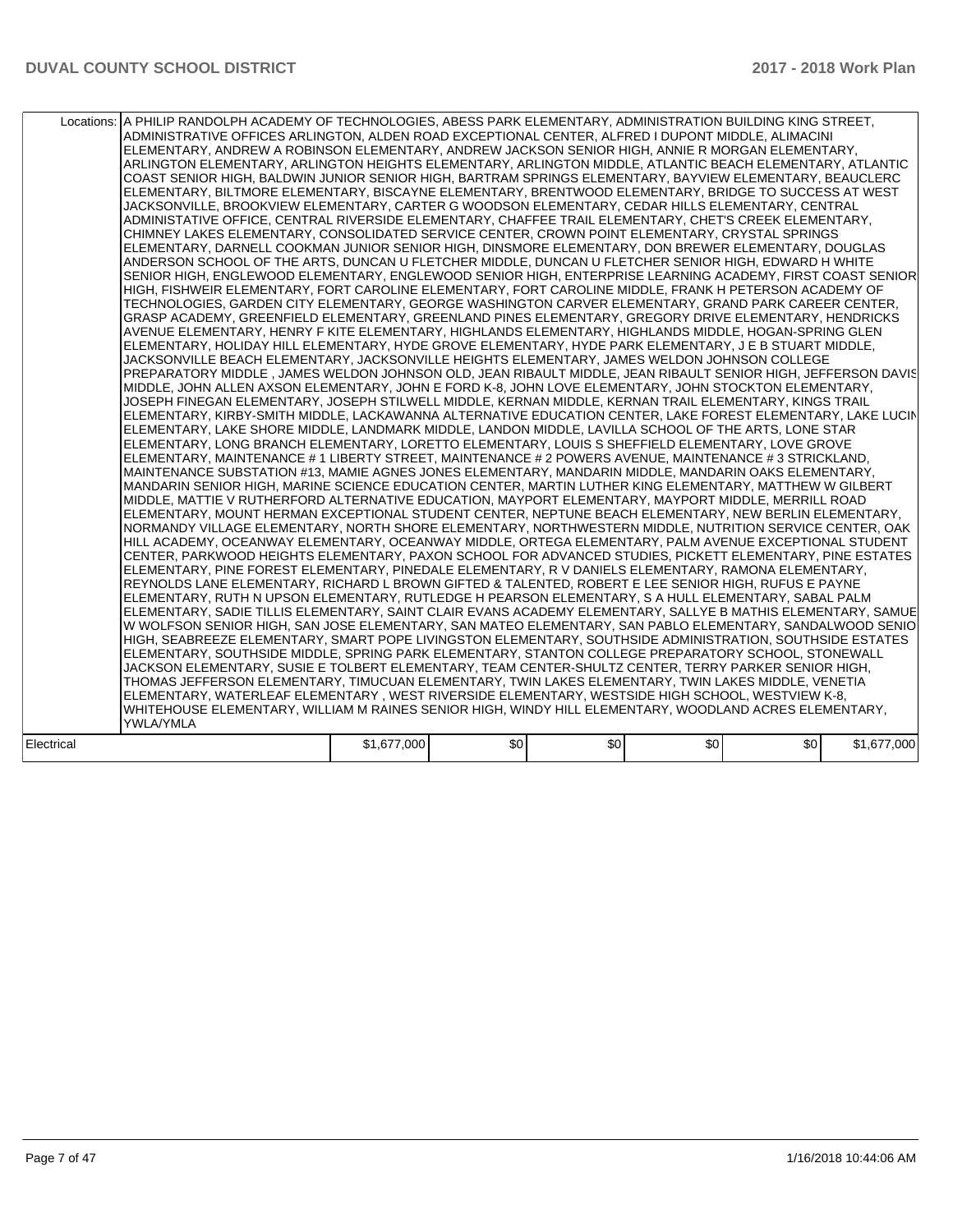|            | Locations:   A PHILIP RANDOLPH ACADEMY OF TECHNOLOGIES, ABESS PARK ELEMENTARY, ADMINISTRATION BUILDING KING STREET,<br>ADMINISTRATIVE OFFICES ARLINGTON, ALDEN ROAD EXCEPTIONAL CENTER, ALFRED I DUPONT MIDDLE, ALIMACINI<br>ELEMENTARY, ANDREW A ROBINSON ELEMENTARY, ANDREW JACKSON SENIOR HIGH, ANNIE R MORGAN ELEMENTARY,<br>ARLINGTON ELEMENTARY, ARLINGTON HEIGHTS ELEMENTARY, ARLINGTON MIDDLE, ATLANTIC BEACH ELEMENTARY, ATLANTIC<br>COAST SENIOR HIGH, BALDWIN JUNIOR SENIOR HIGH, BARTRAM SPRINGS ELEMENTARY, BAYVIEW ELEMENTARY, BEAUCLERC<br>ELEMENTARY, BILTMORE ELEMENTARY, BISCAYNE ELEMENTARY, BRENTWOOD ELEMENTARY, BRIDGE TO SUCCESS AT WEST<br>JACKSONVILLE. BROOKVIEW ELEMENTARY. CARTER G WOODSON ELEMENTARY. CEDAR HILLS ELEMENTARY. CENTRAL<br>ADMINISTATIVE OFFICE, CENTRAL RIVERSIDE ELEMENTARY, CHAFFEE TRAIL ELEMENTARY, CHET'S CREEK ELEMENTARY,<br>CHIMNEY LAKES ELEMENTARY, CONSOLIDATED SERVICE CENTER, CROWN POINT ELEMENTARY, CRYSTAL SPRINGS<br>ELEMENTARY, DARNELL COOKMAN JUNIOR SENIOR HIGH, DINSMORE ELEMENTARY, DON BREWER ELEMENTARY, DOUGLAS<br>ANDERSON SCHOOL OF THE ARTS, DUNCAN U FLETCHER MIDDLE, DUNCAN U FLETCHER SENIOR HIGH, EDWARD H WHITE<br>SENIOR HIGH, ENGLEWOOD ELEMENTARY, ENGLEWOOD SENIOR HIGH, ENTERPRISE LEARNING ACADEMY, FIRST COAST SENIOR<br>HIGH, FISHWEIR ELEMENTARY, FORT CAROLINE ELEMENTARY, FORT CAROLINE MIDDLE, FRANK H PETERSON ACADEMY OF<br>TECHNOLOGIES, GARDEN CITY ELEMENTARY, GEORGE WASHINGTON CARVER ELEMENTARY, GRAND PARK CAREER CENTER,<br>GRASP ACADEMY, GREENFIELD ELEMENTARY, GREENLAND PINES ELEMENTARY, GREGORY DRIVE ELEMENTARY, HENDRICKS<br>AVENUE ELEMENTARY, HENRY F KITE ELEMENTARY, HIGHLANDS ELEMENTARY, HIGHLANDS MIDDLE, HOGAN-SPRING GLEN<br>ELEMENTARY, HOLIDAY HILL ELEMENTARY, HYDE GROVE ELEMENTARY, HYDE PARK ELEMENTARY, J E B STUART MIDDLE,<br>JACKSONVILLE BEACH ELEMENTARY, JACKSONVILLE HEIGHTS ELEMENTARY, JAMES WELDON JOHNSON COLLEGE<br>PREPARATORY MIDDLE, JAMES WELDON JOHNSON OLD, JEAN RIBAULT MIDDLE, JEAN RIBAULT SENIOR HIGH, JEFFERSON DAVIS<br>MIDDLE, JOHN ALLEN AXSON ELEMENTARY, JOHN E FORD K-8, JOHN LOVE ELEMENTARY, JOHN STOCKTON ELEMENTARY,<br>JOSEPH FINEGAN ELEMENTARY, JOSEPH STILWELL MIDDLE, KERNAN MIDDLE, KERNAN TRAIL ELEMENTARY, KINGS TRAIL<br>ELEMENTARY, KIRBY-SMITH MIDDLE, LACKAWANNA ALTERNATIVE EDUCATION CENTER, LAKE FOREST ELEMENTARY, LAKE LUCIN<br>ELEMENTARY, LAKE SHORE MIDDLE, LANDMARK MIDDLE, LANDON MIDDLE, LAVILLA SCHOOL OF THE ARTS, LONE STAR<br>ELEMENTARY, LONG BRANCH ELEMENTARY, LORETTO ELEMENTARY, LOUIS S SHEFFIELD ELEMENTARY, LOVE GROVE<br>ELEMENTARY, MAINTENANCE # 1 LIBERTY STREET, MAINTENANCE # 2 POWERS AVENUE, MAINTENANCE # 3 STRICKLAND,<br>MAINTENANCE SUBSTATION #13, MAMIE AGNES JONES ELEMENTARY, MANDARIN MIDDLE, MANDARIN OAKS ELEMENTARY,<br>MANDARIN SENIOR HIGH, MARINE SCIENCE EDUCATION CENTER, MARTIN LUTHER KING ELEMENTARY, MATTHEW W GILBERT<br>MIDDLE, MATTIE V RUTHERFORD ALTERNATIVE EDUCATION, MAYPORT ELEMENTARY, MAYPORT MIDDLE, MERRILL ROAD<br>ELEMENTARY, MOUNT HERMAN EXCEPTIONAL STUDENT CENTER, NEPTUNE BEACH ELEMENTARY, NEW BERLIN ELEMENTARY,<br>NORMANDY VILLAGE ELEMENTARY, NORTH SHORE ELEMENTARY, NORTHWESTERN MIDDLE, NUTRITION SERVICE CENTER, OAK<br>HILL ACADEMY, OCEANWAY ELEMENTARY, OCEANWAY MIDDLE, ORTEGA ELEMENTARY, PALM AVENUE EXCEPTIONAL STUDENT<br>CENTER, PARKWOOD HEIGHTS ELEMENTARY, PAXON SCHOOL FOR ADVANCED STUDIES, PICKETT ELEMENTARY, PINE ESTATES<br>ELEMENTARY, PINE FOREST ELEMENTARY, PINEDALE ELEMENTARY, R V DANIELS ELEMENTARY, RAMONA ELEMENTARY,<br>REYNOLDS LANE ELEMENTARY, RICHARD L BROWN GIFTED & TALENTED, ROBERT E LEE SENIOR HIGH, RUFUS E PAYNE<br>ELEMENTARY, RUTH N UPSON ELEMENTARY, RUTLEDGE H PEARSON ELEMENTARY, S A HULL ELEMENTARY, SABAL PALM<br>ELEMENTARY, SADIE TILLIS ELEMENTARY, SAINT CLAIR EVANS ACADEMY ELEMENTARY, SALLYE B MATHIS ELEMENTARY, SAMUE<br>W WOLFSON SENIOR HIGH, SAN JOSE ELEMENTARY, SAN MATEO ELEMENTARY, SAN PABLO ELEMENTARY, SANDALWOOD SENIO<br>HIGH, SEABREEZE ELEMENTARY, SMART POPE LIVINGSTON ELEMENTARY, SOUTHSIDE ADMINISTRATION, SOUTHSIDE ESTATES<br>ELEMENTARY, SOUTHSIDE MIDDLE, SPRING PARK ELEMENTARY, STANTON COLLEGE PREPARATORY SCHOOL, STONEWALL<br>JACKSON ELEMENTARY, SUSIE E TOLBERT ELEMENTARY, TEAM CENTER-SHULTZ CENTER, TERRY PARKER SENIOR HIGH,<br>THOMAS JEFFERSON ELEMENTARY, TIMUCUAN ELEMENTARY, TWIN LAKES ELEMENTARY, TWIN LAKES MIDDLE, VENETIA<br>ELEMENTARY, WATERLEAF ELEMENTARY, WEST RIVERSIDE ELEMENTARY, WESTSIDE HIGH SCHOOL, WESTVIEW K-8,<br>WHITEHOUSE ELEMENTARY, WILLIAM M RAINES SENIOR HIGH, WINDY HILL ELEMENTARY, WOODLAND ACRES ELEMENTARY,<br><b>YWLA/YMLA</b> |             |                  |     |     |     |             |
|------------|------------------------------------------------------------------------------------------------------------------------------------------------------------------------------------------------------------------------------------------------------------------------------------------------------------------------------------------------------------------------------------------------------------------------------------------------------------------------------------------------------------------------------------------------------------------------------------------------------------------------------------------------------------------------------------------------------------------------------------------------------------------------------------------------------------------------------------------------------------------------------------------------------------------------------------------------------------------------------------------------------------------------------------------------------------------------------------------------------------------------------------------------------------------------------------------------------------------------------------------------------------------------------------------------------------------------------------------------------------------------------------------------------------------------------------------------------------------------------------------------------------------------------------------------------------------------------------------------------------------------------------------------------------------------------------------------------------------------------------------------------------------------------------------------------------------------------------------------------------------------------------------------------------------------------------------------------------------------------------------------------------------------------------------------------------------------------------------------------------------------------------------------------------------------------------------------------------------------------------------------------------------------------------------------------------------------------------------------------------------------------------------------------------------------------------------------------------------------------------------------------------------------------------------------------------------------------------------------------------------------------------------------------------------------------------------------------------------------------------------------------------------------------------------------------------------------------------------------------------------------------------------------------------------------------------------------------------------------------------------------------------------------------------------------------------------------------------------------------------------------------------------------------------------------------------------------------------------------------------------------------------------------------------------------------------------------------------------------------------------------------------------------------------------------------------------------------------------------------------------------------------------------------------------------------------------------------------------------------------------------------------------------------------------------------------------------------------------------------------------------------------------------------------------------------------------------------------------------------------------------------------------------------------------------------------------------------------------------------------------------------------------------------------------------------------------------------------------------------------------------------------------------------------------------------------------------------------------------------------------------------------------------------------------------------------------------------------------------------------------------------------------------------------------------------------------------------------------------------------------------------------------------------------------------------------------------------------------------------------------------------------------------------------------------------------------------------------------------------|-------------|------------------|-----|-----|-----|-------------|
| Electrical |                                                                                                                                                                                                                                                                                                                                                                                                                                                                                                                                                                                                                                                                                                                                                                                                                                                                                                                                                                                                                                                                                                                                                                                                                                                                                                                                                                                                                                                                                                                                                                                                                                                                                                                                                                                                                                                                                                                                                                                                                                                                                                                                                                                                                                                                                                                                                                                                                                                                                                                                                                                                                                                                                                                                                                                                                                                                                                                                                                                                                                                                                                                                                                                                                                                                                                                                                                                                                                                                                                                                                                                                                                                                                                                                                                                                                                                                                                                                                                                                                                                                                                                                                                                                                                                                                                                                                                                                                                                                                                                                                                                                                                                                                                                              | \$1,677,000 | \$0 <sub>1</sub> | \$0 | \$0 | \$0 | \$1,677,000 |
|            |                                                                                                                                                                                                                                                                                                                                                                                                                                                                                                                                                                                                                                                                                                                                                                                                                                                                                                                                                                                                                                                                                                                                                                                                                                                                                                                                                                                                                                                                                                                                                                                                                                                                                                                                                                                                                                                                                                                                                                                                                                                                                                                                                                                                                                                                                                                                                                                                                                                                                                                                                                                                                                                                                                                                                                                                                                                                                                                                                                                                                                                                                                                                                                                                                                                                                                                                                                                                                                                                                                                                                                                                                                                                                                                                                                                                                                                                                                                                                                                                                                                                                                                                                                                                                                                                                                                                                                                                                                                                                                                                                                                                                                                                                                                              |             |                  |     |     |     |             |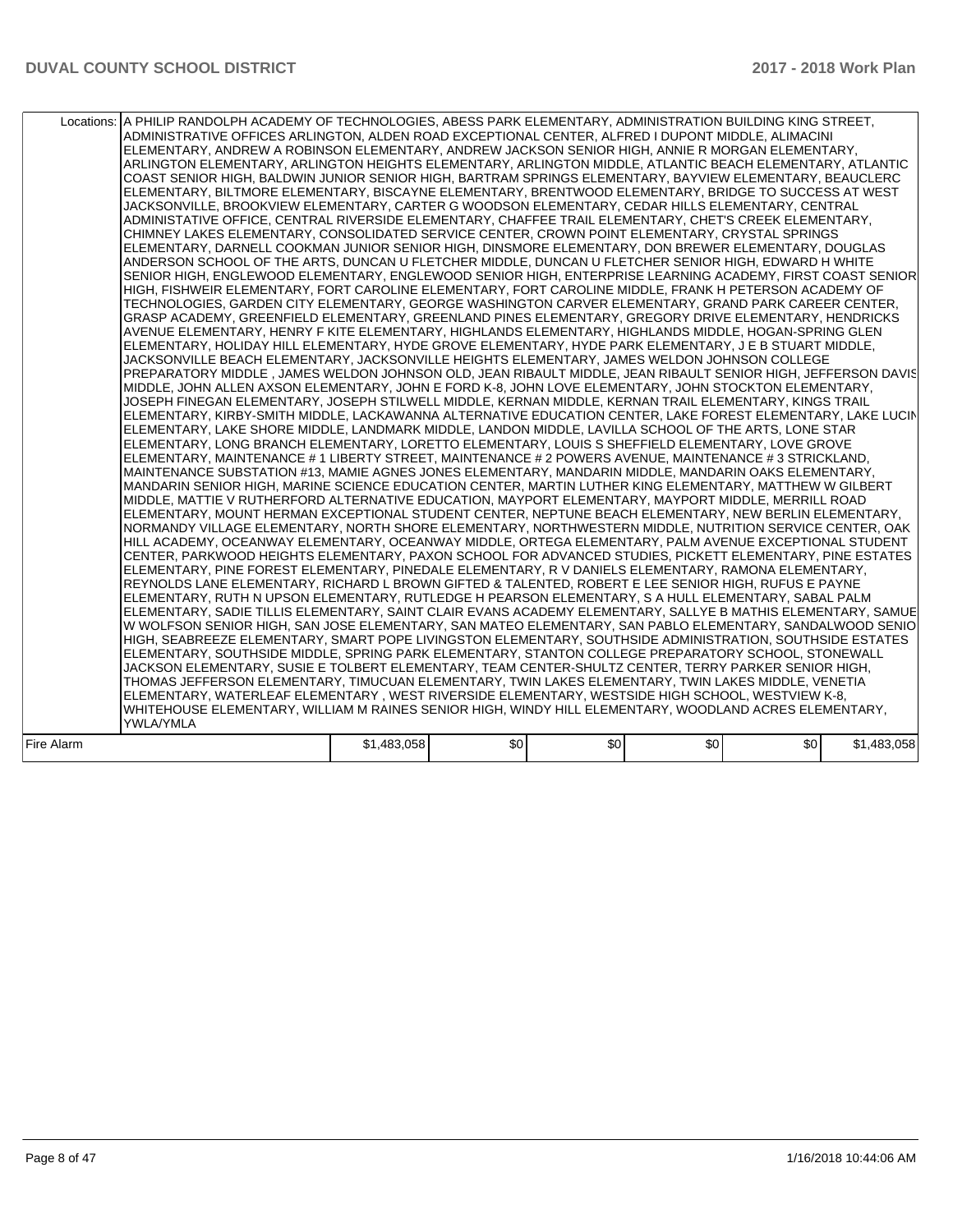|            | Locations: A PHILIP RANDOLPH ACADEMY OF TECHNOLOGIES, ABESS PARK ELEMENTARY, ADMINISTRATION BUILDING KING STREET,<br>ADMINISTRATIVE OFFICES ARLINGTON, ALDEN ROAD EXCEPTIONAL CENTER, ALFRED I DUPONT MIDDLE, ALIMACINI<br>ELEMENTARY, ANDREW A ROBINSON ELEMENTARY, ANDREW JACKSON SENIOR HIGH, ANNIE R MORGAN ELEMENTARY,<br>ARLINGTON ELEMENTARY, ARLINGTON HEIGHTS ELEMENTARY, ARLINGTON MIDDLE, ATLANTIC BEACH ELEMENTARY, ATLANTIC<br>COAST SENIOR HIGH, BALDWIN JUNIOR SENIOR HIGH, BARTRAM SPRINGS ELEMENTARY, BAYVIEW ELEMENTARY, BEAUCLERC<br>ELEMENTARY, BILTMORE ELEMENTARY, BISCAYNE ELEMENTARY, BRENTWOOD ELEMENTARY, BRIDGE TO SUCCESS AT WEST<br>JACKSONVILLE, BROOKVIEW ELEMENTARY, CARTER G WOODSON ELEMENTARY, CEDAR HILLS ELEMENTARY, CENTRAL<br>ADMINISTATIVE OFFICE, CENTRAL RIVERSIDE ELEMENTARY, CHAFFEE TRAIL ELEMENTARY, CHET'S CREEK ELEMENTARY,<br>CHIMNEY LAKES ELEMENTARY, CONSOLIDATED SERVICE CENTER, CROWN POINT ELEMENTARY, CRYSTAL SPRINGS<br>ELEMENTARY, DARNELL COOKMAN JUNIOR SENIOR HIGH, DINSMORE ELEMENTARY, DON BREWER ELEMENTARY, DOUGLAS<br>ANDERSON SCHOOL OF THE ARTS, DUNCAN U FLETCHER MIDDLE, DUNCAN U FLETCHER SENIOR HIGH, EDWARD H WHITE<br>SENIOR HIGH, ENGLEWOOD ELEMENTARY, ENGLEWOOD SENIOR HIGH, ENTERPRISE LEARNING ACADEMY, FIRST COAST SENIOR<br>HIGH, FISHWEIR ELEMENTARY, FORT CAROLINE ELEMENTARY, FORT CAROLINE MIDDLE, FRANK H PETERSON ACADEMY OF<br>TECHNOLOGIES, GARDEN CITY ELEMENTARY, GEORGE WASHINGTON CARVER ELEMENTARY, GRAND PARK CAREER CENTER,<br>GRASP ACADEMY, GREENFIELD ELEMENTARY, GREENLAND PINES ELEMENTARY, GREGORY DRIVE ELEMENTARY, HENDRICKS<br>AVENUE ELEMENTARY, HENRY F KITE ELEMENTARY, HIGHLANDS ELEMENTARY, HIGHLANDS MIDDLE, HOGAN-SPRING GLEN<br>ELEMENTARY, HOLIDAY HILL ELEMENTARY, HYDE GROVE ELEMENTARY, HYDE PARK ELEMENTARY, J E B STUART MIDDLE,<br>JACKSONVILLE BEACH ELEMENTARY, JACKSONVILLE HEIGHTS ELEMENTARY, JAMES WELDON JOHNSON COLLEGE<br>PREPARATORY MIDDLE, JAMES WELDON JOHNSON OLD, JEAN RIBAULT MIDDLE, JEAN RIBAULT SENIOR HIGH, JEFFERSON DAVIS<br>MIDDLE, JOHN ALLEN AXSON ELEMENTARY, JOHN E FORD K-8, JOHN LOVE ELEMENTARY, JOHN STOCKTON ELEMENTARY,<br>JOSEPH FINEGAN ELEMENTARY, JOSEPH STILWELL MIDDLE, KERNAN MIDDLE, KERNAN TRAIL ELEMENTARY, KINGS TRAIL<br>ELEMENTARY, KIRBY-SMITH MIDDLE, LACKAWANNA ALTERNATIVE EDUCATION CENTER, LAKE FOREST ELEMENTARY, LAKE LUCIN<br>ELEMENTARY, LAKE SHORE MIDDLE, LANDMARK MIDDLE, LANDON MIDDLE, LAVILLA SCHOOL OF THE ARTS, LONE STAR<br>ELEMENTARY, LONG BRANCH ELEMENTARY, LORETTO ELEMENTARY, LOUIS S SHEFFIELD ELEMENTARY, LOVE GROVE<br>ELEMENTARY, MAINTENANCE # 1 LIBERTY STREET, MAINTENANCE # 2 POWERS AVENUE, MAINTENANCE # 3 STRICKLAND,<br>MAINTENANCE SUBSTATION #13, MAMIE AGNES JONES ELEMENTARY, MANDARIN MIDDLE, MANDARIN OAKS ELEMENTARY,<br>MANDARIN SENIOR HIGH, MARINE SCIENCE EDUCATION CENTER, MARTIN LUTHER KING ELEMENTARY, MATTHEW W GILBERT<br>MIDDLE, MATTIE V RUTHERFORD ALTERNATIVE EDUCATION, MAYPORT ELEMENTARY, MAYPORT MIDDLE, MERRILL ROAD<br>ELEMENTARY, MOUNT HERMAN EXCEPTIONAL STUDENT CENTER, NEPTUNE BEACH ELEMENTARY, NEW BERLIN ELEMENTARY,<br>NORMANDY VILLAGE ELEMENTARY, NORTH SHORE ELEMENTARY, NORTHWESTERN MIDDLE, NUTRITION SERVICE CENTER, OAK<br>HILL ACADEMY, OCEANWAY ELEMENTARY, OCEANWAY MIDDLE, ORTEGA ELEMENTARY, PALM AVENUE EXCEPTIONAL STUDENT<br>CENTER. PARKWOOD HEIGHTS ELEMENTARY, PAXON SCHOOL FOR ADVANCED STUDIES. PICKETT ELEMENTARY, PINE ESTATES<br>ELEMENTARY, PINE FOREST ELEMENTARY, PINEDALE ELEMENTARY, R V DANIELS ELEMENTARY, RAMONA ELEMENTARY,<br>REYNOLDS LANE ELEMENTARY, RICHARD L BROWN GIFTED & TALENTED, ROBERT E LEE SENIOR HIGH, RUFUS E PAYNE<br>ELEMENTARY, RUTH N UPSON ELEMENTARY, RUTLEDGE H PEARSON ELEMENTARY, S A HULL ELEMENTARY, SABAL PALM<br>ELEMENTARY, SADIE TILLIS ELEMENTARY, SAINT CLAIR EVANS ACADEMY ELEMENTARY, SALLYE B MATHIS ELEMENTARY, SAMUE<br>W WOLFSON SENIOR HIGH, SAN JOSE ELEMENTARY, SAN MATEO ELEMENTARY, SAN PABLO ELEMENTARY, SANDALWOOD SENIO<br>HIGH, SEABREEZE ELEMENTARY, SMART POPE LIVINGSTON ELEMENTARY, SOUTHSIDE ADMINISTRATION, SOUTHSIDE ESTATES<br>ELEMENTARY, SOUTHSIDE MIDDLE, SPRING PARK ELEMENTARY, STANTON COLLEGE PREPARATORY SCHOOL, STONEWALL<br>JACKSON ELEMENTARY, SUSIE E TOLBERT ELEMENTARY, TEAM CENTER-SHULTZ CENTER, TERRY PARKER SENIOR HIGH,<br>THOMAS JEFFERSON ELEMENTARY, TIMUCUAN ELEMENTARY, TWIN LAKES ELEMENTARY, TWIN LAKES MIDDLE, VENETIA<br>ELEMENTARY, WATERLEAF ELEMENTARY, WEST RIVERSIDE ELEMENTARY, WESTSIDE HIGH SCHOOL, WESTVIEW K-8,<br>WHITEHOUSE ELEMENTARY, WILLIAM M RAINES SENIOR HIGH, WINDY HILL ELEMENTARY, WOODLAND ACRES ELEMENTARY,<br><b>YWLA/YMLA</b> |             |     |     |     |     |             |
|------------|----------------------------------------------------------------------------------------------------------------------------------------------------------------------------------------------------------------------------------------------------------------------------------------------------------------------------------------------------------------------------------------------------------------------------------------------------------------------------------------------------------------------------------------------------------------------------------------------------------------------------------------------------------------------------------------------------------------------------------------------------------------------------------------------------------------------------------------------------------------------------------------------------------------------------------------------------------------------------------------------------------------------------------------------------------------------------------------------------------------------------------------------------------------------------------------------------------------------------------------------------------------------------------------------------------------------------------------------------------------------------------------------------------------------------------------------------------------------------------------------------------------------------------------------------------------------------------------------------------------------------------------------------------------------------------------------------------------------------------------------------------------------------------------------------------------------------------------------------------------------------------------------------------------------------------------------------------------------------------------------------------------------------------------------------------------------------------------------------------------------------------------------------------------------------------------------------------------------------------------------------------------------------------------------------------------------------------------------------------------------------------------------------------------------------------------------------------------------------------------------------------------------------------------------------------------------------------------------------------------------------------------------------------------------------------------------------------------------------------------------------------------------------------------------------------------------------------------------------------------------------------------------------------------------------------------------------------------------------------------------------------------------------------------------------------------------------------------------------------------------------------------------------------------------------------------------------------------------------------------------------------------------------------------------------------------------------------------------------------------------------------------------------------------------------------------------------------------------------------------------------------------------------------------------------------------------------------------------------------------------------------------------------------------------------------------------------------------------------------------------------------------------------------------------------------------------------------------------------------------------------------------------------------------------------------------------------------------------------------------------------------------------------------------------------------------------------------------------------------------------------------------------------------------------------------------------------------------------------------------------------------------------------------------------------------------------------------------------------------------------------------------------------------------------------------------------------------------------------------------------------------------------------------------------------------------------------------------------------------------------------------------------------------------------------------------------------------------------------|-------------|-----|-----|-----|-----|-------------|
| Fire Alarm |                                                                                                                                                                                                                                                                                                                                                                                                                                                                                                                                                                                                                                                                                                                                                                                                                                                                                                                                                                                                                                                                                                                                                                                                                                                                                                                                                                                                                                                                                                                                                                                                                                                                                                                                                                                                                                                                                                                                                                                                                                                                                                                                                                                                                                                                                                                                                                                                                                                                                                                                                                                                                                                                                                                                                                                                                                                                                                                                                                                                                                                                                                                                                                                                                                                                                                                                                                                                                                                                                                                                                                                                                                                                                                                                                                                                                                                                                                                                                                                                                                                                                                                                                                                                                                                                                                                                                                                                                                                                                                                                                                                                                                                                                                                            | \$1,483,058 | \$0 | \$0 | \$0 | \$0 | \$1,483,058 |
|            |                                                                                                                                                                                                                                                                                                                                                                                                                                                                                                                                                                                                                                                                                                                                                                                                                                                                                                                                                                                                                                                                                                                                                                                                                                                                                                                                                                                                                                                                                                                                                                                                                                                                                                                                                                                                                                                                                                                                                                                                                                                                                                                                                                                                                                                                                                                                                                                                                                                                                                                                                                                                                                                                                                                                                                                                                                                                                                                                                                                                                                                                                                                                                                                                                                                                                                                                                                                                                                                                                                                                                                                                                                                                                                                                                                                                                                                                                                                                                                                                                                                                                                                                                                                                                                                                                                                                                                                                                                                                                                                                                                                                                                                                                                                            |             |     |     |     |     |             |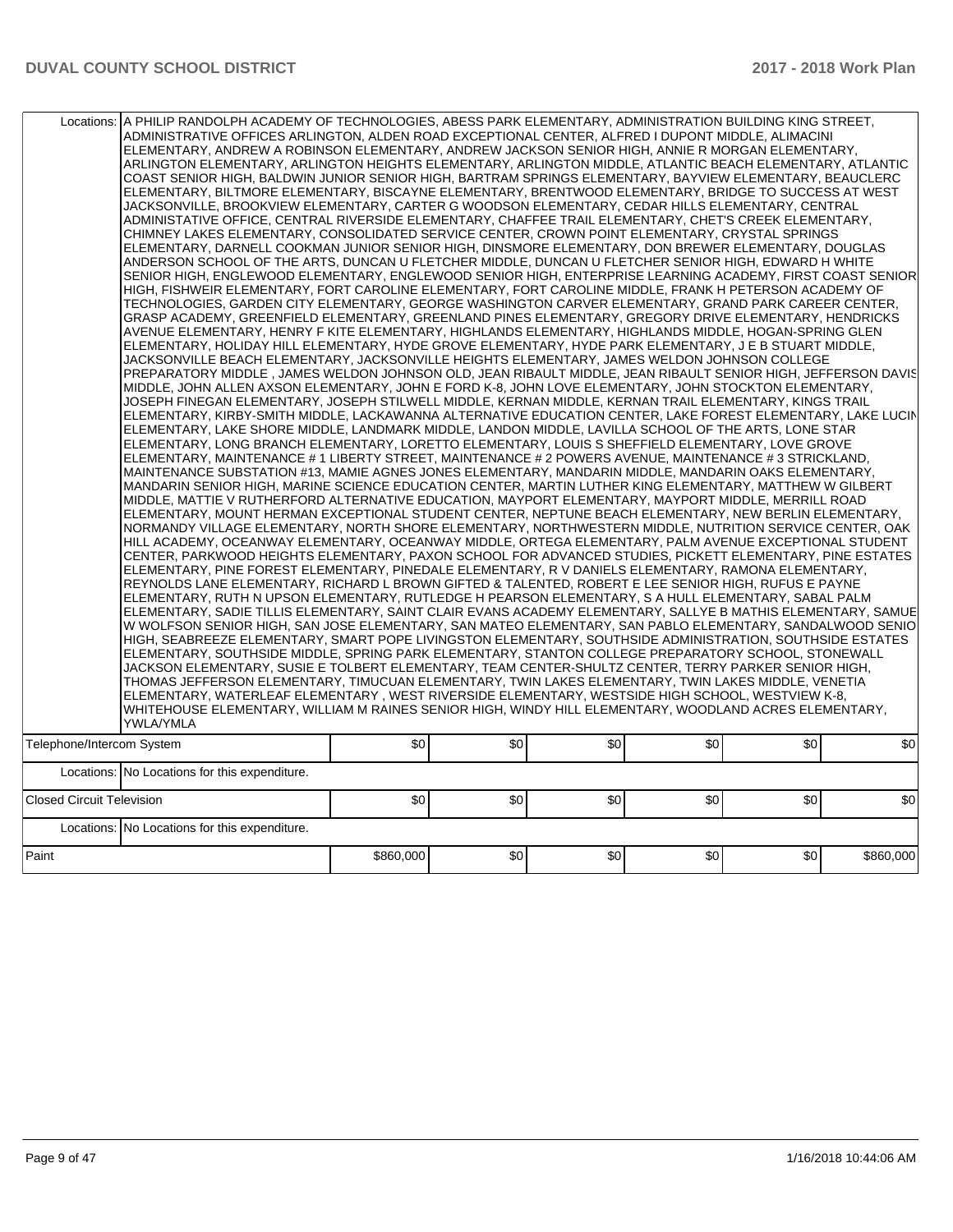|                                  | Locations: A PHILIP RANDOLPH ACADEMY OF TECHNOLOGIES, ABESS PARK ELEMENTARY, ADMINISTRATION BUILDING KING STREET,<br>ADMINISTRATIVE OFFICES ARLINGTON, ALDEN ROAD EXCEPTIONAL CENTER, ALFRED I DUPONT MIDDLE, ALIMACINI<br>ELEMENTARY. ANDREW A ROBINSON ELEMENTARY. ANDREW JACKSON SENIOR HIGH. ANNIE R MORGAN ELEMENTARY.<br>ARLINGTON ELEMENTARY, ARLINGTON HEIGHTS ELEMENTARY, ARLINGTON MIDDLE, ATLANTIC BEACH ELEMENTARY, ATLANTIC<br>COAST SENIOR HIGH, BALDWIN JUNIOR SENIOR HIGH, BARTRAM SPRINGS ELEMENTARY, BAYVIEW ELEMENTARY, BEAUCLERC<br>ELEMENTARY. BILTMORE ELEMENTARY. BISCAYNE ELEMENTARY. BRENTWOOD ELEMENTARY. BRIDGE TO SUCCESS AT WEST<br>JACKSONVILLE, BROOKVIEW ELEMENTARY, CARTER G WOODSON ELEMENTARY, CEDAR HILLS ELEMENTARY, CENTRAL<br>ADMINISTATIVE OFFICE, CENTRAL RIVERSIDE ELEMENTARY, CHAFFEE TRAIL ELEMENTARY, CHET'S CREEK ELEMENTARY,<br>CHIMNEY LAKES ELEMENTARY, CONSOLIDATED SERVICE CENTER, CROWN POINT ELEMENTARY, CRYSTAL SPRINGS<br>ELEMENTARY, DARNELL COOKMAN JUNIOR SENIOR HIGH, DINSMORE ELEMENTARY, DON BREWER ELEMENTARY, DOUGLAS<br>ANDERSON SCHOOL OF THE ARTS, DUNCAN U FLETCHER MIDDLE, DUNCAN U FLETCHER SENIOR HIGH, EDWARD H WHITE<br>SENIOR HIGH, ENGLEWOOD ELEMENTARY, ENGLEWOOD SENIOR HIGH, ENTERPRISE LEARNING ACADEMY, FIRST COAST SENIOR<br>HIGH, FISHWEIR ELEMENTARY, FORT CAROLINE ELEMENTARY, FORT CAROLINE MIDDLE, FRANK H PETERSON ACADEMY OF<br>TECHNOLOGIES, GARDEN CITY ELEMENTARY, GEORGE WASHINGTON CARVER ELEMENTARY, GRAND PARK CAREER CENTER,<br>GRASP ACADEMY, GREENFIELD ELEMENTARY, GREENLAND PINES ELEMENTARY, GREGORY DRIVE ELEMENTARY, HENDRICKS<br>AVENUE ELEMENTARY, HENRY F KITE ELEMENTARY, HIGHLANDS ELEMENTARY, HIGHLANDS MIDDLE, HOGAN-SPRING GLEN<br>ELEMENTARY, HOLIDAY HILL ELEMENTARY, HYDE GROVE ELEMENTARY, HYDE PARK ELEMENTARY, J E B STUART MIDDLE,<br>JACKSONVILLE BEACH ELEMENTARY, JACKSONVILLE HEIGHTS ELEMENTARY, JAMES WELDON JOHNSON COLLEGE<br>PREPARATORY MIDDLE , JAMES WELDON JOHNSON OLD, JEAN RIBAULT MIDDLE, JEAN RIBAULT SENIOR HIGH, JEFFERSON DAVISI<br>MIDDLE, JOHN ALLEN AXSON ELEMENTARY, JOHN E FORD K-8, JOHN LOVE ELEMENTARY, JOHN STOCKTON ELEMENTARY,<br>JOSEPH FINEGAN ELEMENTARY, JOSEPH STILWELL MIDDLE, KERNAN MIDDLE, KERNAN TRAIL ELEMENTARY, KINGS TRAIL<br>ELEMENTARY, KIRBY-SMITH MIDDLE, LACKAWANNA ALTERNATIVE EDUCATION CENTER, LAKE FOREST ELEMENTARY, LAKE LUCIN<br>ELEMENTARY, LAKE SHORE MIDDLE, LANDMARK MIDDLE, LANDON MIDDLE, LAVILLA SCHOOL OF THE ARTS, LONE STAR<br>ELEMENTARY, LONG BRANCH ELEMENTARY, LORETTO ELEMENTARY, LOUIS S SHEFFIELD ELEMENTARY, LOVE GROVE<br>ELEMENTARY, MAINTENANCE # 1 LIBERTY STREET, MAINTENANCE # 2 POWERS AVENUE, MAINTENANCE # 3 STRICKLAND,<br>MAINTENANCE SUBSTATION #13, MAMIE AGNES JONES ELEMENTARY, MANDARIN MIDDLE, MANDARIN OAKS ELEMENTARY,<br>MANDARIN SENIOR HIGH, MARINE SCIENCE EDUCATION CENTER, MARTIN LUTHER KING ELEMENTARY, MATTHEW W GILBERT<br>MIDDLE, MATTIE V RUTHERFORD ALTERNATIVE EDUCATION, MAYPORT ELEMENTARY, MAYPORT MIDDLE, MERRILL ROAD<br>ELEMENTARY, MOUNT HERMAN EXCEPTIONAL STUDENT CENTER, NEPTUNE BEACH ELEMENTARY, NEW BERLIN ELEMENTARY,<br>NORMANDY VILLAGE ELEMENTARY, NORTH SHORE ELEMENTARY, NORTHWESTERN MIDDLE, NUTRITION SERVICE CENTER, OAK<br>HILL ACADEMY, OCEANWAY ELEMENTARY, OCEANWAY MIDDLE, ORTEGA ELEMENTARY, PALM AVENUE EXCEPTIONAL STUDENT<br>CENTER, PARKWOOD HEIGHTS ELEMENTARY, PAXON SCHOOL FOR ADVANCED STUDIES, PICKETT ELEMENTARY, PINE ESTATES<br>ELEMENTARY, PINE FOREST ELEMENTARY, PINEDALE ELEMENTARY, R V DANIELS ELEMENTARY, RAMONA ELEMENTARY,<br>REYNOLDS LANE ELEMENTARY, RICHARD L BROWN GIFTED & TALENTED, ROBERT E LEE SENIOR HIGH, RUFUS E PAYNE<br>ELEMENTARY, RUTH N UPSON ELEMENTARY, RUTLEDGE H PEARSON ELEMENTARY, S A HULL ELEMENTARY, SABAL PALM<br>ELEMENTARY, SADIE TILLIS ELEMENTARY, SAINT CLAIR EVANS ACADEMY ELEMENTARY, SALLYE B MATHIS ELEMENTARY, SAMUE<br>W WOLFSON SENIOR HIGH, SAN JOSE ELEMENTARY, SAN MATEO ELEMENTARY, SAN PABLO ELEMENTARY, SANDALWOOD SENIO<br>HIGH, SEABREEZE ELEMENTARY, SMART POPE LIVINGSTON ELEMENTARY, SOUTHSIDE ADMINISTRATION, SOUTHSIDE ESTATES<br>ELEMENTARY, SOUTHSIDE MIDDLE, SPRING PARK ELEMENTARY, STANTON COLLEGE PREPARATORY SCHOOL, STONEWALL<br>JACKSON ELEMENTARY, SUSIE E TOLBERT ELEMENTARY, TEAM CENTER-SHULTZ CENTER, TERRY PARKER SENIOR HIGH,<br>THOMAS JEFFERSON ELEMENTARY, TIMUCUAN ELEMENTARY, TWIN LAKES ELEMENTARY, TWIN LAKES MIDDLE, VENETIA<br>ELEMENTARY, WATERLEAF ELEMENTARY, WEST RIVERSIDE ELEMENTARY, WESTSIDE HIGH SCHOOL, WESTVIEW K-8,<br>WHITEHOUSE ELEMENTARY, WILLIAM M RAINES SENIOR HIGH, WINDY HILL ELEMENTARY, WOODLAND ACRES ELEMENTARY,<br>YWLA/YMLA |           |     |     |     |     |           |
|----------------------------------|-----------------------------------------------------------------------------------------------------------------------------------------------------------------------------------------------------------------------------------------------------------------------------------------------------------------------------------------------------------------------------------------------------------------------------------------------------------------------------------------------------------------------------------------------------------------------------------------------------------------------------------------------------------------------------------------------------------------------------------------------------------------------------------------------------------------------------------------------------------------------------------------------------------------------------------------------------------------------------------------------------------------------------------------------------------------------------------------------------------------------------------------------------------------------------------------------------------------------------------------------------------------------------------------------------------------------------------------------------------------------------------------------------------------------------------------------------------------------------------------------------------------------------------------------------------------------------------------------------------------------------------------------------------------------------------------------------------------------------------------------------------------------------------------------------------------------------------------------------------------------------------------------------------------------------------------------------------------------------------------------------------------------------------------------------------------------------------------------------------------------------------------------------------------------------------------------------------------------------------------------------------------------------------------------------------------------------------------------------------------------------------------------------------------------------------------------------------------------------------------------------------------------------------------------------------------------------------------------------------------------------------------------------------------------------------------------------------------------------------------------------------------------------------------------------------------------------------------------------------------------------------------------------------------------------------------------------------------------------------------------------------------------------------------------------------------------------------------------------------------------------------------------------------------------------------------------------------------------------------------------------------------------------------------------------------------------------------------------------------------------------------------------------------------------------------------------------------------------------------------------------------------------------------------------------------------------------------------------------------------------------------------------------------------------------------------------------------------------------------------------------------------------------------------------------------------------------------------------------------------------------------------------------------------------------------------------------------------------------------------------------------------------------------------------------------------------------------------------------------------------------------------------------------------------------------------------------------------------------------------------------------------------------------------------------------------------------------------------------------------------------------------------------------------------------------------------------------------------------------------------------------------------------------------------------------------------------------------------------------------------------------------------------------------------------------------------------------------------|-----------|-----|-----|-----|-----|-----------|
| Telephone/Intercom System        |                                                                                                                                                                                                                                                                                                                                                                                                                                                                                                                                                                                                                                                                                                                                                                                                                                                                                                                                                                                                                                                                                                                                                                                                                                                                                                                                                                                                                                                                                                                                                                                                                                                                                                                                                                                                                                                                                                                                                                                                                                                                                                                                                                                                                                                                                                                                                                                                                                                                                                                                                                                                                                                                                                                                                                                                                                                                                                                                                                                                                                                                                                                                                                                                                                                                                                                                                                                                                                                                                                                                                                                                                                                                                                                                                                                                                                                                                                                                                                                                                                                                                                                                                                                                                                                                                                                                                                                                                                                                                                                                                                                                                                                                                                                       | \$0       | \$0 | \$0 | \$0 | \$0 | \$0       |
|                                  | Locations: No Locations for this expenditure.                                                                                                                                                                                                                                                                                                                                                                                                                                                                                                                                                                                                                                                                                                                                                                                                                                                                                                                                                                                                                                                                                                                                                                                                                                                                                                                                                                                                                                                                                                                                                                                                                                                                                                                                                                                                                                                                                                                                                                                                                                                                                                                                                                                                                                                                                                                                                                                                                                                                                                                                                                                                                                                                                                                                                                                                                                                                                                                                                                                                                                                                                                                                                                                                                                                                                                                                                                                                                                                                                                                                                                                                                                                                                                                                                                                                                                                                                                                                                                                                                                                                                                                                                                                                                                                                                                                                                                                                                                                                                                                                                                                                                                                                         |           |     |     |     |     |           |
| <b>Closed Circuit Television</b> |                                                                                                                                                                                                                                                                                                                                                                                                                                                                                                                                                                                                                                                                                                                                                                                                                                                                                                                                                                                                                                                                                                                                                                                                                                                                                                                                                                                                                                                                                                                                                                                                                                                                                                                                                                                                                                                                                                                                                                                                                                                                                                                                                                                                                                                                                                                                                                                                                                                                                                                                                                                                                                                                                                                                                                                                                                                                                                                                                                                                                                                                                                                                                                                                                                                                                                                                                                                                                                                                                                                                                                                                                                                                                                                                                                                                                                                                                                                                                                                                                                                                                                                                                                                                                                                                                                                                                                                                                                                                                                                                                                                                                                                                                                                       | \$0       | \$0 | \$0 | \$0 | \$0 | \$0       |
|                                  | Locations: No Locations for this expenditure.                                                                                                                                                                                                                                                                                                                                                                                                                                                                                                                                                                                                                                                                                                                                                                                                                                                                                                                                                                                                                                                                                                                                                                                                                                                                                                                                                                                                                                                                                                                                                                                                                                                                                                                                                                                                                                                                                                                                                                                                                                                                                                                                                                                                                                                                                                                                                                                                                                                                                                                                                                                                                                                                                                                                                                                                                                                                                                                                                                                                                                                                                                                                                                                                                                                                                                                                                                                                                                                                                                                                                                                                                                                                                                                                                                                                                                                                                                                                                                                                                                                                                                                                                                                                                                                                                                                                                                                                                                                                                                                                                                                                                                                                         |           |     |     |     |     |           |
| Paint                            |                                                                                                                                                                                                                                                                                                                                                                                                                                                                                                                                                                                                                                                                                                                                                                                                                                                                                                                                                                                                                                                                                                                                                                                                                                                                                                                                                                                                                                                                                                                                                                                                                                                                                                                                                                                                                                                                                                                                                                                                                                                                                                                                                                                                                                                                                                                                                                                                                                                                                                                                                                                                                                                                                                                                                                                                                                                                                                                                                                                                                                                                                                                                                                                                                                                                                                                                                                                                                                                                                                                                                                                                                                                                                                                                                                                                                                                                                                                                                                                                                                                                                                                                                                                                                                                                                                                                                                                                                                                                                                                                                                                                                                                                                                                       | \$860,000 | \$0 | \$0 | \$0 | \$0 | \$860,000 |
|                                  |                                                                                                                                                                                                                                                                                                                                                                                                                                                                                                                                                                                                                                                                                                                                                                                                                                                                                                                                                                                                                                                                                                                                                                                                                                                                                                                                                                                                                                                                                                                                                                                                                                                                                                                                                                                                                                                                                                                                                                                                                                                                                                                                                                                                                                                                                                                                                                                                                                                                                                                                                                                                                                                                                                                                                                                                                                                                                                                                                                                                                                                                                                                                                                                                                                                                                                                                                                                                                                                                                                                                                                                                                                                                                                                                                                                                                                                                                                                                                                                                                                                                                                                                                                                                                                                                                                                                                                                                                                                                                                                                                                                                                                                                                                                       |           |     |     |     |     |           |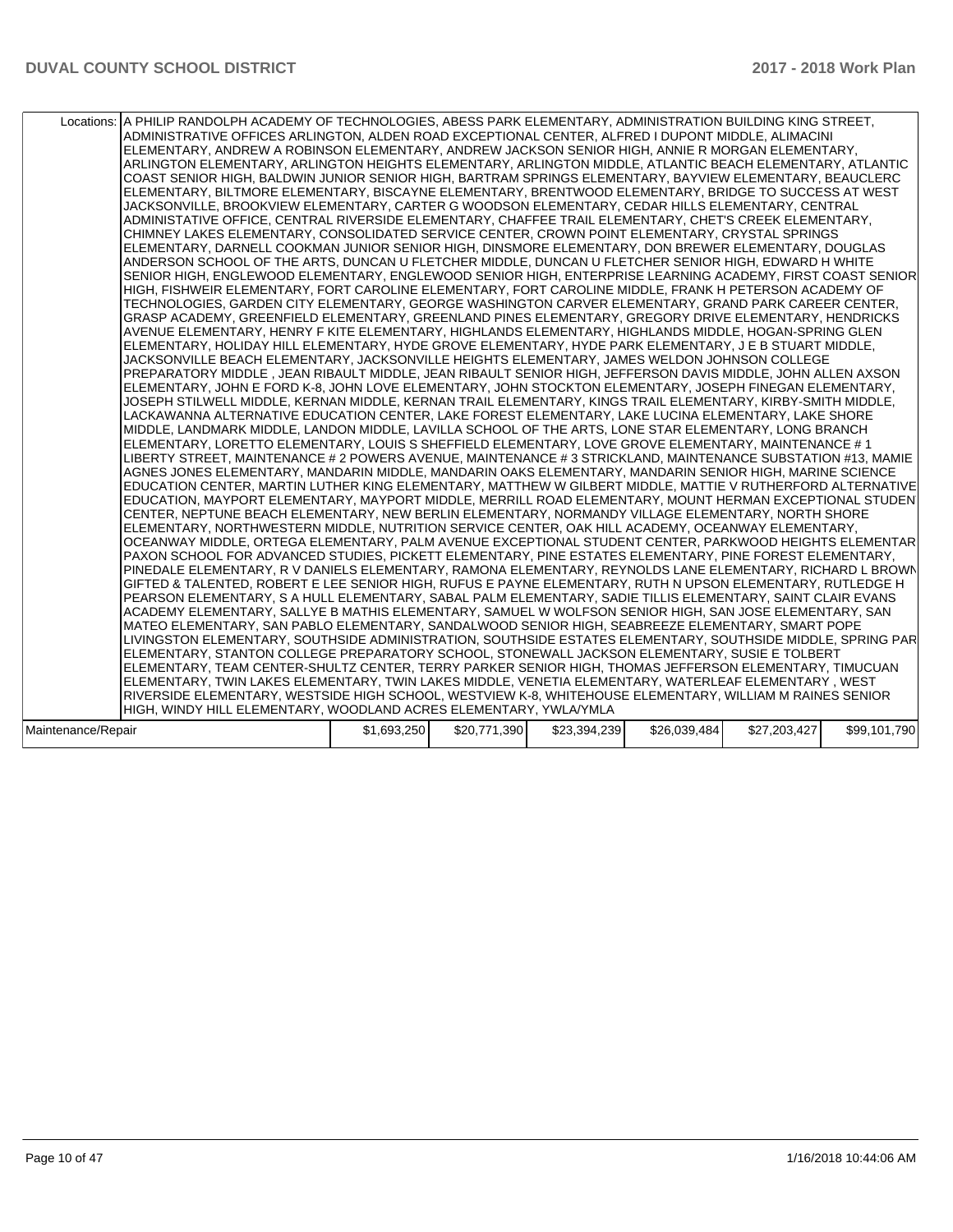| Locations: A PHILIP RANDOLPH ACADEMY OF TECHNOLOGIES, ABESS PARK ELEMENTARY, ADMINISTRATION BUILDING KING STREET,<br>ADMINISTRATIVE OFFICES ARLINGTON, ALDEN ROAD EXCEPTIONAL CENTER, ALFRED I DUPONT MIDDLE, ALIMACINI<br>ELEMENTARY, ANDREW A ROBINSON ELEMENTARY, ANDREW JACKSON SENIOR HIGH, ANNIE R MORGAN ELEMENTARY,<br>ARLINGTON ELEMENTARY, ARLINGTON HEIGHTS ELEMENTARY, ARLINGTON MIDDLE, ATLANTIC BEACH ELEMENTARY, ATLANTIC<br>COAST SENIOR HIGH, BALDWIN JUNIOR SENIOR HIGH, BARTRAM SPRINGS ELEMENTARY, BAYVIEW ELEMENTARY, BEAUCLERC<br>ELEMENTARY, BILTMORE ELEMENTARY, BISCAYNE ELEMENTARY, BRENTWOOD ELEMENTARY, BRIDGE TO SUCCESS AT WEST<br>JACKSONVILLE, BROOKVIEW ELEMENTARY, CARTER G WOODSON ELEMENTARY, CEDAR HILLS ELEMENTARY, CENTRAL<br>ADMINISTATIVE OFFICE, CENTRAL RIVERSIDE ELEMENTARY, CHAFFEE TRAIL ELEMENTARY, CHET'S CREEK ELEMENTARY,<br>CHIMNEY LAKES ELEMENTARY, CONSOLIDATED SERVICE CENTER, CROWN POINT ELEMENTARY, CRYSTAL SPRINGS<br>ELEMENTARY, DARNELL COOKMAN JUNIOR SENIOR HIGH, DINSMORE ELEMENTARY, DON BREWER ELEMENTARY, DOUGLAS<br>ANDERSON SCHOOL OF THE ARTS, DUNCAN U FLETCHER MIDDLE, DUNCAN U FLETCHER SENIOR HIGH, EDWARD H WHITE<br>SENIOR HIGH, ENGLEWOOD ELEMENTARY, ENGLEWOOD SENIOR HIGH, ENTERPRISE LEARNING ACADEMY, FIRST COAST SENIOR<br>HIGH, FISHWEIR ELEMENTARY, FORT CAROLINE ELEMENTARY, FORT CAROLINE MIDDLE, FRANK H PETERSON ACADEMY OF<br>TECHNOLOGIES, GARDEN CITY ELEMENTARY, GEORGE WASHINGTON CARVER ELEMENTARY, GRAND PARK CAREER CENTER,<br>GRASP ACADEMY, GREENFIELD ELEMENTARY, GREENLAND PINES ELEMENTARY, GREGORY DRIVE ELEMENTARY, HENDRICKS<br>AVENUE ELEMENTARY, HENRY F KITE ELEMENTARY, HIGHLANDS ELEMENTARY, HIGHLANDS MIDDLE, HOGAN-SPRING GLEN<br>ELEMENTARY, HOLIDAY HILL ELEMENTARY, HYDE GROVE ELEMENTARY, HYDE PARK ELEMENTARY, J E B STUART MIDDLE,<br>JACKSONVILLE BEACH ELEMENTARY, JACKSONVILLE HEIGHTS ELEMENTARY, JAMES WELDON JOHNSON COLLEGE<br>PREPARATORY MIDDLE, JEAN RIBAULT MIDDLE, JEAN RIBAULT SENIOR HIGH, JEFFERSON DAVIS MIDDLE, JOHN ALLEN AXSON<br>ELEMENTARY, JOHN E FORD K-8, JOHN LOVE ELEMENTARY, JOHN STOCKTON ELEMENTARY, JOSEPH FINEGAN ELEMENTARY,<br>JOSEPH STILWELL MIDDLE, KERNAN MIDDLE, KERNAN TRAIL ELEMENTARY, KINGS TRAIL ELEMENTARY, KIRBY-SMITH MIDDLE,<br>LACKAWANNA ALTERNATIVE EDUCATION CENTER, LAKE FOREST ELEMENTARY, LAKE LUCINA ELEMENTARY, LAKE SHORE<br>MIDDLE, LANDMARK MIDDLE, LANDON MIDDLE, LAVILLA SCHOOL OF THE ARTS, LONE STAR ELEMENTARY, LONG BRANCH<br>ELEMENTARY, LORETTO ELEMENTARY, LOUIS S SHEFFIELD ELEMENTARY, LOVE GROVE ELEMENTARY, MAINTENANCE # 1<br>LIBERTY STREET, MAINTENANCE # 2 POWERS AVENUE, MAINTENANCE # 3 STRICKLAND, MAINTENANCE SUBSTATION #13, MAMIE<br>AGNES JONES ELEMENTARY, MANDARIN MIDDLE, MANDARIN OAKS ELEMENTARY, MANDARIN SENIOR HIGH, MARINE SCIENCE<br>EDUCATION CENTER, MARTIN LUTHER KING ELEMENTARY, MATTHEW W GILBERT MIDDLE, MATTIE V RUTHERFORD ALTERNATIVE<br>EDUCATION, MAYPORT ELEMENTARY, MAYPORT MIDDLE, MERRILL ROAD ELEMENTARY, MOUNT HERMAN EXCEPTIONAL STUDEN<br>CENTER, NEPTUNE BEACH ELEMENTARY, NEW BERLIN ELEMENTARY, NORMANDY VILLAGE ELEMENTARY, NORTH SHORE<br>ELEMENTARY, NORTHWESTERN MIDDLE, NUTRITION SERVICE CENTER, OAK HILL ACADEMY, OCEANWAY ELEMENTARY,<br>OCEANWAY MIDDLE, ORTEGA ELEMENTARY, PALM AVENUE EXCEPTIONAL STUDENT CENTER, PARKWOOD HEIGHTS ELEMENTAR<br>PAXON SCHOOL FOR ADVANCED STUDIES, PICKETT ELEMENTARY, PINE ESTATES ELEMENTARY, PINE FOREST ELEMENTARY,<br>PINEDALE ELEMENTARY, R V DANIELS ELEMENTARY, RAMONA ELEMENTARY, REYNOLDS LANE ELEMENTARY, RICHARD L BROWN<br>GIFTED & TALENTED, ROBERT E LEE SENIOR HIGH, RUFUS E PAYNE ELEMENTARY, RUTH N UPSON ELEMENTARY, RUTLEDGE H<br>PEARSON ELEMENTARY, S A HULL ELEMENTARY, SABAL PALM ELEMENTARY, SADIE TILLIS ELEMENTARY, SAINT CLAIR EVANS<br>ACADEMY ELEMENTARY, SALLYE B MATHIS ELEMENTARY, SAMUEL W WOLFSON SENIOR HIGH, SAN JOSE ELEMENTARY, SAN<br>MATEO ELEMENTARY, SAN PABLO ELEMENTARY, SANDALWOOD SENIOR HIGH, SEABREEZE ELEMENTARY, SMART POPE<br>LIVINGSTON ELEMENTARY, SOUTHSIDE ADMINISTRATION, SOUTHSIDE ESTATES ELEMENTARY, SOUTHSIDE MIDDLE, SPRING PAR<br>ELEMENTARY, STANTON COLLEGE PREPARATORY SCHOOL, STONEWALL JACKSON ELEMENTARY, SUSIE E TOLBERT<br>ELEMENTARY, TEAM CENTER-SHULTZ CENTER, TERRY PARKER SENIOR HIGH, THOMAS JEFFERSON ELEMENTARY, TIMUCUAN<br>ELEMENTARY, TWIN LAKES ELEMENTARY, TWIN LAKES MIDDLE, VENETIA ELEMENTARY, WATERLEAF ELEMENTARY, WEST<br>RIVERSIDE ELEMENTARY, WESTSIDE HIGH SCHOOL, WESTVIEW K-8, WHITEHOUSE ELEMENTARY, WILLIAM M RAINES SENIOR<br>HIGH, WINDY HILL ELEMENTARY, WOODLAND ACRES ELEMENTARY, YWLA/YMLA |             |              |              |              |              |              |
|---------------------------------------------------------------------------------------------------------------------------------------------------------------------------------------------------------------------------------------------------------------------------------------------------------------------------------------------------------------------------------------------------------------------------------------------------------------------------------------------------------------------------------------------------------------------------------------------------------------------------------------------------------------------------------------------------------------------------------------------------------------------------------------------------------------------------------------------------------------------------------------------------------------------------------------------------------------------------------------------------------------------------------------------------------------------------------------------------------------------------------------------------------------------------------------------------------------------------------------------------------------------------------------------------------------------------------------------------------------------------------------------------------------------------------------------------------------------------------------------------------------------------------------------------------------------------------------------------------------------------------------------------------------------------------------------------------------------------------------------------------------------------------------------------------------------------------------------------------------------------------------------------------------------------------------------------------------------------------------------------------------------------------------------------------------------------------------------------------------------------------------------------------------------------------------------------------------------------------------------------------------------------------------------------------------------------------------------------------------------------------------------------------------------------------------------------------------------------------------------------------------------------------------------------------------------------------------------------------------------------------------------------------------------------------------------------------------------------------------------------------------------------------------------------------------------------------------------------------------------------------------------------------------------------------------------------------------------------------------------------------------------------------------------------------------------------------------------------------------------------------------------------------------------------------------------------------------------------------------------------------------------------------------------------------------------------------------------------------------------------------------------------------------------------------------------------------------------------------------------------------------------------------------------------------------------------------------------------------------------------------------------------------------------------------------------------------------------------------------------------------------------------------------------------------------------------------------------------------------------------------------------------------------------------------------------------------------------------------------------------------------------------------------------------------------------------------------------------------------------------------------------------------------------------------------------------------------------------------------------------------------------------------------------------------------------------------------------------------------------------------------------------------------------------------------------------------------------------------------------------------------------------------------------------------------------------------------------------------------------------------------------------------------------------------------|-------------|--------------|--------------|--------------|--------------|--------------|
| Maintenance/Repair                                                                                                                                                                                                                                                                                                                                                                                                                                                                                                                                                                                                                                                                                                                                                                                                                                                                                                                                                                                                                                                                                                                                                                                                                                                                                                                                                                                                                                                                                                                                                                                                                                                                                                                                                                                                                                                                                                                                                                                                                                                                                                                                                                                                                                                                                                                                                                                                                                                                                                                                                                                                                                                                                                                                                                                                                                                                                                                                                                                                                                                                                                                                                                                                                                                                                                                                                                                                                                                                                                                                                                                                                                                                                                                                                                                                                                                                                                                                                                                                                                                                                                                                                                                                                                                                                                                                                                                                                                                                                                                                                                                                                                                                    | \$1,693,250 | \$20,771,390 | \$23,394,239 | \$26,039,484 | \$27,203,427 | \$99,101,790 |
|                                                                                                                                                                                                                                                                                                                                                                                                                                                                                                                                                                                                                                                                                                                                                                                                                                                                                                                                                                                                                                                                                                                                                                                                                                                                                                                                                                                                                                                                                                                                                                                                                                                                                                                                                                                                                                                                                                                                                                                                                                                                                                                                                                                                                                                                                                                                                                                                                                                                                                                                                                                                                                                                                                                                                                                                                                                                                                                                                                                                                                                                                                                                                                                                                                                                                                                                                                                                                                                                                                                                                                                                                                                                                                                                                                                                                                                                                                                                                                                                                                                                                                                                                                                                                                                                                                                                                                                                                                                                                                                                                                                                                                                                                       |             |              |              |              |              |              |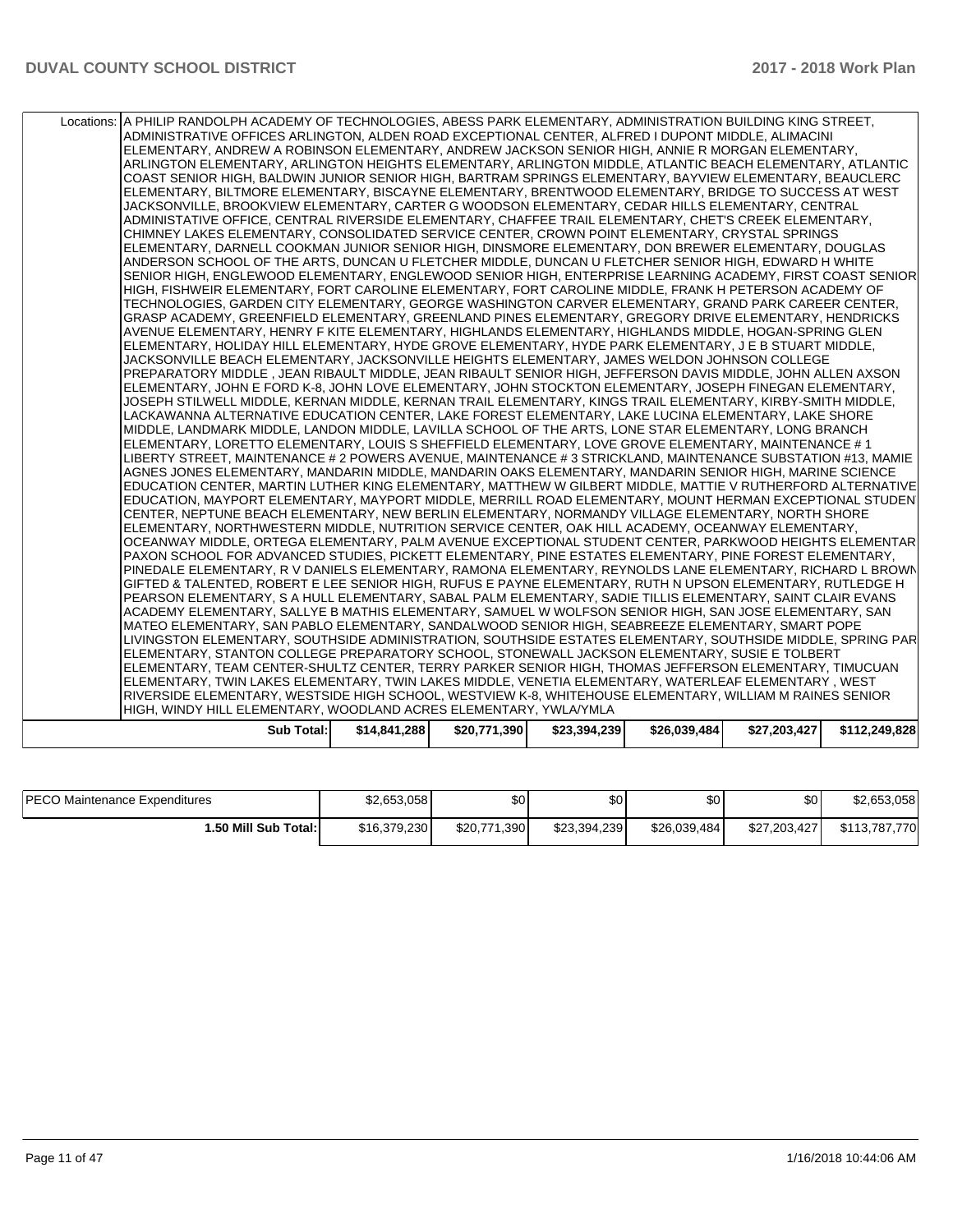| Locations: A PHILIP RANDOLPH ACADEMY OF TECHNOLOGIES, ABESS PARK ELEMENTARY, ADMINISTRATION BUILDING KING STREET,<br>ADMINISTRATIVE OFFICES ARLINGTON, ALDEN ROAD EXCEPTIONAL CENTER, ALFRED I DUPONT MIDDLE, ALIMACINI<br>ELEMENTARY, ANDREW A ROBINSON ELEMENTARY, ANDREW JACKSON SENIOR HIGH, ANNIE R MORGAN ELEMENTARY,<br>ARLINGTON ELEMENTARY, ARLINGTON HEIGHTS ELEMENTARY, ARLINGTON MIDDLE, ATLANTIC BEACH ELEMENTARY, ATLANTIC<br>COAST SENIOR HIGH, BALDWIN JUNIOR SENIOR HIGH, BARTRAM SPRINGS ELEMENTARY, BAYVIEW ELEMENTARY, BEAUCLERC<br>ELEMENTARY, BILTMORE ELEMENTARY, BISCAYNE ELEMENTARY, BRENTWOOD ELEMENTARY, BRIDGE TO SUCCESS AT WEST<br>JACKSONVILLE, BROOKVIEW ELEMENTARY, CARTER G WOODSON ELEMENTARY, CEDAR HILLS ELEMENTARY, CENTRAL<br>ADMINISTATIVE OFFICE, CENTRAL RIVERSIDE ELEMENTARY, CHAFFEE TRAIL ELEMENTARY, CHET'S CREEK ELEMENTARY,<br>CHIMNEY LAKES ELEMENTARY, CONSOLIDATED SERVICE CENTER, CROWN POINT ELEMENTARY, CRYSTAL SPRINGS<br>ELEMENTARY, DARNELL COOKMAN JUNIOR SENIOR HIGH, DINSMORE ELEMENTARY, DON BREWER ELEMENTARY, DOUGLAS<br>ANDERSON SCHOOL OF THE ARTS, DUNCAN U FLETCHER MIDDLE, DUNCAN U FLETCHER SENIOR HIGH, EDWARD H WHITE<br>SENIOR HIGH, ENGLEWOOD ELEMENTARY, ENGLEWOOD SENIOR HIGH, ENTERPRISE LEARNING ACADEMY, FIRST COAST SENIOR<br>HIGH. FISHWEIR ELEMENTARY. FORT CAROLINE ELEMENTARY. FORT CAROLINE MIDDLE. FRANK H PETERSON ACADEMY OF<br>TECHNOLOGIES, GARDEN CITY ELEMENTARY, GEORGE WASHINGTON CARVER ELEMENTARY, GRAND PARK CAREER CENTER,<br>GRASP ACADEMY, GREENFIELD ELEMENTARY, GREENLAND PINES ELEMENTARY, GREGORY DRIVE ELEMENTARY, HENDRICKS<br>AVENUE ELEMENTARY, HENRY F KITE ELEMENTARY, HIGHLANDS ELEMENTARY, HIGHLANDS MIDDLE, HOGAN-SPRING GLEN<br>ELEMENTARY, HOLIDAY HILL ELEMENTARY, HYDE GROVE ELEMENTARY, HYDE PARK ELEMENTARY, J E B STUART MIDDLE,<br>JACKSONVILLE BEACH ELEMENTARY, JACKSONVILLE HEIGHTS ELEMENTARY, JAMES WELDON JOHNSON COLLEGE<br>PREPARATORY MIDDLE , JEAN RIBAULT MIDDLE, JEAN RIBAULT SENIOR HIGH, JEFFERSON DAVIS MIDDLE, JOHN ALLEN AXSON<br>ELEMENTARY, JOHN E FORD K-8, JOHN LOVE ELEMENTARY, JOHN STOCKTON ELEMENTARY, JOSEPH FINEGAN ELEMENTARY,<br>JOSEPH STILWELL MIDDLE, KERNAN MIDDLE, KERNAN TRAIL ELEMENTARY, KINGS TRAIL ELEMENTARY, KIRBY-SMITH MIDDLE,<br>LACKAWANNA ALTERNATIVE EDUCATION CENTER, LAKE FOREST ELEMENTARY, LAKE LUCINA ELEMENTARY, LAKE SHORE<br>MIDDLE, LANDMARK MIDDLE, LANDON MIDDLE, LAVILLA SCHOOL OF THE ARTS, LONE STAR ELEMENTARY, LONG BRANCH<br>ELEMENTARY, LORETTO ELEMENTARY, LOUIS S SHEFFIELD ELEMENTARY, LOVE GROVE ELEMENTARY, MAINTENANCE #1<br>LIBERTY STREET, MAINTENANCE # 2 POWERS AVENUE, MAINTENANCE # 3 STRICKLAND, MAINTENANCE SUBSTATION #13, MAMIE<br>AGNES JONES ELEMENTARY, MANDARIN MIDDLE, MANDARIN OAKS ELEMENTARY, MANDARIN SENIOR HIGH, MARINE SCIENCE<br>EDUCATION CENTER, MARTIN LUTHER KING ELEMENTARY, MATTHEW W GILBERT MIDDLE, MATTIE V RUTHERFORD ALTERNATIVE<br>EDUCATION, MAYPORT ELEMENTARY, MAYPORT MIDDLE, MERRILL ROAD ELEMENTARY, MOUNT HERMAN EXCEPTIONAL STUDEN<br>CENTER, NEPTUNE BEACH ELEMENTARY, NEW BERLIN ELEMENTARY, NORMANDY VILLAGE ELEMENTARY, NORTH SHORE<br>ELEMENTARY, NORTHWESTERN MIDDLE, NUTRITION SERVICE CENTER, OAK HILL ACADEMY, OCEANWAY ELEMENTARY,<br>OCEANWAY MIDDLE, ORTEGA ELEMENTARY, PALM AVENUE EXCEPTIONAL STUDENT CENTER, PARKWOOD HEIGHTS ELEMENTAR<br>PAXON SCHOOL FOR ADVANCED STUDIES, PICKETT ELEMENTARY, PINE ESTATES ELEMENTARY, PINE FOREST ELEMENTARY,<br>PINEDALE ELEMENTARY, R V DANIELS ELEMENTARY, RAMONA ELEMENTARY, REYNOLDS LANE ELEMENTARY, RICHARD L BROWN<br>GIFTED & TALENTED, ROBERT E LEE SENIOR HIGH, RUFUS E PAYNE ELEMENTARY, RUTH N UPSON ELEMENTARY, RUTLEDGE H<br>PEARSON ELEMENTARY, S A HULL ELEMENTARY, SABAL PALM ELEMENTARY, SADIE TILLIS ELEMENTARY, SAINT CLAIR EVANS<br>ACADEMY ELEMENTARY, SALLYE B MATHIS ELEMENTARY, SAMUEL W WOLFSON SENIOR HIGH, SAN JOSE ELEMENTARY, SAN<br>MATEO ELEMENTARY, SAN PABLO ELEMENTARY, SANDALWOOD SENIOR HIGH, SEABREEZE ELEMENTARY, SMART POPE<br>LIVINGSTON ELEMENTARY, SOUTHSIDE ADMINISTRATION, SOUTHSIDE ESTATES ELEMENTARY, SOUTHSIDE MIDDLE, SPRING PAR<br>ELEMENTARY, STANTON COLLEGE PREPARATORY SCHOOL, STONEWALL JACKSON ELEMENTARY, SUSIE E TOLBERT<br>ELEMENTARY, TEAM CENTER-SHULTZ CENTER, TERRY PARKER SENIOR HIGH, THOMAS JEFFERSON ELEMENTARY, TIMUCUAN<br>ELEMENTARY, TWIN LAKES ELEMENTARY, TWIN LAKES MIDDLE, VENETIA ELEMENTARY, WATERLEAF ELEMENTARY , WEST<br>RIVERSIDE ELEMENTARY, WESTSIDE HIGH SCHOOL, WESTVIEW K-8, WHITEHOUSE ELEMENTARY, WILLIAM M RAINES SENIOR<br>HIGH, WINDY HILL ELEMENTARY, WOODLAND ACRES ELEMENTARY, YWLA/YMLA<br><b>Sub Total:</b><br>\$14,841,288<br>\$20,771,390<br>\$23,394,239<br>\$26,039,484<br>\$27,203,427 |  |  |  |               |
|---------------------------------------------------------------------------------------------------------------------------------------------------------------------------------------------------------------------------------------------------------------------------------------------------------------------------------------------------------------------------------------------------------------------------------------------------------------------------------------------------------------------------------------------------------------------------------------------------------------------------------------------------------------------------------------------------------------------------------------------------------------------------------------------------------------------------------------------------------------------------------------------------------------------------------------------------------------------------------------------------------------------------------------------------------------------------------------------------------------------------------------------------------------------------------------------------------------------------------------------------------------------------------------------------------------------------------------------------------------------------------------------------------------------------------------------------------------------------------------------------------------------------------------------------------------------------------------------------------------------------------------------------------------------------------------------------------------------------------------------------------------------------------------------------------------------------------------------------------------------------------------------------------------------------------------------------------------------------------------------------------------------------------------------------------------------------------------------------------------------------------------------------------------------------------------------------------------------------------------------------------------------------------------------------------------------------------------------------------------------------------------------------------------------------------------------------------------------------------------------------------------------------------------------------------------------------------------------------------------------------------------------------------------------------------------------------------------------------------------------------------------------------------------------------------------------------------------------------------------------------------------------------------------------------------------------------------------------------------------------------------------------------------------------------------------------------------------------------------------------------------------------------------------------------------------------------------------------------------------------------------------------------------------------------------------------------------------------------------------------------------------------------------------------------------------------------------------------------------------------------------------------------------------------------------------------------------------------------------------------------------------------------------------------------------------------------------------------------------------------------------------------------------------------------------------------------------------------------------------------------------------------------------------------------------------------------------------------------------------------------------------------------------------------------------------------------------------------------------------------------------------------------------------------------------------------------------------------------------------------------------------------------------------------------------------------------------------------------------------------------------------------------------------------------------------------------------------------------------------------------------------------------------------------------------------------------------------------------------------------------------------------------------------------------------------------------------------------------------------------------------------------------------------------|--|--|--|---------------|
|                                                                                                                                                                                                                                                                                                                                                                                                                                                                                                                                                                                                                                                                                                                                                                                                                                                                                                                                                                                                                                                                                                                                                                                                                                                                                                                                                                                                                                                                                                                                                                                                                                                                                                                                                                                                                                                                                                                                                                                                                                                                                                                                                                                                                                                                                                                                                                                                                                                                                                                                                                                                                                                                                                                                                                                                                                                                                                                                                                                                                                                                                                                                                                                                                                                                                                                                                                                                                                                                                                                                                                                                                                                                                                                                                                                                                                                                                                                                                                                                                                                                                                                                                                                                                                                                                                                                                                                                                                                                                                                                                                                                                                                                                                                                                                                             |  |  |  |               |
|                                                                                                                                                                                                                                                                                                                                                                                                                                                                                                                                                                                                                                                                                                                                                                                                                                                                                                                                                                                                                                                                                                                                                                                                                                                                                                                                                                                                                                                                                                                                                                                                                                                                                                                                                                                                                                                                                                                                                                                                                                                                                                                                                                                                                                                                                                                                                                                                                                                                                                                                                                                                                                                                                                                                                                                                                                                                                                                                                                                                                                                                                                                                                                                                                                                                                                                                                                                                                                                                                                                                                                                                                                                                                                                                                                                                                                                                                                                                                                                                                                                                                                                                                                                                                                                                                                                                                                                                                                                                                                                                                                                                                                                                                                                                                                                             |  |  |  |               |
|                                                                                                                                                                                                                                                                                                                                                                                                                                                                                                                                                                                                                                                                                                                                                                                                                                                                                                                                                                                                                                                                                                                                                                                                                                                                                                                                                                                                                                                                                                                                                                                                                                                                                                                                                                                                                                                                                                                                                                                                                                                                                                                                                                                                                                                                                                                                                                                                                                                                                                                                                                                                                                                                                                                                                                                                                                                                                                                                                                                                                                                                                                                                                                                                                                                                                                                                                                                                                                                                                                                                                                                                                                                                                                                                                                                                                                                                                                                                                                                                                                                                                                                                                                                                                                                                                                                                                                                                                                                                                                                                                                                                                                                                                                                                                                                             |  |  |  |               |
|                                                                                                                                                                                                                                                                                                                                                                                                                                                                                                                                                                                                                                                                                                                                                                                                                                                                                                                                                                                                                                                                                                                                                                                                                                                                                                                                                                                                                                                                                                                                                                                                                                                                                                                                                                                                                                                                                                                                                                                                                                                                                                                                                                                                                                                                                                                                                                                                                                                                                                                                                                                                                                                                                                                                                                                                                                                                                                                                                                                                                                                                                                                                                                                                                                                                                                                                                                                                                                                                                                                                                                                                                                                                                                                                                                                                                                                                                                                                                                                                                                                                                                                                                                                                                                                                                                                                                                                                                                                                                                                                                                                                                                                                                                                                                                                             |  |  |  |               |
|                                                                                                                                                                                                                                                                                                                                                                                                                                                                                                                                                                                                                                                                                                                                                                                                                                                                                                                                                                                                                                                                                                                                                                                                                                                                                                                                                                                                                                                                                                                                                                                                                                                                                                                                                                                                                                                                                                                                                                                                                                                                                                                                                                                                                                                                                                                                                                                                                                                                                                                                                                                                                                                                                                                                                                                                                                                                                                                                                                                                                                                                                                                                                                                                                                                                                                                                                                                                                                                                                                                                                                                                                                                                                                                                                                                                                                                                                                                                                                                                                                                                                                                                                                                                                                                                                                                                                                                                                                                                                                                                                                                                                                                                                                                                                                                             |  |  |  |               |
|                                                                                                                                                                                                                                                                                                                                                                                                                                                                                                                                                                                                                                                                                                                                                                                                                                                                                                                                                                                                                                                                                                                                                                                                                                                                                                                                                                                                                                                                                                                                                                                                                                                                                                                                                                                                                                                                                                                                                                                                                                                                                                                                                                                                                                                                                                                                                                                                                                                                                                                                                                                                                                                                                                                                                                                                                                                                                                                                                                                                                                                                                                                                                                                                                                                                                                                                                                                                                                                                                                                                                                                                                                                                                                                                                                                                                                                                                                                                                                                                                                                                                                                                                                                                                                                                                                                                                                                                                                                                                                                                                                                                                                                                                                                                                                                             |  |  |  |               |
|                                                                                                                                                                                                                                                                                                                                                                                                                                                                                                                                                                                                                                                                                                                                                                                                                                                                                                                                                                                                                                                                                                                                                                                                                                                                                                                                                                                                                                                                                                                                                                                                                                                                                                                                                                                                                                                                                                                                                                                                                                                                                                                                                                                                                                                                                                                                                                                                                                                                                                                                                                                                                                                                                                                                                                                                                                                                                                                                                                                                                                                                                                                                                                                                                                                                                                                                                                                                                                                                                                                                                                                                                                                                                                                                                                                                                                                                                                                                                                                                                                                                                                                                                                                                                                                                                                                                                                                                                                                                                                                                                                                                                                                                                                                                                                                             |  |  |  |               |
|                                                                                                                                                                                                                                                                                                                                                                                                                                                                                                                                                                                                                                                                                                                                                                                                                                                                                                                                                                                                                                                                                                                                                                                                                                                                                                                                                                                                                                                                                                                                                                                                                                                                                                                                                                                                                                                                                                                                                                                                                                                                                                                                                                                                                                                                                                                                                                                                                                                                                                                                                                                                                                                                                                                                                                                                                                                                                                                                                                                                                                                                                                                                                                                                                                                                                                                                                                                                                                                                                                                                                                                                                                                                                                                                                                                                                                                                                                                                                                                                                                                                                                                                                                                                                                                                                                                                                                                                                                                                                                                                                                                                                                                                                                                                                                                             |  |  |  |               |
|                                                                                                                                                                                                                                                                                                                                                                                                                                                                                                                                                                                                                                                                                                                                                                                                                                                                                                                                                                                                                                                                                                                                                                                                                                                                                                                                                                                                                                                                                                                                                                                                                                                                                                                                                                                                                                                                                                                                                                                                                                                                                                                                                                                                                                                                                                                                                                                                                                                                                                                                                                                                                                                                                                                                                                                                                                                                                                                                                                                                                                                                                                                                                                                                                                                                                                                                                                                                                                                                                                                                                                                                                                                                                                                                                                                                                                                                                                                                                                                                                                                                                                                                                                                                                                                                                                                                                                                                                                                                                                                                                                                                                                                                                                                                                                                             |  |  |  | \$112,249,828 |

| <b>PECO Maintenance Expenditures</b> | \$2,653,058  | \$0          | \$0          | \$0          | \$0          | \$2,653,058   |
|--------------------------------------|--------------|--------------|--------------|--------------|--------------|---------------|
| 1.50 Mill Sub Total: I               | \$16,379,230 | \$20,771,390 | \$23,394,239 | \$26,039,484 | \$27,203,427 | \$113,787,770 |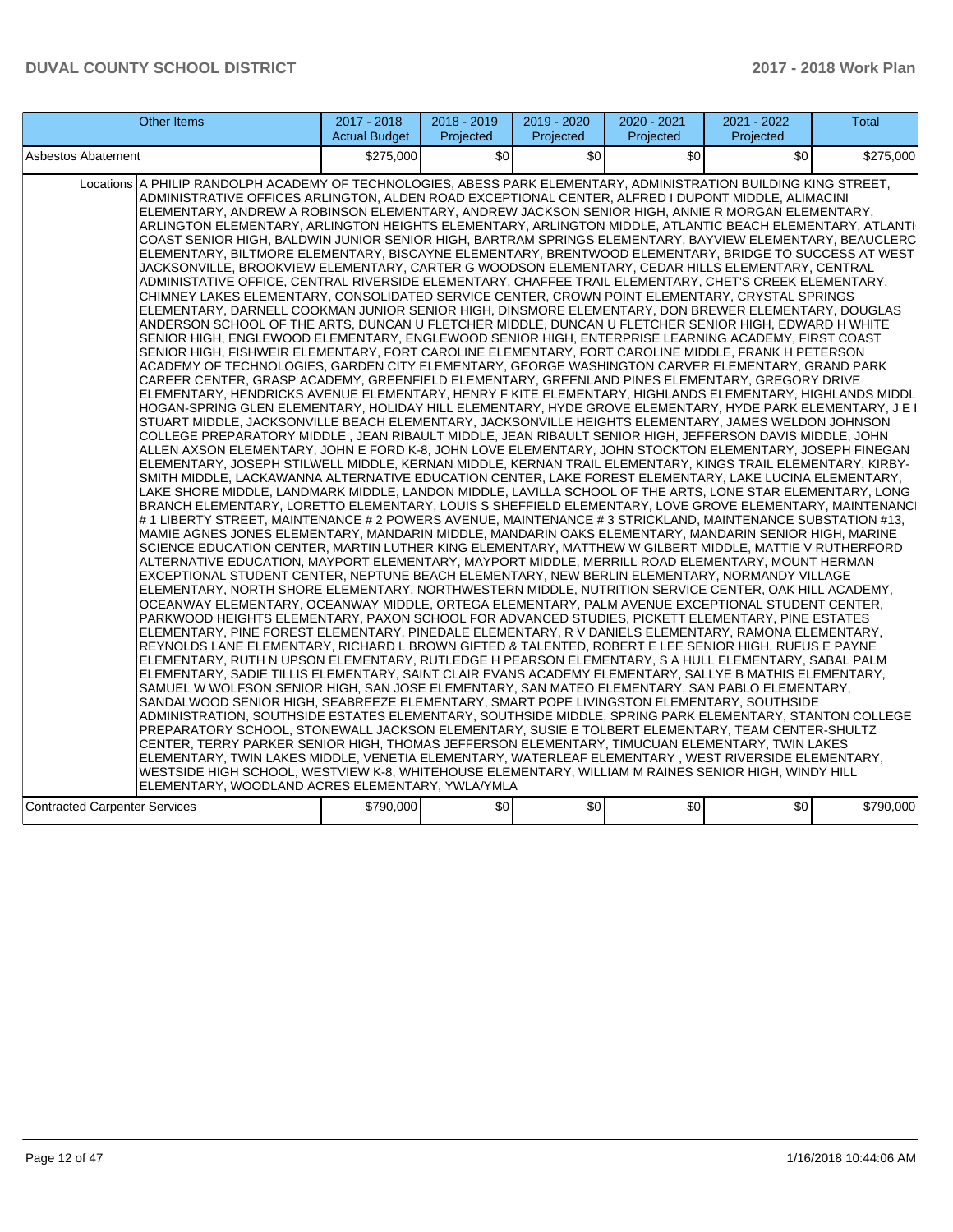| Other Items                                                                                                                                                                                                                                                                                                                                                                                                                                                                                                                                                                                                                                                                                                                                                                                                                                                                                                                                                                                                                                                                                                                                                                                                                                                                                                                                                                                                                                                                                                                                                                                                                                                                                                                                                                                                                                                                                                                                                                                                                                                                                                                                                                                                                                                                                                                                                                                                                                                                                                                                                                                                                                                                                                                                                                                                                                                                                                                                                                                                                                                                                                                                                                                                                                                                                                                                                                                                                                                                                                                                                                                                                                                                                                                                                                                                                                                                                                                                                                                                                                                                                                                                                                                                                                                                                                                                                                                                                                                                                                                                                                                                                                                                                                                       | 2017 - 2018<br><b>Actual Budget</b> | 2018 - 2019<br>Projected | 2019 - 2020<br>Projected | 2020 - 2021<br>Projected | 2021 - 2022<br>Projected | <b>Total</b> |
|-----------------------------------------------------------------------------------------------------------------------------------------------------------------------------------------------------------------------------------------------------------------------------------------------------------------------------------------------------------------------------------------------------------------------------------------------------------------------------------------------------------------------------------------------------------------------------------------------------------------------------------------------------------------------------------------------------------------------------------------------------------------------------------------------------------------------------------------------------------------------------------------------------------------------------------------------------------------------------------------------------------------------------------------------------------------------------------------------------------------------------------------------------------------------------------------------------------------------------------------------------------------------------------------------------------------------------------------------------------------------------------------------------------------------------------------------------------------------------------------------------------------------------------------------------------------------------------------------------------------------------------------------------------------------------------------------------------------------------------------------------------------------------------------------------------------------------------------------------------------------------------------------------------------------------------------------------------------------------------------------------------------------------------------------------------------------------------------------------------------------------------------------------------------------------------------------------------------------------------------------------------------------------------------------------------------------------------------------------------------------------------------------------------------------------------------------------------------------------------------------------------------------------------------------------------------------------------------------------------------------------------------------------------------------------------------------------------------------------------------------------------------------------------------------------------------------------------------------------------------------------------------------------------------------------------------------------------------------------------------------------------------------------------------------------------------------------------------------------------------------------------------------------------------------------------------------------------------------------------------------------------------------------------------------------------------------------------------------------------------------------------------------------------------------------------------------------------------------------------------------------------------------------------------------------------------------------------------------------------------------------------------------------------------------------------------------------------------------------------------------------------------------------------------------------------------------------------------------------------------------------------------------------------------------------------------------------------------------------------------------------------------------------------------------------------------------------------------------------------------------------------------------------------------------------------------------------------------------------------------------------------------------------------------------------------------------------------------------------------------------------------------------------------------------------------------------------------------------------------------------------------------------------------------------------------------------------------------------------------------------------------------------------------------------------------------------------------------------------------|-------------------------------------|--------------------------|--------------------------|--------------------------|--------------------------|--------------|
| Asbestos Abatement                                                                                                                                                                                                                                                                                                                                                                                                                                                                                                                                                                                                                                                                                                                                                                                                                                                                                                                                                                                                                                                                                                                                                                                                                                                                                                                                                                                                                                                                                                                                                                                                                                                                                                                                                                                                                                                                                                                                                                                                                                                                                                                                                                                                                                                                                                                                                                                                                                                                                                                                                                                                                                                                                                                                                                                                                                                                                                                                                                                                                                                                                                                                                                                                                                                                                                                                                                                                                                                                                                                                                                                                                                                                                                                                                                                                                                                                                                                                                                                                                                                                                                                                                                                                                                                                                                                                                                                                                                                                                                                                                                                                                                                                                                                | \$275,000                           | \$0                      | \$0                      | \$0                      | \$0                      | \$275,000    |
| Locations A PHILIP RANDOLPH ACADEMY OF TECHNOLOGIES, ABESS PARK ELEMENTARY, ADMINISTRATION BUILDING KING STREET,<br>ADMINISTRATIVE OFFICES ARLINGTON, ALDEN ROAD EXCEPTIONAL CENTER, ALFRED I DUPONT MIDDLE, ALIMACINI<br>ELEMENTARY, ANDREW A ROBINSON ELEMENTARY, ANDREW JACKSON SENIOR HIGH, ANNIE R MORGAN ELEMENTARY,<br>ARLINGTON ELEMENTARY, ARLINGTON HEIGHTS ELEMENTARY, ARLINGTON MIDDLE, ATLANTIC BEACH ELEMENTARY, ATLANTI<br>COAST SENIOR HIGH, BALDWIN JUNIOR SENIOR HIGH, BARTRAM SPRINGS ELEMENTARY, BAYVIEW ELEMENTARY, BEAUCLERC<br>ELEMENTARY, BILTMORE ELEMENTARY, BISCAYNE ELEMENTARY, BRENTWOOD ELEMENTARY, BRIDGE TO SUCCESS AT WEST<br>JACKSONVILLE, BROOKVIEW ELEMENTARY, CARTER G WOODSON ELEMENTARY, CEDAR HILLS ELEMENTARY, CENTRAL<br>ADMINISTATIVE OFFICE, CENTRAL RIVERSIDE ELEMENTARY, CHAFFEE TRAIL ELEMENTARY, CHET'S CREEK ELEMENTARY,<br>CHIMNEY LAKES ELEMENTARY, CONSOLIDATED SERVICE CENTER, CROWN POINT ELEMENTARY, CRYSTAL SPRINGS<br>ELEMENTARY, DARNELL COOKMAN JUNIOR SENIOR HIGH, DINSMORE ELEMENTARY, DON BREWER ELEMENTARY, DOUGLAS<br>ANDERSON SCHOOL OF THE ARTS, DUNCAN U FLETCHER MIDDLE, DUNCAN U FLETCHER SENIOR HIGH, EDWARD H WHITE<br>SENIOR HIGH, ENGLEWOOD ELEMENTARY, ENGLEWOOD SENIOR HIGH, ENTERPRISE LEARNING ACADEMY, FIRST COAST<br>SENIOR HIGH, FISHWEIR ELEMENTARY, FORT CAROLINE ELEMENTARY, FORT CAROLINE MIDDLE, FRANK H PETERSON<br>ACADEMY OF TECHNOLOGIES, GARDEN CITY ELEMENTARY, GEORGE WASHINGTON CARVER ELEMENTARY, GRAND PARK<br>CAREER CENTER, GRASP ACADEMY, GREENFIELD ELEMENTARY, GREENLAND PINES ELEMENTARY, GREGORY DRIVE<br>ELEMENTARY, HENDRICKS AVENUE ELEMENTARY, HENRY F KITE ELEMENTARY, HIGHLANDS ELEMENTARY, HIGHLANDS MIDDL<br>HOGAN-SPRING GLEN ELEMENTARY, HOLIDAY HILL ELEMENTARY, HYDE GROVE ELEMENTARY, HYDE PARK ELEMENTARY, J E I<br>STUART MIDDLE, JACKSONVILLE BEACH ELEMENTARY, JACKSONVILLE HEIGHTS ELEMENTARY, JAMES WELDON JOHNSON<br>COLLEGE PREPARATORY MIDDLE, JEAN RIBAULT MIDDLE, JEAN RIBAULT SENIOR HIGH, JEFFERSON DAVIS MIDDLE, JOHN<br>ALLEN AXSON ELEMENTARY, JOHN E FORD K-8, JOHN LOVE ELEMENTARY, JOHN STOCKTON ELEMENTARY, JOSEPH FINEGAN<br>ELEMENTARY, JOSEPH STILWELL MIDDLE, KERNAN MIDDLE, KERNAN TRAIL ELEMENTARY, KINGS TRAIL ELEMENTARY, KIRBY-<br>SMITH MIDDLE, LACKAWANNA ALTERNATIVE EDUCATION CENTER, LAKE FOREST ELEMENTARY, LAKE LUCINA ELEMENTARY,<br>LAKE SHORE MIDDLE, LANDMARK MIDDLE, LANDON MIDDLE, LAVILLA SCHOOL OF THE ARTS, LONE STAR ELEMENTARY, LONG<br>BRANCH ELEMENTARY, LORETTO ELEMENTARY, LOUIS S SHEFFIELD ELEMENTARY, LOVE GROVE ELEMENTARY, MAINTENANCI<br># 1 LIBERTY STREET, MAINTENANCE # 2 POWERS AVENUE, MAINTENANCE # 3 STRICKLAND, MAINTENANCE SUBSTATION #13,<br>MAMIE AGNES JONES ELEMENTARY, MANDARIN MIDDLE, MANDARIN OAKS ELEMENTARY, MANDARIN SENIOR HIGH, MARINE<br>SCIENCE EDUCATION CENTER, MARTIN LUTHER KING ELEMENTARY, MATTHEW W GILBERT MIDDLE, MATTIE V RUTHERFORD<br>ALTERNATIVE EDUCATION, MAYPORT ELEMENTARY, MAYPORT MIDDLE, MERRILL ROAD ELEMENTARY, MOUNT HERMAN<br>EXCEPTIONAL STUDENT CENTER, NEPTUNE BEACH ELEMENTARY, NEW BERLIN ELEMENTARY, NORMANDY VILLAGE<br>ELEMENTARY, NORTH SHORE ELEMENTARY, NORTHWESTERN MIDDLE, NUTRITION SERVICE CENTER, OAK HILL ACADEMY,<br>OCEANWAY ELEMENTARY, OCEANWAY MIDDLE, ORTEGA ELEMENTARY, PALM AVENUE EXCEPTIONAL STUDENT CENTER,<br>PARKWOOD HEIGHTS ELEMENTARY, PAXON SCHOOL FOR ADVANCED STUDIES, PICKETT ELEMENTARY, PINE ESTATES<br>ELEMENTARY, PINE FOREST ELEMENTARY, PINEDALE ELEMENTARY, R V DANIELS ELEMENTARY, RAMONA ELEMENTARY,<br>REYNOLDS LANE ELEMENTARY, RICHARD L BROWN GIFTED & TALENTED, ROBERT E LEE SENIOR HIGH, RUFUS E PAYNE<br>ELEMENTARY, RUTH N UPSON ELEMENTARY, RUTLEDGE H PEARSON ELEMENTARY, S A HULL ELEMENTARY, SABAL PALM<br>ELEMENTARY, SADIE TILLIS ELEMENTARY, SAINT CLAIR EVANS ACADEMY ELEMENTARY, SALLYE B MATHIS ELEMENTARY,<br>SAMUEL W WOLFSON SENIOR HIGH, SAN JOSE ELEMENTARY, SAN MATEO ELEMENTARY, SAN PABLO ELEMENTARY,<br>SANDALWOOD SENIOR HIGH, SEABREEZE ELEMENTARY, SMART POPE LIVINGSTON ELEMENTARY, SOUTHSIDE<br>ADMINISTRATION. SOUTHSIDE ESTATES ELEMENTARY. SOUTHSIDE MIDDLE. SPRING PARK ELEMENTARY. STANTON COLLEGE<br>PREPARATORY SCHOOL, STONEWALL JACKSON ELEMENTARY, SUSIE E TOLBERT ELEMENTARY, TEAM CENTER-SHULTZ<br>CENTER, TERRY PARKER SENIOR HIGH, THOMAS JEFFERSON ELEMENTARY, TIMUCUAN ELEMENTARY, TWIN LAKES<br>ELEMENTARY, TWIN LAKES MIDDLE, VENETIA ELEMENTARY, WATERLEAF ELEMENTARY, WEST RIVERSIDE ELEMENTARY,<br>WESTSIDE HIGH SCHOOL, WESTVIEW K-8, WHITEHOUSE ELEMENTARY, WILLIAM M RAINES SENIOR HIGH, WINDY HILL<br>ELEMENTARY, WOODLAND ACRES ELEMENTARY, YWLA/YMLA<br><b>Contracted Carpenter Services</b> | \$790,000                           | \$0                      | \$0                      | \$0                      | \$0                      | \$790,000    |
|                                                                                                                                                                                                                                                                                                                                                                                                                                                                                                                                                                                                                                                                                                                                                                                                                                                                                                                                                                                                                                                                                                                                                                                                                                                                                                                                                                                                                                                                                                                                                                                                                                                                                                                                                                                                                                                                                                                                                                                                                                                                                                                                                                                                                                                                                                                                                                                                                                                                                                                                                                                                                                                                                                                                                                                                                                                                                                                                                                                                                                                                                                                                                                                                                                                                                                                                                                                                                                                                                                                                                                                                                                                                                                                                                                                                                                                                                                                                                                                                                                                                                                                                                                                                                                                                                                                                                                                                                                                                                                                                                                                                                                                                                                                                   |                                     |                          |                          |                          |                          |              |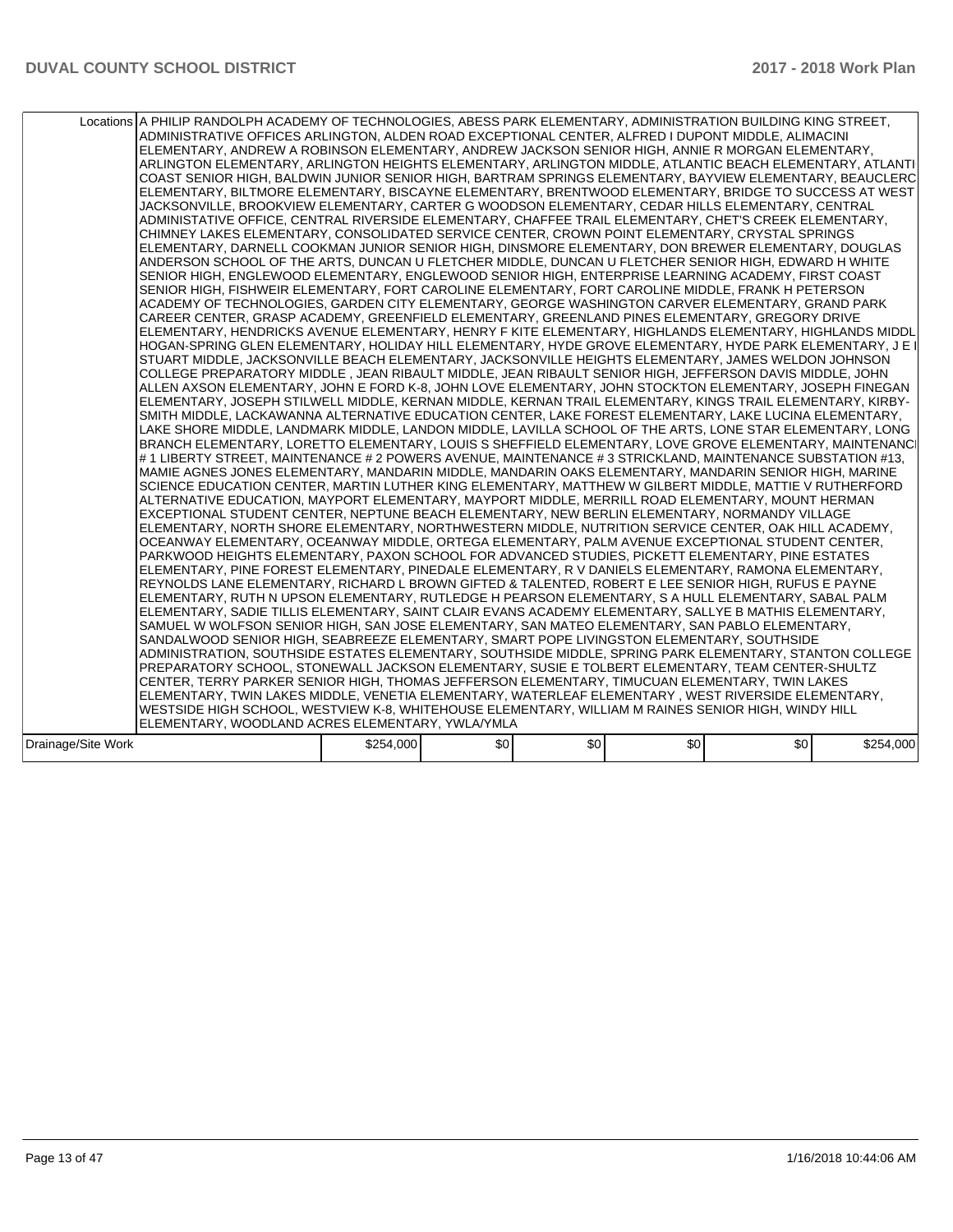|                    | Locations A PHILIP RANDOLPH ACADEMY OF TECHNOLOGIES, ABESS PARK ELEMENTARY, ADMINISTRATION BUILDING KING STREET,<br>ADMINISTRATIVE OFFICES ARLINGTON, ALDEN ROAD EXCEPTIONAL CENTER, ALFRED I DUPONT MIDDLE, ALIMACINI<br>ELEMENTARY, ANDREW A ROBINSON ELEMENTARY, ANDREW JACKSON SENIOR HIGH, ANNIE R MORGAN ELEMENTARY,<br>ARLINGTON ELEMENTARY, ARLINGTON HEIGHTS ELEMENTARY, ARLINGTON MIDDLE, ATLANTIC BEACH ELEMENTARY, ATLANTI<br>COAST SENIOR HIGH, BALDWIN JUNIOR SENIOR HIGH, BARTRAM SPRINGS ELEMENTARY, BAYVIEW ELEMENTARY, BEAUCLERC<br>IELEMENTARY, BILTMORE ELEMENTARY, BISCAYNE ELEMENTARY, BRENTWOOD ELEMENTARY, BRIDGE TO SUCCESS AT WEST<br>JACKSONVILLE, BROOKVIEW ELEMENTARY, CARTER G WOODSON ELEMENTARY, CEDAR HILLS ELEMENTARY, CENTRAL<br>ADMINISTATIVE OFFICE, CENTRAL RIVERSIDE ELEMENTARY, CHAFFEE TRAIL ELEMENTARY, CHET'S CREEK ELEMENTARY,<br>CHIMNEY LAKES ELEMENTARY, CONSOLIDATED SERVICE CENTER, CROWN POINT ELEMENTARY, CRYSTAL SPRINGS<br>ELEMENTARY, DARNELL COOKMAN JUNIOR SENIOR HIGH, DINSMORE ELEMENTARY, DON BREWER ELEMENTARY, DOUGLAS<br>ANDERSON SCHOOL OF THE ARTS, DUNCAN U FLETCHER MIDDLE, DUNCAN U FLETCHER SENIOR HIGH, EDWARD H WHITE<br>SENIOR HIGH, ENGLEWOOD ELEMENTARY, ENGLEWOOD SENIOR HIGH, ENTERPRISE LEARNING ACADEMY, FIRST COAST<br>SENIOR HIGH, FISHWEIR ELEMENTARY, FORT CAROLINE ELEMENTARY, FORT CAROLINE MIDDLE, FRANK H PETERSON<br>ACADEMY OF TECHNOLOGIES, GARDEN CITY ELEMENTARY, GEORGE WASHINGTON CARVER ELEMENTARY, GRAND PARK<br>CAREER CENTER, GRASP ACADEMY, GREENFIELD ELEMENTARY, GREENLAND PINES ELEMENTARY, GREGORY DRIVE<br>ELEMENTARY, HENDRICKS AVENUE ELEMENTARY, HENRY F KITE ELEMENTARY, HIGHLANDS ELEMENTARY, HIGHLANDS MIDDL<br>HOGAN-SPRING GLEN ELEMENTARY, HOLIDAY HILL ELEMENTARY, HYDE GROVE ELEMENTARY, HYDE PARK ELEMENTARY, J E I<br>STUART MIDDLE, JACKSONVILLE BEACH ELEMENTARY, JACKSONVILLE HEIGHTS ELEMENTARY, JAMES WELDON JOHNSON<br>COLLEGE PREPARATORY MIDDLE , JEAN RIBAULT MIDDLE, JEAN RIBAULT SENIOR HIGH, JEFFERSON DAVIS MIDDLE, JOHN<br>ALLEN AXSON ELEMENTARY, JOHN E FORD K-8, JOHN LOVE ELEMENTARY, JOHN STOCKTON ELEMENTARY, JOSEPH FINEGAN<br>ELEMENTARY, JOSEPH STILWELL MIDDLE, KERNAN MIDDLE, KERNAN TRAIL ELEMENTARY, KINGS TRAIL ELEMENTARY, KIRBY-<br>SMITH MIDDLE, LACKAWANNA ALTERNATIVE EDUCATION CENTER, LAKE FOREST ELEMENTARY, LAKE LUCINA ELEMENTARY,<br>LAKE SHORE MIDDLE, LANDMARK MIDDLE, LANDON MIDDLE, LAVILLA SCHOOL OF THE ARTS, LONE STAR ELEMENTARY, LONG<br>BRANCH ELEMENTARY, LORETTO ELEMENTARY, LOUIS S SHEFFIELD ELEMENTARY, LOVE GROVE ELEMENTARY, MAINTENANCI<br># 1 LIBERTY STREET, MAINTENANCE # 2 POWERS AVENUE, MAINTENANCE # 3 STRICKLAND, MAINTENANCE SUBSTATION #13,<br>MAMIE AGNES JONES ELEMENTARY, MANDARIN MIDDLE, MANDARIN OAKS ELEMENTARY, MANDARIN SENIOR HIGH, MARINE<br>SCIENCE EDUCATION CENTER, MARTIN LUTHER KING ELEMENTARY, MATTHEW W GILBERT MIDDLE, MATTIE V RUTHERFORD<br>ALTERNATIVE EDUCATION, MAYPORT ELEMENTARY, MAYPORT MIDDLE, MERRILL ROAD ELEMENTARY, MOUNT HERMAN<br>EXCEPTIONAL STUDENT CENTER, NEPTUNE BEACH ELEMENTARY, NEW BERLIN ELEMENTARY, NORMANDY VILLAGE<br>ELEMENTARY, NORTH SHORE ELEMENTARY, NORTHWESTERN MIDDLE, NUTRITION SERVICE CENTER, OAK HILL ACADEMY,<br>OCEANWAY ELEMENTARY, OCEANWAY MIDDLE, ORTEGA ELEMENTARY, PALM AVENUE EXCEPTIONAL STUDENT CENTER,<br>PARKWOOD HEIGHTS ELEMENTARY, PAXON SCHOOL FOR ADVANCED STUDIES, PICKETT ELEMENTARY, PINE ESTATES<br>ELEMENTARY, PINE FOREST ELEMENTARY, PINEDALE ELEMENTARY, R V DANIELS ELEMENTARY, RAMONA ELEMENTARY,<br>REYNOLDS LANE ELEMENTARY, RICHARD L BROWN GIFTED & TALENTED, ROBERT E LEE SENIOR HIGH, RUFUS E PAYNE<br>ELEMENTARY, RUTH N UPSON ELEMENTARY, RUTLEDGE H PEARSON ELEMENTARY, S A HULL ELEMENTARY, SABAL PALM<br>ELEMENTARY, SADIE TILLIS ELEMENTARY, SAINT CLAIR EVANS ACADEMY ELEMENTARY, SALLYE B MATHIS ELEMENTARY,<br>SAMUEL W WOLFSON SENIOR HIGH. SAN JOSE ELEMENTARY, SAN MATEO ELEMENTARY, SAN PABLO ELEMENTARY.<br>SANDALWOOD SENIOR HIGH, SEABREEZE ELEMENTARY, SMART POPE LIVINGSTON ELEMENTARY, SOUTHSIDE<br>ADMINISTRATION, SOUTHSIDE ESTATES ELEMENTARY, SOUTHSIDE MIDDLE, SPRING PARK ELEMENTARY, STANTON COLLEGE<br>PREPARATORY SCHOOL, STONEWALL JACKSON ELEMENTARY, SUSIE E TOLBERT ELEMENTARY, TEAM CENTER-SHULTZ<br>CENTER, TERRY PARKER SENIOR HIGH, THOMAS JEFFERSON ELEMENTARY, TIMUCUAN ELEMENTARY, TWIN LAKES<br>ELEMENTARY, TWIN LAKES MIDDLE, VENETIA ELEMENTARY, WATERLEAF ELEMENTARY, WEST RIVERSIDE ELEMENTARY,<br>WESTSIDE HIGH SCHOOL, WESTVIEW K-8, WHITEHOUSE ELEMENTARY, WILLIAM M RAINES SENIOR HIGH, WINDY HILL<br>ELEMENTARY, WOODLAND ACRES ELEMENTARY, YWLA/YMLA |           |     |     |     |     |           |
|--------------------|---------------------------------------------------------------------------------------------------------------------------------------------------------------------------------------------------------------------------------------------------------------------------------------------------------------------------------------------------------------------------------------------------------------------------------------------------------------------------------------------------------------------------------------------------------------------------------------------------------------------------------------------------------------------------------------------------------------------------------------------------------------------------------------------------------------------------------------------------------------------------------------------------------------------------------------------------------------------------------------------------------------------------------------------------------------------------------------------------------------------------------------------------------------------------------------------------------------------------------------------------------------------------------------------------------------------------------------------------------------------------------------------------------------------------------------------------------------------------------------------------------------------------------------------------------------------------------------------------------------------------------------------------------------------------------------------------------------------------------------------------------------------------------------------------------------------------------------------------------------------------------------------------------------------------------------------------------------------------------------------------------------------------------------------------------------------------------------------------------------------------------------------------------------------------------------------------------------------------------------------------------------------------------------------------------------------------------------------------------------------------------------------------------------------------------------------------------------------------------------------------------------------------------------------------------------------------------------------------------------------------------------------------------------------------------------------------------------------------------------------------------------------------------------------------------------------------------------------------------------------------------------------------------------------------------------------------------------------------------------------------------------------------------------------------------------------------------------------------------------------------------------------------------------------------------------------------------------------------------------------------------------------------------------------------------------------------------------------------------------------------------------------------------------------------------------------------------------------------------------------------------------------------------------------------------------------------------------------------------------------------------------------------------------------------------------------------------------------------------------------------------------------------------------------------------------------------------------------------------------------------------------------------------------------------------------------------------------------------------------------------------------------------------------------------------------------------------------------------------------------------------------------------------------------------------------------------------------------------------------------------------------------------------------------------------------------------------------------------------------------------------------------------------------------------------------------------------------------------------------------------------------------------------------------------------------------------------------------------------------------------------------------------------------------------------------------|-----------|-----|-----|-----|-----|-----------|
| Drainage/Site Work |                                                                                                                                                                                                                                                                                                                                                                                                                                                                                                                                                                                                                                                                                                                                                                                                                                                                                                                                                                                                                                                                                                                                                                                                                                                                                                                                                                                                                                                                                                                                                                                                                                                                                                                                                                                                                                                                                                                                                                                                                                                                                                                                                                                                                                                                                                                                                                                                                                                                                                                                                                                                                                                                                                                                                                                                                                                                                                                                                                                                                                                                                                                                                                                                                                                                                                                                                                                                                                                                                                                                                                                                                                                                                                                                                                                                                                                                                                                                                                                                                                                                                                                                                                                                                                                                                                                                                                                                                                                                                                                                                                                                                                                                                             | \$254,000 | \$0 | \$0 | \$0 | \$0 | \$254,000 |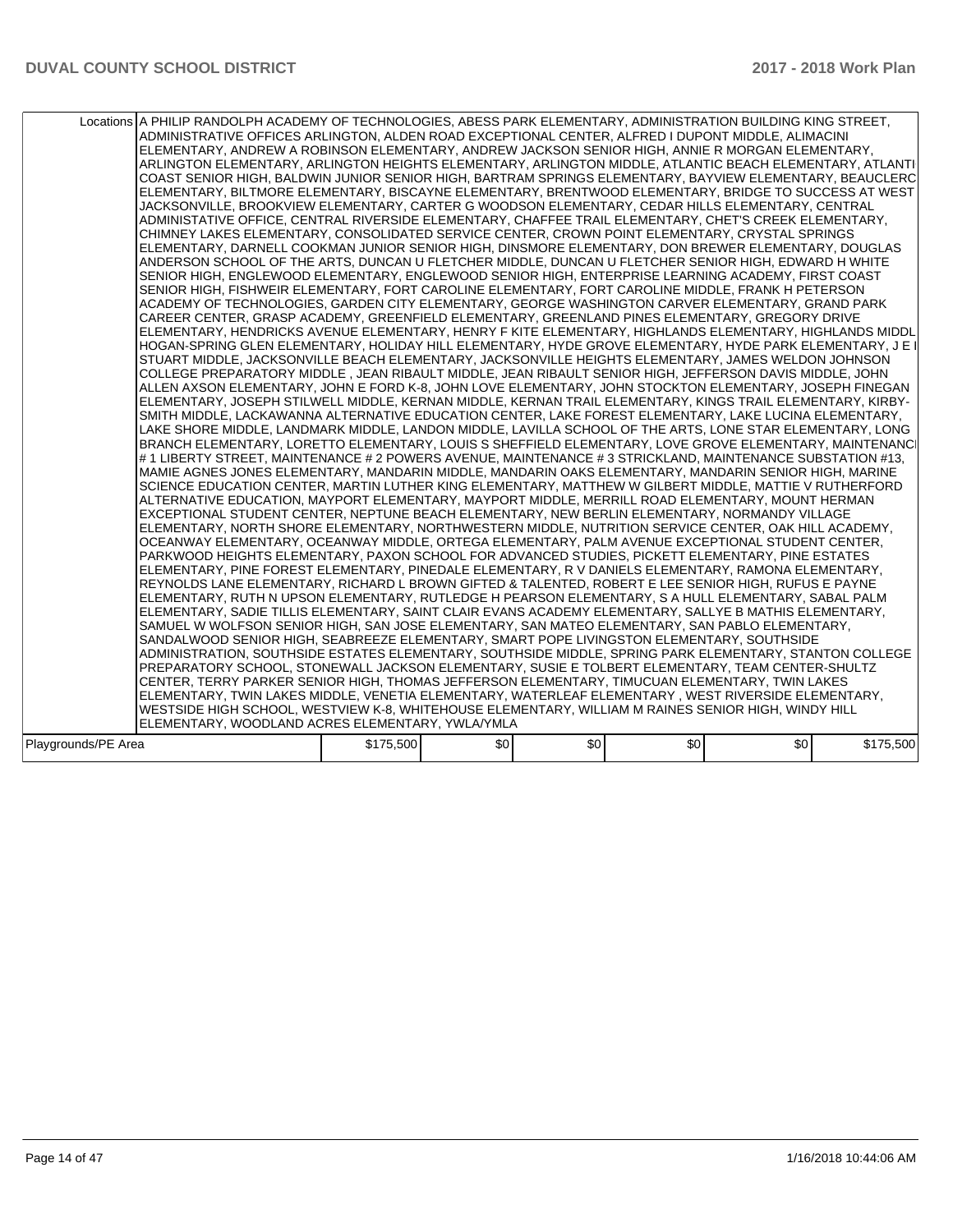| Locations A PHILIP RANDOLPH ACADEMY OF TECHNOLOGIES, ABESS PARK ELEMENTARY, ADMINISTRATION BUILDING KING STREET,<br>ADMINISTRATIVE OFFICES ARLINGTON, ALDEN ROAD EXCEPTIONAL CENTER, ALFRED I DUPONT MIDDLE, ALIMACINI<br>ELEMENTARY, ANDREW A ROBINSON ELEMENTARY, ANDREW JACKSON SENIOR HIGH, ANNIE R MORGAN ELEMENTARY,<br>ARLINGTON ELEMENTARY, ARLINGTON HEIGHTS ELEMENTARY, ARLINGTON MIDDLE, ATLANTIC BEACH ELEMENTARY, ATLANTI<br>ICOAST SENIOR HIGH, BALDWIN JUNIOR SENIOR HIGH, BARTRAM SPRINGS ELEMENTARY, BAYVIEW ELEMENTARY, BEAUCLERCI<br>ELEMENTARY, BILTMORE ELEMENTARY, BISCAYNE ELEMENTARY, BRENTWOOD ELEMENTARY, BRIDGE TO SUCCESS AT WEST<br>JACKSONVILLE, BROOKVIEW ELEMENTARY, CARTER G WOODSON ELEMENTARY, CEDAR HILLS ELEMENTARY, CENTRAL<br>ADMINISTATIVE OFFICE, CENTRAL RIVERSIDE ELEMENTARY, CHAFFEE TRAIL ELEMENTARY, CHET'S CREEK ELEMENTARY,<br>CHIMNEY LAKES ELEMENTARY, CONSOLIDATED SERVICE CENTER, CROWN POINT ELEMENTARY, CRYSTAL SPRINGS<br>ELEMENTARY, DARNELL COOKMAN JUNIOR SENIOR HIGH, DINSMORE ELEMENTARY, DON BREWER ELEMENTARY, DOUGLAS<br>ANDERSON SCHOOL OF THE ARTS, DUNCAN U FLETCHER MIDDLE, DUNCAN U FLETCHER SENIOR HIGH, EDWARD H WHITE<br>SENIOR HIGH, ENGLEWOOD ELEMENTARY, ENGLEWOOD SENIOR HIGH, ENTERPRISE LEARNING ACADEMY, FIRST COAST<br>SENIOR HIGH, FISHWEIR ELEMENTARY, FORT CAROLINE ELEMENTARY, FORT CAROLINE MIDDLE, FRANK H PETERSON<br>ACADEMY OF TECHNOLOGIES, GARDEN CITY ELEMENTARY, GEORGE WASHINGTON CARVER ELEMENTARY, GRAND PARK<br>CAREER CENTER, GRASP ACADEMY, GREENFIELD ELEMENTARY, GREENLAND PINES ELEMENTARY, GREGORY DRIVE<br>ELEMENTARY, HENDRICKS AVENUE ELEMENTARY, HENRY F KITE ELEMENTARY, HIGHLANDS ELEMENTARY, HIGHLANDS MIDDL<br>HOGAN-SPRING GLEN ELEMENTARY, HOLIDAY HILL ELEMENTARY, HYDE GROVE ELEMENTARY, HYDE PARK ELEMENTARY, J E I<br>STUART MIDDLE, JACKSONVILLE BEACH ELEMENTARY, JACKSONVILLE HEIGHTS ELEMENTARY, JAMES WELDON JOHNSON<br>COLLEGE PREPARATORY MIDDLE , JEAN RIBAULT MIDDLE, JEAN RIBAULT SENIOR HIGH, JEFFERSON DAVIS MIDDLE, JOHN<br>ALLEN AXSON ELEMENTARY, JOHN E FORD K-8, JOHN LOVE ELEMENTARY, JOHN STOCKTON ELEMENTARY, JOSEPH FINEGAN<br>ELEMENTARY, JOSEPH STILWELL MIDDLE, KERNAN MIDDLE, KERNAN TRAIL ELEMENTARY, KINGS TRAIL ELEMENTARY, KIRBY-<br>SMITH MIDDLE, LACKAWANNA ALTERNATIVE EDUCATION CENTER, LAKE FOREST ELEMENTARY, LAKE LUCINA ELEMENTARY,<br>LAKE SHORE MIDDLE, LANDMARK MIDDLE, LANDON MIDDLE, LAVILLA SCHOOL OF THE ARTS, LONE STAR ELEMENTARY, LONG<br>BRANCH ELEMENTARY, LORETTO ELEMENTARY, LOUIS S SHEFFIELD ELEMENTARY, LOVE GROVE ELEMENTARY, MAINTENANCI<br># 1 LIBERTY STREET, MAINTENANCE # 2 POWERS AVENUE, MAINTENANCE # 3 STRICKLAND, MAINTENANCE SUBSTATION #13,<br>MAMIE AGNES JONES ELEMENTARY, MANDARIN MIDDLE, MANDARIN OAKS ELEMENTARY, MANDARIN SENIOR HIGH, MARINE<br>SCIENCE EDUCATION CENTER, MARTIN LUTHER KING ELEMENTARY, MATTHEW W GILBERT MIDDLE, MATTIE V RUTHERFORD<br>ALTERNATIVE EDUCATION, MAYPORT ELEMENTARY, MAYPORT MIDDLE, MERRILL ROAD ELEMENTARY, MOUNT HERMAN<br>EXCEPTIONAL STUDENT CENTER, NEPTUNE BEACH ELEMENTARY, NEW BERLIN ELEMENTARY, NORMANDY VILLAGE<br>ELEMENTARY, NORTH SHORE ELEMENTARY, NORTHWESTERN MIDDLE, NUTRITION SERVICE CENTER, OAK HILL ACADEMY,<br>OCEANWAY ELEMENTARY. OCEANWAY MIDDLE. ORTEGA ELEMENTARY. PALM AVENUE EXCEPTIONAL STUDENT CENTER.<br>PARKWOOD HEIGHTS ELEMENTARY, PAXON SCHOOL FOR ADVANCED STUDIES, PICKETT ELEMENTARY, PINE ESTATES<br>ELEMENTARY, PINE FOREST ELEMENTARY, PINEDALE ELEMENTARY, R V DANIELS ELEMENTARY, RAMONA ELEMENTARY,<br>REYNOLDS LANE ELEMENTARY, RICHARD L BROWN GIFTED & TALENTED, ROBERT E LEE SENIOR HIGH, RUFUS E PAYNE<br>ELEMENTARY, RUTH N UPSON ELEMENTARY, RUTLEDGE H PEARSON ELEMENTARY, S A HULL ELEMENTARY, SABAL PALM<br>ELEMENTARY, SADIE TILLIS ELEMENTARY, SAINT CLAIR EVANS ACADEMY ELEMENTARY, SALLYE B MATHIS ELEMENTARY,<br>SAMUEL W WOLFSON SENIOR HIGH, SAN JOSE ELEMENTARY, SAN MATEO ELEMENTARY, SAN PABLO ELEMENTARY,<br>SANDALWOOD SENIOR HIGH, SEABREEZE ELEMENTARY, SMART POPE LIVINGSTON ELEMENTARY, SOUTHSIDE<br>ADMINISTRATION, SOUTHSIDE ESTATES ELEMENTARY, SOUTHSIDE MIDDLE, SPRING PARK ELEMENTARY, STANTON COLLEGE<br>PREPARATORY SCHOOL, STONEWALL JACKSON ELEMENTARY, SUSIE E TOLBERT ELEMENTARY, TEAM CENTER-SHULTZ<br>CENTER, TERRY PARKER SENIOR HIGH, THOMAS JEFFERSON ELEMENTARY, TIMUCUAN ELEMENTARY, TWIN LAKES<br>ELEMENTARY, TWIN LAKES MIDDLE, VENETIA ELEMENTARY, WATERLEAF ELEMENTARY , WEST RIVERSIDE ELEMENTARY,<br>WESTSIDE HIGH SCHOOL, WESTVIEW K-8, WHITEHOUSE ELEMENTARY, WILLIAM M RAINES SENIOR HIGH, WINDY HILL<br>ELEMENTARY, WOODLAND ACRES ELEMENTARY, YWLA/YMLA |           |     |     |     |     |           |
|-----------------------------------------------------------------------------------------------------------------------------------------------------------------------------------------------------------------------------------------------------------------------------------------------------------------------------------------------------------------------------------------------------------------------------------------------------------------------------------------------------------------------------------------------------------------------------------------------------------------------------------------------------------------------------------------------------------------------------------------------------------------------------------------------------------------------------------------------------------------------------------------------------------------------------------------------------------------------------------------------------------------------------------------------------------------------------------------------------------------------------------------------------------------------------------------------------------------------------------------------------------------------------------------------------------------------------------------------------------------------------------------------------------------------------------------------------------------------------------------------------------------------------------------------------------------------------------------------------------------------------------------------------------------------------------------------------------------------------------------------------------------------------------------------------------------------------------------------------------------------------------------------------------------------------------------------------------------------------------------------------------------------------------------------------------------------------------------------------------------------------------------------------------------------------------------------------------------------------------------------------------------------------------------------------------------------------------------------------------------------------------------------------------------------------------------------------------------------------------------------------------------------------------------------------------------------------------------------------------------------------------------------------------------------------------------------------------------------------------------------------------------------------------------------------------------------------------------------------------------------------------------------------------------------------------------------------------------------------------------------------------------------------------------------------------------------------------------------------------------------------------------------------------------------------------------------------------------------------------------------------------------------------------------------------------------------------------------------------------------------------------------------------------------------------------------------------------------------------------------------------------------------------------------------------------------------------------------------------------------------------------------------------------------------------------------------------------------------------------------------------------------------------------------------------------------------------------------------------------------------------------------------------------------------------------------------------------------------------------------------------------------------------------------------------------------------------------------------------------------------------------------------------------------------------------------------------------------------------------------------------------------------------------------------------------------------------------------------------------------------------------------------------------------------------------------------------------------------------------------------------------------------------------------------------------------------------------------------------------------------------------------------------------------------------------------------|-----------|-----|-----|-----|-----|-----------|
| Playgrounds/PE Area                                                                                                                                                                                                                                                                                                                                                                                                                                                                                                                                                                                                                                                                                                                                                                                                                                                                                                                                                                                                                                                                                                                                                                                                                                                                                                                                                                                                                                                                                                                                                                                                                                                                                                                                                                                                                                                                                                                                                                                                                                                                                                                                                                                                                                                                                                                                                                                                                                                                                                                                                                                                                                                                                                                                                                                                                                                                                                                                                                                                                                                                                                                                                                                                                                                                                                                                                                                                                                                                                                                                                                                                                                                                                                                                                                                                                                                                                                                                                                                                                                                                                                                                                                                                                                                                                                                                                                                                                                                                                                                                                                                                                                                                           | \$175,500 | \$0 | \$0 | \$0 | \$0 | \$175,500 |
|                                                                                                                                                                                                                                                                                                                                                                                                                                                                                                                                                                                                                                                                                                                                                                                                                                                                                                                                                                                                                                                                                                                                                                                                                                                                                                                                                                                                                                                                                                                                                                                                                                                                                                                                                                                                                                                                                                                                                                                                                                                                                                                                                                                                                                                                                                                                                                                                                                                                                                                                                                                                                                                                                                                                                                                                                                                                                                                                                                                                                                                                                                                                                                                                                                                                                                                                                                                                                                                                                                                                                                                                                                                                                                                                                                                                                                                                                                                                                                                                                                                                                                                                                                                                                                                                                                                                                                                                                                                                                                                                                                                                                                                                                               |           |     |     |     |     |           |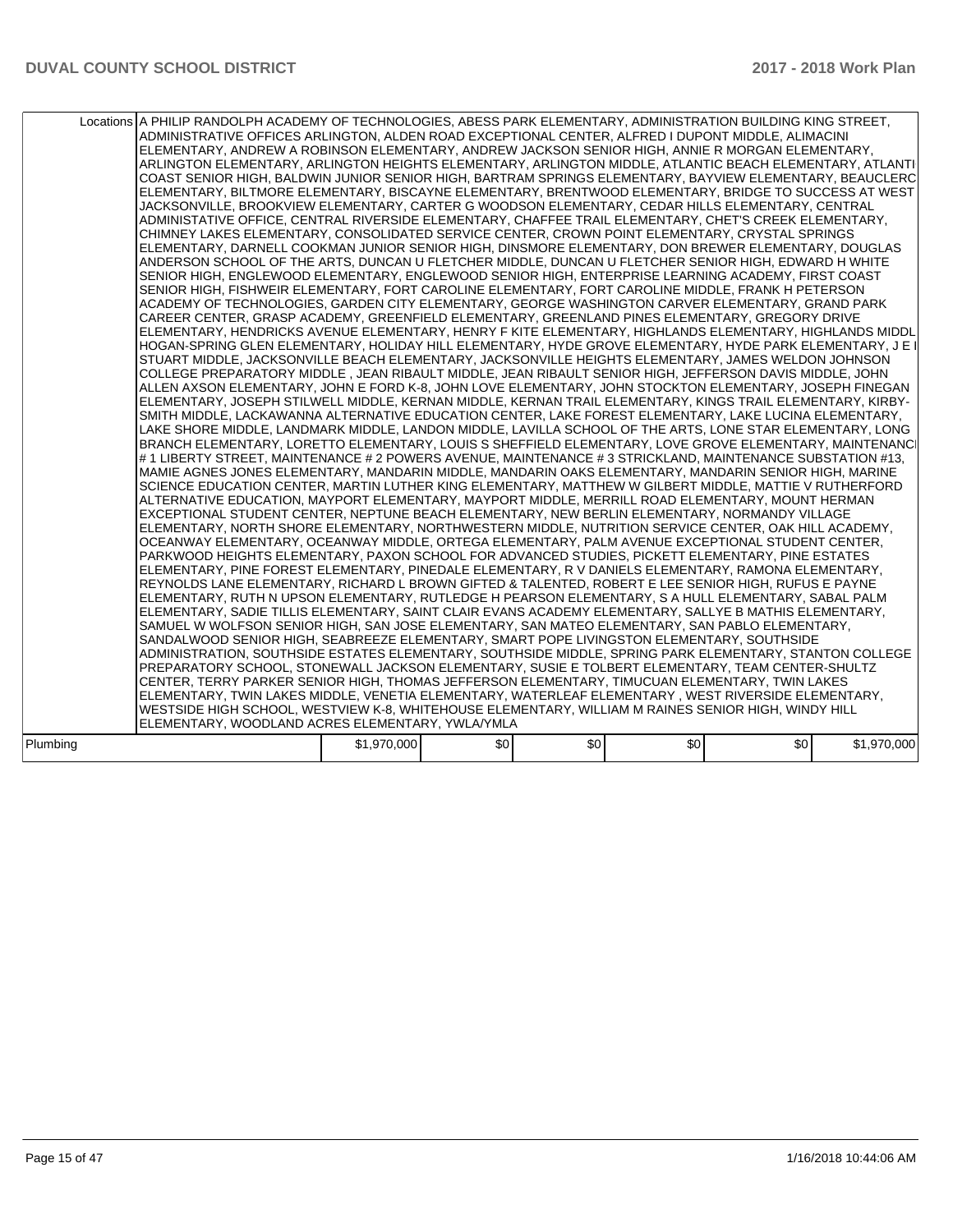|          | Locations A PHILIP RANDOLPH ACADEMY OF TECHNOLOGIES, ABESS PARK ELEMENTARY, ADMINISTRATION BUILDING KING STREET,<br>ADMINISTRATIVE OFFICES ARLINGTON, ALDEN ROAD EXCEPTIONAL CENTER, ALFRED I DUPONT MIDDLE, ALIMACINI<br>ELEMENTARY, ANDREW A ROBINSON ELEMENTARY, ANDREW JACKSON SENIOR HIGH, ANNIE R MORGAN ELEMENTARY,<br>ARLINGTON ELEMENTARY, ARLINGTON HEIGHTS ELEMENTARY, ARLINGTON MIDDLE, ATLANTIC BEACH ELEMENTARY, ATLANTI<br>COAST SENIOR HIGH, BALDWIN JUNIOR SENIOR HIGH, BARTRAM SPRINGS ELEMENTARY, BAYVIEW ELEMENTARY, BEAUCLERC<br>ELEMENTARY, BILTMORE ELEMENTARY, BISCAYNE ELEMENTARY, BRENTWOOD ELEMENTARY, BRIDGE TO SUCCESS AT WEST<br>JACKSONVILLE, BROOKVIEW ELEMENTARY, CARTER G WOODSON ELEMENTARY, CEDAR HILLS ELEMENTARY, CENTRAL<br>ADMINISTATIVE OFFICE, CENTRAL RIVERSIDE ELEMENTARY, CHAFFEE TRAIL ELEMENTARY, CHET'S CREEK ELEMENTARY,<br>CHIMNEY LAKES ELEMENTARY, CONSOLIDATED SERVICE CENTER, CROWN POINT ELEMENTARY, CRYSTAL SPRINGS<br>ELEMENTARY, DARNELL COOKMAN JUNIOR SENIOR HIGH, DINSMORE ELEMENTARY, DON BREWER ELEMENTARY, DOUGLAS<br>ANDERSON SCHOOL OF THE ARTS, DUNCAN U FLETCHER MIDDLE, DUNCAN U FLETCHER SENIOR HIGH, EDWARD H WHITE<br>SENIOR HIGH, ENGLEWOOD ELEMENTARY, ENGLEWOOD SENIOR HIGH, ENTERPRISE LEARNING ACADEMY, FIRST COAST<br>SENIOR HIGH, FISHWEIR ELEMENTARY, FORT CAROLINE ELEMENTARY, FORT CAROLINE MIDDLE, FRANK H PETERSON<br>ACADEMY OF TECHNOLOGIES, GARDEN CITY ELEMENTARY, GEORGE WASHINGTON CARVER ELEMENTARY, GRAND PARK<br>CAREER CENTER, GRASP ACADEMY, GREENFIELD ELEMENTARY, GREENLAND PINES ELEMENTARY, GREGORY DRIVE<br>ELEMENTARY, HENDRICKS AVENUE ELEMENTARY, HENRY F KITE ELEMENTARY, HIGHLANDS ELEMENTARY, HIGHLANDS MIDDL<br>HOGAN-SPRING GLEN ELEMENTARY, HOLIDAY HILL ELEMENTARY, HYDE GROVE ELEMENTARY, HYDE PARK ELEMENTARY, J E I<br>STUART MIDDLE, JACKSONVILLE BEACH ELEMENTARY, JACKSONVILLE HEIGHTS ELEMENTARY, JAMES WELDON JOHNSON<br>COLLEGE PREPARATORY MIDDLE , JEAN RIBAULT MIDDLE, JEAN RIBAULT SENIOR HIGH, JEFFERSON DAVIS MIDDLE, JOHN<br>ALLEN AXSON ELEMENTARY, JOHN E FORD K-8, JOHN LOVE ELEMENTARY, JOHN STOCKTON ELEMENTARY, JOSEPH FINEGAN<br>ELEMENTARY, JOSEPH STILWELL MIDDLE, KERNAN MIDDLE, KERNAN TRAIL ELEMENTARY, KINGS TRAIL ELEMENTARY, KIRBY-<br>SMITH MIDDLE, LACKAWANNA ALTERNATIVE EDUCATION CENTER, LAKE FOREST ELEMENTARY, LAKE LUCINA ELEMENTARY,<br>LAKE SHORE MIDDLE, LANDMARK MIDDLE, LANDON MIDDLE, LAVILLA SCHOOL OF THE ARTS, LONE STAR ELEMENTARY, LONG<br>BRANCH ELEMENTARY, LORETTO ELEMENTARY, LOUIS S SHEFFIELD ELEMENTARY, LOVE GROVE ELEMENTARY, MAINTENANCI<br># 1 LIBERTY STREET, MAINTENANCE # 2 POWERS AVENUE, MAINTENANCE # 3 STRICKLAND, MAINTENANCE SUBSTATION #13,<br>MAMIE AGNES JONES ELEMENTARY, MANDARIN MIDDLE, MANDARIN OAKS ELEMENTARY, MANDARIN SENIOR HIGH, MARINE<br>SCIENCE EDUCATION CENTER, MARTIN LUTHER KING ELEMENTARY, MATTHEW W GILBERT MIDDLE, MATTIE V RUTHERFORD<br>ALTERNATIVE EDUCATION, MAYPORT ELEMENTARY, MAYPORT MIDDLE, MERRILL ROAD ELEMENTARY, MOUNT HERMAN<br>EXCEPTIONAL STUDENT CENTER, NEPTUNE BEACH ELEMENTARY, NEW BERLIN ELEMENTARY, NORMANDY VILLAGE<br>ELEMENTARY, NORTH SHORE ELEMENTARY, NORTHWESTERN MIDDLE, NUTRITION SERVICE CENTER, OAK HILL ACADEMY,<br>OCEANWAY ELEMENTARY, OCEANWAY MIDDLE, ORTEGA ELEMENTARY, PALM AVENUE EXCEPTIONAL STUDENT CENTER,<br>PARKWOOD HEIGHTS ELEMENTARY, PAXON SCHOOL FOR ADVANCED STUDIES, PICKETT ELEMENTARY, PINE ESTATES<br>ELEMENTARY, PINE FOREST ELEMENTARY, PINEDALE ELEMENTARY, R V DANIELS ELEMENTARY, RAMONA ELEMENTARY,<br>REYNOLDS LANE ELEMENTARY, RICHARD L BROWN GIFTED & TALENTED, ROBERT E LEE SENIOR HIGH, RUFUS E PAYNE<br>ELEMENTARY, RUTH N UPSON ELEMENTARY, RUTLEDGE H PEARSON ELEMENTARY, S A HULL ELEMENTARY, SABAL PALM<br>ELEMENTARY, SADIE TILLIS ELEMENTARY, SAINT CLAIR EVANS ACADEMY ELEMENTARY, SALLYE B MATHIS ELEMENTARY,<br>SAMUEL W WOLFSON SENIOR HIGH, SAN JOSE ELEMENTARY, SAN MATEO ELEMENTARY, SAN PABLO ELEMENTARY,<br>SANDALWOOD SENIOR HIGH, SEABREEZE ELEMENTARY, SMART POPE LIVINGSTON ELEMENTARY, SOUTHSIDE<br>ADMINISTRATION, SOUTHSIDE ESTATES ELEMENTARY, SOUTHSIDE MIDDLE, SPRING PARK ELEMENTARY, STANTON COLLEGE<br>PREPARATORY SCHOOL, STONEWALL JACKSON ELEMENTARY, SUSIE E TOLBERT ELEMENTARY, TEAM CENTER-SHULTZ<br>CENTER, TERRY PARKER SENIOR HIGH, THOMAS JEFFERSON ELEMENTARY, TIMUCUAN ELEMENTARY, TWIN LAKES<br>ELEMENTARY, TWIN LAKES MIDDLE, VENETIA ELEMENTARY, WATERLEAF ELEMENTARY, WEST RIVERSIDE ELEMENTARY,<br>WESTSIDE HIGH SCHOOL, WESTVIEW K-8, WHITEHOUSE ELEMENTARY, WILLIAM M RAINES SENIOR HIGH, WINDY HILL<br>ELEMENTARY, WOODLAND ACRES ELEMENTARY, YWLA/YMLA |             |     |     |     |     |             |  |
|----------|--------------------------------------------------------------------------------------------------------------------------------------------------------------------------------------------------------------------------------------------------------------------------------------------------------------------------------------------------------------------------------------------------------------------------------------------------------------------------------------------------------------------------------------------------------------------------------------------------------------------------------------------------------------------------------------------------------------------------------------------------------------------------------------------------------------------------------------------------------------------------------------------------------------------------------------------------------------------------------------------------------------------------------------------------------------------------------------------------------------------------------------------------------------------------------------------------------------------------------------------------------------------------------------------------------------------------------------------------------------------------------------------------------------------------------------------------------------------------------------------------------------------------------------------------------------------------------------------------------------------------------------------------------------------------------------------------------------------------------------------------------------------------------------------------------------------------------------------------------------------------------------------------------------------------------------------------------------------------------------------------------------------------------------------------------------------------------------------------------------------------------------------------------------------------------------------------------------------------------------------------------------------------------------------------------------------------------------------------------------------------------------------------------------------------------------------------------------------------------------------------------------------------------------------------------------------------------------------------------------------------------------------------------------------------------------------------------------------------------------------------------------------------------------------------------------------------------------------------------------------------------------------------------------------------------------------------------------------------------------------------------------------------------------------------------------------------------------------------------------------------------------------------------------------------------------------------------------------------------------------------------------------------------------------------------------------------------------------------------------------------------------------------------------------------------------------------------------------------------------------------------------------------------------------------------------------------------------------------------------------------------------------------------------------------------------------------------------------------------------------------------------------------------------------------------------------------------------------------------------------------------------------------------------------------------------------------------------------------------------------------------------------------------------------------------------------------------------------------------------------------------------------------------------------------------------------------------------------------------------------------------------------------------------------------------------------------------------------------------------------------------------------------------------------------------------------------------------------------------------------------------------------------------------------------------------------------------------------------------------------------------------------------------------------------------------------|-------------|-----|-----|-----|-----|-------------|--|
| Plumbing |                                                                                                                                                                                                                                                                                                                                                                                                                                                                                                                                                                                                                                                                                                                                                                                                                                                                                                                                                                                                                                                                                                                                                                                                                                                                                                                                                                                                                                                                                                                                                                                                                                                                                                                                                                                                                                                                                                                                                                                                                                                                                                                                                                                                                                                                                                                                                                                                                                                                                                                                                                                                                                                                                                                                                                                                                                                                                                                                                                                                                                                                                                                                                                                                                                                                                                                                                                                                                                                                                                                                                                                                                                                                                                                                                                                                                                                                                                                                                                                                                                                                                                                                                                                                                                                                                                                                                                                                                                                                                                                                                                                                                                                                                            | \$1,970,000 | \$0 | \$0 | \$0 | \$0 | \$1,970,000 |  |
|          |                                                                                                                                                                                                                                                                                                                                                                                                                                                                                                                                                                                                                                                                                                                                                                                                                                                                                                                                                                                                                                                                                                                                                                                                                                                                                                                                                                                                                                                                                                                                                                                                                                                                                                                                                                                                                                                                                                                                                                                                                                                                                                                                                                                                                                                                                                                                                                                                                                                                                                                                                                                                                                                                                                                                                                                                                                                                                                                                                                                                                                                                                                                                                                                                                                                                                                                                                                                                                                                                                                                                                                                                                                                                                                                                                                                                                                                                                                                                                                                                                                                                                                                                                                                                                                                                                                                                                                                                                                                                                                                                                                                                                                                                                            |             |     |     |     |     |             |  |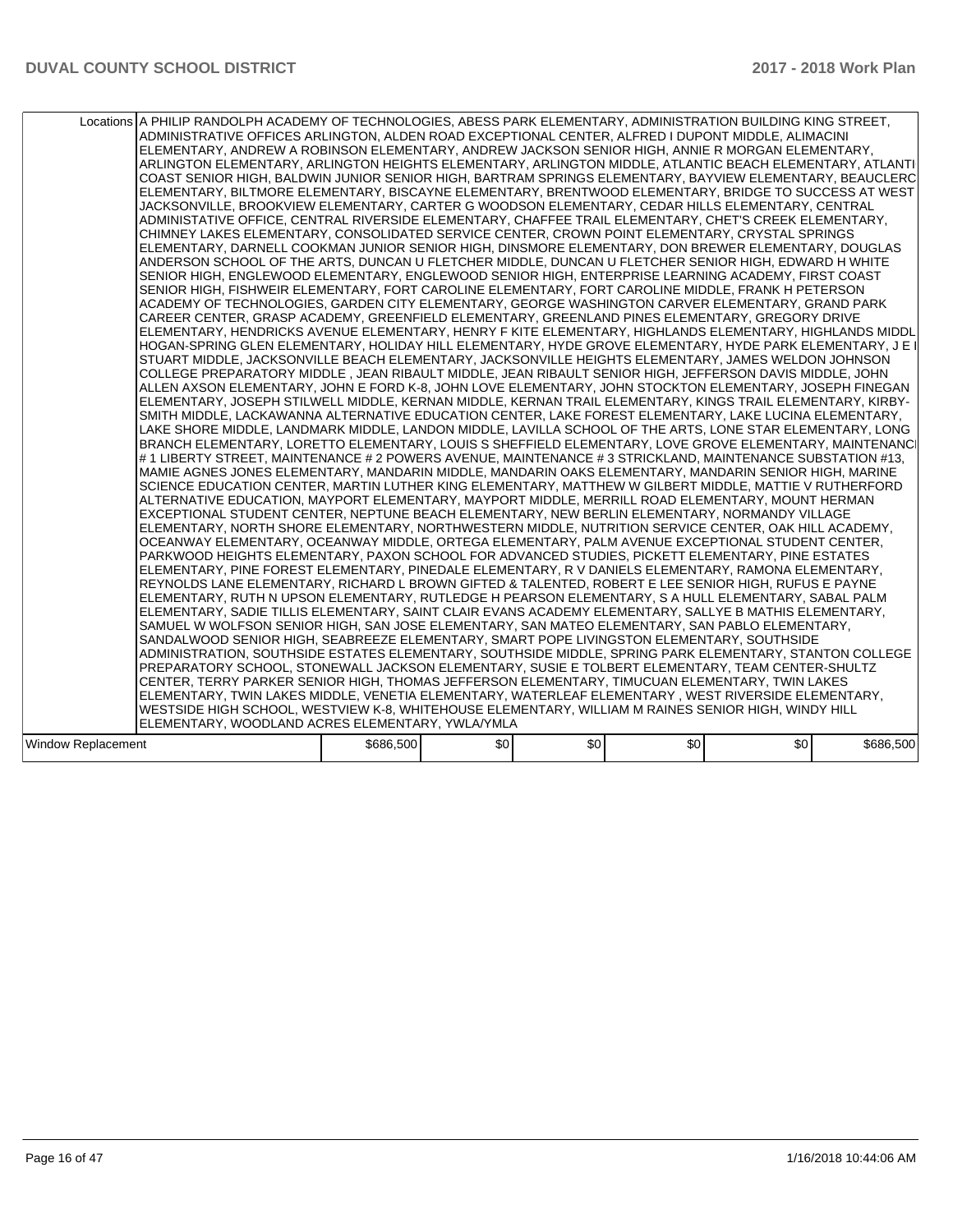| Locations A PHILIP RANDOLPH ACADEMY OF TECHNOLOGIES, ABESS PARK ELEMENTARY, ADMINISTRATION BUILDING KING STREET,<br>ADMINISTRATIVE OFFICES ARLINGTON, ALDEN ROAD EXCEPTIONAL CENTER, ALFRED I DUPONT MIDDLE, ALIMACINI<br>ELEMENTARY, ANDREW A ROBINSON ELEMENTARY, ANDREW JACKSON SENIOR HIGH, ANNIE R MORGAN ELEMENTARY,<br>ARLINGTON ELEMENTARY, ARLINGTON HEIGHTS ELEMENTARY, ARLINGTON MIDDLE, ATLANTIC BEACH ELEMENTARY, ATLANTI<br>COAST SENIOR HIGH, BALDWIN JUNIOR SENIOR HIGH, BARTRAM SPRINGS ELEMENTARY, BAYVIEW ELEMENTARY, BEAUCLERC<br>ELEMENTARY, BILTMORE ELEMENTARY, BISCAYNE ELEMENTARY, BRENTWOOD ELEMENTARY, BRIDGE TO SUCCESS AT WEST<br>JACKSONVILLE, BROOKVIEW ELEMENTARY, CARTER G WOODSON ELEMENTARY, CEDAR HILLS ELEMENTARY, CENTRAL<br>ADMINISTATIVE OFFICE, CENTRAL RIVERSIDE ELEMENTARY, CHAFFEE TRAIL ELEMENTARY, CHET'S CREEK ELEMENTARY,<br>CHIMNEY LAKES ELEMENTARY, CONSOLIDATED SERVICE CENTER, CROWN POINT ELEMENTARY, CRYSTAL SPRINGS<br>ELEMENTARY, DARNELL COOKMAN JUNIOR SENIOR HIGH, DINSMORE ELEMENTARY, DON BREWER ELEMENTARY, DOUGLAS<br>ANDERSON SCHOOL OF THE ARTS, DUNCAN U FLETCHER MIDDLE, DUNCAN U FLETCHER SENIOR HIGH, EDWARD H WHITE<br>SENIOR HIGH, ENGLEWOOD ELEMENTARY, ENGLEWOOD SENIOR HIGH, ENTERPRISE LEARNING ACADEMY, FIRST COAST<br>SENIOR HIGH, FISHWEIR ELEMENTARY, FORT CAROLINE ELEMENTARY, FORT CAROLINE MIDDLE, FRANK H PETERSON<br>ACADEMY OF TECHNOLOGIES, GARDEN CITY ELEMENTARY, GEORGE WASHINGTON CARVER ELEMENTARY, GRAND PARK<br>CAREER CENTER, GRASP ACADEMY, GREENFIELD ELEMENTARY, GREENLAND PINES ELEMENTARY, GREGORY DRIVE<br>ELEMENTARY, HENDRICKS AVENUE ELEMENTARY, HENRY F KITE ELEMENTARY, HIGHLANDS ELEMENTARY, HIGHLANDS MIDDL<br>HOGAN-SPRING GLEN ELEMENTARY, HOLIDAY HILL ELEMENTARY, HYDE GROVE ELEMENTARY, HYDE PARK ELEMENTARY, J E I<br>STUART MIDDLE, JACKSONVILLE BEACH ELEMENTARY, JACKSONVILLE HEIGHTS ELEMENTARY, JAMES WELDON JOHNSON<br>COLLEGE PREPARATORY MIDDLE , JEAN RIBAULT MIDDLE, JEAN RIBAULT SENIOR HIGH, JEFFERSON DAVIS MIDDLE, JOHN<br>ALLEN AXSON ELEMENTARY, JOHN E FORD K-8, JOHN LOVE ELEMENTARY, JOHN STOCKTON ELEMENTARY, JOSEPH FINEGAN<br>ELEMENTARY, JOSEPH STILWELL MIDDLE, KERNAN MIDDLE, KERNAN TRAIL ELEMENTARY, KINGS TRAIL ELEMENTARY, KIRBY-<br>SMITH MIDDLE, LACKAWANNA ALTERNATIVE EDUCATION CENTER, LAKE FOREST ELEMENTARY, LAKE LUCINA ELEMENTARY,<br>LAKE SHORE MIDDLE. LANDMARK MIDDLE. LANDON MIDDLE. LAVILLA SCHOOL OF THE ARTS. LONE STAR ELEMENTARY. LONG<br>BRANCH ELEMENTARY, LORETTO ELEMENTARY, LOUIS S SHEFFIELD ELEMENTARY, LOVE GROVE ELEMENTARY, MAINTENANCI<br># 1 LIBERTY STREET, MAINTENANCE # 2 POWERS AVENUE, MAINTENANCE # 3 STRICKLAND, MAINTENANCE SUBSTATION #13,<br>MAMIE AGNES JONES ELEMENTARY, MANDARIN MIDDLE, MANDARIN OAKS ELEMENTARY, MANDARIN SENIOR HIGH, MARINE<br>SCIENCE EDUCATION CENTER, MARTIN LUTHER KING ELEMENTARY, MATTHEW W GILBERT MIDDLE, MATTIE V RUTHERFORD<br>ALTERNATIVE EDUCATION, MAYPORT ELEMENTARY, MAYPORT MIDDLE, MERRILL ROAD ELEMENTARY, MOUNT HERMAN<br>EXCEPTIONAL STUDENT CENTER, NEPTUNE BEACH ELEMENTARY, NEW BERLIN ELEMENTARY, NORMANDY VILLAGE<br>ELEMENTARY, NORTH SHORE ELEMENTARY, NORTHWESTERN MIDDLE, NUTRITION SERVICE CENTER, OAK HILL ACADEMY,<br>OCEANWAY ELEMENTARY, OCEANWAY MIDDLE, ORTEGA ELEMENTARY, PALM AVENUE EXCEPTIONAL STUDENT CENTER,<br>PARKWOOD HEIGHTS ELEMENTARY, PAXON SCHOOL FOR ADVANCED STUDIES, PICKETT ELEMENTARY, PINE ESTATES<br>ELEMENTARY, PINE FOREST ELEMENTARY, PINEDALE ELEMENTARY, R V DANIELS ELEMENTARY, RAMONA ELEMENTARY,<br>REYNOLDS LANE ELEMENTARY, RICHARD L BROWN GIFTED & TALENTED, ROBERT E LEE SENIOR HIGH, RUFUS E PAYNE<br>ELEMENTARY, RUTH N UPSON ELEMENTARY, RUTLEDGE H PEARSON ELEMENTARY, S A HULL ELEMENTARY, SABAL PALM<br>ELEMENTARY, SADIE TILLIS ELEMENTARY, SAINT CLAIR EVANS ACADEMY ELEMENTARY, SALLYE B MATHIS ELEMENTARY,<br>SAMUEL W WOLFSON SENIOR HIGH, SAN JOSE ELEMENTARY, SAN MATEO ELEMENTARY, SAN PABLO ELEMENTARY,<br>SANDALWOOD SENIOR HIGH. SEABREEZE ELEMENTARY. SMART POPE LIVINGSTON ELEMENTARY. SOUTHSIDE<br>ADMINISTRATION, SOUTHSIDE ESTATES ELEMENTARY, SOUTHSIDE MIDDLE, SPRING PARK ELEMENTARY, STANTON COLLEGE<br>PREPARATORY SCHOOL, STONEWALL JACKSON ELEMENTARY, SUSIE E TOLBERT ELEMENTARY, TEAM CENTER-SHULTZ<br>CENTER, TERRY PARKER SENIOR HIGH, THOMAS JEFFERSON ELEMENTARY, TIMUCUAN ELEMENTARY, TWIN LAKES<br>ELEMENTARY, TWIN LAKES MIDDLE, VENETIA ELEMENTARY, WATERLEAF ELEMENTARY, WEST RIVERSIDE ELEMENTARY,<br>WESTSIDE HIGH SCHOOL, WESTVIEW K-8, WHITEHOUSE ELEMENTARY, WILLIAM M RAINES SENIOR HIGH, WINDY HILL<br>ELEMENTARY, WOODLAND ACRES ELEMENTARY, YWLA/YMLA<br>\$0<br>\$0<br>\$686,500<br>\$0<br>\$0<br>Window Replacement |  |  |  |           |
|-----------------------------------------------------------------------------------------------------------------------------------------------------------------------------------------------------------------------------------------------------------------------------------------------------------------------------------------------------------------------------------------------------------------------------------------------------------------------------------------------------------------------------------------------------------------------------------------------------------------------------------------------------------------------------------------------------------------------------------------------------------------------------------------------------------------------------------------------------------------------------------------------------------------------------------------------------------------------------------------------------------------------------------------------------------------------------------------------------------------------------------------------------------------------------------------------------------------------------------------------------------------------------------------------------------------------------------------------------------------------------------------------------------------------------------------------------------------------------------------------------------------------------------------------------------------------------------------------------------------------------------------------------------------------------------------------------------------------------------------------------------------------------------------------------------------------------------------------------------------------------------------------------------------------------------------------------------------------------------------------------------------------------------------------------------------------------------------------------------------------------------------------------------------------------------------------------------------------------------------------------------------------------------------------------------------------------------------------------------------------------------------------------------------------------------------------------------------------------------------------------------------------------------------------------------------------------------------------------------------------------------------------------------------------------------------------------------------------------------------------------------------------------------------------------------------------------------------------------------------------------------------------------------------------------------------------------------------------------------------------------------------------------------------------------------------------------------------------------------------------------------------------------------------------------------------------------------------------------------------------------------------------------------------------------------------------------------------------------------------------------------------------------------------------------------------------------------------------------------------------------------------------------------------------------------------------------------------------------------------------------------------------------------------------------------------------------------------------------------------------------------------------------------------------------------------------------------------------------------------------------------------------------------------------------------------------------------------------------------------------------------------------------------------------------------------------------------------------------------------------------------------------------------------------------------------------------------------------------------------------------------------------------------------------------------------------------------------------------------------------------------------------------------------------------------------------------------------------------------------------------------------------------------------------------------------------------------------------------------------------------------------------------------------------------------------------------------------------------------------------------------|--|--|--|-----------|
|                                                                                                                                                                                                                                                                                                                                                                                                                                                                                                                                                                                                                                                                                                                                                                                                                                                                                                                                                                                                                                                                                                                                                                                                                                                                                                                                                                                                                                                                                                                                                                                                                                                                                                                                                                                                                                                                                                                                                                                                                                                                                                                                                                                                                                                                                                                                                                                                                                                                                                                                                                                                                                                                                                                                                                                                                                                                                                                                                                                                                                                                                                                                                                                                                                                                                                                                                                                                                                                                                                                                                                                                                                                                                                                                                                                                                                                                                                                                                                                                                                                                                                                                                                                                                                                                                                                                                                                                                                                                                                                                                                                                                                                                                                                                                           |  |  |  |           |
|                                                                                                                                                                                                                                                                                                                                                                                                                                                                                                                                                                                                                                                                                                                                                                                                                                                                                                                                                                                                                                                                                                                                                                                                                                                                                                                                                                                                                                                                                                                                                                                                                                                                                                                                                                                                                                                                                                                                                                                                                                                                                                                                                                                                                                                                                                                                                                                                                                                                                                                                                                                                                                                                                                                                                                                                                                                                                                                                                                                                                                                                                                                                                                                                                                                                                                                                                                                                                                                                                                                                                                                                                                                                                                                                                                                                                                                                                                                                                                                                                                                                                                                                                                                                                                                                                                                                                                                                                                                                                                                                                                                                                                                                                                                                                           |  |  |  | \$686,500 |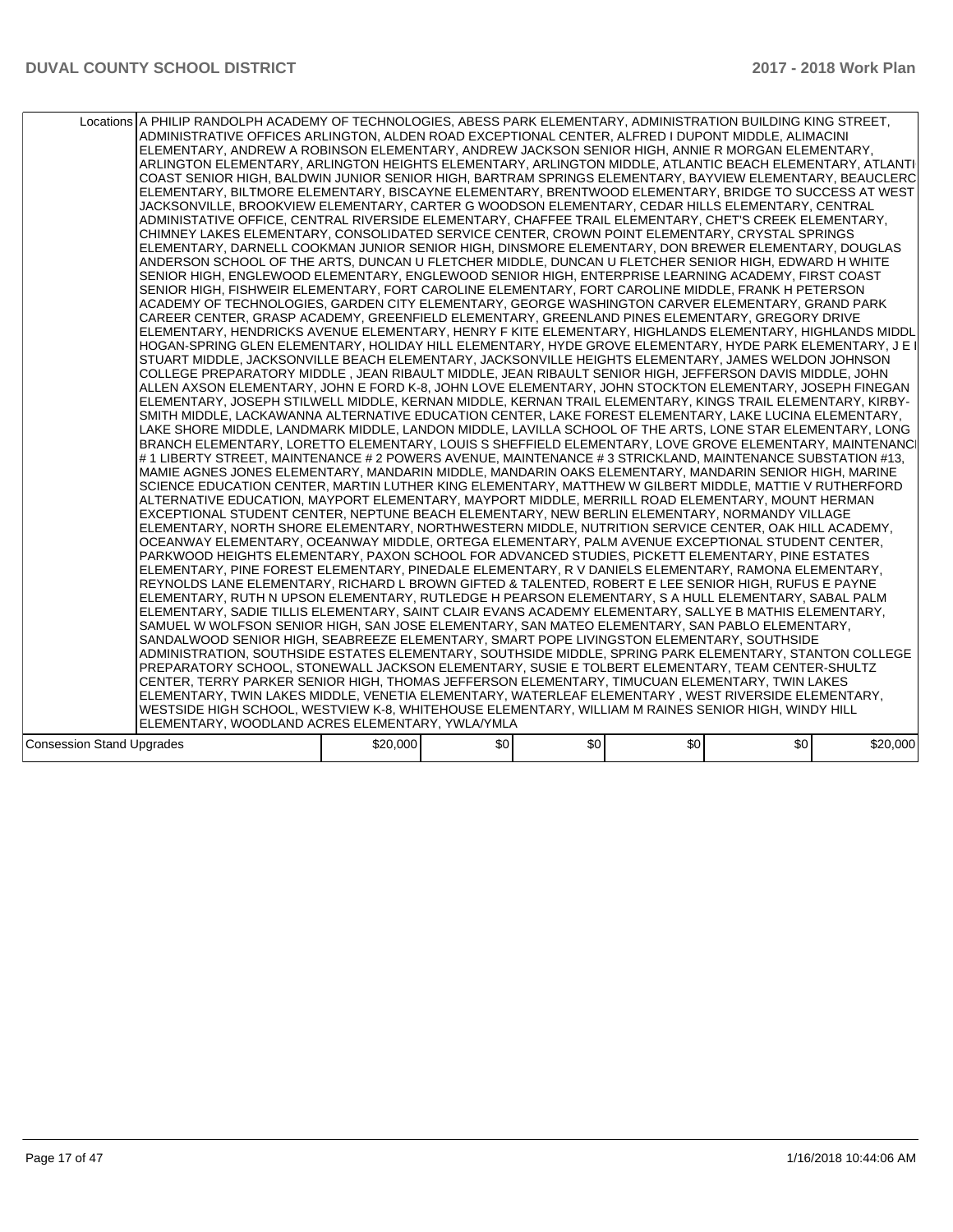| Locations A PHILIP RANDOLPH ACADEMY OF TECHNOLOGIES, ABESS PARK ELEMENTARY, ADMINISTRATION BUILDING KING STREET,<br>ADMINISTRATIVE OFFICES ARLINGTON, ALDEN ROAD EXCEPTIONAL CENTER, ALFRED I DUPONT MIDDLE, ALIMACINI<br>ELEMENTARY, ANDREW A ROBINSON ELEMENTARY, ANDREW JACKSON SENIOR HIGH, ANNIE R MORGAN ELEMENTARY,<br>ARLINGTON ELEMENTARY, ARLINGTON HEIGHTS ELEMENTARY, ARLINGTON MIDDLE, ATLANTIC BEACH ELEMENTARY, ATLANTI<br>COAST SENIOR HIGH, BALDWIN JUNIOR SENIOR HIGH, BARTRAM SPRINGS ELEMENTARY, BAYVIEW ELEMENTARY, BEAUCLERC<br>ELEMENTARY, BILTMORE ELEMENTARY, BISCAYNE ELEMENTARY, BRENTWOOD ELEMENTARY, BRIDGE TO SUCCESS AT WEST<br>JACKSONVILLE, BROOKVIEW ELEMENTARY, CARTER G WOODSON ELEMENTARY, CEDAR HILLS ELEMENTARY, CENTRAL<br>ADMINISTATIVE OFFICE, CENTRAL RIVERSIDE ELEMENTARY, CHAFFEE TRAIL ELEMENTARY, CHET'S CREEK ELEMENTARY,<br>CHIMNEY LAKES ELEMENTARY, CONSOLIDATED SERVICE CENTER, CROWN POINT ELEMENTARY, CRYSTAL SPRINGS<br>ELEMENTARY. DARNELL COOKMAN JUNIOR SENIOR HIGH. DINSMORE ELEMENTARY. DON BREWER ELEMENTARY. DOUGLAS<br>ANDERSON SCHOOL OF THE ARTS, DUNCAN U FLETCHER MIDDLE, DUNCAN U FLETCHER SENIOR HIGH, EDWARD H WHITE<br>SENIOR HIGH, ENGLEWOOD ELEMENTARY, ENGLEWOOD SENIOR HIGH, ENTERPRISE LEARNING ACADEMY, FIRST COAST<br>SENIOR HIGH, FISHWEIR ELEMENTARY, FORT CAROLINE ELEMENTARY, FORT CAROLINE MIDDLE, FRANK H PETERSON<br>ACADEMY OF TECHNOLOGIES, GARDEN CITY ELEMENTARY, GEORGE WASHINGTON CARVER ELEMENTARY, GRAND PARK<br>CAREER CENTER, GRASP ACADEMY, GREENFIELD ELEMENTARY, GREENLAND PINES ELEMENTARY, GREGORY DRIVE<br>ELEMENTARY, HENDRICKS AVENUE ELEMENTARY, HENRY F KITE ELEMENTARY, HIGHLANDS ELEMENTARY, HIGHLANDS MIDDL<br>HOGAN-SPRING GLEN ELEMENTARY, HOLIDAY HILL ELEMENTARY, HYDE GROVE ELEMENTARY, HYDE PARK ELEMENTARY, J E I<br>STUART MIDDLE, JACKSONVILLE BEACH ELEMENTARY, JACKSONVILLE HEIGHTS ELEMENTARY, JAMES WELDON JOHNSON<br>COLLEGE PREPARATORY MIDDLE , JEAN RIBAULT MIDDLE, JEAN RIBAULT SENIOR HIGH, JEFFERSON DAVIS MIDDLE, JOHN<br>ALLEN AXSON ELEMENTARY, JOHN E FORD K-8, JOHN LOVE ELEMENTARY, JOHN STOCKTON ELEMENTARY, JOSEPH FINEGAN<br>ELEMENTARY, JOSEPH STILWELL MIDDLE, KERNAN MIDDLE, KERNAN TRAIL ELEMENTARY, KINGS TRAIL ELEMENTARY, KIRBY-<br>SMITH MIDDLE, LACKAWANNA ALTERNATIVE EDUCATION CENTER, LAKE FOREST ELEMENTARY, LAKE LUCINA ELEMENTARY,<br>LAKE SHORE MIDDLE, LANDMARK MIDDLE, LANDON MIDDLE, LAVILLA SCHOOL OF THE ARTS, LONE STAR ELEMENTARY, LONG<br>BRANCH ELEMENTARY, LORETTO ELEMENTARY, LOUIS S SHEFFIELD ELEMENTARY, LOVE GROVE ELEMENTARY, MAINTENANCI<br># 1 LIBERTY STREET, MAINTENANCE # 2 POWERS AVENUE, MAINTENANCE # 3 STRICKLAND, MAINTENANCE SUBSTATION #13,<br>MAMIE AGNES JONES ELEMENTARY, MANDARIN MIDDLE, MANDARIN OAKS ELEMENTARY, MANDARIN SENIOR HIGH, MARINE<br>SCIENCE EDUCATION CENTER, MARTIN LUTHER KING ELEMENTARY, MATTHEW W GILBERT MIDDLE, MATTIE V RUTHERFORD<br>ALTERNATIVE EDUCATION, MAYPORT ELEMENTARY, MAYPORT MIDDLE, MERRILL ROAD ELEMENTARY, MOUNT HERMAN<br>EXCEPTIONAL STUDENT CENTER, NEPTUNE BEACH ELEMENTARY, NEW BERLIN ELEMENTARY, NORMANDY VILLAGE<br>ELEMENTARY, NORTH SHORE ELEMENTARY, NORTHWESTERN MIDDLE, NUTRITION SERVICE CENTER, OAK HILL ACADEMY,<br>OCEANWAY ELEMENTARY, OCEANWAY MIDDLE, ORTEGA ELEMENTARY, PALM AVENUE EXCEPTIONAL STUDENT CENTER,<br>PARKWOOD HEIGHTS ELEMENTARY, PAXON SCHOOL FOR ADVANCED STUDIES, PICKETT ELEMENTARY, PINE ESTATES<br>IELEMENTARY. PINE FOREST ELEMENTARY. PINEDALE ELEMENTARY. R V DANIELS ELEMENTARY. RAMONA ELEMENTARY.<br>REYNOLDS LANE ELEMENTARY, RICHARD L BROWN GIFTED & TALENTED, ROBERT E LEE SENIOR HIGH, RUFUS E PAYNE<br>ELEMENTARY, RUTH N UPSON ELEMENTARY, RUTLEDGE H PEARSON ELEMENTARY, S A HULL ELEMENTARY, SABAL PALM<br>ELEMENTARY, SADIE TILLIS ELEMENTARY, SAINT CLAIR EVANS ACADEMY ELEMENTARY, SALLYE B MATHIS ELEMENTARY,<br>SAMUEL W WOLFSON SENIOR HIGH. SAN JOSE ELEMENTARY, SAN MATEO ELEMENTARY, SAN PABLO ELEMENTARY.<br>SANDALWOOD SENIOR HIGH, SEABREEZE ELEMENTARY, SMART POPE LIVINGSTON ELEMENTARY, SOUTHSIDE<br>ADMINISTRATION, SOUTHSIDE ESTATES ELEMENTARY, SOUTHSIDE MIDDLE, SPRING PARK ELEMENTARY, STANTON COLLEGE<br>PREPARATORY SCHOOL, STONEWALL JACKSON ELEMENTARY, SUSIE E TOLBERT ELEMENTARY, TEAM CENTER-SHULTZ<br>CENTER, TERRY PARKER SENIOR HIGH, THOMAS JEFFERSON ELEMENTARY, TIMUCUAN ELEMENTARY, TWIN LAKES<br>ELEMENTARY, TWIN LAKES MIDDLE, VENETIA ELEMENTARY, WATERLEAF ELEMENTARY, WEST RIVERSIDE ELEMENTARY,<br>WESTSIDE HIGH SCHOOL, WESTVIEW K-8, WHITEHOUSE ELEMENTARY, WILLIAM M RAINES SENIOR HIGH, WINDY HILL<br>ELEMENTARY, WOODLAND ACRES ELEMENTARY, YWLA/YMLA |          |     |     |     |     |          |
|---------------------------------------------------------------------------------------------------------------------------------------------------------------------------------------------------------------------------------------------------------------------------------------------------------------------------------------------------------------------------------------------------------------------------------------------------------------------------------------------------------------------------------------------------------------------------------------------------------------------------------------------------------------------------------------------------------------------------------------------------------------------------------------------------------------------------------------------------------------------------------------------------------------------------------------------------------------------------------------------------------------------------------------------------------------------------------------------------------------------------------------------------------------------------------------------------------------------------------------------------------------------------------------------------------------------------------------------------------------------------------------------------------------------------------------------------------------------------------------------------------------------------------------------------------------------------------------------------------------------------------------------------------------------------------------------------------------------------------------------------------------------------------------------------------------------------------------------------------------------------------------------------------------------------------------------------------------------------------------------------------------------------------------------------------------------------------------------------------------------------------------------------------------------------------------------------------------------------------------------------------------------------------------------------------------------------------------------------------------------------------------------------------------------------------------------------------------------------------------------------------------------------------------------------------------------------------------------------------------------------------------------------------------------------------------------------------------------------------------------------------------------------------------------------------------------------------------------------------------------------------------------------------------------------------------------------------------------------------------------------------------------------------------------------------------------------------------------------------------------------------------------------------------------------------------------------------------------------------------------------------------------------------------------------------------------------------------------------------------------------------------------------------------------------------------------------------------------------------------------------------------------------------------------------------------------------------------------------------------------------------------------------------------------------------------------------------------------------------------------------------------------------------------------------------------------------------------------------------------------------------------------------------------------------------------------------------------------------------------------------------------------------------------------------------------------------------------------------------------------------------------------------------------------------------------------------------------------------------------------------------------------------------------------------------------------------------------------------------------------------------------------------------------------------------------------------------------------------------------------------------------------------------------------------------------------------------------------------------------------------------------------------------------------------------------------|----------|-----|-----|-----|-----|----------|
| <b>Consession Stand Upgrades</b>                                                                                                                                                                                                                                                                                                                                                                                                                                                                                                                                                                                                                                                                                                                                                                                                                                                                                                                                                                                                                                                                                                                                                                                                                                                                                                                                                                                                                                                                                                                                                                                                                                                                                                                                                                                                                                                                                                                                                                                                                                                                                                                                                                                                                                                                                                                                                                                                                                                                                                                                                                                                                                                                                                                                                                                                                                                                                                                                                                                                                                                                                                                                                                                                                                                                                                                                                                                                                                                                                                                                                                                                                                                                                                                                                                                                                                                                                                                                                                                                                                                                                                                                                                                                                                                                                                                                                                                                                                                                                                                                                                                                                                                            | \$20,000 | \$0 | \$0 | \$0 | \$0 | \$20,000 |
|                                                                                                                                                                                                                                                                                                                                                                                                                                                                                                                                                                                                                                                                                                                                                                                                                                                                                                                                                                                                                                                                                                                                                                                                                                                                                                                                                                                                                                                                                                                                                                                                                                                                                                                                                                                                                                                                                                                                                                                                                                                                                                                                                                                                                                                                                                                                                                                                                                                                                                                                                                                                                                                                                                                                                                                                                                                                                                                                                                                                                                                                                                                                                                                                                                                                                                                                                                                                                                                                                                                                                                                                                                                                                                                                                                                                                                                                                                                                                                                                                                                                                                                                                                                                                                                                                                                                                                                                                                                                                                                                                                                                                                                                                             |          |     |     |     |     |          |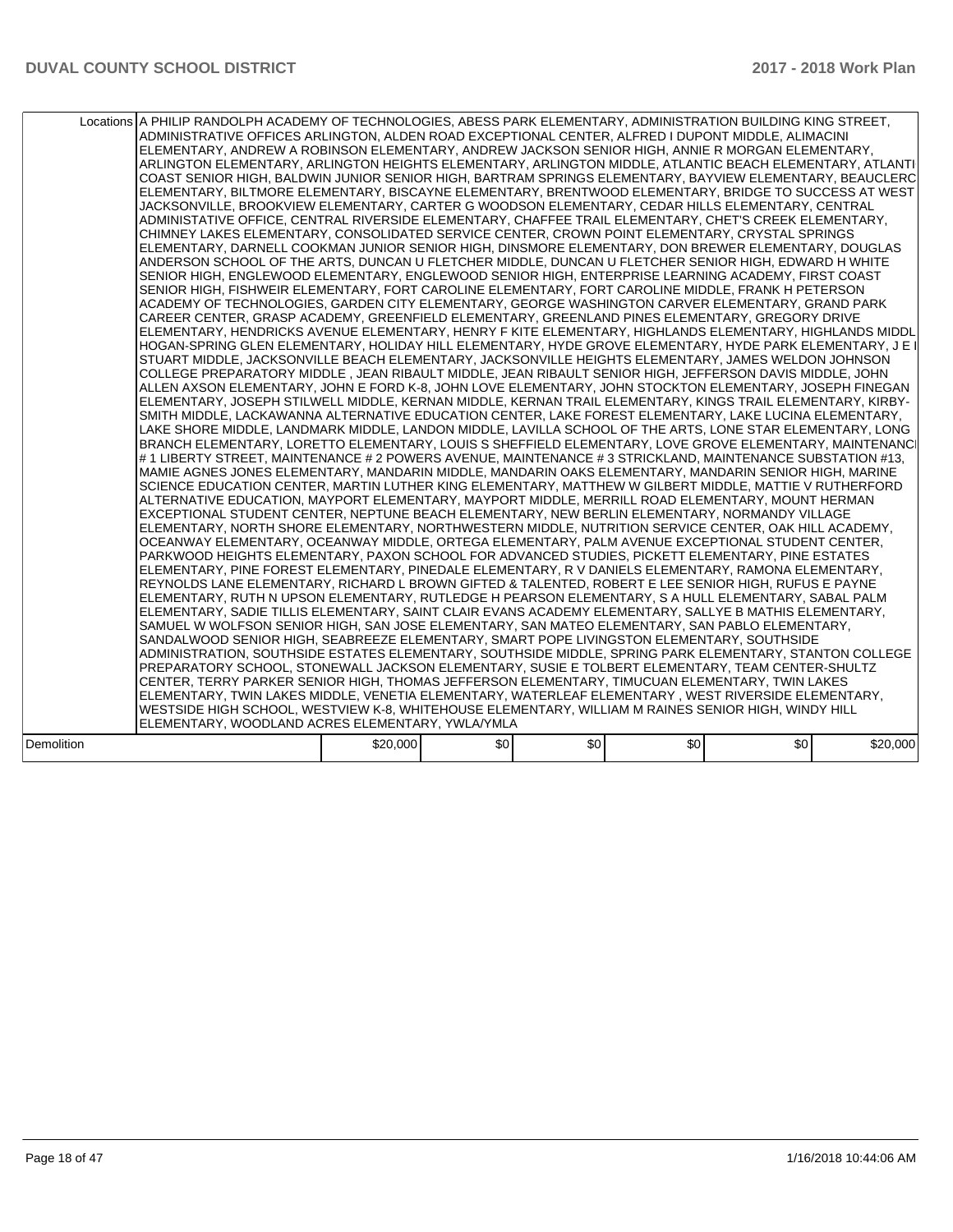|            | Locations A PHILIP RANDOLPH ACADEMY OF TECHNOLOGIES, ABESS PARK ELEMENTARY, ADMINISTRATION BUILDING KING STREET,<br>ADMINISTRATIVE OFFICES ARLINGTON, ALDEN ROAD EXCEPTIONAL CENTER, ALFRED I DUPONT MIDDLE, ALIMACINI<br>ELEMENTARY, ANDREW A ROBINSON ELEMENTARY, ANDREW JACKSON SENIOR HIGH, ANNIE R MORGAN ELEMENTARY,<br>ARLINGTON ELEMENTARY. ARLINGTON HEIGHTS ELEMENTARY. ARLINGTON MIDDLE. ATLANTIC BEACH ELEMENTARY. ATLANTI<br>COAST SENIOR HIGH, BALDWIN JUNIOR SENIOR HIGH, BARTRAM SPRINGS ELEMENTARY, BAYVIEW ELEMENTARY, BEAUCLERC<br>ELEMENTARY, BILTMORE ELEMENTARY, BISCAYNE ELEMENTARY, BRENTWOOD ELEMENTARY, BRIDGE TO SUCCESS AT WEST<br>JACKSONVILLE, BROOKVIEW ELEMENTARY, CARTER G WOODSON ELEMENTARY, CEDAR HILLS ELEMENTARY, CENTRAL<br>ADMINISTATIVE OFFICE, CENTRAL RIVERSIDE ELEMENTARY, CHAFFEE TRAIL ELEMENTARY, CHET'S CREEK ELEMENTARY,<br>CHIMNEY LAKES ELEMENTARY, CONSOLIDATED SERVICE CENTER, CROWN POINT ELEMENTARY, CRYSTAL SPRINGS<br>ELEMENTARY, DARNELL COOKMAN JUNIOR SENIOR HIGH, DINSMORE ELEMENTARY, DON BREWER ELEMENTARY, DOUGLAS<br>ANDERSON SCHOOL OF THE ARTS, DUNCAN U FLETCHER MIDDLE, DUNCAN U FLETCHER SENIOR HIGH, EDWARD H WHITE<br>SENIOR HIGH, ENGLEWOOD ELEMENTARY, ENGLEWOOD SENIOR HIGH, ENTERPRISE LEARNING ACADEMY, FIRST COAST<br>SENIOR HIGH, FISHWEIR ELEMENTARY, FORT CAROLINE ELEMENTARY, FORT CAROLINE MIDDLE, FRANK H PETERSON<br>ACADEMY OF TECHNOLOGIES, GARDEN CITY ELEMENTARY, GEORGE WASHINGTON CARVER ELEMENTARY, GRAND PARK<br>CAREER CENTER, GRASP ACADEMY, GREENFIELD ELEMENTARY, GREENLAND PINES ELEMENTARY, GREGORY DRIVE<br>ELEMENTARY, HENDRICKS AVENUE ELEMENTARY, HENRY F KITE ELEMENTARY, HIGHLANDS ELEMENTARY, HIGHLANDS MIDDL<br>HOGAN-SPRING GLEN ELEMENTARY, HOLIDAY HILL ELEMENTARY, HYDE GROVE ELEMENTARY, HYDE PARK ELEMENTARY, J E I<br>STUART MIDDLE, JACKSONVILLE BEACH ELEMENTARY, JACKSONVILLE HEIGHTS ELEMENTARY, JAMES WELDON JOHNSON<br>COLLEGE PREPARATORY MIDDLE , JEAN RIBAULT MIDDLE, JEAN RIBAULT SENIOR HIGH, JEFFERSON DAVIS MIDDLE, JOHN<br>ALLEN AXSON ELEMENTARY, JOHN E FORD K-8, JOHN LOVE ELEMENTARY, JOHN STOCKTON ELEMENTARY, JOSEPH FINEGAN<br>ELEMENTARY, JOSEPH STILWELL MIDDLE, KERNAN MIDDLE, KERNAN TRAIL ELEMENTARY, KINGS TRAIL ELEMENTARY, KIRBY-<br>SMITH MIDDLE, LACKAWANNA ALTERNATIVE EDUCATION CENTER, LAKE FOREST ELEMENTARY, LAKE LUCINA ELEMENTARY,<br>LAKE SHORE MIDDLE, LANDMARK MIDDLE, LANDON MIDDLE, LAVILLA SCHOOL OF THE ARTS, LONE STAR ELEMENTARY, LONG<br>BRANCH ELEMENTARY, LORETTO ELEMENTARY, LOUIS S SHEFFIELD ELEMENTARY, LOVE GROVE ELEMENTARY, MAINTENANCI<br># 1 LIBERTY STREET, MAINTENANCE # 2 POWERS AVENUE, MAINTENANCE # 3 STRICKLAND, MAINTENANCE SUBSTATION #13,<br>MAMIE AGNES JONES ELEMENTARY, MANDARIN MIDDLE, MANDARIN OAKS ELEMENTARY, MANDARIN SENIOR HIGH, MARINE<br>SCIENCE EDUCATION CENTER, MARTIN LUTHER KING ELEMENTARY, MATTHEW W GILBERT MIDDLE, MATTIE V RUTHERFORD<br>ALTERNATIVE EDUCATION, MAYPORT ELEMENTARY, MAYPORT MIDDLE, MERRILL ROAD ELEMENTARY, MOUNT HERMAN<br>EXCEPTIONAL STUDENT CENTER, NEPTUNE BEACH ELEMENTARY, NEW BERLIN ELEMENTARY, NORMANDY VILLAGE<br>IELEMENTARY. NORTH SHORE ELEMENTARY. NORTHWESTERN MIDDLE. NUTRITION SERVICE CENTER. OAK HILL ACADEMY.<br>OCEANWAY ELEMENTARY, OCEANWAY MIDDLE, ORTEGA ELEMENTARY, PALM AVENUE EXCEPTIONAL STUDENT CENTER,<br>PARKWOOD HEIGHTS ELEMENTARY, PAXON SCHOOL FOR ADVANCED STUDIES, PICKETT ELEMENTARY, PINE ESTATES<br>ELEMENTARY, PINE FOREST ELEMENTARY, PINEDALE ELEMENTARY, R V DANIELS ELEMENTARY, RAMONA ELEMENTARY,<br>REYNOLDS LANE ELEMENTARY, RICHARD L BROWN GIFTED & TALENTED, ROBERT E LEE SENIOR HIGH, RUFUS E PAYNE<br>IELEMENTARY. RUTH N UPSON ELEMENTARY. RUTLEDGE H PEARSON ELEMENTARY. S A HULL ELEMENTARY. SABAL PALM<br>ELEMENTARY, SADIE TILLIS ELEMENTARY, SAINT CLAIR EVANS ACADEMY ELEMENTARY, SALLYE B MATHIS ELEMENTARY,<br>SAMUEL W WOLFSON SENIOR HIGH, SAN JOSE ELEMENTARY, SAN MATEO ELEMENTARY, SAN PABLO ELEMENTARY,<br>SANDALWOOD SENIOR HIGH, SEABREEZE ELEMENTARY, SMART POPE LIVINGSTON ELEMENTARY, SOUTHSIDE<br>ADMINISTRATION, SOUTHSIDE ESTATES ELEMENTARY, SOUTHSIDE MIDDLE, SPRING PARK ELEMENTARY, STANTON COLLEGE<br>PREPARATORY SCHOOL, STONEWALL JACKSON ELEMENTARY, SUSIE E TOLBERT ELEMENTARY, TEAM CENTER-SHULTZ<br>CENTER, TERRY PARKER SENIOR HIGH, THOMAS JEFFERSON ELEMENTARY, TIMUCUAN ELEMENTARY, TWIN LAKES<br>ELEMENTARY, TWIN LAKES MIDDLE, VENETIA ELEMENTARY, WATERLEAF ELEMENTARY, WEST RIVERSIDE ELEMENTARY,<br>WESTSIDE HIGH SCHOOL, WESTVIEW K-8, WHITEHOUSE ELEMENTARY, WILLIAM M RAINES SENIOR HIGH, WINDY HILL<br>ELEMENTARY, WOODLAND ACRES ELEMENTARY, YWLA/YMLA |          |     |     |     |     |          |  |
|------------|----------------------------------------------------------------------------------------------------------------------------------------------------------------------------------------------------------------------------------------------------------------------------------------------------------------------------------------------------------------------------------------------------------------------------------------------------------------------------------------------------------------------------------------------------------------------------------------------------------------------------------------------------------------------------------------------------------------------------------------------------------------------------------------------------------------------------------------------------------------------------------------------------------------------------------------------------------------------------------------------------------------------------------------------------------------------------------------------------------------------------------------------------------------------------------------------------------------------------------------------------------------------------------------------------------------------------------------------------------------------------------------------------------------------------------------------------------------------------------------------------------------------------------------------------------------------------------------------------------------------------------------------------------------------------------------------------------------------------------------------------------------------------------------------------------------------------------------------------------------------------------------------------------------------------------------------------------------------------------------------------------------------------------------------------------------------------------------------------------------------------------------------------------------------------------------------------------------------------------------------------------------------------------------------------------------------------------------------------------------------------------------------------------------------------------------------------------------------------------------------------------------------------------------------------------------------------------------------------------------------------------------------------------------------------------------------------------------------------------------------------------------------------------------------------------------------------------------------------------------------------------------------------------------------------------------------------------------------------------------------------------------------------------------------------------------------------------------------------------------------------------------------------------------------------------------------------------------------------------------------------------------------------------------------------------------------------------------------------------------------------------------------------------------------------------------------------------------------------------------------------------------------------------------------------------------------------------------------------------------------------------------------------------------------------------------------------------------------------------------------------------------------------------------------------------------------------------------------------------------------------------------------------------------------------------------------------------------------------------------------------------------------------------------------------------------------------------------------------------------------------------------------------------------------------------------------------------------------------------------------------------------------------------------------------------------------------------------------------------------------------------------------------------------------------------------------------------------------------------------------------------------------------------------------------------------------------------------------------------------------------------------------------------------------------------------------|----------|-----|-----|-----|-----|----------|--|
| Demolition |                                                                                                                                                                                                                                                                                                                                                                                                                                                                                                                                                                                                                                                                                                                                                                                                                                                                                                                                                                                                                                                                                                                                                                                                                                                                                                                                                                                                                                                                                                                                                                                                                                                                                                                                                                                                                                                                                                                                                                                                                                                                                                                                                                                                                                                                                                                                                                                                                                                                                                                                                                                                                                                                                                                                                                                                                                                                                                                                                                                                                                                                                                                                                                                                                                                                                                                                                                                                                                                                                                                                                                                                                                                                                                                                                                                                                                                                                                                                                                                                                                                                                                                                                                                                                                                                                                                                                                                                                                                                                                                                                                                                                                                                                              | \$20,000 | \$0 | \$0 | \$0 | \$0 | \$20,000 |  |
|            |                                                                                                                                                                                                                                                                                                                                                                                                                                                                                                                                                                                                                                                                                                                                                                                                                                                                                                                                                                                                                                                                                                                                                                                                                                                                                                                                                                                                                                                                                                                                                                                                                                                                                                                                                                                                                                                                                                                                                                                                                                                                                                                                                                                                                                                                                                                                                                                                                                                                                                                                                                                                                                                                                                                                                                                                                                                                                                                                                                                                                                                                                                                                                                                                                                                                                                                                                                                                                                                                                                                                                                                                                                                                                                                                                                                                                                                                                                                                                                                                                                                                                                                                                                                                                                                                                                                                                                                                                                                                                                                                                                                                                                                                                              |          |     |     |     |     |          |  |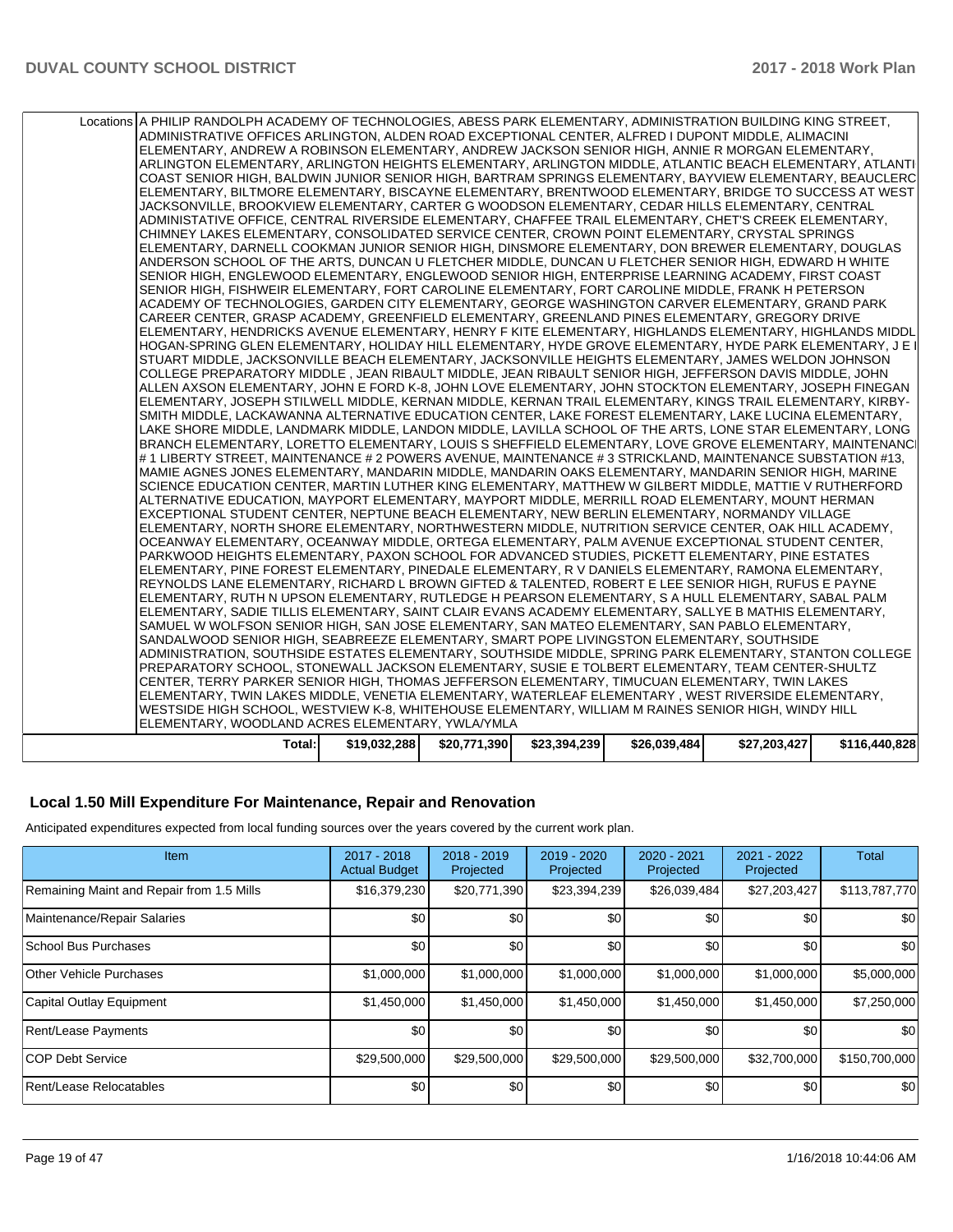| Locations A PHILIP RANDOLPH ACADEMY OF TECHNOLOGIES, ABESS PARK ELEMENTARY, ADMINISTRATION BUILDING KING STREET,<br>ADMINISTRATIVE OFFICES ARLINGTON, ALDEN ROAD EXCEPTIONAL CENTER, ALFRED I DUPONT MIDDLE, ALIMACINI<br>ELEMENTARY, ANDREW A ROBINSON ELEMENTARY, ANDREW JACKSON SENIOR HIGH, ANNIE R MORGAN ELEMENTARY,<br>ARLINGTON ELEMENTARY, ARLINGTON HEIGHTS ELEMENTARY, ARLINGTON MIDDLE, ATLANTIC BEACH ELEMENTARY, ATLANTI<br>COAST SENIOR HIGH, BALDWIN JUNIOR SENIOR HIGH, BARTRAM SPRINGS ELEMENTARY, BAYVIEW ELEMENTARY, BEAUCLERC<br>ELEMENTARY, BILTMORE ELEMENTARY, BISCAYNE ELEMENTARY, BRENTWOOD ELEMENTARY, BRIDGE TO SUCCESS AT WEST<br>JACKSONVILLE, BROOKVIEW ELEMENTARY, CARTER G WOODSON ELEMENTARY, CEDAR HILLS ELEMENTARY, CENTRAL<br>ADMINISTATIVE OFFICE, CENTRAL RIVERSIDE ELEMENTARY, CHAFFEE TRAIL ELEMENTARY, CHET'S CREEK ELEMENTARY,<br>CHIMNEY LAKES ELEMENTARY, CONSOLIDATED SERVICE CENTER, CROWN POINT ELEMENTARY, CRYSTAL SPRINGS<br>ELEMENTARY, DARNELL COOKMAN JUNIOR SENIOR HIGH, DINSMORE ELEMENTARY, DON BREWER ELEMENTARY, DOUGLAS<br>ANDERSON SCHOOL OF THE ARTS, DUNCAN U FLETCHER MIDDLE, DUNCAN U FLETCHER SENIOR HIGH, EDWARD H WHITE<br>SENIOR HIGH, ENGLEWOOD ELEMENTARY, ENGLEWOOD SENIOR HIGH, ENTERPRISE LEARNING ACADEMY, FIRST COAST<br>SENIOR HIGH, FISHWEIR ELEMENTARY, FORT CAROLINE ELEMENTARY, FORT CAROLINE MIDDLE, FRANK H PETERSON<br>ACADEMY OF TECHNOLOGIES, GARDEN CITY ELEMENTARY, GEORGE WASHINGTON CARVER ELEMENTARY, GRAND PARK<br>CAREER CENTER, GRASP ACADEMY, GREENFIELD ELEMENTARY, GREENLAND PINES ELEMENTARY, GREGORY DRIVE<br>ELEMENTARY, HENDRICKS AVENUE ELEMENTARY, HENRY F KITE ELEMENTARY, HIGHLANDS ELEMENTARY, HIGHLANDS MIDDL<br>HOGAN-SPRING GLEN ELEMENTARY, HOLIDAY HILL ELEMENTARY, HYDE GROVE ELEMENTARY, HYDE PARK ELEMENTARY, J E I<br>STUART MIDDLE, JACKSONVILLE BEACH ELEMENTARY, JACKSONVILLE HEIGHTS ELEMENTARY, JAMES WELDON JOHNSON<br>COLLEGE PREPARATORY MIDDLE, JEAN RIBAULT MIDDLE, JEAN RIBAULT SENIOR HIGH, JEFFERSON DAVIS MIDDLE, JOHN<br>ALLEN AXSON ELEMENTARY, JOHN E FORD K-8, JOHN LOVE ELEMENTARY, JOHN STOCKTON ELEMENTARY, JOSEPH FINEGAN<br>ELEMENTARY, JOSEPH STILWELL MIDDLE, KERNAN MIDDLE, KERNAN TRAIL ELEMENTARY, KINGS TRAIL ELEMENTARY, KIRBY-<br>SMITH MIDDLE, LACKAWANNA ALTERNATIVE EDUCATION CENTER, LAKE FOREST ELEMENTARY, LAKE LUCINA ELEMENTARY,<br>LAKE SHORE MIDDLE, LANDMARK MIDDLE, LANDON MIDDLE, LAVILLA SCHOOL OF THE ARTS, LONE STAR ELEMENTARY, LONG<br>BRANCH ELEMENTARY, LORETTO ELEMENTARY, LOUIS S SHEFFIELD ELEMENTARY, LOVE GROVE ELEMENTARY, MAINTENANCI<br># 1 LIBERTY STREET, MAINTENANCE # 2 POWERS AVENUE, MAINTENANCE # 3 STRICKLAND, MAINTENANCE SUBSTATION #13,<br>MAMIE AGNES JONES ELEMENTARY, MANDARIN MIDDLE, MANDARIN OAKS ELEMENTARY, MANDARIN SENIOR HIGH, MARINE<br>SCIENCE EDUCATION CENTER, MARTIN LUTHER KING ELEMENTARY, MATTHEW W GILBERT MIDDLE, MATTIE V RUTHERFORD<br>ALTERNATIVE EDUCATION, MAYPORT ELEMENTARY, MAYPORT MIDDLE, MERRILL ROAD ELEMENTARY, MOUNT HERMAN<br>EXCEPTIONAL STUDENT CENTER, NEPTUNE BEACH ELEMENTARY, NEW BERLIN ELEMENTARY, NORMANDY VILLAGE<br>ELEMENTARY, NORTH SHORE ELEMENTARY, NORTHWESTERN MIDDLE, NUTRITION SERVICE CENTER, OAK HILL ACADEMY,<br>OCEANWAY ELEMENTARY, OCEANWAY MIDDLE, ORTEGA ELEMENTARY, PALM AVENUE EXCEPTIONAL STUDENT CENTER,<br>PARKWOOD HEIGHTS ELEMENTARY, PAXON SCHOOL FOR ADVANCED STUDIES, PICKETT ELEMENTARY, PINE ESTATES<br>ELEMENTARY, PINE FOREST ELEMENTARY, PINEDALE ELEMENTARY, R V DANIELS ELEMENTARY, RAMONA ELEMENTARY,<br>REYNOLDS LANE ELEMENTARY, RICHARD L BROWN GIFTED & TALENTED, ROBERT E LEE SENIOR HIGH, RUFUS E PAYNE<br>ELEMENTARY, RUTH N UPSON ELEMENTARY, RUTLEDGE H PEARSON ELEMENTARY, S A HULL ELEMENTARY, SABAL PALM<br>ELEMENTARY, SADIE TILLIS ELEMENTARY, SAINT CLAIR EVANS ACADEMY ELEMENTARY, SALLYE B MATHIS ELEMENTARY,<br>SAMUEL W WOLFSON SENIOR HIGH. SAN JOSE ELEMENTARY, SAN MATEO ELEMENTARY, SAN PABLO ELEMENTARY.<br>SANDALWOOD SENIOR HIGH, SEABREEZE ELEMENTARY, SMART POPE LIVINGSTON ELEMENTARY, SOUTHSIDE<br>ADMINISTRATION, SOUTHSIDE ESTATES ELEMENTARY, SOUTHSIDE MIDDLE, SPRING PARK ELEMENTARY, STANTON COLLEGE<br>PREPARATORY SCHOOL, STONEWALL JACKSON ELEMENTARY, SUSIE E TOLBERT ELEMENTARY, TEAM CENTER-SHULTZ<br>CENTER, TERRY PARKER SENIOR HIGH, THOMAS JEFFERSON ELEMENTARY, TIMUCUAN ELEMENTARY, TWIN LAKES<br>ELEMENTARY, TWIN LAKES MIDDLE, VENETIA ELEMENTARY, WATERLEAF ELEMENTARY, WEST RIVERSIDE ELEMENTARY,<br>WESTSIDE HIGH SCHOOL, WESTVIEW K-8, WHITEHOUSE ELEMENTARY, WILLIAM M RAINES SENIOR HIGH, WINDY HILL<br>ELEMENTARY, WOODLAND ACRES ELEMENTARY, YWLA/YMLA |              |              |              |              |              |               |
|-------------------------------------------------------------------------------------------------------------------------------------------------------------------------------------------------------------------------------------------------------------------------------------------------------------------------------------------------------------------------------------------------------------------------------------------------------------------------------------------------------------------------------------------------------------------------------------------------------------------------------------------------------------------------------------------------------------------------------------------------------------------------------------------------------------------------------------------------------------------------------------------------------------------------------------------------------------------------------------------------------------------------------------------------------------------------------------------------------------------------------------------------------------------------------------------------------------------------------------------------------------------------------------------------------------------------------------------------------------------------------------------------------------------------------------------------------------------------------------------------------------------------------------------------------------------------------------------------------------------------------------------------------------------------------------------------------------------------------------------------------------------------------------------------------------------------------------------------------------------------------------------------------------------------------------------------------------------------------------------------------------------------------------------------------------------------------------------------------------------------------------------------------------------------------------------------------------------------------------------------------------------------------------------------------------------------------------------------------------------------------------------------------------------------------------------------------------------------------------------------------------------------------------------------------------------------------------------------------------------------------------------------------------------------------------------------------------------------------------------------------------------------------------------------------------------------------------------------------------------------------------------------------------------------------------------------------------------------------------------------------------------------------------------------------------------------------------------------------------------------------------------------------------------------------------------------------------------------------------------------------------------------------------------------------------------------------------------------------------------------------------------------------------------------------------------------------------------------------------------------------------------------------------------------------------------------------------------------------------------------------------------------------------------------------------------------------------------------------------------------------------------------------------------------------------------------------------------------------------------------------------------------------------------------------------------------------------------------------------------------------------------------------------------------------------------------------------------------------------------------------------------------------------------------------------------------------------------------------------------------------------------------------------------------------------------------------------------------------------------------------------------------------------------------------------------------------------------------------------------------------------------------------------------------------------------------------------------------------------------------------------------------------------------------------------------|--------------|--------------|--------------|--------------|--------------|---------------|
|                                                                                                                                                                                                                                                                                                                                                                                                                                                                                                                                                                                                                                                                                                                                                                                                                                                                                                                                                                                                                                                                                                                                                                                                                                                                                                                                                                                                                                                                                                                                                                                                                                                                                                                                                                                                                                                                                                                                                                                                                                                                                                                                                                                                                                                                                                                                                                                                                                                                                                                                                                                                                                                                                                                                                                                                                                                                                                                                                                                                                                                                                                                                                                                                                                                                                                                                                                                                                                                                                                                                                                                                                                                                                                                                                                                                                                                                                                                                                                                                                                                                                                                                                                                                                                                                                                                                                                                                                                                                                                                                                                                                                                                                                           |              |              |              |              |              |               |
| Total:                                                                                                                                                                                                                                                                                                                                                                                                                                                                                                                                                                                                                                                                                                                                                                                                                                                                                                                                                                                                                                                                                                                                                                                                                                                                                                                                                                                                                                                                                                                                                                                                                                                                                                                                                                                                                                                                                                                                                                                                                                                                                                                                                                                                                                                                                                                                                                                                                                                                                                                                                                                                                                                                                                                                                                                                                                                                                                                                                                                                                                                                                                                                                                                                                                                                                                                                                                                                                                                                                                                                                                                                                                                                                                                                                                                                                                                                                                                                                                                                                                                                                                                                                                                                                                                                                                                                                                                                                                                                                                                                                                                                                                                                                    | \$19,032,288 | \$20,771,390 | \$23,394,239 | \$26,039,484 | \$27,203,427 | \$116,440,828 |
|                                                                                                                                                                                                                                                                                                                                                                                                                                                                                                                                                                                                                                                                                                                                                                                                                                                                                                                                                                                                                                                                                                                                                                                                                                                                                                                                                                                                                                                                                                                                                                                                                                                                                                                                                                                                                                                                                                                                                                                                                                                                                                                                                                                                                                                                                                                                                                                                                                                                                                                                                                                                                                                                                                                                                                                                                                                                                                                                                                                                                                                                                                                                                                                                                                                                                                                                                                                                                                                                                                                                                                                                                                                                                                                                                                                                                                                                                                                                                                                                                                                                                                                                                                                                                                                                                                                                                                                                                                                                                                                                                                                                                                                                                           |              |              |              |              |              |               |

### **Local 1.50 Mill Expenditure For Maintenance, Repair and Renovation**

Anticipated expenditures expected from local funding sources over the years covered by the current work plan.

| Item                                      | $2017 - 2018$<br><b>Actual Budget</b> | $2018 - 2019$<br>Projected | $2019 - 2020$<br>Projected | 2020 - 2021<br>Projected | 2021 - 2022<br>Projected | Total         |
|-------------------------------------------|---------------------------------------|----------------------------|----------------------------|--------------------------|--------------------------|---------------|
| Remaining Maint and Repair from 1.5 Mills | \$16,379,230                          | \$20,771,390               | \$23,394,239               | \$26,039,484             | \$27,203,427             | \$113,787,770 |
| Maintenance/Repair Salaries               | \$0                                   | \$0                        | \$0                        | \$0                      | \$0                      | \$0           |
| School Bus Purchases                      | \$0                                   | \$0                        | \$0                        | \$0                      | \$0                      | \$0           |
| Other Vehicle Purchases                   | \$1,000,000                           | \$1,000,000                | \$1,000,000                | \$1,000,000              | \$1,000,000              | \$5,000,000   |
| Capital Outlay Equipment                  | \$1,450,000                           | \$1,450,000                | \$1,450,000                | \$1,450,000              | \$1,450,000              | \$7,250,000   |
| Rent/Lease Payments                       | \$0                                   | \$0                        | \$0                        | \$0                      | \$0                      | \$0           |
| <b>COP Debt Service</b>                   | \$29,500,000                          | \$29,500,000               | \$29,500,000               | \$29,500,000             | \$32,700,000             | \$150,700,000 |
| <b>Rent/Lease Relocatables</b>            | \$0                                   | \$0                        | \$0                        | \$0                      | \$0                      | \$0           |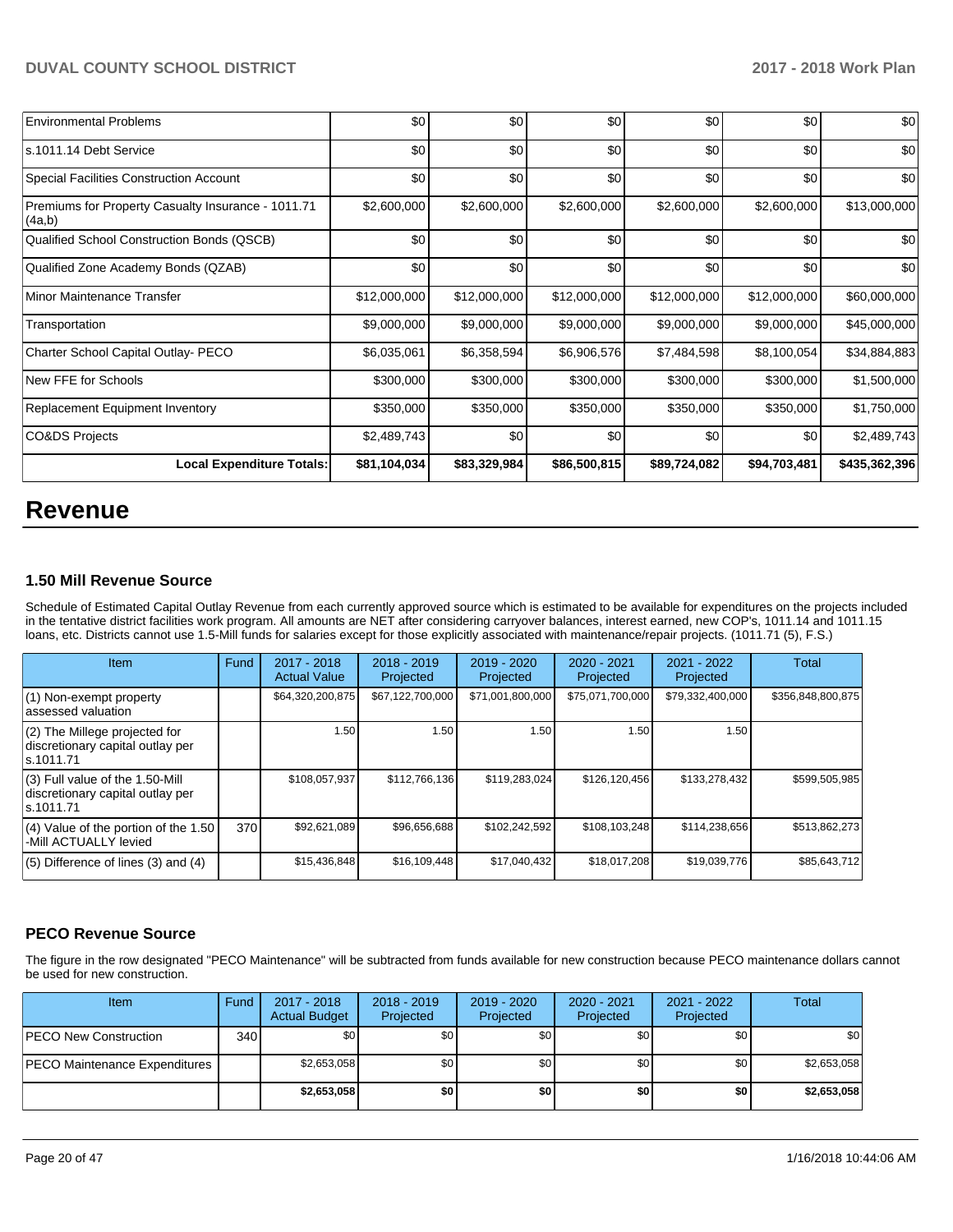| <b>Environmental Problems</b>                                | \$0          | \$0          | \$0          | \$0          | \$0          | \$0           |
|--------------------------------------------------------------|--------------|--------------|--------------|--------------|--------------|---------------|
| ls.1011.14 Debt Service                                      | \$0          | \$0          | \$0          | \$0          | \$0          | \$0           |
| Special Facilities Construction Account                      | \$0          | \$0          | \$0          | \$0          | \$0          | \$0           |
| Premiums for Property Casualty Insurance - 1011.71<br>(4a,b) | \$2,600,000  | \$2,600,000  | \$2,600,000  | \$2,600,000  | \$2,600,000  | \$13,000,000  |
| Qualified School Construction Bonds (QSCB)                   | \$0          | \$0          | \$0          | \$0          | \$0          | \$0           |
| Qualified Zone Academy Bonds (QZAB)                          | \$0          | \$0          | \$0          | \$0          | \$0          | \$0           |
| Minor Maintenance Transfer                                   | \$12,000,000 | \$12,000,000 | \$12,000,000 | \$12,000,000 | \$12,000,000 | \$60,000,000  |
| Transportation                                               | \$9,000,000  | \$9,000,000  | \$9,000,000  | \$9,000,000  | \$9,000,000  | \$45,000,000  |
| Charter School Capital Outlay- PECO                          | \$6,035,061  | \$6,358,594  | \$6,906,576  | \$7,484,598  | \$8,100,054  | \$34,884,883  |
| New FFE for Schools                                          | \$300,000    | \$300,000    | \$300,000    | \$300,000    | \$300,000    | \$1,500,000   |
| Replacement Equipment Inventory                              | \$350,000    | \$350,000    | \$350,000    | \$350,000    | \$350,000    | \$1,750,000   |
| CO&DS Projects                                               | \$2,489,743  | \$0          | \$0          | \$0          | \$0          | \$2,489,743   |
| <b>Local Expenditure Totals:</b>                             | \$81,104,034 | \$83,329,984 | \$86,500,815 | \$89,724,082 | \$94,703,481 | \$435,362,396 |

# **Revenue**

### **1.50 Mill Revenue Source**

Schedule of Estimated Capital Outlay Revenue from each currently approved source which is estimated to be available for expenditures on the projects included in the tentative district facilities work program. All amounts are NET after considering carryover balances, interest earned, new COP's, 1011.14 and 1011.15 loans, etc. Districts cannot use 1.5-Mill funds for salaries except for those explicitly associated with maintenance/repair projects. (1011.71 (5), F.S.)

| Item                                                                                | Fund | $2017 - 2018$<br><b>Actual Value</b> | $2018 - 2019$<br>Projected | $2019 - 2020$<br>Projected | $2020 - 2021$<br>Projected | 2021 - 2022<br>Projected | <b>Total</b>      |
|-------------------------------------------------------------------------------------|------|--------------------------------------|----------------------------|----------------------------|----------------------------|--------------------------|-------------------|
| (1) Non-exempt property<br>lassessed valuation                                      |      | \$64,320,200,875                     | \$67,122,700,000           | \$71,001,800,000           | \$75,071,700,000           | \$79,332,400,000         | \$356,848,800,875 |
| $(2)$ The Millege projected for<br>discretionary capital outlay per<br>ls.1011.71   |      | 1.50                                 | 1.50                       | 1.50                       | 1.50                       | 1.50                     |                   |
| $(3)$ Full value of the 1.50-Mill<br>discretionary capital outlay per<br>ls.1011.71 |      | \$108,057,937                        | \$112.766.136              | \$119,283,024              | \$126,120,456              | \$133,278,432            | \$599.505.985     |
| $(4)$ Value of the portion of the 1.50<br>-Mill ACTUALLY levied                     | 370  | \$92,621,089                         | \$96,656,688               | \$102,242,592              | \$108,103,248              | \$114,238,656            | \$513,862,273     |
| $(5)$ Difference of lines (3) and (4)                                               |      | \$15,436,848                         | \$16,109,448               | \$17,040,432               | \$18,017,208               | \$19,039,776             | \$85,643,712      |

### **PECO Revenue Source**

The figure in the row designated "PECO Maintenance" will be subtracted from funds available for new construction because PECO maintenance dollars cannot be used for new construction.

| Item                                 | Fund | 2017 - 2018<br><b>Actual Budget</b> | $2018 - 2019$<br>Projected | $2019 - 2020$<br>Projected | $2020 - 2021$<br>Projected | 2021 - 2022<br>Projected | <b>Total</b> |
|--------------------------------------|------|-------------------------------------|----------------------------|----------------------------|----------------------------|--------------------------|--------------|
| <b>PECO New Construction</b>         | 340  | \$0                                 | \$0                        | \$0                        | \$0                        | \$0 <sub>1</sub>         | \$0          |
| <b>PECO Maintenance Expenditures</b> |      | \$2,653,058                         | \$0                        | \$0                        | \$0                        | \$0                      | \$2,653,058  |
|                                      |      | \$2,653,058                         | \$0                        | \$0                        | \$0                        | \$0                      | \$2,653,058  |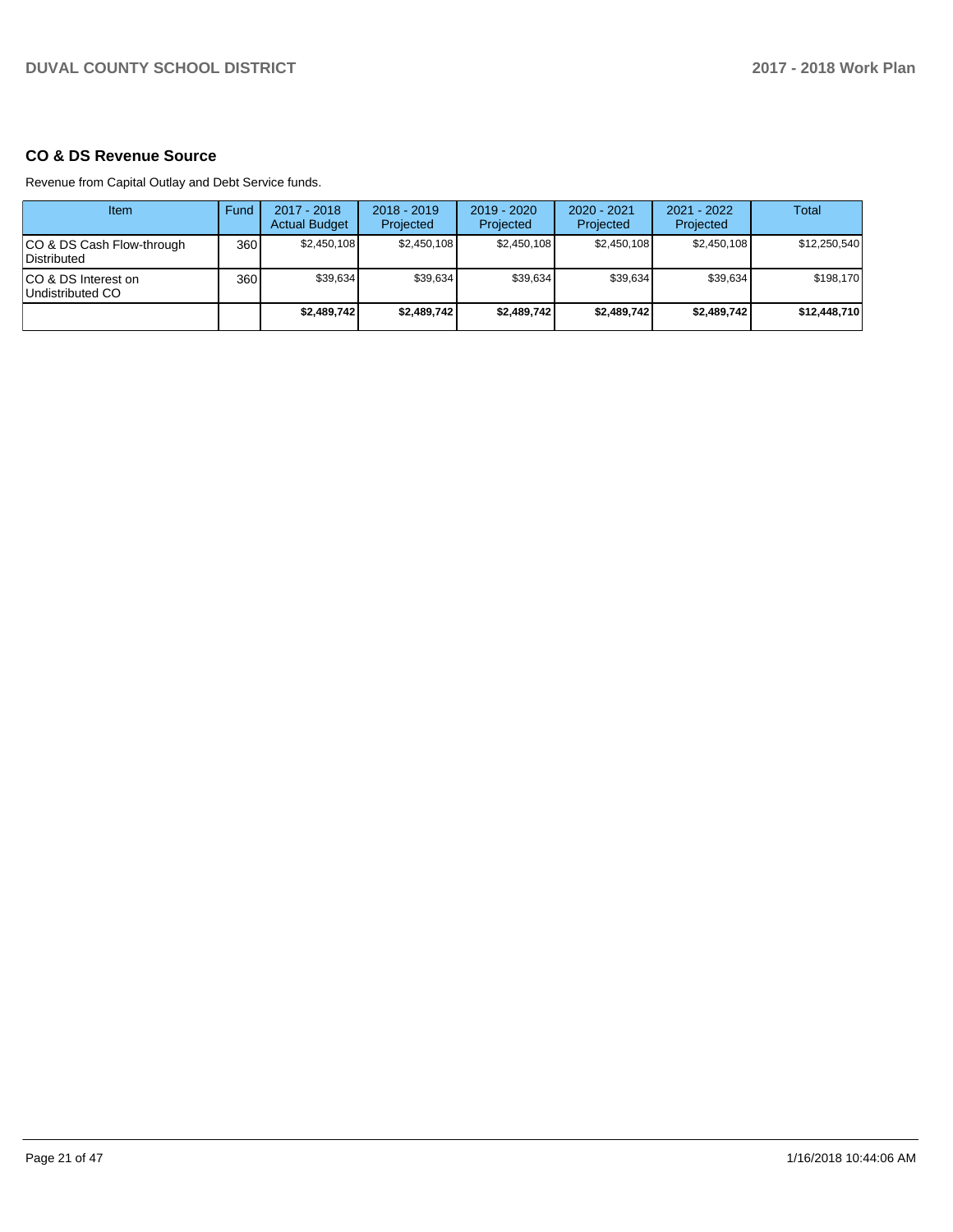### **CO & DS Revenue Source**

Revenue from Capital Outlay and Debt Service funds.

| Item                                      | Fund  | $2017 - 2018$<br><b>Actual Budget</b> | $2018 - 2019$<br>Projected | $2019 - 2020$<br>Projected | $2020 - 2021$<br>Projected | $2021 - 2022$<br>Projected | <b>Total</b> |
|-------------------------------------------|-------|---------------------------------------|----------------------------|----------------------------|----------------------------|----------------------------|--------------|
| ICO & DS Cash Flow-through<br>Distributed | 360 l | \$2,450,108                           | \$2.450.108                | \$2.450.108                | \$2.450.108                | \$2.450.108                | \$12,250,540 |
| ICO & DS Interest on<br>Undistributed CO  | 360   | \$39.634                              | \$39.634                   | \$39.634                   | \$39.634                   | \$39.634                   | \$198.170    |
|                                           |       | \$2,489,742                           | \$2,489,742                | \$2,489,742                | \$2,489,742                | \$2,489,742                | \$12,448,710 |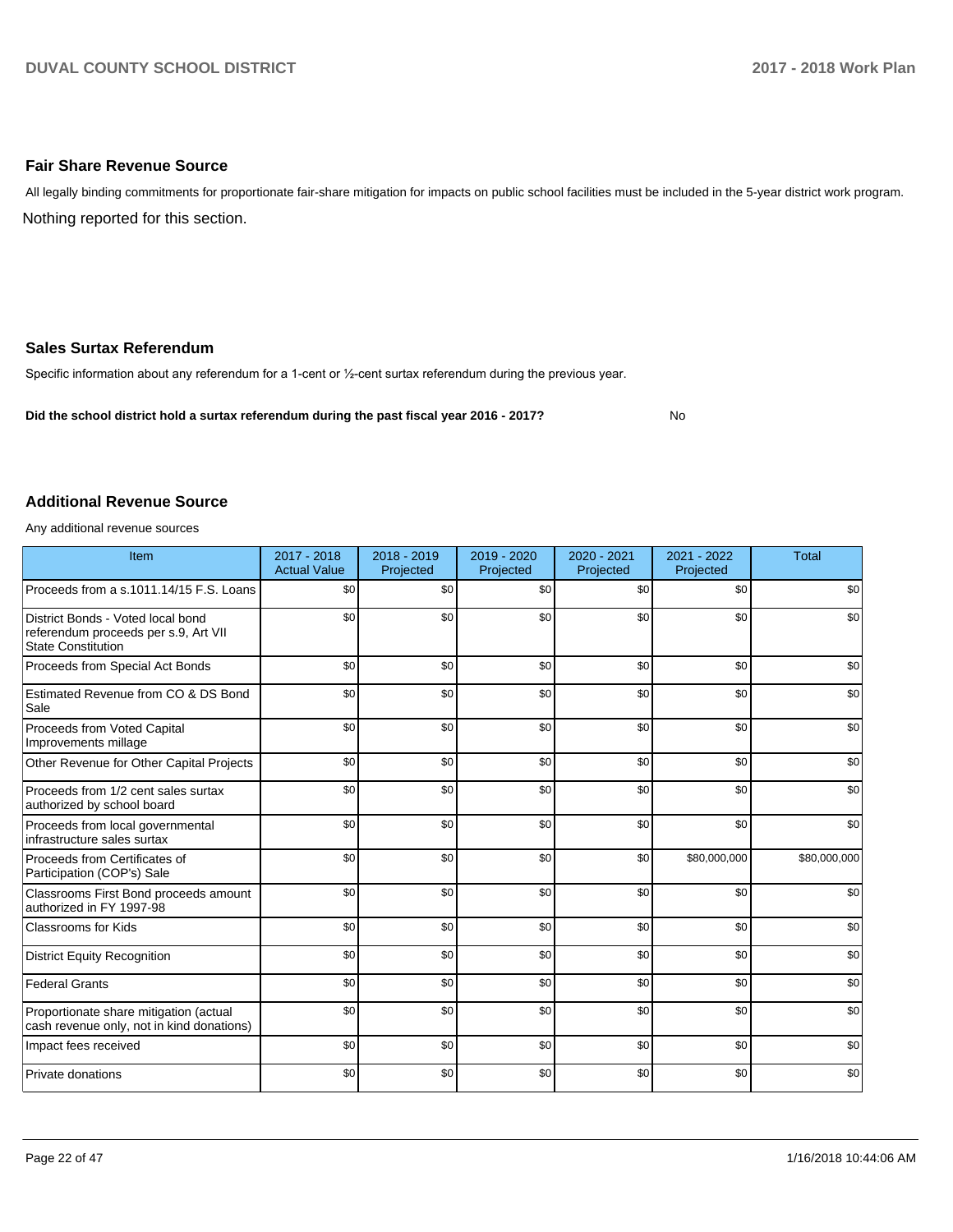### **Fair Share Revenue Source**

Nothing reported for this section. All legally binding commitments for proportionate fair-share mitigation for impacts on public school facilities must be included in the 5-year district work program.

### **Sales Surtax Referendum**

Specific information about any referendum for a 1-cent or 1/2-cent surtax referendum during the previous year.

**Did the school district hold a surtax referendum during the past fiscal year 2016 - 2017?**

No

### **Additional Revenue Source**

Any additional revenue sources

| Item                                                                                                   | 2017 - 2018<br><b>Actual Value</b> | 2018 - 2019<br>Projected | 2019 - 2020<br>Projected | 2020 - 2021<br>Projected | 2021 - 2022<br>Projected | <b>Total</b> |
|--------------------------------------------------------------------------------------------------------|------------------------------------|--------------------------|--------------------------|--------------------------|--------------------------|--------------|
| Proceeds from a s.1011.14/15 F.S. Loans                                                                | \$0                                | \$0                      | \$0                      | \$0                      | \$0                      | \$0          |
| District Bonds - Voted local bond<br>referendum proceeds per s.9, Art VII<br><b>State Constitution</b> | \$0                                | \$0                      | \$0                      | \$0                      | \$0                      | \$0          |
| Proceeds from Special Act Bonds                                                                        | \$0                                | \$0                      | \$0                      | \$0                      | \$0                      | \$0          |
| Estimated Revenue from CO & DS Bond<br>Sale                                                            | \$0                                | \$0                      | \$0                      | \$0                      | \$0                      | \$0          |
| Proceeds from Voted Capital<br>Improvements millage                                                    | \$0                                | \$0                      | \$0                      | \$0                      | \$0                      | \$0          |
| Other Revenue for Other Capital Projects                                                               | \$0                                | \$0                      | \$0                      | \$0                      | \$0                      | \$0          |
| Proceeds from 1/2 cent sales surtax<br>authorized by school board                                      | \$0                                | \$0                      | \$0                      | \$0                      | \$0                      | \$0          |
| Proceeds from local governmental<br>infrastructure sales surtax                                        | \$0                                | \$0                      | \$0                      | \$0                      | \$0                      | \$0          |
| Proceeds from Certificates of<br>Participation (COP's) Sale                                            | \$0                                | \$0                      | \$0                      | \$0                      | \$80,000,000             | \$80,000,000 |
| Classrooms First Bond proceeds amount<br>authorized in FY 1997-98                                      | \$0                                | \$0                      | \$0                      | \$0                      | \$0                      | \$0          |
| <b>Classrooms for Kids</b>                                                                             | \$0                                | \$0                      | \$0                      | \$0                      | \$0                      | \$0          |
| <b>District Equity Recognition</b>                                                                     | \$0                                | \$0                      | \$0                      | \$0                      | \$0                      | \$0          |
| <b>Federal Grants</b>                                                                                  | \$0                                | \$0                      | \$0                      | \$0                      | \$0                      | \$0          |
| Proportionate share mitigation (actual<br>cash revenue only, not in kind donations)                    | \$0                                | \$0                      | \$0                      | \$0                      | \$0                      | \$0          |
| Impact fees received                                                                                   | \$0                                | \$0                      | \$0                      | \$0                      | \$0                      | \$0          |
| Private donations                                                                                      | \$0                                | \$0                      | \$0                      | \$0                      | \$0                      | \$0          |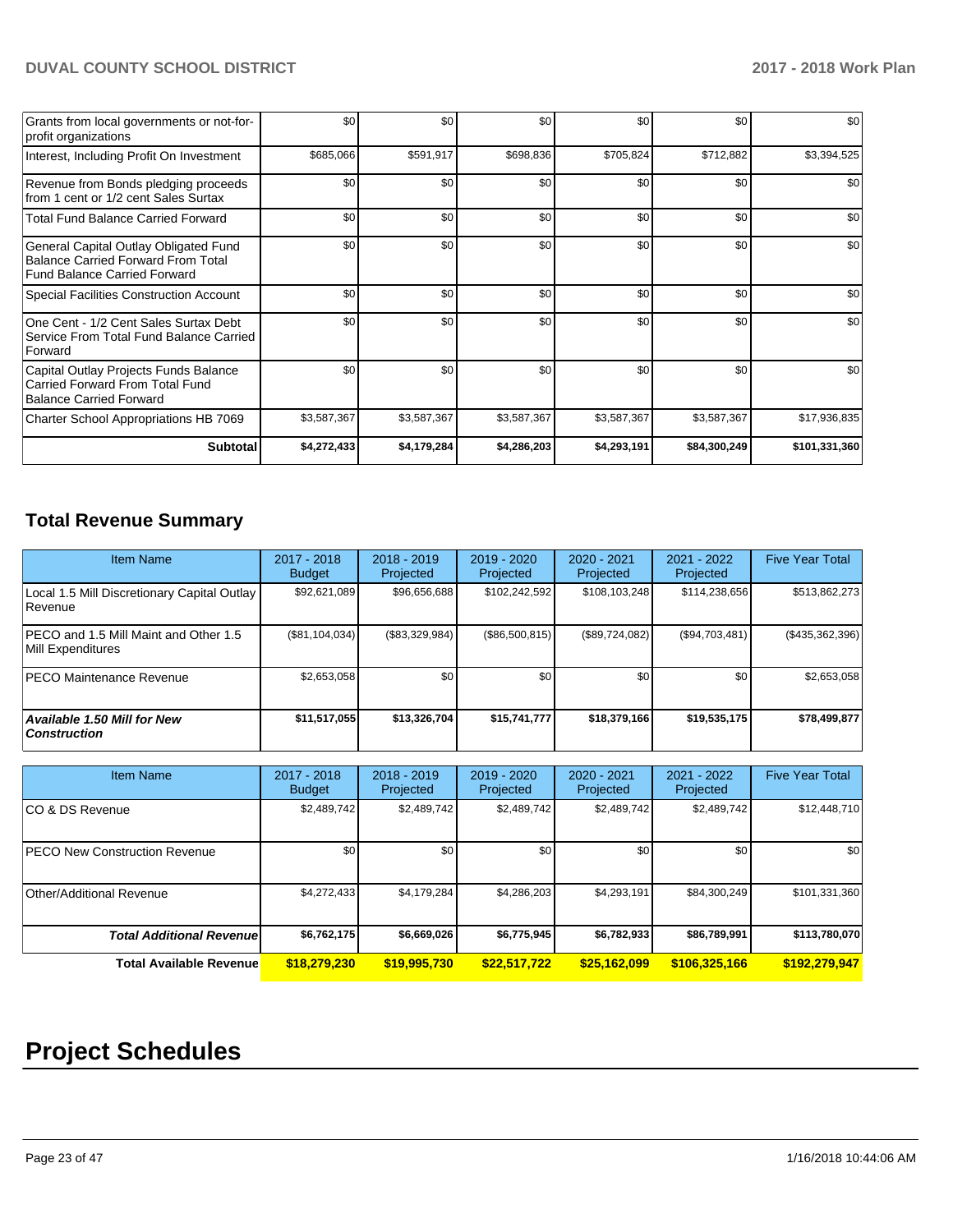| Grants from local governments or not-for-<br>profit organizations                                                  | \$0         | \$0              | \$0         | \$0         | \$0          | \$0           |
|--------------------------------------------------------------------------------------------------------------------|-------------|------------------|-------------|-------------|--------------|---------------|
| Interest, Including Profit On Investment                                                                           | \$685,066   | \$591,917        | \$698,836   | \$705,824   | \$712,882    | \$3,394,525   |
| Revenue from Bonds pledging proceeds<br>from 1 cent or 1/2 cent Sales Surtax                                       | \$0         | \$0              | \$0         | \$0         | \$0          | \$0           |
| <b>Total Fund Balance Carried Forward</b>                                                                          | \$0         | \$0 <sub>1</sub> | \$0         | \$0         | \$0          | \$0           |
| General Capital Outlay Obligated Fund<br><b>Balance Carried Forward From Total</b><br>Fund Balance Carried Forward | \$0         | \$0              | \$0         | \$0         | \$0          | \$0           |
| <b>Special Facilities Construction Account</b>                                                                     | \$0         | \$0 <sub>1</sub> | \$0         | \$0         | \$0          | \$0           |
| One Cent - 1/2 Cent Sales Surtax Debt<br>Service From Total Fund Balance Carried<br>Forward                        | \$0         | \$0 <sub>1</sub> | \$0         | \$0         | \$0          | \$0           |
| Capital Outlay Projects Funds Balance<br>Carried Forward From Total Fund<br><b>Balance Carried Forward</b>         | \$0         | \$0 <sub>1</sub> | \$0         | \$0         | \$0          | \$0           |
| Charter School Appropriations HB 7069                                                                              | \$3,587,367 | \$3,587,367      | \$3,587,367 | \$3,587,367 | \$3,587,367  | \$17,936,835  |
| <b>Subtotal</b>                                                                                                    | \$4,272,433 | \$4,179,284      | \$4,286,203 | \$4,293,191 | \$84,300,249 | \$101,331,360 |

# **Total Revenue Summary**

| <b>Item Name</b>                                              | $2017 - 2018$<br><b>Budget</b> | $2018 - 2019$<br>Projected | $2019 - 2020$<br>Projected | $2020 - 2021$<br>Projected | $2021 - 2022$<br>Projected | <b>Five Year Total</b> |
|---------------------------------------------------------------|--------------------------------|----------------------------|----------------------------|----------------------------|----------------------------|------------------------|
| Local 1.5 Mill Discretionary Capital Outlay<br><b>Revenue</b> | \$92,621,089                   | \$96,656,688               | \$102,242,592              | \$108,103,248              | \$114,238,656              | \$513,862,273          |
| PECO and 1.5 Mill Maint and Other 1.5<br>Mill Expenditures    | $(\$81, 104, 034)$             | (\$83,329,984)             | (\$86,500,815)             | (\$89,724,082)             | (S94,703,481)              | $($ \$435,362,396) $ $ |
| <b>PECO Maintenance Revenue</b>                               | \$2,653,058                    | \$0                        | \$0                        | \$0                        | \$0                        | \$2,653,058            |
| <b>Available 1.50 Mill for New</b><br>  Construction          | \$11,517,055                   | \$13,326,704               | \$15,741,777               | \$18,379,166               | \$19,535,175               | \$78,499,877           |

| <b>Item Name</b>                 | $2017 - 2018$<br><b>Budget</b> | $2018 - 2019$<br>Projected | $2019 - 2020$<br>Projected | 2020 - 2021<br>Projected | 2021 - 2022<br>Projected | <b>Five Year Total</b> |
|----------------------------------|--------------------------------|----------------------------|----------------------------|--------------------------|--------------------------|------------------------|
| ICO & DS Revenue                 | \$2,489,742                    | \$2,489,742                | \$2,489,742                | \$2,489,742              | \$2,489,742              | \$12,448,710           |
| PECO New Construction Revenue    | \$0                            | \$0                        | \$0                        | \$0                      | \$0 <sub>1</sub>         | \$0                    |
| Other/Additional Revenue         | \$4,272,433                    | \$4,179,284                | \$4,286,203                | \$4,293,191              | \$84,300,249             | \$101,331,360          |
| <b>Total Additional Revenuel</b> | \$6,762,175                    | \$6,669,026                | \$6,775,945                | \$6,782,933              | \$86,789,991             | \$113,780,070          |
| <b>Total Available Revenue</b>   | \$18,279,230                   | \$19,995,730               | \$22,517,722               | \$25,162,099             | \$106,325,166            | \$192,279,947          |

# **Project Schedules**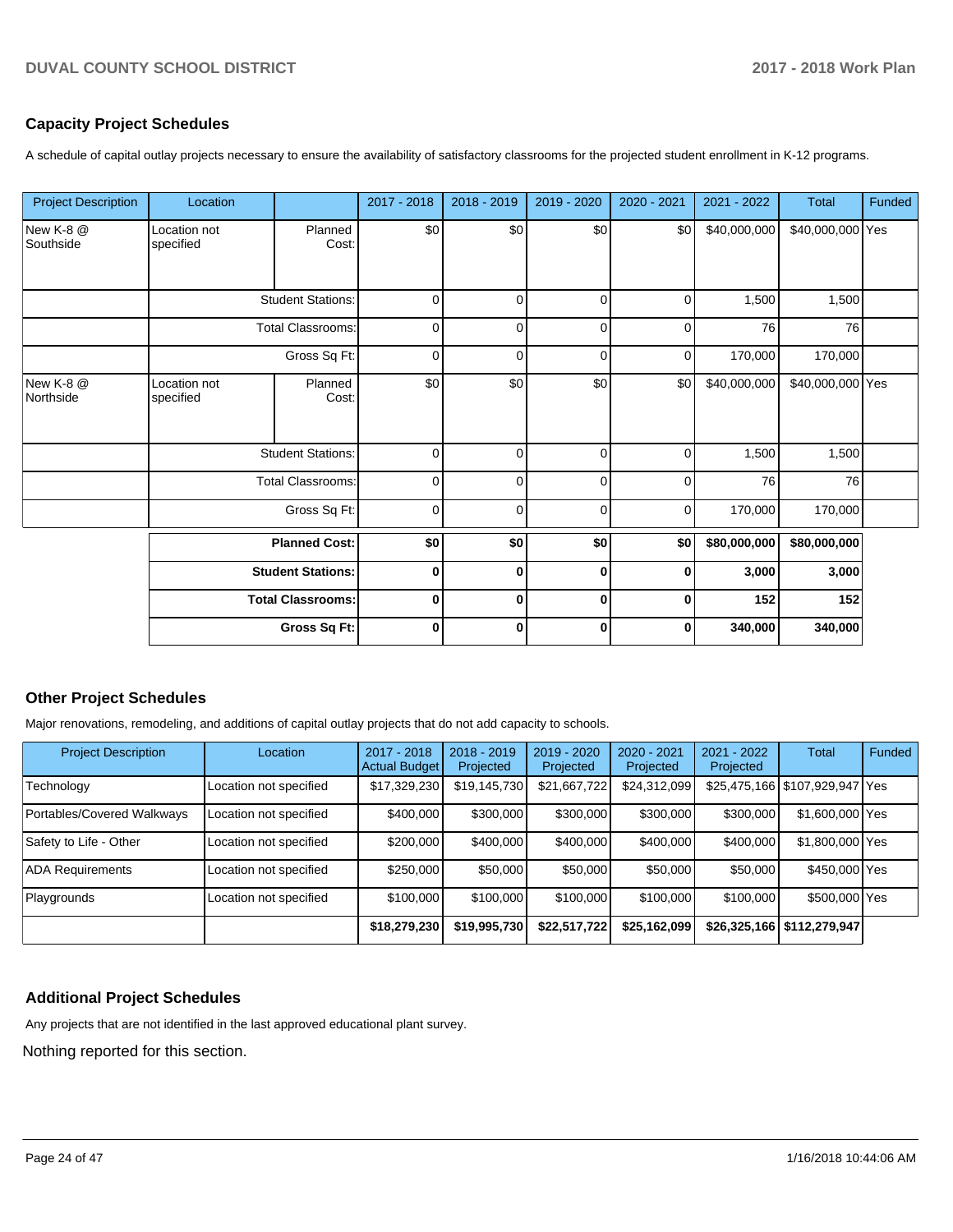### **Capacity Project Schedules**

A schedule of capital outlay projects necessary to ensure the availability of satisfactory classrooms for the projected student enrollment in K-12 programs.

| <b>Project Description</b> | Location                                                                     |                          | 2017 - 2018 | 2018 - 2019  | 2019 - 2020 | 2020 - 2021 | 2021 - 2022  | Total            | Funded |
|----------------------------|------------------------------------------------------------------------------|--------------------------|-------------|--------------|-------------|-------------|--------------|------------------|--------|
| New K-8 @<br>Southside     | Location not<br>specified                                                    | Planned<br>Cost:         | \$0         | \$0          | \$0         | \$0         | \$40,000,000 | \$40,000,000 Yes |        |
|                            | <b>Student Stations:</b>                                                     |                          | $\mathbf 0$ | $\mathbf 0$  | $\mathbf 0$ | $\mathbf 0$ | 1,500        | 1,500            |        |
|                            |                                                                              | <b>Total Classrooms:</b> | $\mathbf 0$ | $\Omega$     | $\mathbf 0$ | 0           | 76           | 76               |        |
|                            |                                                                              | Gross Sq Ft:             | 0           | $\Omega$     | $\Omega$    | 0           | 170,000      | 170,000          |        |
| New K-8 @<br>Northside     | Location not<br>specified                                                    | Planned<br>Cost:         | \$0         | \$0          | \$0         | \$0         | \$40,000,000 | \$40,000,000 Yes |        |
|                            |                                                                              | <b>Student Stations:</b> | 0           | 0            | $\mathbf 0$ | $\mathbf 0$ | 1,500        | 1,500            |        |
|                            |                                                                              | <b>Total Classrooms:</b> | $\Omega$    | $\Omega$     | $\mathbf 0$ | 0           | 76           | 76               |        |
|                            |                                                                              | Gross Sq Ft:             | $\mathbf 0$ | $\mathbf{0}$ | $\Omega$    | 0           | 170,000      | 170,000          |        |
|                            | <b>Planned Cost:</b><br><b>Student Stations:</b><br><b>Total Classrooms:</b> |                          | \$0         | \$0          | \$0         | \$0         | \$80,000,000 | \$80,000,000     |        |
|                            |                                                                              |                          | 0           | $\bf{0}$     | 0           | $\bf{0}$    | 3,000        | 3,000            |        |
|                            |                                                                              |                          | 0           | 0            | 0           | 0           | 152          | 152              |        |
|                            |                                                                              | Gross Sq Ft:             | $\mathbf 0$ | $\mathbf 0$  | $\mathbf 0$ | $\mathbf 0$ | 340,000      | 340,000          |        |

### **Other Project Schedules**

Major renovations, remodeling, and additions of capital outlay projects that do not add capacity to schools.

| <b>Project Description</b> | Location               | 2017 - 2018<br><b>Actual Budget</b> | $2018 - 2019$<br>Projected | $2019 - 2020$<br>Projected | $2020 - 2021$<br>Projected | $2021 - 2022$<br>Projected | <b>Total</b>                   | Funded |
|----------------------------|------------------------|-------------------------------------|----------------------------|----------------------------|----------------------------|----------------------------|--------------------------------|--------|
| Technology                 | Location not specified | \$17,329,230                        | \$19,145,730               | \$21,667,722               | \$24,312,099               |                            | \$25,475,166 \$107,929,947 Yes |        |
| Portables/Covered Walkways | Location not specified | \$400,000                           | \$300,000                  | \$300,000                  | \$300,000                  | \$300,000                  | \$1,600,000 Yes                |        |
| Safety to Life - Other     | Location not specified | \$200,000                           | \$400,000                  | \$400,000                  | \$400,000                  | \$400.000                  | \$1,800,000 Yes                |        |
| <b>ADA Requirements</b>    | Location not specified | \$250,000                           | \$50,000                   | \$50,000                   | \$50,000                   | \$50,000                   | \$450,000 Yes                  |        |
| Playgrounds                | Location not specified | \$100,000                           | \$100,000                  | \$100,000                  | \$100,000                  | \$100,000                  | \$500,000 Yes                  |        |
|                            |                        | \$18,279,230                        | \$19,995,730               | \$22,517,722               | \$25,162,099               |                            | \$26,325,166   \$112,279,947   |        |

### **Additional Project Schedules**

Any projects that are not identified in the last approved educational plant survey.

Nothing reported for this section.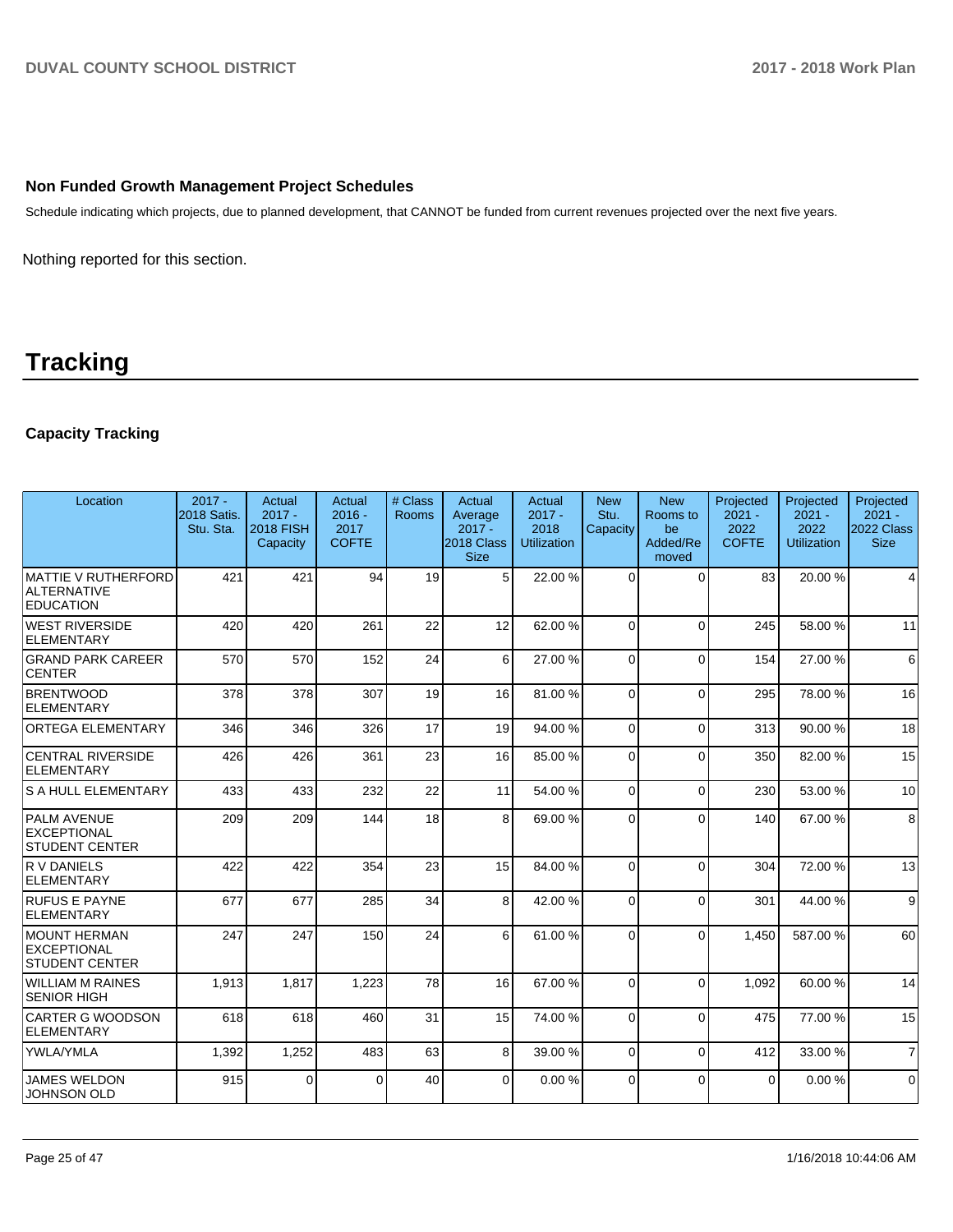### **Non Funded Growth Management Project Schedules**

Schedule indicating which projects, due to planned development, that CANNOT be funded from current revenues projected over the next five years.

Nothing reported for this section.

# **Tracking**

# **Capacity Tracking**

| Location                                                      | $2017 -$<br>2018 Satis.<br>Stu. Sta. | Actual<br>$2017 -$<br><b>2018 FISH</b><br>Capacity | Actual<br>$2016 -$<br>2017<br><b>COFTE</b> | # Class<br>Rooms | Actual<br>Average<br>$2017 -$<br>2018 Class<br><b>Size</b> | Actual<br>$2017 -$<br>2018<br><b>Utilization</b> | <b>New</b><br>Stu.<br>Capacity | <b>New</b><br>Rooms to<br>be<br>Added/Re<br>moved | Projected<br>$2021 -$<br>2022<br><b>COFTE</b> | Projected<br>$2021 -$<br>2022<br><b>Utilization</b> | Projected<br>$2021 -$<br>2022 Class<br><b>Size</b> |
|---------------------------------------------------------------|--------------------------------------|----------------------------------------------------|--------------------------------------------|------------------|------------------------------------------------------------|--------------------------------------------------|--------------------------------|---------------------------------------------------|-----------------------------------------------|-----------------------------------------------------|----------------------------------------------------|
| MATTIE V RUTHERFORD<br><b>ALTERNATIVE</b><br><b>EDUCATION</b> | 421                                  | 421                                                | 94                                         | 19               | 5 <sup>1</sup>                                             | 22.00 %                                          | $\Omega$                       | $\Omega$                                          | 83                                            | 20.00 %                                             | 4                                                  |
| WEST RIVERSIDE<br>ELEMENTARY                                  | 420                                  | 420                                                | 261                                        | 22               | 12                                                         | 62.00%                                           | $\Omega$                       | $\Omega$                                          | 245                                           | 58.00 %                                             | 11                                                 |
| <b>GRAND PARK CAREER</b><br><b>CENTER</b>                     | 570                                  | 570                                                | 152                                        | 24               | 6                                                          | 27.00 %                                          | $\Omega$                       | $\Omega$                                          | 154                                           | 27.00 %                                             | 6                                                  |
| <b>BRENTWOOD</b><br>ELEMENTARY                                | 378                                  | 378                                                | 307                                        | 19               | 16                                                         | 81.00%                                           | $\Omega$                       | $\Omega$                                          | 295                                           | 78.00 %                                             | 16                                                 |
| <b>ORTEGA ELEMENTARY</b>                                      | 346                                  | 346                                                | 326                                        | 17               | 19                                                         | 94.00 %                                          | $\Omega$                       | $\Omega$                                          | 313                                           | 90.00 %                                             | 18                                                 |
| <b>CENTRAL RIVERSIDE</b><br>ELEMENTARY                        | 426                                  | 426                                                | 361                                        | 23               | 16                                                         | 85.00 %                                          | $\Omega$                       | $\Omega$                                          | 350                                           | 82.00 %                                             | 15                                                 |
| <b>S A HULL ELEMENTARY</b>                                    | 433                                  | 433                                                | 232                                        | 22               | 11                                                         | 54.00 %                                          | $\Omega$                       | $\Omega$                                          | 230                                           | 53.00 %                                             | 10                                                 |
| <b>PALM AVENUE</b><br>EXCEPTIONAL<br><b>STUDENT CENTER</b>    | 209                                  | 209                                                | 144                                        | 18               | 8                                                          | 69.00 %                                          | $\Omega$                       | $\Omega$                                          | 140                                           | 67.00 %                                             | 8                                                  |
| R V DANIELS<br>ELEMENTARY                                     | 422                                  | 422                                                | 354                                        | 23               | 15                                                         | 84.00 %                                          | $\Omega$                       | $\Omega$                                          | 304                                           | 72.00 %                                             | 13                                                 |
| <b>RUFUS E PAYNE</b><br>ELEMENTARY                            | 677                                  | 677                                                | 285                                        | 34               | 8                                                          | 42.00%                                           | $\Omega$                       | $\Omega$                                          | 301                                           | 44.00 %                                             | 9                                                  |
| MOUNT HERMAN<br>EXCEPTIONAL<br><b>STUDENT CENTER</b>          | 247                                  | 247                                                | 150                                        | 24               | 6                                                          | 61.00%                                           | $\Omega$                       | $\Omega$                                          | 1,450                                         | 587.00 %                                            | 60                                                 |
| WILLIAM M RAINES<br><b>ISENIOR HIGH</b>                       | 1,913                                | 1,817                                              | 1,223                                      | 78               | 16                                                         | 67.00 %                                          | $\Omega$                       | $\Omega$                                          | 1.092                                         | 60.00 %                                             | 14                                                 |
| <b>CARTER G WOODSON</b><br>ELEMENTARY                         | 618                                  | 618                                                | 460                                        | 31               | 15                                                         | 74.00 %                                          | $\Omega$                       | $\Omega$                                          | 475                                           | 77.00 %                                             | 15                                                 |
| YWLA/YMLA                                                     | 1,392                                | 1,252                                              | 483                                        | 63               | 8                                                          | 39.00 %                                          | $\Omega$                       | $\Omega$                                          | 412                                           | 33.00 %                                             | $\overline{7}$                                     |
| <b>JAMES WELDON</b><br><b>JOHNSON OLD</b>                     | 915                                  | 0                                                  | 0                                          | 40               | $\overline{0}$                                             | 0.00%                                            | $\Omega$                       | $\Omega$                                          | $\Omega$                                      | 0.00%                                               | $\mathbf 0$                                        |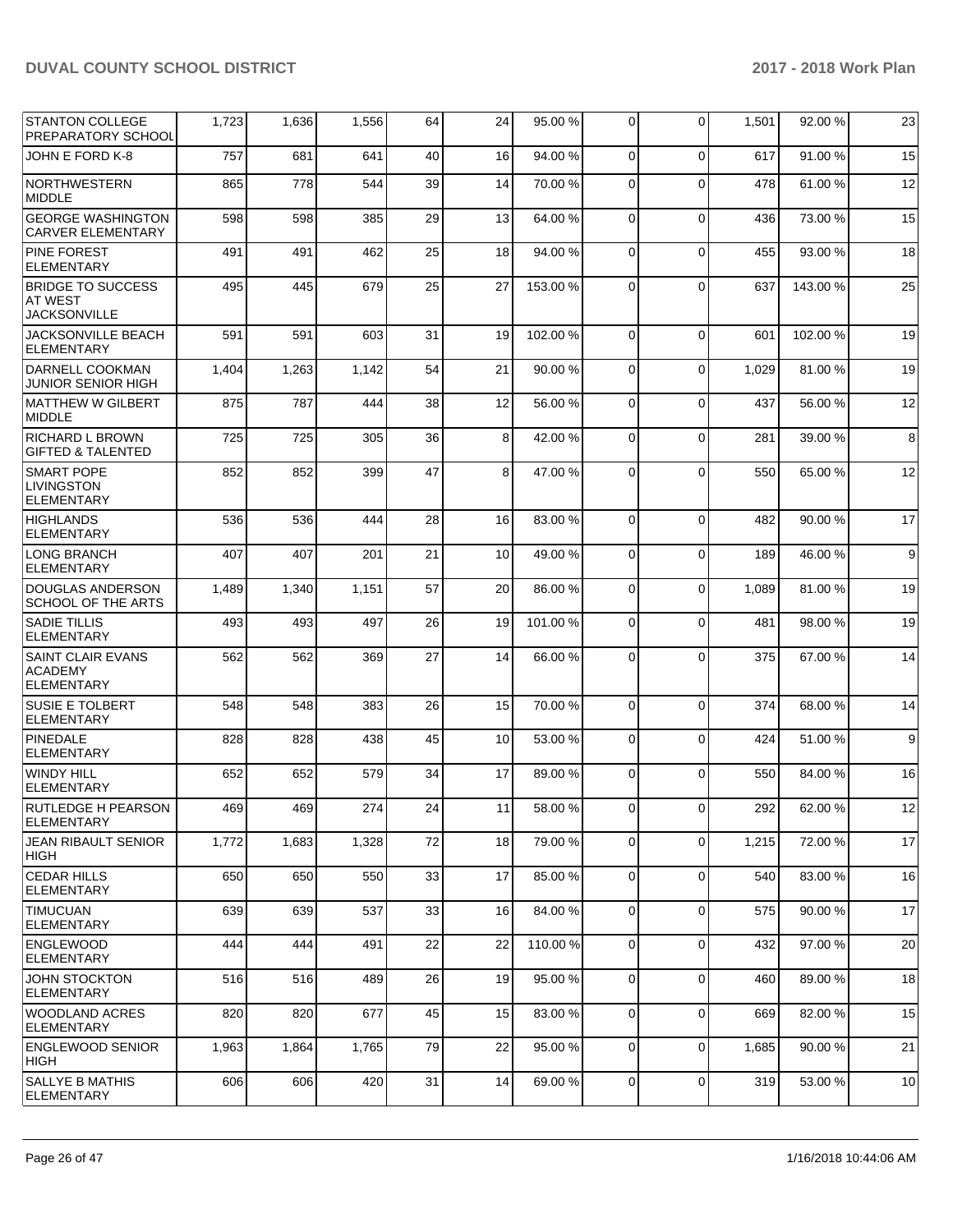| <b>STANTON COLLEGE</b><br>PREPARATORY SCHOOL                      | 1,723 | 1,636 | 1,556 | 64 | 24 | 95.00 %  | 0              | $\mathbf 0$    | 1,501 | 92.00 % | 23 |
|-------------------------------------------------------------------|-------|-------|-------|----|----|----------|----------------|----------------|-------|---------|----|
| JOHN E FORD K-8                                                   | 757   | 681   | 641   | 40 | 16 | 94.00 %  | $\mathbf 0$    | $\mathbf 0$    | 617   | 91.00%  | 15 |
| NORTHWESTERN<br><b>MIDDLE</b>                                     | 865   | 778   | 544   | 39 | 14 | 70.00%   | $\Omega$       | $\Omega$       | 478   | 61.00 % | 12 |
| <b>GEORGE WASHINGTON</b><br><b>CARVER ELEMENTARY</b>              | 598   | 598   | 385   | 29 | 13 | 64.00%   | $\Omega$       | $\Omega$       | 436   | 73.00 % | 15 |
| <b>PINE FOREST</b><br><b>ELEMENTARY</b>                           | 491   | 491   | 462   | 25 | 18 | 94.00%   | 0              | $\mathbf 0$    | 455   | 93.00 % | 18 |
| <b>BRIDGE TO SUCCESS</b><br><b>AT WEST</b><br><b>JACKSONVILLE</b> | 495   | 445   | 679   | 25 | 27 | 153.00 % | $\Omega$       | $\Omega$       | 637   | 143.00% | 25 |
| JACKSONVILLE BEACH<br><b>ELEMENTARY</b>                           | 591   | 591   | 603   | 31 | 19 | 102.00%  | $\Omega$       | $\mathbf 0$    | 601   | 102.00% | 19 |
| DARNELL COOKMAN<br><b>JUNIOR SENIOR HIGH</b>                      | 1,404 | 1,263 | 1,142 | 54 | 21 | 90.00 %  | 0              | $\Omega$       | 1,029 | 81.00 % | 19 |
| IMATTHEW W GILBERT<br><b>MIDDLE</b>                               | 875   | 787   | 444   | 38 | 12 | 56.00 %  | 0              | $\mathbf 0$    | 437   | 56.00 % | 12 |
| <b>RICHARD L BROWN</b><br><b>GIFTED &amp; TALENTED</b>            | 725   | 725   | 305   | 36 | 8  | 42.00%   | $\Omega$       | $\mathbf 0$    | 281   | 39.00 % | 8  |
| <b>SMART POPE</b><br><b>LIVINGSTON</b><br><b>ELEMENTARY</b>       | 852   | 852   | 399   | 47 | 8  | 47.00%   | $\Omega$       | $\Omega$       | 550   | 65.00 % | 12 |
| <b>HIGHLANDS</b><br><b>ELEMENTARY</b>                             | 536   | 536   | 444   | 28 | 16 | 83.00 %  | $\Omega$       | $\Omega$       | 482   | 90.00 % | 17 |
| <b>LONG BRANCH</b><br><b>ELEMENTARY</b>                           | 407   | 407   | 201   | 21 | 10 | 49.00 %  | $\Omega$       | $\Omega$       | 189   | 46.00 % | 9  |
| <b>DOUGLAS ANDERSON</b><br>SCHOOL OF THE ARTS                     | 1,489 | 1,340 | 1,151 | 57 | 20 | 86.00%   | $\Omega$       | $\Omega$       | 1,089 | 81.00 % | 19 |
| <b>SADIE TILLIS</b><br>ELEMENTARY                                 | 493   | 493   | 497   | 26 | 19 | 101.00%  | $\Omega$       | $\Omega$       | 481   | 98.00 % | 19 |
| <b>SAINT CLAIR EVANS</b><br><b>ACADEMY</b><br><b>ELEMENTARY</b>   | 562   | 562   | 369   | 27 | 14 | 66.00 %  | $\Omega$       | $\Omega$       | 375   | 67.00 % | 14 |
| <b>SUSIE E TOLBERT</b><br><b>ELEMENTARY</b>                       | 548   | 548   | 383   | 26 | 15 | 70.00 %  | 0              | $\Omega$       | 374   | 68.00 % | 14 |
| PINEDALE<br><b>ELEMENTARY</b>                                     | 828   | 828   | 438   | 45 | 10 | 53.00 %  | $\Omega$       | $\mathbf 0$    | 424   | 51.00 % | 9  |
| <b>WINDY HILL</b><br><b>ELEMENTARY</b>                            | 652   | 652   | 579   | 34 | 17 | 89.00 %  | $\Omega$       | $\Omega$       | 550   | 84.00 % | 16 |
| RUTLEDGE H PEARSON<br><b>ELEMENTARY</b>                           | 469   | 469   | 274   | 24 | 11 | 58.00 %  | 0              | $\overline{0}$ | 292   | 62.00%  | 12 |
| JEAN RIBAULT SENIOR<br><b>HIGH</b>                                | 1,772 | 1,683 | 1,328 | 72 | 18 | 79.00 %  | 0              | $\mathbf 0$    | 1,215 | 72.00 % | 17 |
| <b>CEDAR HILLS</b><br><b>ELEMENTARY</b>                           | 650   | 650   | 550   | 33 | 17 | 85.00 %  | $\mathbf 0$    | $\mathbf 0$    | 540   | 83.00 % | 16 |
| <b>TIMUCUAN</b><br><b>ELEMENTARY</b>                              | 639   | 639   | 537   | 33 | 16 | 84.00 %  | $\overline{0}$ | $\mathbf 0$    | 575   | 90.00 % | 17 |
| ENGLEWOOD<br>ELEMENTARY                                           | 444   | 444   | 491   | 22 | 22 | 110.00%  | $\mathbf 0$    | $\mathbf 0$    | 432   | 97.00 % | 20 |
| <b>JOHN STOCKTON</b><br>ELEMENTARY                                | 516   | 516   | 489   | 26 | 19 | 95.00 %  | $\mathbf 0$    | $\mathbf 0$    | 460   | 89.00 % | 18 |
| <b>WOODLAND ACRES</b><br><b>ELEMENTARY</b>                        | 820   | 820   | 677   | 45 | 15 | 83.00 %  | 0              | $\mathbf 0$    | 669   | 82.00 % | 15 |
| <b>ENGLEWOOD SENIOR</b><br>HIGH                                   | 1,963 | 1,864 | 1,765 | 79 | 22 | 95.00 %  | 0              | $\mathbf 0$    | 1,685 | 90.00 % | 21 |
| <b>SALLYE B MATHIS</b><br>ELEMENTARY                              | 606   | 606   | 420   | 31 | 14 | 69.00%   | 0              | 0              | 319   | 53.00 % | 10 |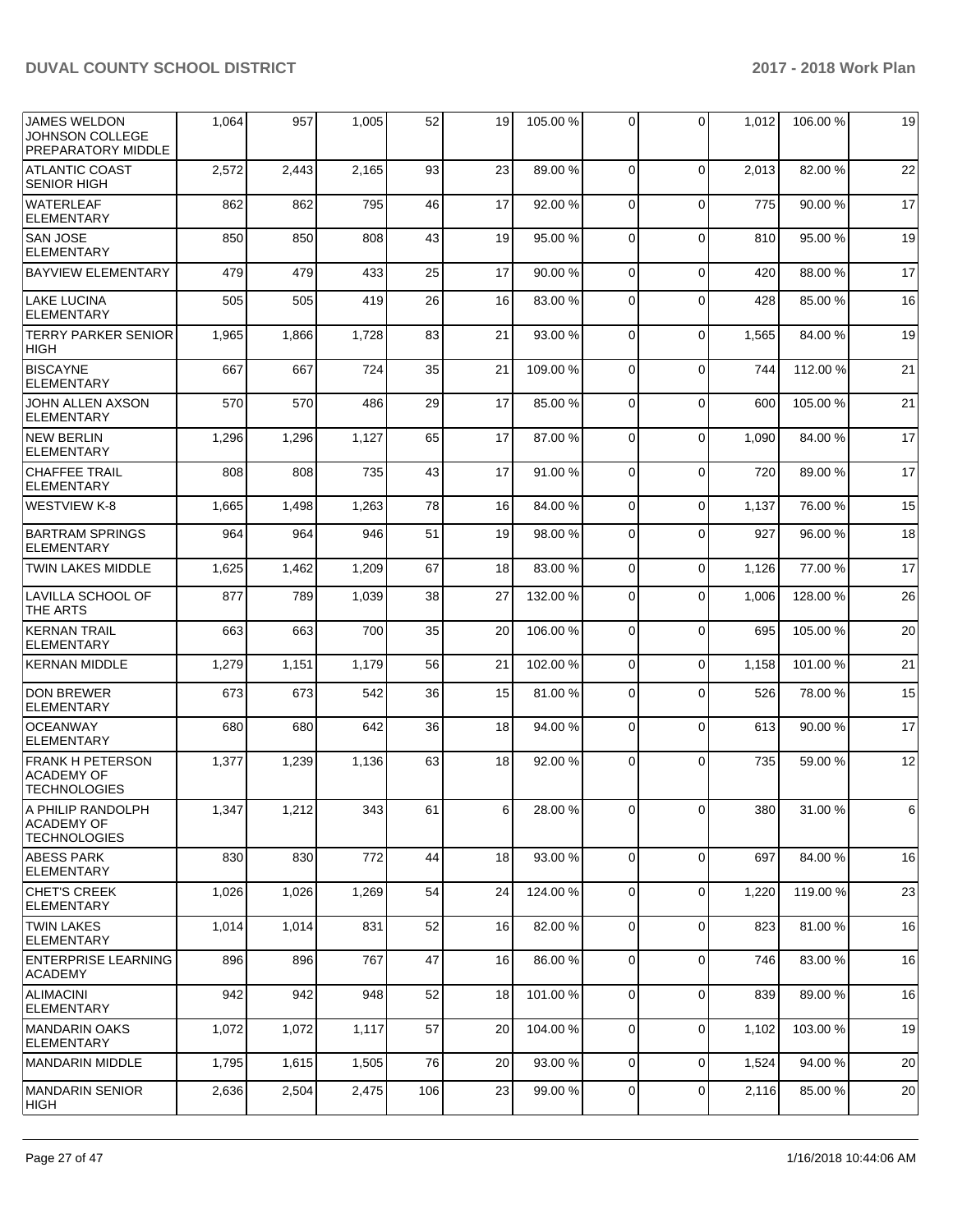| <b>JAMES WELDON</b><br>JOHNSON COLLEGE<br>PREPARATORY MIDDLE        | 1,064 | 957   | 1,005 | 52  | 19 | 105.00 % | $\Omega$    | $\Omega$    | 1,012 | 106.00 % | 19    |
|---------------------------------------------------------------------|-------|-------|-------|-----|----|----------|-------------|-------------|-------|----------|-------|
| <b>ATLANTIC COAST</b><br><b>SENIOR HIGH</b>                         | 2,572 | 2,443 | 2,165 | 93  | 23 | 89.00 %  | $\Omega$    | $\Omega$    | 2,013 | 82.00 %  | 22    |
| <b>WATERLEAF</b><br><b>ELEMENTARY</b>                               | 862   | 862   | 795   | 46  | 17 | 92.00 %  | $\Omega$    | $\Omega$    | 775   | 90.00 %  | 17    |
| <b>SAN JOSE</b><br><b>ELEMENTARY</b>                                | 850   | 850   | 808   | 43  | 19 | 95.00 %  | $\mathbf 0$ | $\Omega$    | 810   | 95.00 %  | 19    |
| <b>BAYVIEW ELEMENTARY</b>                                           | 479   | 479   | 433   | 25  | 17 | 90.00%   | $\Omega$    | $\Omega$    | 420   | 88.00 %  | 17    |
| <b>LAKE LUCINA</b><br><b>ELEMENTARY</b>                             | 505   | 505   | 419   | 26  | 16 | 83.00 %  | $\Omega$    | $\Omega$    | 428   | 85.00 %  | 16    |
| <b>TERRY PARKER SENIOR</b><br><b>HIGH</b>                           | 1,965 | 1,866 | 1,728 | 83  | 21 | 93.00 %  | $\Omega$    | $\Omega$    | 1,565 | 84.00 %  | 19    |
| <b>BISCAYNE</b><br><b>ELEMENTARY</b>                                | 667   | 667   | 724   | 35  | 21 | 109.00%  | $\mathbf 0$ | $\Omega$    | 744   | 112.00 % | 21    |
| JOHN ALLEN AXSON<br><b>ELEMENTARY</b>                               | 570   | 570   | 486   | 29  | 17 | 85.00 %  | $\Omega$    | $\Omega$    | 600   | 105.00 % | 21    |
| <b>NEW BERLIN</b><br><b>ELEMENTARY</b>                              | 1,296 | 1,296 | 1,127 | 65  | 17 | 87.00 %  | $\Omega$    | $\Omega$    | 1.090 | 84.00 %  | 17    |
| <b>CHAFFEE TRAIL</b><br><b>ELEMENTARY</b>                           | 808   | 808   | 735   | 43  | 17 | 91.00 %  | $\Omega$    | $\Omega$    | 720   | 89.00 %  | 17    |
| <b>WESTVIEW K-8</b>                                                 | 1,665 | 1,498 | 1,263 | 78  | 16 | 84.00%   | $\Omega$    | $\Omega$    | 1,137 | 76.00 %  | 15    |
| <b>BARTRAM SPRINGS</b><br><b>ELEMENTARY</b>                         | 964   | 964   | 946   | 51  | 19 | 98.00 %  | $\Omega$    | $\Omega$    | 927   | 96.00 %  | 18    |
| <b>TWIN LAKES MIDDLE</b>                                            | 1,625 | 1,462 | 1,209 | 67  | 18 | 83.00 %  | $\Omega$    | 0           | 1,126 | 77.00 %  | 17    |
| LAVILLA SCHOOL OF<br>THE ARTS                                       | 877   | 789   | 1,039 | 38  | 27 | 132.00 % | $\Omega$    | $\Omega$    | 1,006 | 128.00%  | 26    |
| <b>KERNAN TRAIL</b><br><b>ELEMENTARY</b>                            | 663   | 663   | 700   | 35  | 20 | 106.00%  | $\mathbf 0$ | $\Omega$    | 695   | 105.00 % | 20    |
| <b>KERNAN MIDDLE</b>                                                | 1,279 | 1,151 | 1,179 | 56  | 21 | 102.00%  | $\Omega$    | $\Omega$    | 1,158 | 101.00%  | 21    |
| <b>DON BREWER</b><br><b>ELEMENTARY</b>                              | 673   | 673   | 542   | 36  | 15 | 81.00%   | $\Omega$    | $\Omega$    | 526   | 78.00 %  | 15    |
| <b>OCEANWAY</b><br><b>ELEMENTARY</b>                                | 680   | 680   | 642   | 36  | 18 | 94.00 %  | $\Omega$    | $\mathbf 0$ | 613   | 90.00 %  | 17    |
| <b>FRANK H PETERSON</b><br><b>ACADEMY OF</b><br><b>TECHNOLOGIES</b> | 1,377 | 1,239 | 1,136 | 63  | 18 | 92.00 %  | $\Omega$    | $\Omega$    | 735   | 59.00 %  | 12    |
| A PHILIP RANDOLPH<br><b>ACADEMY OF</b><br><b>TECHNOLOGIES</b>       | 1,347 | 1,212 | 343   | 61  | 6  | 28.00%   | 0           | 0           | 380   | 31.00%   | $\,6$ |
| <b>ABESS PARK</b><br><b>ELEMENTARY</b>                              | 830   | 830   | 772   | 44  | 18 | 93.00 %  | $\Omega$    | $\Omega$    | 697   | 84.00 %  | 16    |
| <b>CHET'S CREEK</b><br>ELEMENTARY                                   | 1,026 | 1,026 | 1,269 | 54  | 24 | 124.00%  | $\mathbf 0$ | 0           | 1,220 | 119.00 % | 23    |
| <b>TWIN LAKES</b><br>ELEMENTARY                                     | 1,014 | 1,014 | 831   | 52  | 16 | 82.00 %  | 0           | $\Omega$    | 823   | 81.00 %  | 16    |
| ENTERPRISE LEARNING<br><b>ACADEMY</b>                               | 896   | 896   | 767   | 47  | 16 | 86.00 %  | $\Omega$    | $\Omega$    | 746   | 83.00 %  | 16    |
| <b>ALIMACINI</b><br><b>ELEMENTARY</b>                               | 942   | 942   | 948   | 52  | 18 | 101.00%  | $\mathbf 0$ | $\Omega$    | 839   | 89.00 %  | 16    |
| MANDARIN OAKS<br><b>ELEMENTARY</b>                                  | 1,072 | 1,072 | 1,117 | 57  | 20 | 104.00%  | 0           | $\mathbf 0$ | 1,102 | 103.00%  | 19    |
| MANDARIN MIDDLE                                                     | 1,795 | 1,615 | 1,505 | 76  | 20 | 93.00 %  | $\mathbf 0$ | 0           | 1,524 | 94.00 %  | 20    |
| MANDARIN SENIOR<br>HIGH                                             | 2,636 | 2,504 | 2,475 | 106 | 23 | 99.00 %  | 0           | $\mathbf 0$ | 2,116 | 85.00 %  | 20    |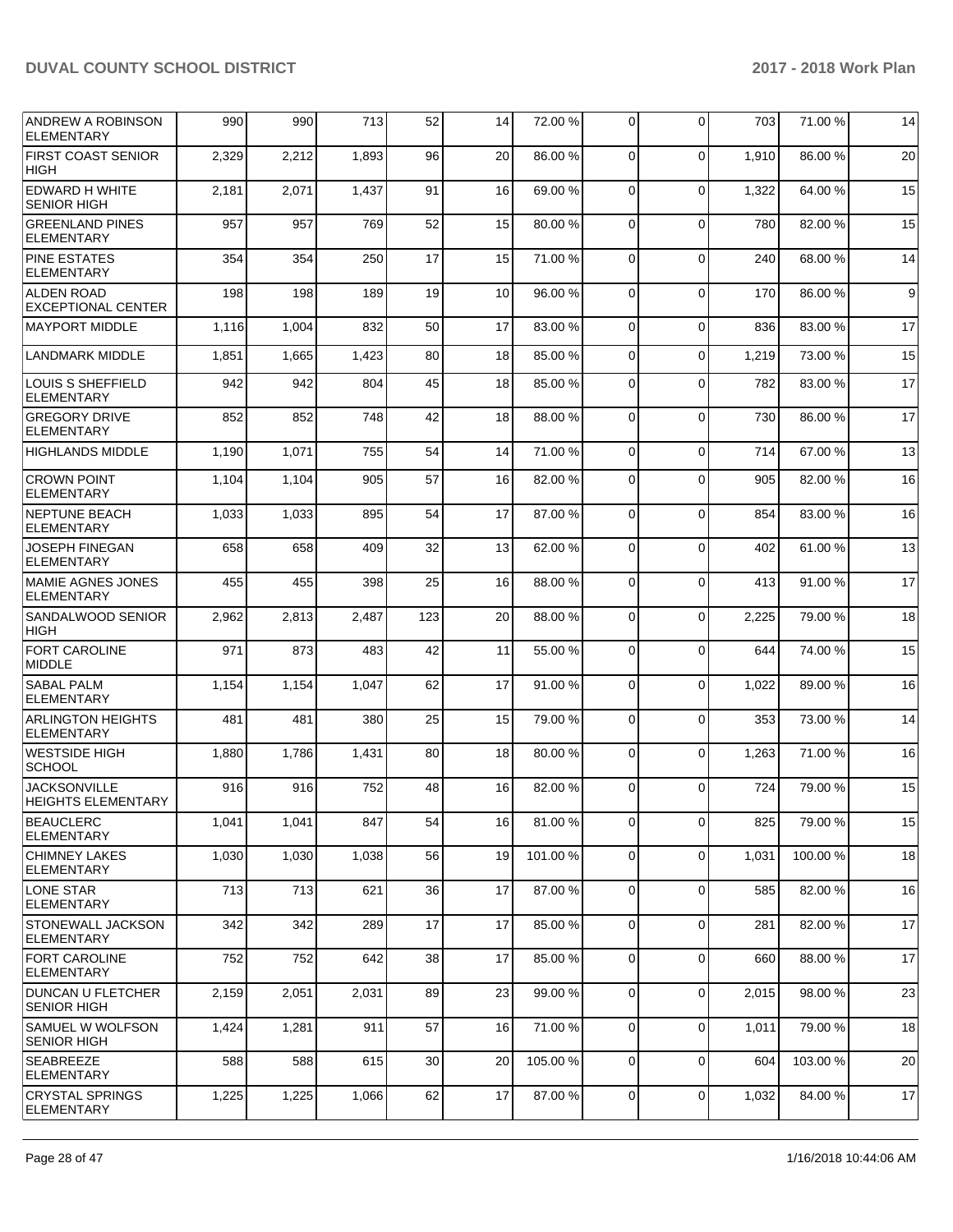| <b>ANDREW A ROBINSON</b><br><b>ELEMENTARY</b>  | 990   | 990   | 713   | 52  | 14 | 72.00 %  | $\Omega$       | $\Omega$    | 703   | 71.00 %  | 14 |
|------------------------------------------------|-------|-------|-------|-----|----|----------|----------------|-------------|-------|----------|----|
| <b>FIRST COAST SENIOR</b><br>HIGH              | 2,329 | 2,212 | 1,893 | 96  | 20 | 86.00 %  | $\Omega$       | $\Omega$    | 1,910 | 86.00 %  | 20 |
| <b>EDWARD H WHITE</b><br><b>SENIOR HIGH</b>    | 2,181 | 2,071 | 1,437 | 91  | 16 | 69.00 %  | $\Omega$       | $\Omega$    | 1,322 | 64.00%   | 15 |
| <b>GREENLAND PINES</b><br><b>ELEMENTARY</b>    | 957   | 957   | 769   | 52  | 15 | 80.00 %  | $\Omega$       | $\Omega$    | 780   | 82.00 %  | 15 |
| <b>PINE ESTATES</b><br><b>ELEMENTARY</b>       | 354   | 354   | 250   | 17  | 15 | 71.00 %  | $\Omega$       | $\Omega$    | 240   | 68.00%   | 14 |
| <b>ALDEN ROAD</b><br><b>EXCEPTIONAL CENTER</b> | 198   | 198   | 189   | 19  | 10 | 96.00 %  | $\Omega$       | $\Omega$    | 170   | 86.00 %  | 9  |
| <b>MAYPORT MIDDLE</b>                          | 1,116 | 1,004 | 832   | 50  | 17 | 83.00 %  | $\Omega$       | $\Omega$    | 836   | 83.00 %  | 17 |
| <b>LANDMARK MIDDLE</b>                         | 1,851 | 1,665 | 1,423 | 80  | 18 | 85.00 %  | $\Omega$       | $\Omega$    | 1,219 | 73.00 %  | 15 |
| LOUIS S SHEFFIELD<br><b>ELEMENTARY</b>         | 942   | 942   | 804   | 45  | 18 | 85.00 %  | $\Omega$       | $\Omega$    | 782   | 83.00 %  | 17 |
| <b>GREGORY DRIVE</b><br><b>ELEMENTARY</b>      | 852   | 852   | 748   | 42  | 18 | 88.00 %  | $\Omega$       | $\Omega$    | 730   | 86.00 %  | 17 |
| <b>HIGHLANDS MIDDLE</b>                        | 1,190 | 1,071 | 755   | 54  | 14 | 71.00 %  | $\Omega$       | $\Omega$    | 714   | 67.00 %  | 13 |
| <b>CROWN POINT</b><br><b>ELEMENTARY</b>        | 1,104 | 1,104 | 905   | 57  | 16 | 82.00 %  | $\Omega$       | $\Omega$    | 905   | 82.00 %  | 16 |
| <b>NEPTUNE BEACH</b><br><b>ELEMENTARY</b>      | 1,033 | 1,033 | 895   | 54  | 17 | 87.00 %  | $\Omega$       | $\Omega$    | 854   | 83.00 %  | 16 |
| <b>JOSEPH FINEGAN</b><br><b>ELEMENTARY</b>     | 658   | 658   | 409   | 32  | 13 | 62.00 %  | $\Omega$       | $\Omega$    | 402   | 61.00%   | 13 |
| <b>MAMIE AGNES JONES</b><br><b>ELEMENTARY</b>  | 455   | 455   | 398   | 25  | 16 | 88.00 %  | $\Omega$       | $\Omega$    | 413   | 91.00 %  | 17 |
| <b>SANDALWOOD SENIOR</b><br><b>HIGH</b>        | 2,962 | 2,813 | 2,487 | 123 | 20 | 88.00 %  | $\Omega$       | $\Omega$    | 2,225 | 79.00 %  | 18 |
| <b>FORT CAROLINE</b><br>MIDDLE                 | 971   | 873   | 483   | 42  | 11 | 55.00 %  | $\Omega$       | $\Omega$    | 644   | 74.00%   | 15 |
| <b>SABAL PALM</b><br><b>ELEMENTARY</b>         | 1,154 | 1,154 | 1,047 | 62  | 17 | 91.00%   | $\Omega$       | $\Omega$    | 1,022 | 89.00 %  | 16 |
| <b>ARLINGTON HEIGHTS</b><br><b>ELEMENTARY</b>  | 481   | 481   | 380   | 25  | 15 | 79.00 %  | $\Omega$       | $\Omega$    | 353   | 73.00 %  | 14 |
| WESTSIDE HIGH<br><b>SCHOOL</b>                 | 1,880 | 1,786 | 1,431 | 80  | 18 | 80.00 %  | $\Omega$       | $\Omega$    | 1,263 | 71.00 %  | 16 |
| <b>JACKSONVILLE</b><br>HEIGHTS ELEMENTARY      | 916   | 916   | 752   | 48  | 16 | 82.00 %  | $\Omega$       | 0           | 724   | 79.00 %  | 15 |
| <b>BEAUCLERC</b><br><b>ELEMENTARY</b>          | 1,041 | 1,041 | 847   | 54  | 16 | 81.00%   | $\Omega$       | 0           | 825   | 79.00 %  | 15 |
| <b>CHIMNEY LAKES</b><br><b>ELEMENTARY</b>      | 1,030 | 1,030 | 1,038 | 56  | 19 | 101.00%  | $\overline{0}$ | 0           | 1,031 | 100.00%  | 18 |
| LONE STAR<br>ELEMENTARY                        | 713   | 713   | 621   | 36  | 17 | 87.00 %  | $\mathbf 0$    | $\mathbf 0$ | 585   | 82.00 %  | 16 |
| <b>STONEWALL JACKSON</b><br><b>ELEMENTARY</b>  | 342   | 342   | 289   | 17  | 17 | 85.00 %  | $\Omega$       | 0           | 281   | 82.00 %  | 17 |
| <b>FORT CAROLINE</b><br><b>ELEMENTARY</b>      | 752   | 752   | 642   | 38  | 17 | 85.00 %  | $\overline{0}$ | 0           | 660   | 88.00 %  | 17 |
| <b>DUNCAN U FLETCHER</b><br><b>SENIOR HIGH</b> | 2,159 | 2,051 | 2,031 | 89  | 23 | 99.00 %  | $\mathbf 0$    | 0           | 2,015 | 98.00 %  | 23 |
| <b>SAMUEL W WOLFSON</b><br><b>SENIOR HIGH</b>  | 1,424 | 1,281 | 911   | 57  | 16 | 71.00 %  | $\Omega$       | $\mathbf 0$ | 1,011 | 79.00 %  | 18 |
| SEABREEZE<br><b>ELEMENTARY</b>                 | 588   | 588   | 615   | 30  | 20 | 105.00 % | $\overline{0}$ | 0           | 604   | 103.00 % | 20 |
| <b>CRYSTAL SPRINGS</b><br><b>ELEMENTARY</b>    | 1,225 | 1,225 | 1,066 | 62  | 17 | 87.00 %  | $\overline{0}$ | 0           | 1,032 | 84.00%   | 17 |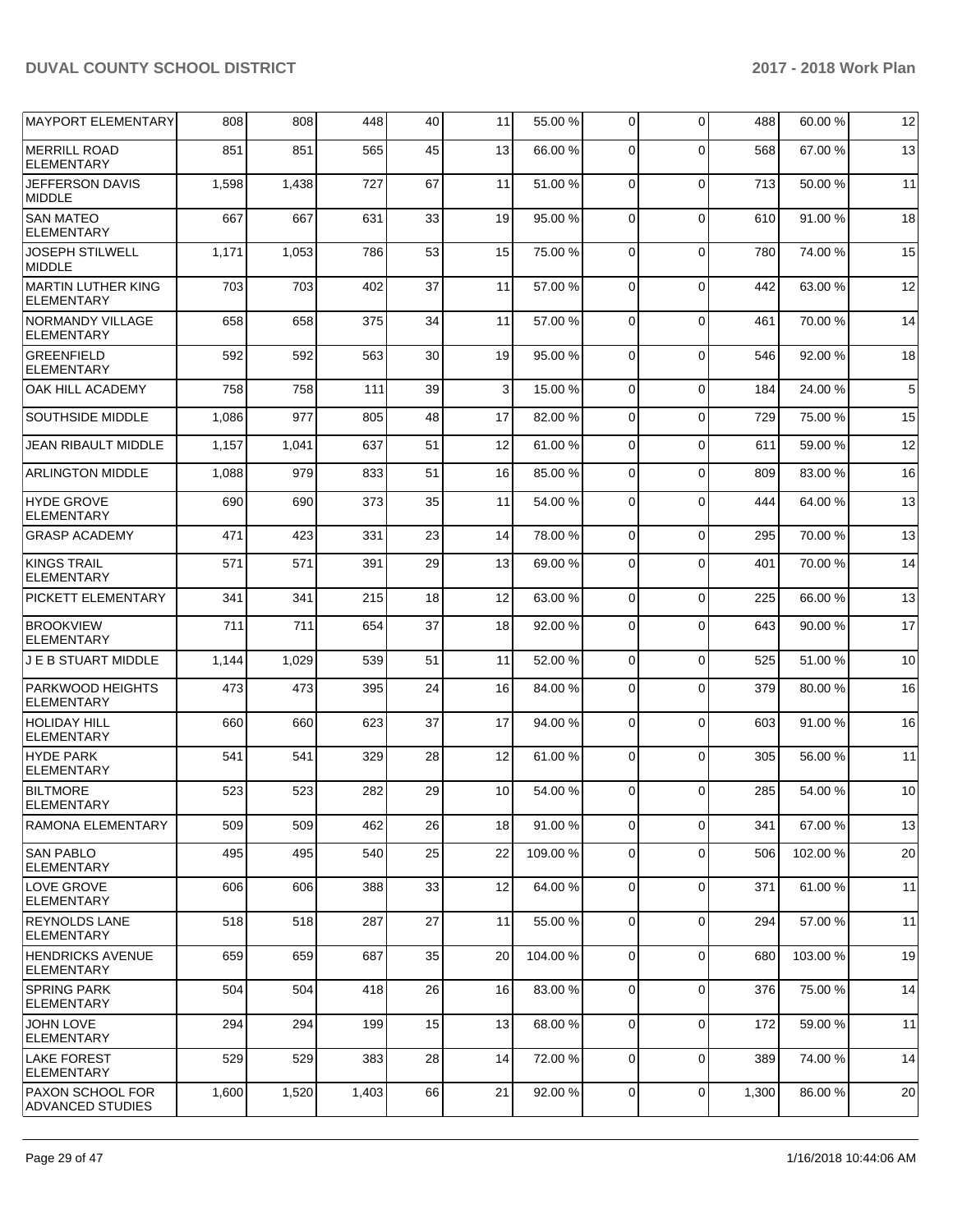| <b>MAYPORT ELEMENTARY</b>                      | 808   | 808   | 448   | 40 | 11 | 55.00 % | $\overline{0}$ | $\Omega$    | 488   | 60.00 % | 12          |
|------------------------------------------------|-------|-------|-------|----|----|---------|----------------|-------------|-------|---------|-------------|
| <b>MERRILL ROAD</b><br><b>ELEMENTARY</b>       | 851   | 851   | 565   | 45 | 13 | 66.00 % | 0              | $\Omega$    | 568   | 67.00 % | 13          |
| JEFFERSON DAVIS<br><b>MIDDLE</b>               | 1,598 | 1,438 | 727   | 67 | 11 | 51.00 % | $\mathbf 0$    | $\Omega$    | 713   | 50.00 % | 11          |
| <b>SAN MATEO</b><br><b>ELEMENTARY</b>          | 667   | 667   | 631   | 33 | 19 | 95.00 % | $\mathbf 0$    | $\Omega$    | 610   | 91.00%  | 18          |
| <b>JOSEPH STILWELL</b><br><b>MIDDLE</b>        | 1,171 | 1,053 | 786   | 53 | 15 | 75.00 % | $\Omega$       | $\Omega$    | 780   | 74.00 % | 15          |
| <b>MARTIN LUTHER KING</b><br><b>ELEMENTARY</b> | 703   | 703   | 402   | 37 | 11 | 57.00 % | $\mathbf 0$    | $\Omega$    | 442   | 63.00 % | 12          |
| NORMANDY VILLAGE<br><b>ELEMENTARY</b>          | 658   | 658   | 375   | 34 | 11 | 57.00 % | $\mathbf 0$    | $\Omega$    | 461   | 70.00 % | 14          |
| <b>GREENFIELD</b><br><b>ELEMENTARY</b>         | 592   | 592   | 563   | 30 | 19 | 95.00 % | $\Omega$       | $\Omega$    | 546   | 92.00%  | 18          |
| OAK HILL ACADEMY                               | 758   | 758   | 111   | 39 | 3  | 15.00 % | $\mathbf 0$    | $\Omega$    | 184   | 24.00 % | $\,$ 5 $\,$ |
| <b>SOUTHSIDE MIDDLE</b>                        | 1,086 | 977   | 805   | 48 | 17 | 82.00 % | 0              | $\Omega$    | 729   | 75.00 % | 15          |
| <b>JEAN RIBAULT MIDDLE</b>                     | 1,157 | 1,041 | 637   | 51 | 12 | 61.00%  | 0              | $\mathbf 0$ | 611   | 59.00 % | 12          |
| <b>ARLINGTON MIDDLE</b>                        | 1,088 | 979   | 833   | 51 | 16 | 85.00 % | 0              | $\Omega$    | 809   | 83.00 % | 16          |
| <b>HYDE GROVE</b><br><b>ELEMENTARY</b>         | 690   | 690   | 373   | 35 | 11 | 54.00 % | 0              | $\Omega$    | 444   | 64.00 % | 13          |
| <b>GRASP ACADEMY</b>                           | 471   | 423   | 331   | 23 | 14 | 78.00 % | 0              | $\Omega$    | 295   | 70.00 % | 13          |
| <b>KINGS TRAIL</b><br><b>ELEMENTARY</b>        | 571   | 571   | 391   | 29 | 13 | 69.00 % | 0              | $\Omega$    | 401   | 70.00 % | 14          |
| PICKETT ELEMENTARY                             | 341   | 341   | 215   | 18 | 12 | 63.00 % | $\Omega$       | $\Omega$    | 225   | 66.00 % | 13          |
| <b>BROOKVIEW</b><br><b>ELEMENTARY</b>          | 711   | 711   | 654   | 37 | 18 | 92.00 % | $\Omega$       | $\Omega$    | 643   | 90.00 % | 17          |
| <b>J E B STUART MIDDLE</b>                     | 1,144 | 1,029 | 539   | 51 | 11 | 52.00 % | $\mathbf 0$    | $\Omega$    | 525   | 51.00 % | 10          |
| <b>PARKWOOD HEIGHTS</b><br><b>ELEMENTARY</b>   | 473   | 473   | 395   | 24 | 16 | 84.00 % | 0              | $\Omega$    | 379   | 80.00 % | 16          |
| <b>HOLIDAY HILL</b><br><b>ELEMENTARY</b>       | 660   | 660   | 623   | 37 | 17 | 94.00 % | 0              | $\Omega$    | 603   | 91.00%  | 16          |
| <b>HYDE PARK</b><br>ELEMENTARY                 | 541   | 541   | 329   | 28 | 12 | 61.00%  | $\Omega$       | $\Omega$    | 305   | 56.00 % | 11          |
| <b>BILTMORE</b><br> ELEMENTARY                 | 523   | 523   | 282   | 29 | 10 | 54.00 % | 0              | $\Omega$    | 285   | 54.00 % | 10          |
| RAMONA ELEMENTARY                              | 509   | 509   | 462   | 26 | 18 | 91.00%  | $\mathbf 0$    | $\mathbf 0$ | 341   | 67.00 % | 13          |
| <b>SAN PABLO</b><br><b>ELEMENTARY</b>          | 495   | 495   | 540   | 25 | 22 | 109.00% | 0              | $\mathbf 0$ | 506   | 102.00% | 20          |
| <b>LOVE GROVE</b><br><b>ELEMENTARY</b>         | 606   | 606   | 388   | 33 | 12 | 64.00%  | $\mathbf 0$    | $\mathbf 0$ | 371   | 61.00%  | 11          |
| <b>REYNOLDS LANE</b><br><b>ELEMENTARY</b>      | 518   | 518   | 287   | 27 | 11 | 55.00 % | $\mathbf 0$    | $\mathbf 0$ | 294   | 57.00 % | 11          |
| <b>HENDRICKS AVENUE</b><br>ELEMENTARY          | 659   | 659   | 687   | 35 | 20 | 104.00% | 0              | $\mathbf 0$ | 680   | 103.00% | 19          |
| <b>SPRING PARK</b><br><b>ELEMENTARY</b>        | 504   | 504   | 418   | 26 | 16 | 83.00 % | $\mathbf 0$    | $\mathbf 0$ | 376   | 75.00 % | 14          |
| <b>JOHN LOVE</b><br><b>ELEMENTARY</b>          | 294   | 294   | 199   | 15 | 13 | 68.00 % | $\mathbf 0$    | $\mathbf 0$ | 172   | 59.00 % | 11          |
| <b>LAKE FOREST</b><br>ELEMENTARY               | 529   | 529   | 383   | 28 | 14 | 72.00 % | 0              | $\mathbf 0$ | 389   | 74.00 % | 14          |
| <b>PAXON SCHOOL FOR</b><br>ADVANCED STUDIES    | 1,600 | 1,520 | 1,403 | 66 | 21 | 92.00 % | $\overline{0}$ | $\mathbf 0$ | 1,300 | 86.00 % | 20          |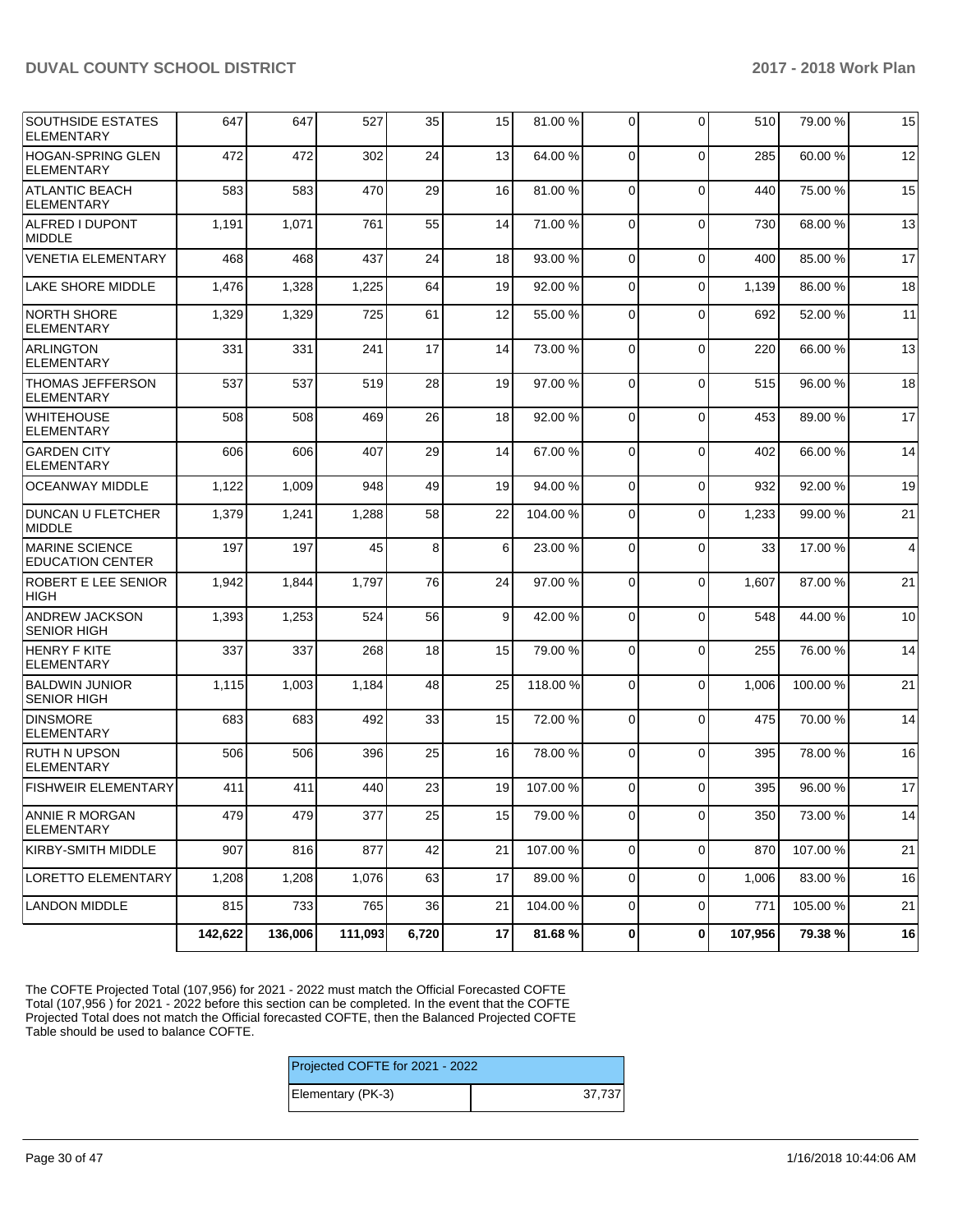| <b>SOUTHSIDE ESTATES</b><br><b>ELEMENTARY</b>    | 647     | 647     | 527     | 35    | 15 <sub>l</sub> | 81.00 %  | 0              | $\Omega$       | 510     | 79.00 % | 15             |
|--------------------------------------------------|---------|---------|---------|-------|-----------------|----------|----------------|----------------|---------|---------|----------------|
| <b>HOGAN-SPRING GLEN</b><br><b>ELEMENTARY</b>    | 472     | 472     | 302     | 24    | 13              | 64.00%   | $\Omega$       | $\Omega$       | 285     | 60.00%  | 12             |
| <b>ATLANTIC BEACH</b><br><b>ELEMENTARY</b>       | 583     | 583     | 470     | 29    | 16              | 81.00%   | 0              | $\Omega$       | 440     | 75.00 % | 15             |
| ALFRED I DUPONT<br><b>MIDDLE</b>                 | 1,191   | 1,071   | 761     | 55    | 14              | 71.00 %  | 0              | $\Omega$       | 730     | 68.00 % | 13             |
| <b>VENETIA ELEMENTARY</b>                        | 468     | 468     | 437     | 24    | 18              | 93.00 %  | $\mathbf 0$    | $\Omega$       | 400     | 85.00 % | 17             |
| <b>LAKE SHORE MIDDLE</b>                         | 1,476   | 1,328   | 1,225   | 64    | 19              | 92.00 %  | $\mathbf 0$    | $\Omega$       | 1,139   | 86.00 % | 18             |
| <b>NORTH SHORE</b><br><b>ELEMENTARY</b>          | 1,329   | 1,329   | 725     | 61    | 12              | 55.00 %  | $\mathbf 0$    | $\Omega$       | 692     | 52.00 % | 11             |
| <b>ARLINGTON</b><br><b>ELEMENTARY</b>            | 331     | 331     | 241     | 17    | 14              | 73.00 %  | 0              | $\mathbf 0$    | 220     | 66.00 % | 13             |
| <b>THOMAS JEFFERSON</b><br><b>ELEMENTARY</b>     | 537     | 537     | 519     | 28    | 19              | 97.00 %  | $\mathbf 0$    | $\Omega$       | 515     | 96.00 % | 18             |
| <b>WHITEHOUSE</b><br><b>ELEMENTARY</b>           | 508     | 508     | 469     | 26    | 18              | 92.00 %  | $\mathbf 0$    | $\Omega$       | 453     | 89.00 % | 17             |
| <b>GARDEN CITY</b><br><b>ELEMENTARY</b>          | 606     | 606     | 407     | 29    | 14              | 67.00 %  | 0              | $\Omega$       | 402     | 66.00 % | 14             |
| <b>OCEANWAY MIDDLE</b>                           | 1,122   | 1,009   | 948     | 49    | 19              | 94.00 %  | $\mathbf 0$    | $\Omega$       | 932     | 92.00 % | 19             |
| <b>DUNCAN U FLETCHER</b><br><b>MIDDLE</b>        | 1,379   | 1,241   | 1,288   | 58    | 22              | 104.00%  | 0              | $\Omega$       | 1,233   | 99.00 % | 21             |
| <b>MARINE SCIENCE</b><br><b>EDUCATION CENTER</b> | 197     | 197     | 45      | 8     | 6               | 23.00 %  | $\mathbf 0$    | $\Omega$       | 33      | 17.00 % | $\overline{4}$ |
| ROBERT E LEE SENIOR<br><b>HIGH</b>               | 1,942   | 1,844   | 1,797   | 76    | 24              | 97.00 %  | 0              | $\Omega$       | 1,607   | 87.00 % | 21             |
| <b>ANDREW JACKSON</b><br><b>SENIOR HIGH</b>      | 1,393   | 1,253   | 524     | 56    | $\overline{9}$  | 42.00%   | 0              | $\Omega$       | 548     | 44.00 % | 10             |
| <b>HENRY F KITE</b><br><b>ELEMENTARY</b>         | 337     | 337     | 268     | 18    | 15              | 79.00 %  | $\Omega$       | $\Omega$       | 255     | 76.00 % | 14             |
| <b>BALDWIN JUNIOR</b><br><b>SENIOR HIGH</b>      | 1,115   | 1,003   | 1,184   | 48    | 25              | 118.00 % | 0              | $\Omega$       | 1,006   | 100.00% | 21             |
| <b>DINSMORE</b><br><b>ELEMENTARY</b>             | 683     | 683     | 492     | 33    | 15              | 72.00 %  | $\mathbf 0$    | $\Omega$       | 475     | 70.00%  | 14             |
| <b>RUTH N UPSON</b><br>ELEMENTARY                | 506     | 506     | 396     | 25    | 16              | 78.00 %  | $\mathbf 0$    | $\Omega$       | 395     | 78.00 % | 16             |
| <b>FISHWEIR ELEMENTARY</b>                       | 411     | 411     | 440     | 23    | 19              | 107.00%  | 0              | $\Omega$       | 395     | 96.00 % | 17             |
| <b>ANNIE R MORGAN</b><br><b>ELEMENTARY</b>       | 479     | 479     | 377     | 25    | 15              | 79.00 %  | $\overline{0}$ | $\overline{0}$ | 350     | 73.00 % | 14             |
| KIRBY-SMITH MIDDLE                               | 907     | 816     | 877     | 42    | 21              | 107.00 % | $\overline{0}$ | $\Omega$       | 870     | 107.00% | 21             |
| LORETTO ELEMENTARY                               | 1,208   | 1,208   | 1,076   | 63    | 17              | 89.00 %  | $\mathbf{0}$   | $\mathbf 0$    | 1,006   | 83.00 % | 16             |
| <b>LANDON MIDDLE</b>                             | 815     | 733     | 765     | 36    | 21              | 104.00%  | $\mathbf{0}$   | $\mathbf{0}$   | 771     | 105.00% | 21             |
|                                                  | 142,622 | 136,006 | 111,093 | 6,720 | 17              | 81.68%   | $\mathbf{0}$   | $\mathbf{0}$   | 107,956 | 79.38%  | 16             |

The COFTE Projected Total (107,956) for 2021 - 2022 must match the Official Forecasted COFTE Total (107,956 ) for 2021 - 2022 before this section can be completed. In the event that the COFTE Projected Total does not match the Official forecasted COFTE, then the Balanced Projected COFTE Table should be used to balance COFTE.

| Projected COFTE for 2021 - 2022 |        |
|---------------------------------|--------|
| Elementary (PK-3)               | 37.737 |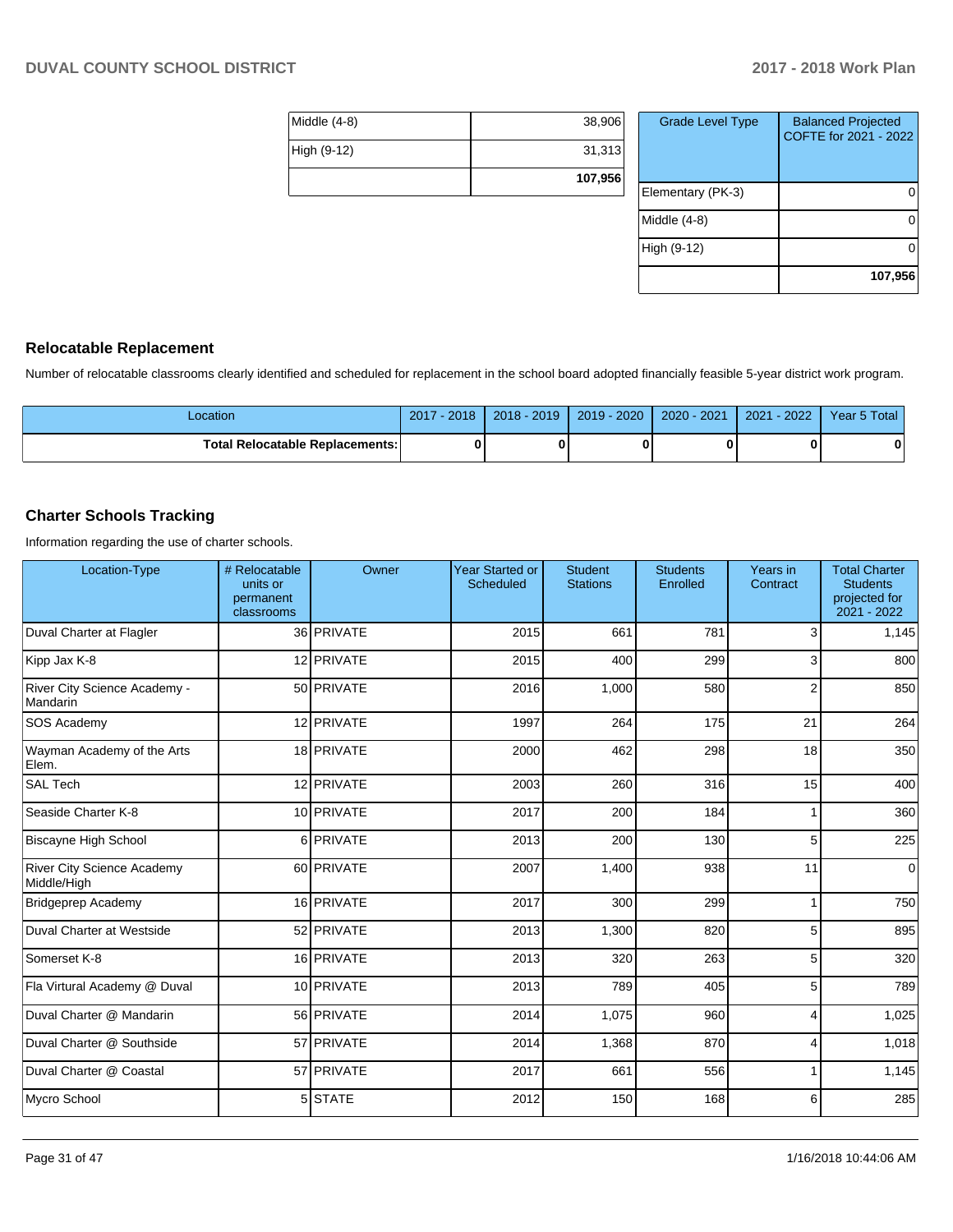| Middle (4-8) | 38,906  |
|--------------|---------|
| High (9-12)  | 31,313  |
|              | 107,956 |

| <b>Grade Level Type</b> | <b>Balanced Projected</b><br>COFTE for 2021 - 2022 |
|-------------------------|----------------------------------------------------|
| Elementary (PK-3)       |                                                    |
| Middle $(4-8)$          |                                                    |
| High (9-12)             |                                                    |
|                         | 107,956                                            |

### **Relocatable Replacement**

Number of relocatable classrooms clearly identified and scheduled for replacement in the school board adopted financially feasible 5-year district work program.

| -ocation                               | 2018<br>2017 | $2018 - 2019$ | 2019 - 2020 | 2020 - 2021 | $-2022$<br>2021 | Year 5 Total |
|----------------------------------------|--------------|---------------|-------------|-------------|-----------------|--------------|
| <b>Total Relocatable Replacements:</b> | O            |               |             |             |                 | 0            |

### **Charter Schools Tracking**

Information regarding the use of charter schools.

| Location-Type                                    | # Relocatable<br>units or<br>permanent<br>classrooms | Owner      | <b>Year Started or</b><br><b>Scheduled</b> | <b>Student</b><br><b>Stations</b> | <b>Students</b><br>Enrolled | Years in<br>Contract | <b>Total Charter</b><br><b>Students</b><br>projected for<br>2021 - 2022 |
|--------------------------------------------------|------------------------------------------------------|------------|--------------------------------------------|-----------------------------------|-----------------------------|----------------------|-------------------------------------------------------------------------|
| Duval Charter at Flagler                         |                                                      | 36 PRIVATE | 2015                                       | 661                               | 781                         | 3                    | 1,145                                                                   |
| Kipp Jax K-8                                     |                                                      | 12 PRIVATE | 2015                                       | 400                               | 299                         | 3                    | 800                                                                     |
| River City Science Academy -<br>Mandarin         |                                                      | 50 PRIVATE | 2016                                       | 1.000                             | 580                         | 2                    | 850                                                                     |
| SOS Academy                                      |                                                      | 12 PRIVATE | 1997                                       | 264                               | 175                         | 21                   | 264                                                                     |
| Wayman Academy of the Arts<br>Elem.              |                                                      | 18 PRIVATE | 2000                                       | 462                               | 298                         | 18                   | 350                                                                     |
| <b>SAL Tech</b>                                  |                                                      | 12 PRIVATE | 2003                                       | 260                               | 316                         | 15                   | 400                                                                     |
| Seaside Charter K-8                              |                                                      | 10 PRIVATE | 2017                                       | 200                               | 184                         | 1                    | 360                                                                     |
| <b>Biscayne High School</b>                      |                                                      | 6 PRIVATE  | 2013                                       | 200                               | 130                         | 5                    | 225                                                                     |
| <b>River City Science Academy</b><br>Middle/High |                                                      | 60 PRIVATE | 2007                                       | 1,400                             | 938                         | 11                   | 0                                                                       |
| <b>Bridgeprep Academy</b>                        |                                                      | 16 PRIVATE | 2017                                       | 300                               | 299                         | 1                    | 750                                                                     |
| Duval Charter at Westside                        |                                                      | 52 PRIVATE | 2013                                       | 1,300                             | 820                         | 5                    | 895                                                                     |
| Somerset K-8                                     |                                                      | 16 PRIVATE | 2013                                       | 320                               | 263                         | 5                    | 320                                                                     |
| Fla Virtural Academy @ Duval                     |                                                      | 10 PRIVATE | 2013                                       | 789                               | 405                         | 5                    | 789                                                                     |
| Duval Charter @ Mandarin                         |                                                      | 56 PRIVATE | 2014                                       | 1,075                             | 960                         | 4                    | 1,025                                                                   |
| Duval Charter @ Southside                        |                                                      | 57 PRIVATE | 2014                                       | 1,368                             | 870                         | 4                    | 1,018                                                                   |
| Duval Charter @ Coastal                          |                                                      | 57 PRIVATE | 2017                                       | 661                               | 556                         |                      | 1,145                                                                   |
| Mycro School                                     |                                                      | 5 STATE    | 2012                                       | 150                               | 168                         | 6                    | 285                                                                     |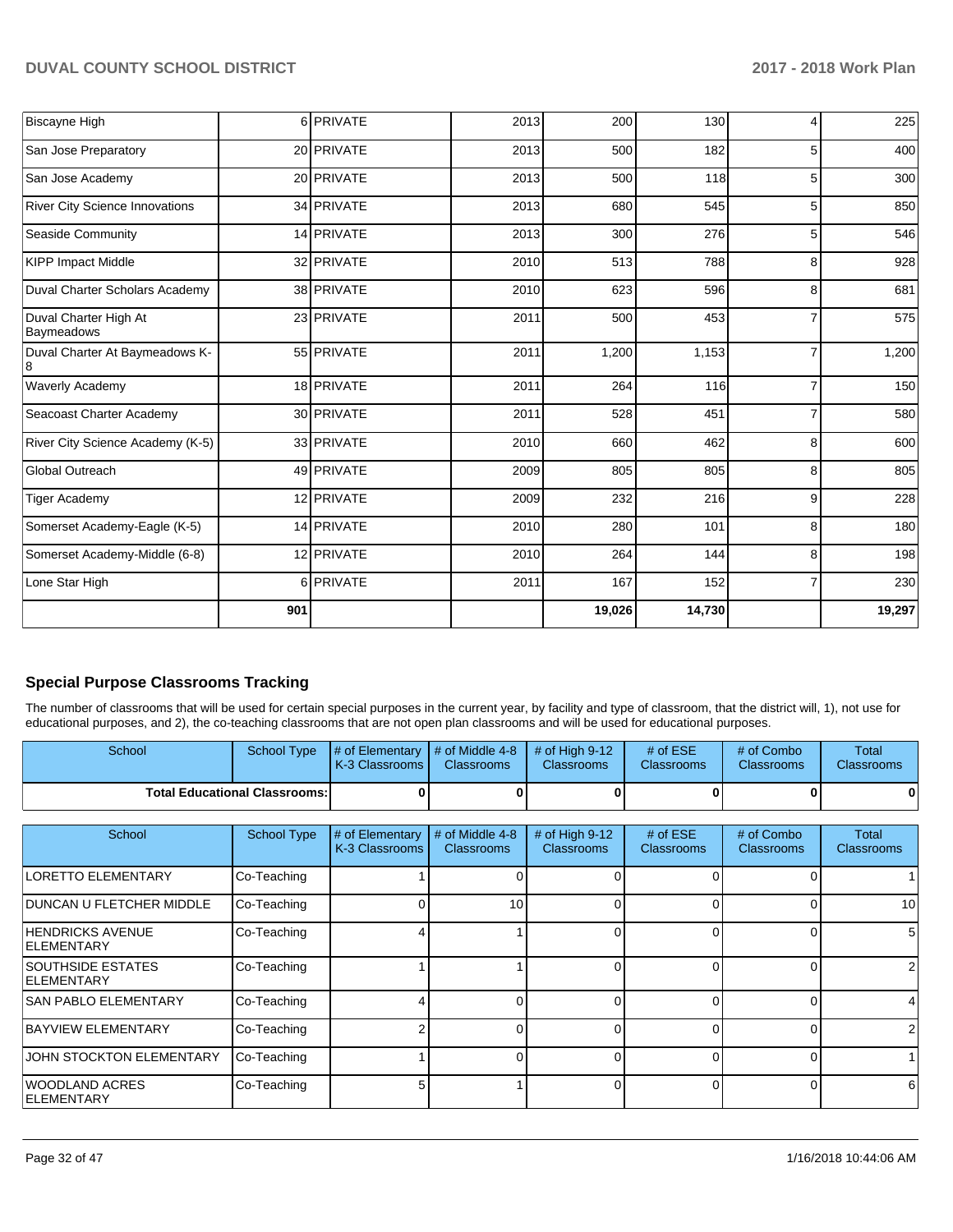| <b>Biscayne High</b>                |     | 6 PRIVATE  | 2013 | 200    | 130    | Δ              | 225    |
|-------------------------------------|-----|------------|------|--------|--------|----------------|--------|
| San Jose Preparatory                |     | 20 PRIVATE | 2013 | 500    | 182    | 5              | 400    |
| San Jose Academy                    |     | 20 PRIVATE | 2013 | 500    | 118    | 5              | 300    |
| River City Science Innovations      |     | 34 PRIVATE | 2013 | 680    | 545    | 5              | 850    |
| Seaside Community                   |     | 14 PRIVATE | 2013 | 300    | 276    | 5              | 546    |
| <b>KIPP Impact Middle</b>           |     | 32 PRIVATE | 2010 | 513    | 788    | 8              | 928    |
| Duval Charter Scholars Academy      |     | 38 PRIVATE | 2010 | 623    | 596    | 8              | 681    |
| Duval Charter High At<br>Baymeadows |     | 23 PRIVATE | 2011 | 500    | 453    |                | 575    |
| Duval Charter At Baymeadows K-<br>8 |     | 55 PRIVATE | 2011 | 1,200  | 1,153  |                | 1,200  |
| <b>Waverly Academy</b>              |     | 18 PRIVATE | 2011 | 264    | 116    |                | 150    |
| Seacoast Charter Academy            |     | 30 PRIVATE | 2011 | 528    | 451    |                | 580    |
| River City Science Academy (K-5)    |     | 33 PRIVATE | 2010 | 660    | 462    | 8              | 600    |
| Global Outreach                     |     | 49 PRIVATE | 2009 | 805    | 805    | 8              | 805    |
| <b>Tiger Academy</b>                |     | 12 PRIVATE | 2009 | 232    | 216    | 9              | 228    |
| Somerset Academy-Eagle (K-5)        |     | 14 PRIVATE | 2010 | 280    | 101    | 8              | 180    |
| Somerset Academy-Middle (6-8)       |     | 12 PRIVATE | 2010 | 264    | 144    | 8              | 198    |
| Lone Star High                      |     | 6 PRIVATE  | 2011 | 167    | 152    | $\overline{7}$ | 230    |
|                                     | 901 |            |      | 19,026 | 14,730 |                | 19,297 |

# **Special Purpose Classrooms Tracking**

The number of classrooms that will be used for certain special purposes in the current year, by facility and type of classroom, that the district will, 1), not use for educational purposes, and 2), the co-teaching classrooms that are not open plan classrooms and will be used for educational purposes.

| School                                         | <b>School Type</b> | # of Elementary<br>K-3 Classrooms | # of Middle 4-8<br><b>Classrooms</b> | # of High $9-12$<br><b>Classrooms</b> | # of $ESE$<br><b>Classrooms</b> | # of Combo<br><b>Classrooms</b> | Total<br><b>Classrooms</b> |
|------------------------------------------------|--------------------|-----------------------------------|--------------------------------------|---------------------------------------|---------------------------------|---------------------------------|----------------------------|
| <b>Total Educational Classrooms:</b>           |                    | 0                                 |                                      |                                       |                                 | 0                               |                            |
| School                                         | <b>School Type</b> | # of Elementary                   | # of Middle 4-8                      | # of High $9-12$                      | # of $ESE$                      | # of Combo                      | Total                      |
|                                                |                    | K-3 Classrooms                    | <b>Classrooms</b>                    | <b>Classrooms</b>                     | <b>Classrooms</b>               | <b>Classrooms</b>               | <b>Classrooms</b>          |
| LORETTO ELEMENTARY                             | Co-Teaching        |                                   | <sup>0</sup>                         |                                       | U                               | $\Omega$                        |                            |
| DUNCAN U FLETCHER MIDDLE                       | Co-Teaching        | 0                                 | 10 <sup>1</sup>                      |                                       | 0                               | $\Omega$                        | 10                         |
| <b>HENDRICKS AVENUE</b><br><b>IELEMENTARY</b>  | Co-Teaching        |                                   |                                      |                                       | 0                               | $\Omega$                        | 5                          |
| <b>SOUTHSIDE ESTATES</b><br><b>IELEMENTARY</b> | Co-Teaching        |                                   |                                      | n                                     | 0                               | $\Omega$                        |                            |
| <b>SAN PABLO ELEMENTARY</b>                    | Co-Teaching        |                                   |                                      |                                       | n                               | $\Omega$                        |                            |
| BAYVIEW ELEMENTARY                             | Co-Teaching        |                                   |                                      |                                       | n                               | $\Omega$                        |                            |
| JOHN STOCKTON ELEMENTARY                       | Co-Teaching        |                                   | $\Omega$                             |                                       | $\Omega$                        | $\Omega$                        |                            |
| WOODLAND ACRES<br><b>ELEMENTARY</b>            | Co-Teaching        | 5                                 |                                      |                                       | $\Omega$                        | $\Omega$                        | 6                          |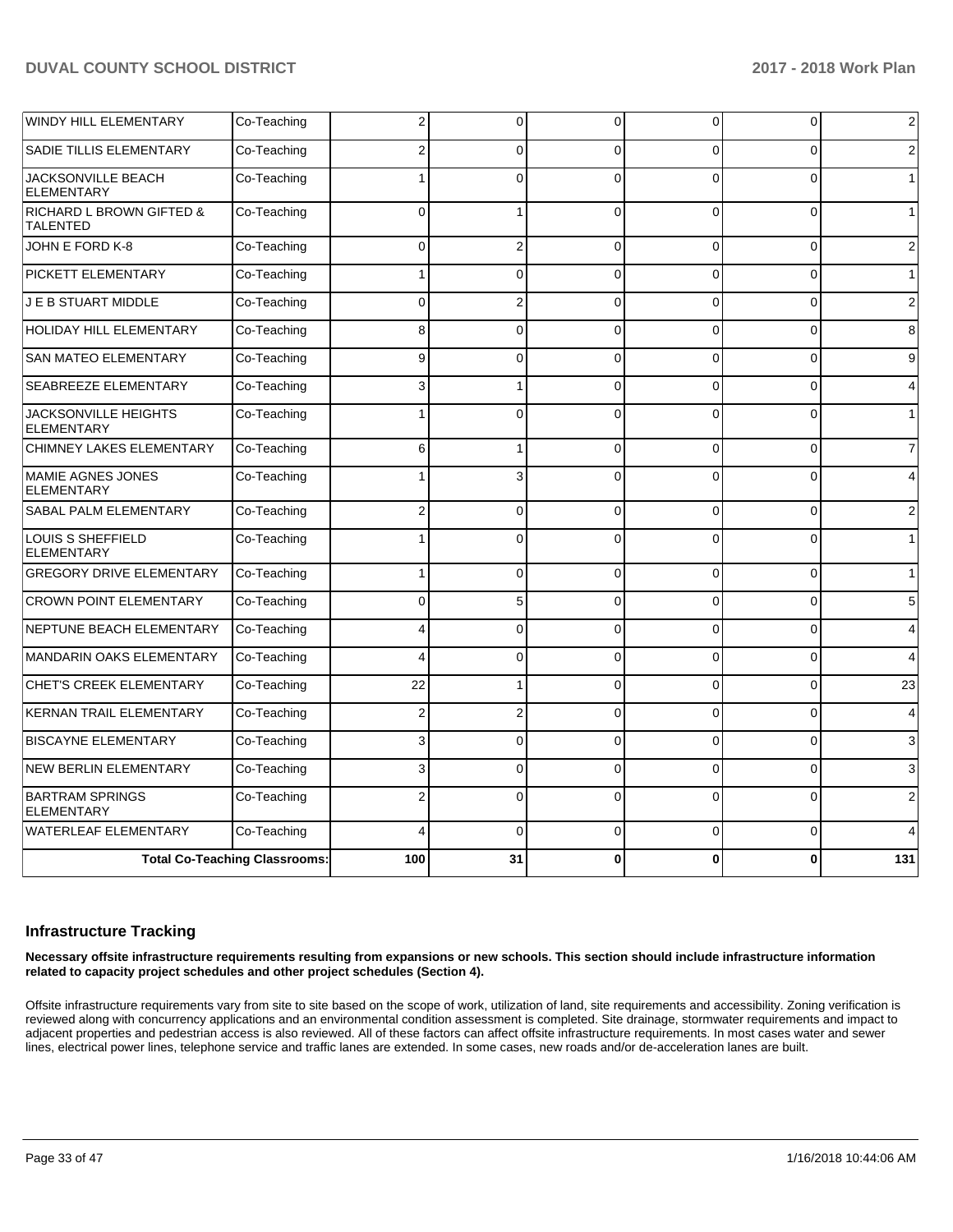| <b>WINDY HILL ELEMENTARY</b>                           | Co-Teaching | 2                       | 0              | U        | 0        | 0        | $\overline{2}$ |
|--------------------------------------------------------|-------------|-------------------------|----------------|----------|----------|----------|----------------|
| SADIE TILLIS ELEMENTARY                                | Co-Teaching | 2                       | $\Omega$       | $\Omega$ | $\Omega$ | O        | 2              |
| JACKSONVILLE BEACH<br><b>ELEMENTARY</b>                | Co-Teaching |                         | $\Omega$       | $\Omega$ | $\Omega$ | $\Omega$ | $\mathbf{1}$   |
| <b>RICHARD L BROWN GIFTED &amp;</b><br><b>TALENTED</b> | Co-Teaching | $\Omega$                |                | $\Omega$ | $\Omega$ | $\Omega$ | $\mathbf{1}$   |
| JOHN E FORD K-8                                        | Co-Teaching | 0                       | $\overline{2}$ | $\Omega$ | 0        | $\Omega$ | $\overline{2}$ |
| PICKETT ELEMENTARY                                     | Co-Teaching | 1                       | $\Omega$       | $\Omega$ | 0        | $\Omega$ | $\mathbf{1}$   |
| J E B STUART MIDDLE                                    | Co-Teaching | $\Omega$                | 2              | $\Omega$ | $\Omega$ | $\Omega$ | 2              |
| <b>HOLIDAY HILL ELEMENTARY</b>                         | Co-Teaching | 8                       | $\Omega$       | $\Omega$ | $\Omega$ | $\Omega$ | 8              |
| <b>SAN MATEO ELEMENTARY</b>                            | Co-Teaching | 9                       | 0              | $\Omega$ | 0        | 0        | 9              |
| SEABREEZE ELEMENTARY                                   | Co-Teaching | 3                       |                | $\Omega$ | 0        | $\Omega$ | 4              |
| <b>JACKSONVILLE HEIGHTS</b><br><b>ELEMENTARY</b>       | Co-Teaching | 1                       | $\Omega$       | $\Omega$ | $\Omega$ | $\Omega$ | $\mathbf{1}$   |
| <b>CHIMNEY LAKES ELEMENTARY</b>                        | Co-Teaching | 6                       | 1              | $\Omega$ | 0        | $\Omega$ | $\overline{7}$ |
| MAMIE AGNES JONES<br><b>ELEMENTARY</b>                 | Co-Teaching | 1                       | 3              | $\Omega$ | $\Omega$ | $\Omega$ | 4              |
| SABAL PALM ELEMENTARY                                  | Co-Teaching | $\overline{2}$          | 0              | $\Omega$ | $\Omega$ | 0        | 2              |
| LOUIS S SHEFFIELD<br><b>ELEMENTARY</b>                 | Co-Teaching | 1                       | $\Omega$       | $\Omega$ | $\Omega$ | $\Omega$ | $\mathbf{1}$   |
| <b>GREGORY DRIVE ELEMENTARY</b>                        | Co-Teaching |                         | 0              | $\Omega$ | 0        | 0        | $\mathbf{1}$   |
| <b>CROWN POINT ELEMENTARY</b>                          | Co-Teaching | 0                       | 5              | $\Omega$ | 0        | 0        | 5              |
| NEPTUNE BEACH ELEMENTARY                               | Co-Teaching | 4                       | $\Omega$       | $\Omega$ | $\Omega$ | $\Omega$ | 4              |
| <b>MANDARIN OAKS ELEMENTARY</b>                        | Co-Teaching | $\overline{\mathbf{4}}$ | $\Omega$       | $\Omega$ | $\Omega$ | $\Omega$ | 4              |
| <b>CHET'S CREEK ELEMENTARY</b>                         | Co-Teaching | 22                      |                | $\Omega$ | $\Omega$ | 0        | 23             |
| <b>KERNAN TRAIL ELEMENTARY</b>                         | Co-Teaching | $\overline{2}$          | $\overline{2}$ | $\Omega$ | 0        | 0        | 4              |
| <b>BISCAYNE ELEMENTARY</b>                             | Co-Teaching | 3                       | $\Omega$       | $\Omega$ | $\Omega$ | $\Omega$ | 3              |
| <b>NEW BERLIN ELEMENTARY</b>                           | Co-Teaching | 3                       | $\Omega$       | $\Omega$ | $\Omega$ | $\Omega$ | 3              |
| <b>BARTRAM SPRINGS</b><br><b>ELEMENTARY</b>            | Co-Teaching | 2                       | $\Omega$       | $\Omega$ | $\Omega$ | $\Omega$ | 2              |
| <b>WATERLEAF ELEMENTARY</b>                            | Co-Teaching | 4                       | $\Omega$       | $\Omega$ | $\Omega$ | $\Omega$ | 4              |
| <b>Total Co-Teaching Classrooms:</b>                   |             | 100                     | 31             | $\bf{0}$ | 0        | 0        | 131            |

### **Infrastructure Tracking**

**Necessary offsite infrastructure requirements resulting from expansions or new schools. This section should include infrastructure information related to capacity project schedules and other project schedules (Section 4).** 

Offsite infrastructure requirements vary from site to site based on the scope of work, utilization of land, site requirements and accessibility. Zoning verification is reviewed along with concurrency applications and an environmental condition assessment is completed. Site drainage, stormwater requirements and impact to adjacent properties and pedestrian access is also reviewed. All of these factors can affect offsite infrastructure requirements. In most cases water and sewer lines, electrical power lines, telephone service and traffic lanes are extended. In some cases, new roads and/or de-acceleration lanes are built.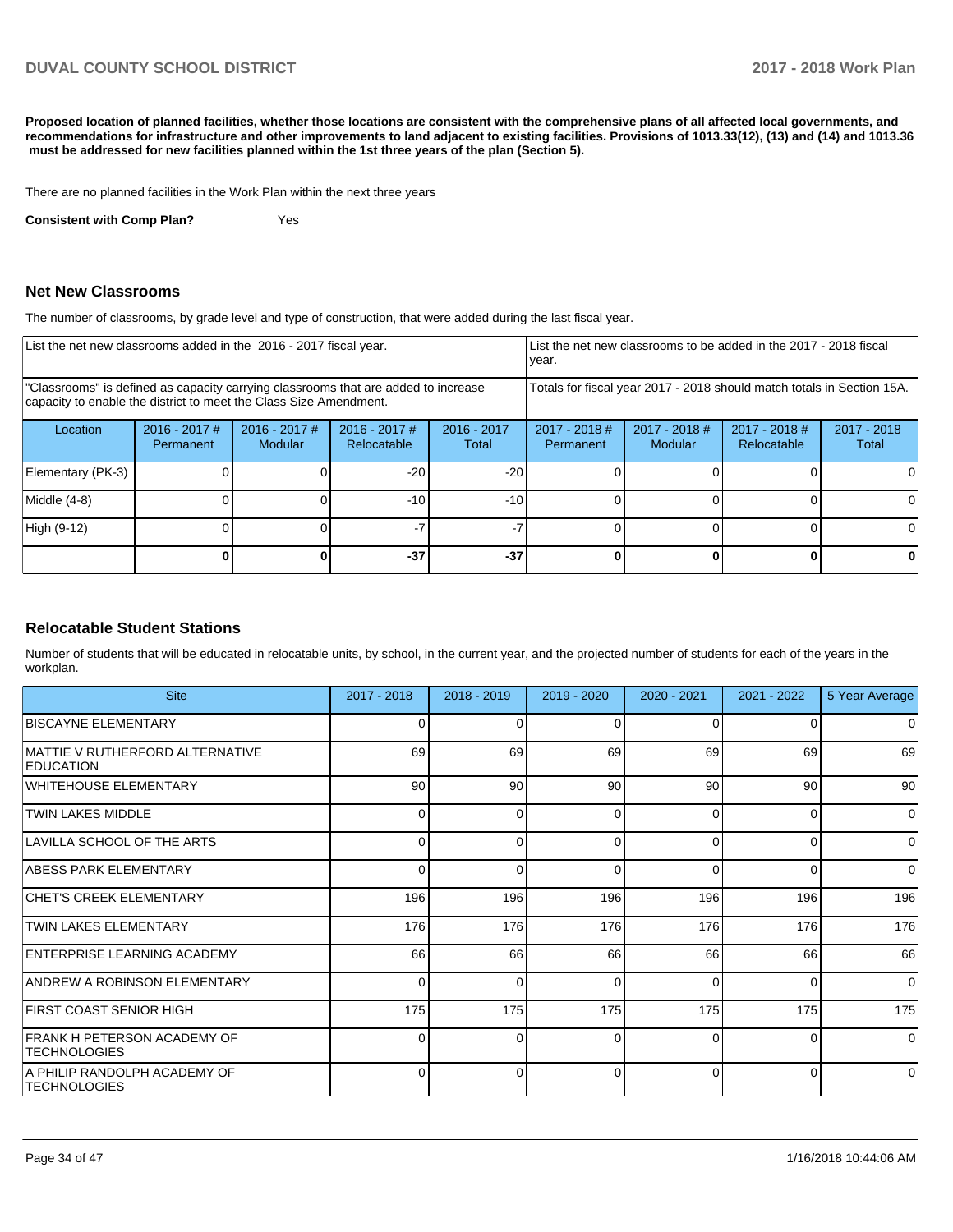**Proposed location of planned facilities, whether those locations are consistent with the comprehensive plans of all affected local governments, and recommendations for infrastructure and other improvements to land adjacent to existing facilities. Provisions of 1013.33(12), (13) and (14) and 1013.36 must be addressed for new facilities planned within the 1st three years of the plan (Section 5).** 

There are no planned facilities in the Work Plan within the next three years

**Consistent with Comp Plan?** Yes

#### **Net New Classrooms**

The number of classrooms, by grade level and type of construction, that were added during the last fiscal year.

| List the net new classrooms added in the 2016 - 2017 fiscal year.                                                                                       |                              |                            |                                |                        | List the net new classrooms to be added in the 2017 - 2018 fiscal<br>year. |                            |                                |                      |
|---------------------------------------------------------------------------------------------------------------------------------------------------------|------------------------------|----------------------------|--------------------------------|------------------------|----------------------------------------------------------------------------|----------------------------|--------------------------------|----------------------|
| "Classrooms" is defined as capacity carrying classrooms that are added to increase<br>capacity to enable the district to meet the Class Size Amendment. |                              |                            |                                |                        | Totals for fiscal year 2017 - 2018 should match totals in Section 15A.     |                            |                                |                      |
| Location                                                                                                                                                | $2016 - 2017$ #<br>Permanent | $2016 - 2017$ #<br>Modular | $2016 - 2017$ #<br>Relocatable | $2016 - 2017$<br>Total | $2017 - 2018$ #<br><b>Permanent</b>                                        | $2017 - 2018$ #<br>Modular | $2017 - 2018$ #<br>Relocatable | 2017 - 2018<br>Total |
| Elementary (PK-3)                                                                                                                                       |                              |                            | $-20$                          | $-20$                  |                                                                            |                            |                                |                      |
| Middle (4-8)                                                                                                                                            |                              |                            | $-10$                          | $-10$                  |                                                                            |                            |                                | $\Omega$             |
| High (9-12)                                                                                                                                             |                              |                            |                                |                        |                                                                            |                            |                                | 0                    |
|                                                                                                                                                         |                              |                            | $-37$                          | $-37$                  |                                                                            |                            |                                | 0                    |

### **Relocatable Student Stations**

Number of students that will be educated in relocatable units, by school, in the current year, and the projected number of students for each of the years in the workplan.

| <b>Site</b>                                          | $2017 - 2018$ | $2018 - 2019$ | $2019 - 2020$ | $2020 - 2021$ | $2021 - 2022$ | 5 Year Average |
|------------------------------------------------------|---------------|---------------|---------------|---------------|---------------|----------------|
| <b>BISCAYNE ELEMENTARY</b>                           |               |               | ∩             | O             | 0             | $\overline{0}$ |
| IMATTIE V RUTHERFORD ALTERNATIVE<br><b>EDUCATION</b> | 69            | 69            | 69            | 69            | 69            | 69             |
| WHITEHOUSE ELEMENTARY                                | 90            | 90            | 90            | 90            | 90            | 90             |
| <b>TWIN LAKES MIDDLE</b>                             | <sup>0</sup>  | ∩             | $\Omega$      | $\Omega$      | $\Omega$      | $\overline{0}$ |
| LAVILLA SCHOOL OF THE ARTS                           | 0             | <sup>0</sup>  | $\Omega$      | $\Omega$      | $\Omega$      | $\overline{0}$ |
| ABESS PARK ELEMENTARY                                | 0             | $\Omega$      | 0             | $\Omega$      | 0             | $\Omega$       |
| <b>CHET'S CREEK ELEMENTARY</b>                       | 196           | 196           | 196           | 196           | 196           | 196            |
| <b>TWIN LAKES ELEMENTARY</b>                         | 176           | 176           | 176           | 176           | 176           | 176            |
| ENTERPRISE LEARNING ACADEMY                          | 66            | 66            | 66            | 66            | 66            | 66             |
| <b>ANDREW A ROBINSON ELEMENTARY</b>                  | 0             | $\Omega$      | 0             | $\Omega$      | $\Omega$      | $\Omega$       |
| FIRST COAST SENIOR HIGH                              | 175           | 175           | 175           | 175           | 175           | 175            |
| FRANK H PETERSON ACADEMY OF<br><b>TECHNOLOGIES</b>   | 0             | $\Omega$      | $\Omega$      | $\Omega$      | $\Omega$      | $\Omega$       |
| A PHILIP RANDOLPH ACADEMY OF<br><b>TECHNOLOGIES</b>  | <sup>0</sup>  | $\Omega$      | $\Omega$      | $\Omega$      | $\Omega$      | $\Omega$       |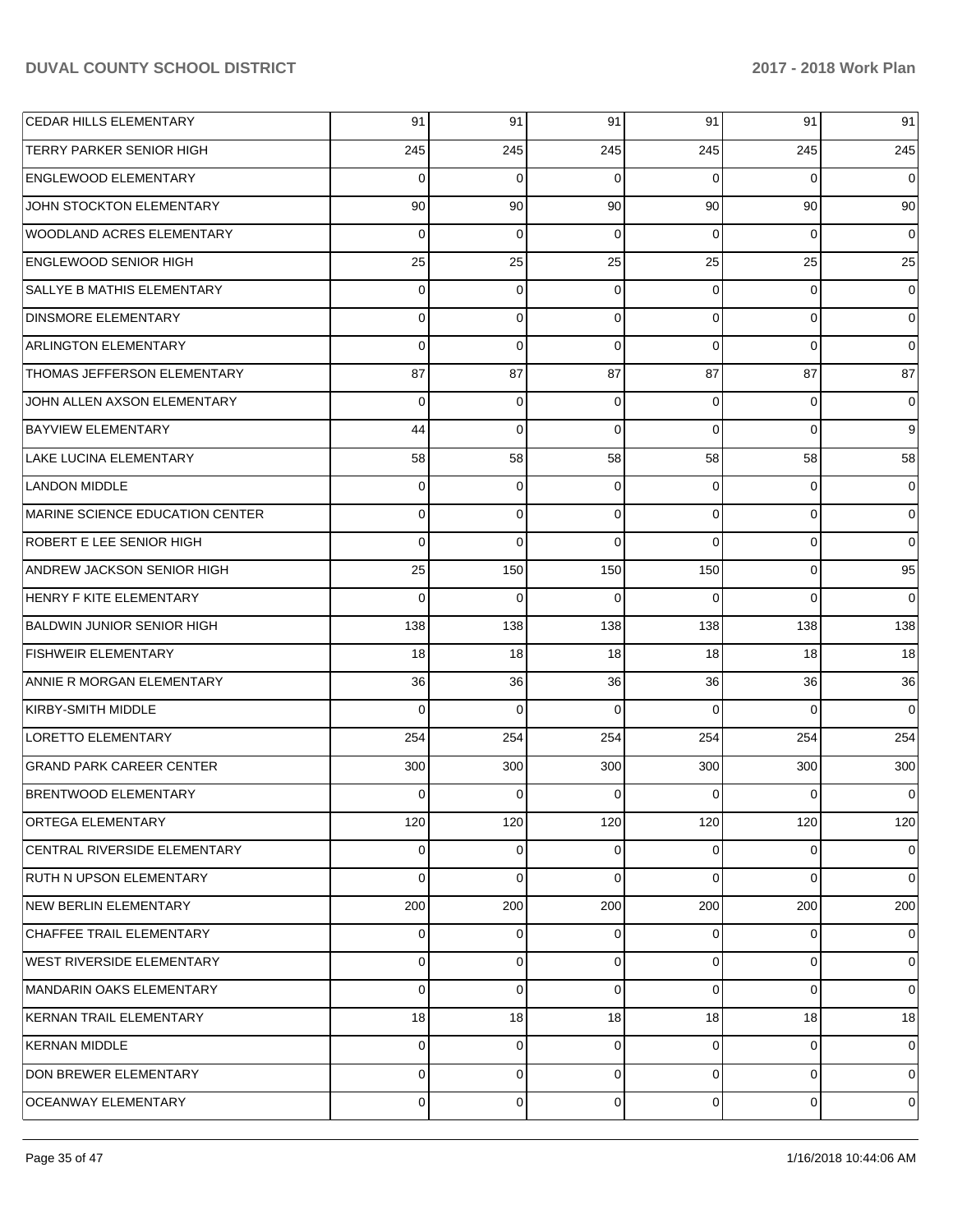| CEDAR HILLS ELEMENTARY              | 91          | 91          | 91  | 91             | 91          | 91             |
|-------------------------------------|-------------|-------------|-----|----------------|-------------|----------------|
| <b>TERRY PARKER SENIOR HIGH</b>     | 245         | 245         | 245 | 245            | 245         | 245            |
| <b>ENGLEWOOD ELEMENTARY</b>         | 0           | 0           | 0   | $\Omega$       | $\Omega$    | $\Omega$       |
| JOHN STOCKTON ELEMENTARY            | 90          | 90          | 90  | 90             | 90          | 90             |
| WOODLAND ACRES ELEMENTARY           | 0           | 0           | 0   | $\Omega$       | $\Omega$    | $\Omega$       |
| <b>ENGLEWOOD SENIOR HIGH</b>        | 25          | 25          | 25  | 25             | 25          | 25             |
| SALLYE B MATHIS ELEMENTARY          | $\Omega$    | 0           | 0   | $\Omega$       | $\mathbf 0$ | 0              |
| <b>DINSMORE ELEMENTARY</b>          | 0           | $\mathbf 0$ | 0   | $\Omega$       | $\Omega$    | 0              |
| ARLINGTON ELEMENTARY                | $\Omega$    | $\mathbf 0$ | 0   | $\Omega$       | $\Omega$    | $\Omega$       |
| THOMAS JEFFERSON ELEMENTARY         | 87          | 87          | 87  | 87             | 87          | 87             |
| JOHN ALLEN AXSON ELEMENTARY         | $\Omega$    | 0           | 0   | $\Omega$       | $\Omega$    | 0              |
| <b>BAYVIEW ELEMENTARY</b>           | 44          | $\mathbf 0$ | 0   | $\Omega$       | $\Omega$    | 9              |
| LAKE LUCINA ELEMENTARY              | 58          | 58          | 58  | 58             | 58          | 58             |
| <b>LANDON MIDDLE</b>                | 0           | $\mathbf 0$ | 0   | $\Omega$       | $\Omega$    | 0              |
| MARINE SCIENCE EDUCATION CENTER     | 0           | $\mathbf 0$ | 0   | $\Omega$       | $\Omega$    | $\Omega$       |
| <b>ROBERT E LEE SENIOR HIGH</b>     | $\Omega$    | $\mathbf 0$ | 0   | $\Omega$       | $\Omega$    | 0              |
| <b>ANDREW JACKSON SENIOR HIGH</b>   | 25          | 150         | 150 | 150            | $\mathbf 0$ | 95             |
| <b>HENRY F KITE ELEMENTARY</b>      | $\Omega$    | $\mathbf 0$ | 0   | $\Omega$       | $\Omega$    | $\mathbf 0$    |
| <b>BALDWIN JUNIOR SENIOR HIGH</b>   | 138         | 138         | 138 | 138            | 138         | 138            |
| <b>FISHWEIR ELEMENTARY</b>          | 18          | 18          | 18  | 18             | 18          | 18             |
| ANNIE R MORGAN ELEMENTARY           | 36          | 36          | 36  | 36             | 36          | 36             |
| KIRBY-SMITH MIDDLE                  | $\Omega$    | $\mathbf 0$ | 0   | $\Omega$       | $\Omega$    | $\Omega$       |
| <b>LORETTO ELEMENTARY</b>           | 254         | 254         | 254 | 254            | 254         | 254            |
| <b>GRAND PARK CAREER CENTER</b>     | 300         | 300         | 300 | 300            | 300         | 300            |
| <b>BRENTWOOD ELEMENTARY</b>         | 0           | 0           | 0   | 0              | $\Omega$    | 0              |
| ORTEGA ELEMENTARY                   | 120         | 120         | 120 | 120            | 120         | 120            |
| <b>CENTRAL RIVERSIDE ELEMENTARY</b> | 0           | 0           | 0   | $\Omega$       | 0           | 0              |
| <b>RUTH N UPSON ELEMENTARY</b>      | $\Omega$    | 0           | 0   | $\Omega$       | $\Omega$    | $\Omega$       |
| NEW BERLIN ELEMENTARY               | 200         | 200         | 200 | 200            | 200         | 200            |
| CHAFFEE TRAIL ELEMENTARY            | 0           | 0           | 0   | $\Omega$       | 0           | $\overline{0}$ |
| <b>WEST RIVERSIDE ELEMENTARY</b>    | 0           | 0           | 0   | $\Omega$       | $\mathbf 0$ | $\overline{0}$ |
| MANDARIN OAKS ELEMENTARY            | 0           | $\mathbf 0$ | 0   | $\Omega$       | $\mathbf 0$ | $\mathbf 0$    |
| KERNAN TRAIL ELEMENTARY             | 18          | 18          | 18  | 18             | 18          | 18             |
| KERNAN MIDDLE                       | 0           | 0           | 0   | $\Omega$       | $\mathbf 0$ | 0              |
| DON BREWER ELEMENTARY               | 0           | 0           | 0   | $\Omega$       | $\mathbf 0$ | $\overline{0}$ |
| OCEANWAY ELEMENTARY                 | $\mathbf 0$ | 0           | 0   | $\overline{0}$ | $\mathbf 0$ | 0              |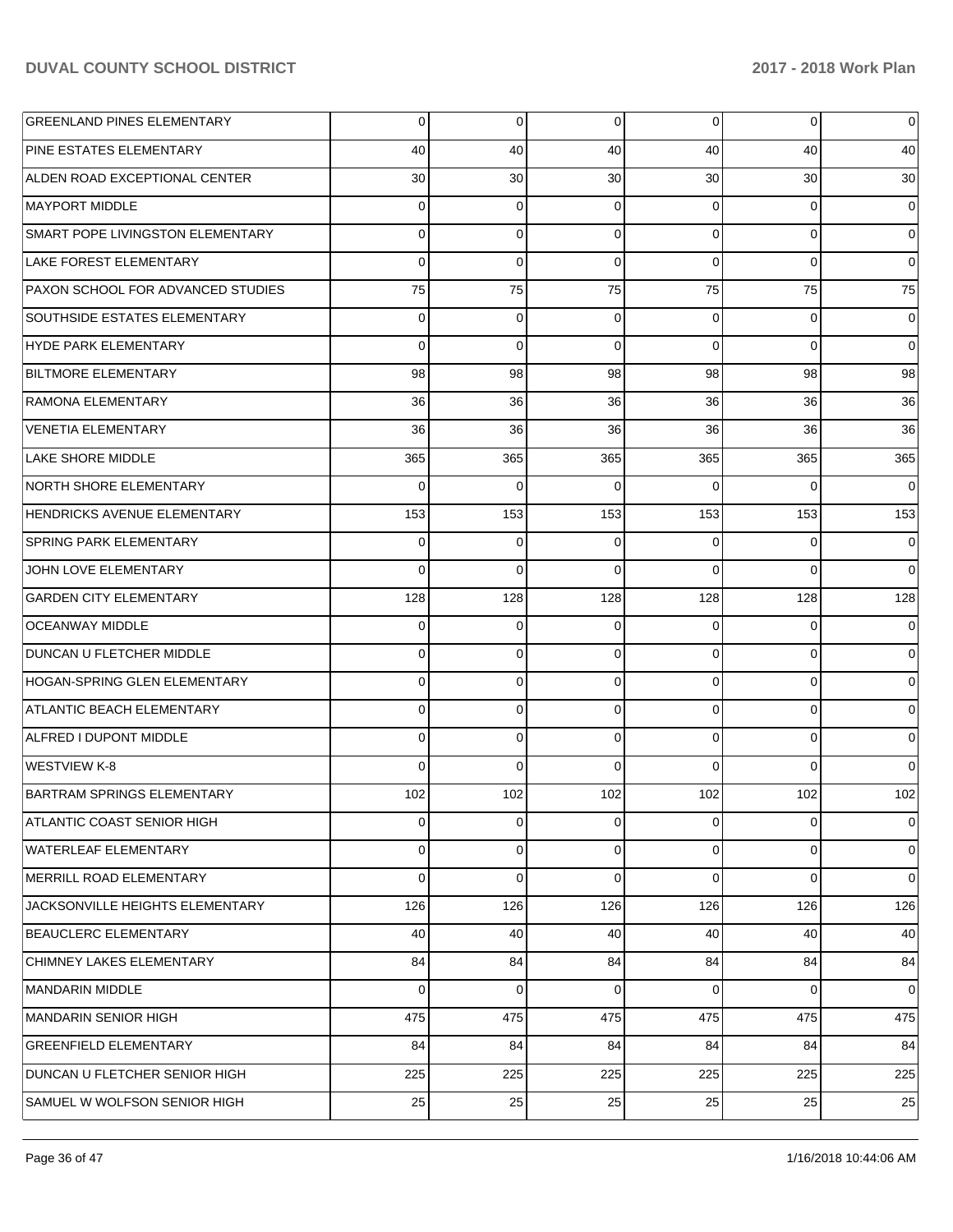| <b>GREENLAND PINES ELEMENTARY</b>  | 0           | 0              | $\overline{0}$ | $\overline{0}$ | $\overline{0}$  | $\overline{0}$  |
|------------------------------------|-------------|----------------|----------------|----------------|-----------------|-----------------|
| IPINE ESTATES ELEMENTARY           | 40          | 40             | 40             | 40             | 40              | 40              |
| ALDEN ROAD EXCEPTIONAL CENTER      | 30          | 30             | 30             | 30             | 30 <sup>°</sup> | 30 <sup>1</sup> |
| IMAYPORT MIDDLE                    | 0           | 0              | $\Omega$       | 0              | $\overline{0}$  | $\overline{0}$  |
| SMART POPE LIVINGSTON ELEMENTARY   | 0           | 0              | $\Omega$       | $\Omega$       | $\Omega$        | $\overline{0}$  |
| LAKE FOREST ELEMENTARY             | 0           | 0              | $\Omega$       | $\Omega$       | $\overline{0}$  | $\overline{0}$  |
| PAXON SCHOOL FOR ADVANCED STUDIES  | 75          | 75             | 75             | 75             | 75              | 75              |
| SOUTHSIDE ESTATES ELEMENTARY       | 0           | 0              | $\Omega$       | $\Omega$       | $\overline{0}$  | $\overline{0}$  |
| HYDE PARK ELEMENTARY               | $\Omega$    | $\Omega$       | $\Omega$       | $\Omega$       | $\Omega$        | $\overline{0}$  |
| BILTMORE ELEMENTARY                | 98          | 98             | 98             | 98             | 98              | 98              |
| RAMONA ELEMENTARY                  | 36          | 36             | 36             | 36             | 36              | 36              |
| <b>VENETIA ELEMENTARY</b>          | 36          | 36             | 36             | 36             | 36              | 36              |
| LAKE SHORE MIDDLE                  | 365         | 365            | 365            | 365            | 365             | 365             |
| <b>NORTH SHORE ELEMENTARY</b>      | 0           | 0              | $\Omega$       | $\Omega$       | $\Omega$        | $\overline{0}$  |
| <b>HENDRICKS AVENUE ELEMENTARY</b> | 153         | 153            | 153            | 153            | 153             | 153             |
| <b>SPRING PARK ELEMENTARY</b>      | 0           | 0              | 0              | 0              | $\overline{0}$  | $\overline{0}$  |
| JOHN LOVE ELEMENTARY               | $\Omega$    | $\Omega$       | $\Omega$       | $\Omega$       | $\Omega$        | $\overline{0}$  |
| <b>GARDEN CITY ELEMENTARY</b>      | 128         | 128            | 128            | 128            | 128             | 128             |
| <b>OCEANWAY MIDDLE</b>             | 0           | 0              | 0              | 0              | $\overline{0}$  | $\overline{0}$  |
| <b>DUNCAN U FLETCHER MIDDLE</b>    | 0           | 0              | $\Omega$       | $\Omega$       | $\overline{0}$  | $\overline{0}$  |
| HOGAN-SPRING GLEN ELEMENTARY       | 0           | 0              | $\Omega$       | $\Omega$       | $\overline{0}$  | $\overline{0}$  |
| ATLANTIC BEACH ELEMENTARY          | 0           | 0              | $\Omega$       | $\Omega$       | $\overline{0}$  | $\overline{0}$  |
| ALFRED I DUPONT MIDDLE             | 0           | 0              | $\Omega$       | $\Omega$       | $\overline{0}$  | $\overline{0}$  |
| WESTVIEW K-8                       | $\Omega$    | 0              | $\Omega$       | $\Omega$       | $\overline{0}$  | $\overline{0}$  |
| BARTRAM SPRINGS ELEMENTARY         | 102         | 102            | 102            | 102            | 102             | 102             |
| ATLANTIC COAST SENIOR HIGH         | $\mathbf 0$ | $\overline{0}$ | $\overline{0}$ | $\overline{0}$ | $\overline{0}$  | $\mathbf 0$     |
| WATERLEAF ELEMENTARY               | 0           | 0              | $\Omega$       | 0              | $\overline{0}$  | $\mathbf 0$     |
| MERRILL ROAD ELEMENTARY            | 0           | 0              | $\Omega$       | 0              | $\overline{0}$  | $\mathbf 0$     |
| JACKSONVILLE HEIGHTS ELEMENTARY    | 126         | 126            | 126            | 126            | 126             | 126             |
| <b>BEAUCLERC ELEMENTARY</b>        | 40          | 40             | 40             | 40             | 40              | 40              |
| CHIMNEY LAKES ELEMENTARY           | 84          | 84             | 84             | 84             | 84              | 84              |
| <b>MANDARIN MIDDLE</b>             | 0           | 0              | $\Omega$       | 0              | $\overline{0}$  | $\mathbf 0$     |
| <b>MANDARIN SENIOR HIGH</b>        | 475         | 475            | 475            | 475            | 475             | 475             |
| <b>GREENFIELD ELEMENTARY</b>       | 84          | 84             | 84             | 84             | 84              | 84              |
| DUNCAN U FLETCHER SENIOR HIGH      | 225         | 225            | 225            | 225            | 225             | 225             |
| SAMUEL W WOLFSON SENIOR HIGH       | 25          | 25             | 25             | 25             | 25              | 25              |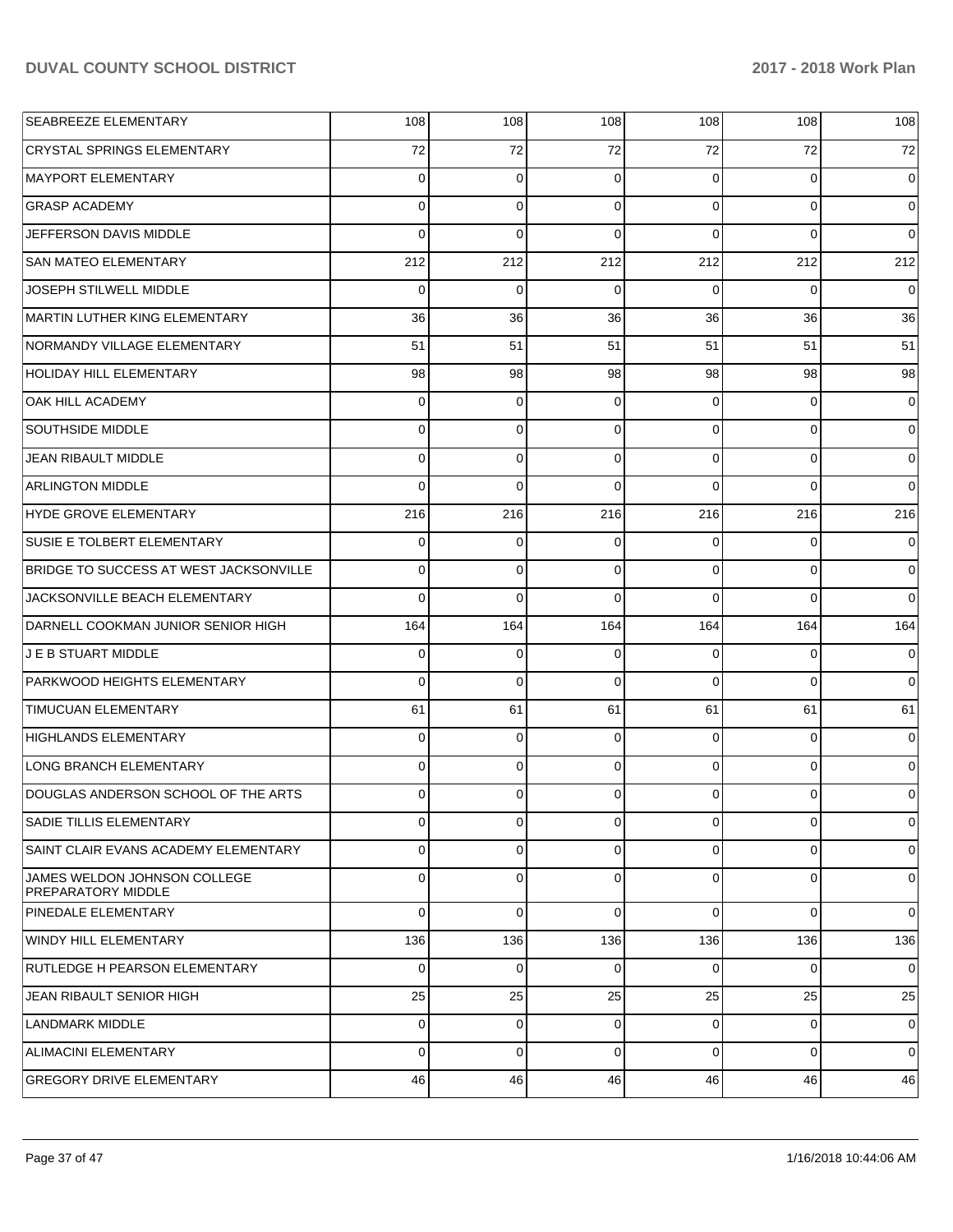| SEABREEZE ELEMENTARY                                      | 108            | 108            | 108      | 108            | 108      | 108            |
|-----------------------------------------------------------|----------------|----------------|----------|----------------|----------|----------------|
| <b>CRYSTAL SPRINGS ELEMENTARY</b>                         | 72             | 72             | 72       | 72             | 72       | 72             |
| MAYPORT ELEMENTARY                                        | $\Omega$       | 0              | $\Omega$ | $\Omega$       | $\Omega$ | $\mathbf 0$    |
| <b>GRASP ACADEMY</b>                                      | $\Omega$       | 0              | $\Omega$ | $\Omega$       | $\Omega$ | 0              |
| JEFFERSON DAVIS MIDDLE                                    | $\Omega$       | $\Omega$       | $\Omega$ | $\Omega$       | $\Omega$ | $\mathbf 0$    |
| <b>SAN MATEO ELEMENTARY</b>                               | 212            | 212            | 212      | 212            | 212      | 212            |
| <b>JOSEPH STILWELL MIDDLE</b>                             | $\Omega$       | $\Omega$       | $\Omega$ | $\Omega$       | 0        | $\mathbf 0$    |
| MARTIN LUTHER KING ELEMENTARY                             | 36             | 36             | 36       | 36             | 36       | 36             |
| INORMANDY VILLAGE ELEMENTARY                              | 51             | 51             | 51       | 51             | 51       | 51             |
| HOLIDAY HILL ELEMENTARY                                   | 98             | 98             | 98       | 98             | 98       | 98             |
| <b>OAK HILL ACADEMY</b>                                   | 0              | 0              | 0        | $\Omega$       | $\Omega$ | 0              |
| <b>SOUTHSIDE MIDDLE</b>                                   | $\mathbf 0$    | $\mathbf 0$    | $\Omega$ | $\Omega$       | $\Omega$ | $\mathbf 0$    |
| <b>JEAN RIBAULT MIDDLE</b>                                | $\Omega$       | $\mathbf 0$    | $\Omega$ | $\Omega$       | $\Omega$ | $\mathbf 0$    |
| <b>ARLINGTON MIDDLE</b>                                   | $\Omega$       | $\Omega$       | $\Omega$ | $\Omega$       | $\Omega$ | $\Omega$       |
| HYDE GROVE ELEMENTARY                                     | 216            | 216            | 216      | 216            | 216      | 216            |
| <b>SUSIE E TOLBERT ELEMENTARY</b>                         | $\mathbf 0$    | $\mathbf 0$    | $\Omega$ | $\Omega$       | 0        | 0              |
| BRIDGE TO SUCCESS AT WEST JACKSONVILLE                    | $\Omega$       | 0              | $\Omega$ | $\Omega$       | $\Omega$ | $\mathbf 0$    |
| JACKSONVILLE BEACH ELEMENTARY                             | 0              | $\Omega$       | $\Omega$ | $\Omega$       | $\Omega$ | $\Omega$       |
| DARNELL COOKMAN JUNIOR SENIOR HIGH                        | 164            | 164            | 164      | 164            | 164      | 164            |
| J E B STUART MIDDLE                                       | $\mathbf 0$    | $\mathbf 0$    | $\Omega$ | $\Omega$       | $\Omega$ | 0              |
| <b>PARKWOOD HEIGHTS ELEMENTARY</b>                        | $\Omega$       | $\Omega$       | $\Omega$ | $\Omega$       | $\Omega$ | $\Omega$       |
| <b>TIMUCUAN ELEMENTARY</b>                                | 61             | 61             | 61       | 61             | 61       | 61             |
| HIGHLANDS ELEMENTARY                                      | $\Omega$       | $\mathbf 0$    | $\Omega$ | $\Omega$       | $\Omega$ | $\mathbf 0$    |
| <b>LONG BRANCH ELEMENTARY</b>                             | $\overline{0}$ | $\mathbf 0$    | $\Omega$ | $\overline{0}$ | $\Omega$ | $\mathbf 0$    |
| DOUGLAS ANDERSON SCHOOL OF THE ARTS                       | 0              | 0              | 0        | $\Omega$       | $\Omega$ | 0              |
| <b>SADIE TILLIS ELEMENTARY</b>                            | $\overline{0}$ | $\overline{0}$ | 0        | $\overline{0}$ | 0        | 0              |
| SAINT CLAIR EVANS ACADEMY ELEMENTARY                      | $\Omega$       | $\Omega$       | 0        | $\overline{0}$ | $\Omega$ | $\overline{0}$ |
| JAMES WELDON JOHNSON COLLEGE<br><b>PREPARATORY MIDDLE</b> | 0              | 0              | 0        | $\Omega$       | $\Omega$ | $\overline{0}$ |
| PINEDALE ELEMENTARY                                       | $\Omega$       | $\mathbf 0$    | 0        | $\Omega$       | $\Omega$ | $\overline{0}$ |
| WINDY HILL ELEMENTARY                                     | 136            | 136            | 136      | 136            | 136      | 136            |
| RUTLEDGE H PEARSON ELEMENTARY                             | 0              | $\mathbf 0$    | 0        | $\overline{0}$ | 0        | 0              |
| JEAN RIBAULT SENIOR HIGH                                  | 25             | 25             | 25       | 25             | 25       | 25             |
| <b>LANDMARK MIDDLE</b>                                    | 0              | $\mathbf 0$    | 0        | $\overline{0}$ | 0        | 0              |
| ALIMACINI ELEMENTARY                                      | 0              | $\mathbf 0$    | $\Omega$ | $\Omega$       | $\Omega$ | $\overline{0}$ |
| <b>GREGORY DRIVE ELEMENTARY</b>                           | 46             | 46             | 46       | 46             | 46       | 46             |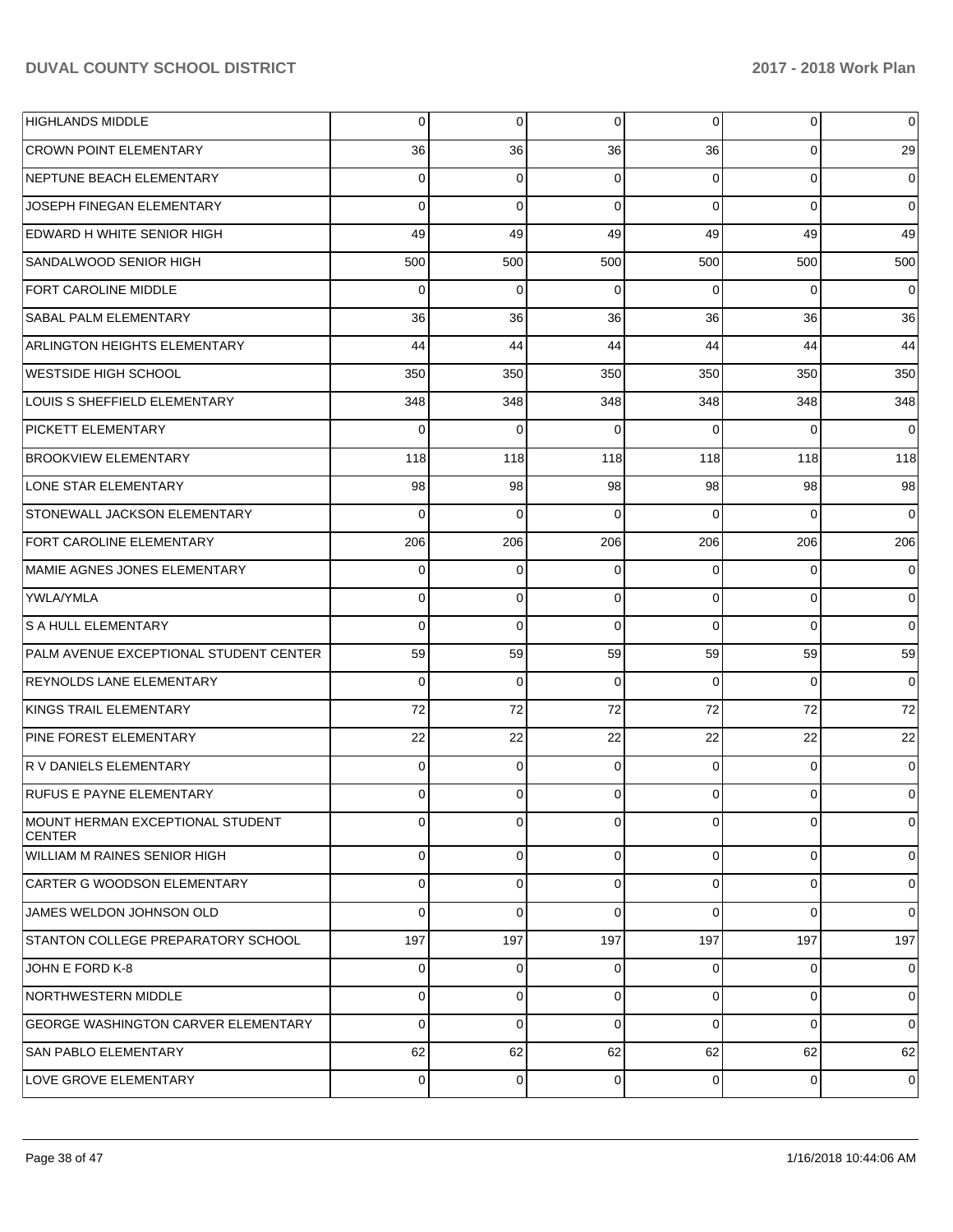| <b>HIGHLANDS MIDDLE</b>                           | 0              | 0           | 0           | $\overline{0}$ | 0           | 0              |
|---------------------------------------------------|----------------|-------------|-------------|----------------|-------------|----------------|
| <b>CROWN POINT ELEMENTARY</b>                     | 36             | 36          | 36          | 36             | $\Omega$    | 29             |
| <b>INEPTUNE BEACH ELEMENTARY</b>                  | $\Omega$       | 0           | $\Omega$    | $\Omega$       | $\Omega$    | 0              |
| JOSEPH FINEGAN ELEMENTARY                         | $\Omega$       | $\Omega$    | $\Omega$    | $\Omega$       | $\Omega$    | $\mathbf 0$    |
| EDWARD H WHITE SENIOR HIGH                        | 49             | 49          | 49          | 49             | 49          | 49             |
| SANDALWOOD SENIOR HIGH                            | 500            | 500         | 500         | 500            | 500         | 500            |
| <b>FORT CAROLINE MIDDLE</b>                       | $\Omega$       | $\Omega$    | $\Omega$    | $\Omega$       | $\Omega$    | $\mathbf 0$    |
| <b>SABAL PALM ELEMENTARY</b>                      | 36             | 36          | 36          | 36             | 36          | 36             |
| ARLINGTON HEIGHTS ELEMENTARY                      | 44             | 44          | 44          | 44             | 44          | 44             |
| WESTSIDE HIGH SCHOOL                              | 350            | 350         | 350         | 350            | 350         | 350            |
| LOUIS S SHEFFIELD ELEMENTARY                      | 348            | 348         | 348         | 348            | 348         | 348            |
| <b>PICKETT ELEMENTARY</b>                         | $\Omega$       | $\Omega$    | $\Omega$    | $\Omega$       | $\Omega$    | $\mathbf 0$    |
| BROOKVIEW ELEMENTARY                              | 118            | 118         | 118         | 118            | 118         | 118            |
| LONE STAR ELEMENTARY                              | 98             | 98          | 98          | 98             | 98          | 98             |
| <b>STONEWALL JACKSON ELEMENTARY</b>               | $\Omega$       | $\Omega$    | $\Omega$    | $\Omega$       | $\Omega$    | $\Omega$       |
| FORT CAROLINE ELEMENTARY                          | 206            | 206         | 206         | 206            | 206         | 206            |
| IMAMIE AGNES JONES ELEMENTARY                     | $\Omega$       | 0           | $\Omega$    | 0              | $\Omega$    | 0              |
| <b>YWLA/YMLA</b>                                  | $\Omega$       | 0           | $\Omega$    | $\Omega$       | $\Omega$    | $\mathbf 0$    |
| <b>S A HULL ELEMENTARY</b>                        | $\Omega$       | $\Omega$    | $\Omega$    | $\Omega$       | $\Omega$    | $\mathbf 0$    |
| PALM AVENUE EXCEPTIONAL STUDENT CENTER            | 59             | 59          | 59          | 59             | 59          | 59             |
| <b>REYNOLDS LANE ELEMENTARY</b>                   | $\Omega$       | $\Omega$    | $\Omega$    | $\Omega$       | $\Omega$    | 0              |
| KINGS TRAIL ELEMENTARY                            | 72             | 72          | 72          | 72             | 72          | 72             |
| <b>PINE FOREST ELEMENTARY</b>                     | 22             | 22          | 22          | 22             | 22          | 22             |
| R V DANIELS ELEMENTARY                            | 0              | 0           | $\Omega$    | $\Omega$       | $\mathbf 0$ | 0              |
| <b>RUFUS E PAYNE ELEMENTARY</b>                   | 0              | $\Omega$    | $\Omega$    | $\Omega$       | $\Omega$    | 0              |
| MOUNT HERMAN EXCEPTIONAL STUDENT<br><b>CENTER</b> | $\overline{0}$ | 0           | 0           | $\overline{0}$ | 0           | 0              |
| WILLIAM M RAINES SENIOR HIGH                      | 0              | $\mathbf 0$ | 0           | 0              | $\mathbf 0$ | $\overline{0}$ |
| CARTER G WOODSON ELEMENTARY                       | 0              | $\mathbf 0$ | 0           | 0              | $\mathbf 0$ | $\mathbf 0$    |
| JAMES WELDON JOHNSON OLD                          | $\Omega$       | $\mathbf 0$ | $\mathbf 0$ | $\Omega$       | $\Omega$    | $\mathbf 0$    |
| STANTON COLLEGE PREPARATORY SCHOOL                | 197            | 197         | 197         | 197            | 197         | 197            |
| JOHN E FORD K-8                                   | 0              | 0           | 0           | 0              | $\mathbf 0$ | $\overline{0}$ |
| NORTHWESTERN MIDDLE                               | 0              | $\mathbf 0$ | $\mathbf 0$ | $\Omega$       | $\mathbf 0$ | $\mathbf 0$    |
| GEORGE WASHINGTON CARVER ELEMENTARY               | 0              | $\mathbf 0$ | $\mathbf 0$ | $\Omega$       | $\mathbf 0$ | $\overline{0}$ |
| SAN PABLO ELEMENTARY                              | 62             | 62          | 62          | 62             | 62          | 62             |
| LOVE GROVE ELEMENTARY                             | $\overline{0}$ | 0           | 0           | $\overline{0}$ | $\mathbf 0$ | $\overline{0}$ |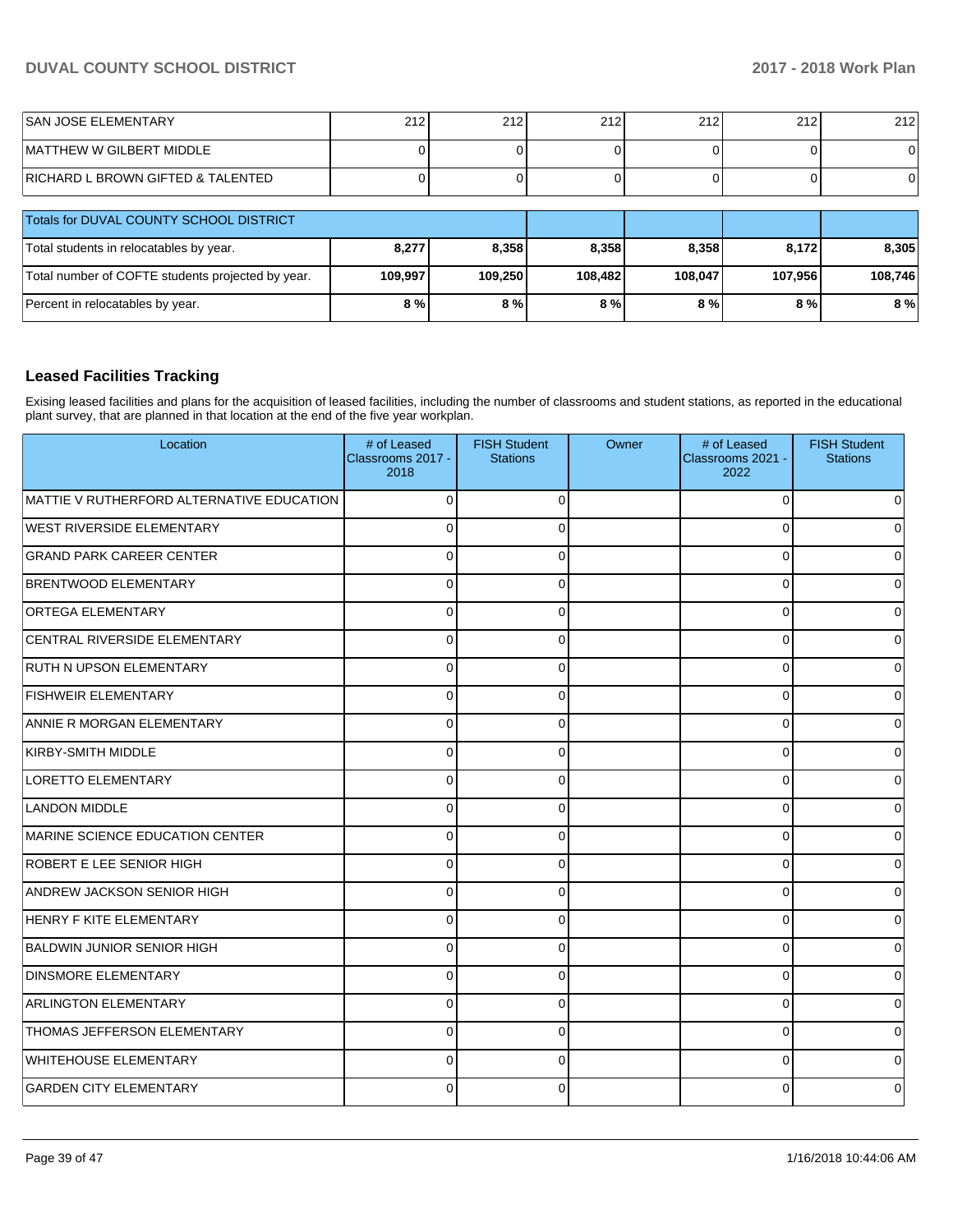| ISAN JOSE ELEMENTARY              | 212 <sub>1</sub> | 212 | 040<br>212 | $\Omega$<br>2 I 4 | 212 | 212 |
|-----------------------------------|------------------|-----|------------|-------------------|-----|-----|
| IMATTHEW W GILBERT MIDDLE         |                  |     |            |                   |     |     |
| RICHARD L BROWN GIFTED & TALENTED |                  |     |            |                   |     |     |

| Totals for DUVAL COUNTY SCHOOL DISTRICT           |         |         |         |         |         |         |
|---------------------------------------------------|---------|---------|---------|---------|---------|---------|
| Total students in relocatables by year.           | 8,277   | 8.358   | 8.358   | 8.358   | 8.172   | 8.305   |
| Total number of COFTE students projected by year. | 109.997 | 109.250 | 108.482 | 108.047 | 107.956 | 108.746 |
| Percent in relocatables by year.                  | $8\%$   | 8%      | 8%      | 8 % l   | 8 % l   | 8 %     |

### **Leased Facilities Tracking**

Exising leased facilities and plans for the acquisition of leased facilities, including the number of classrooms and student stations, as reported in the educational plant survey, that are planned in that location at the end of the five year workplan.

| Location                                  | # of Leased<br>Classrooms 2017 -<br>2018 | <b>FISH Student</b><br><b>Stations</b> | Owner | # of Leased<br>Classrooms 2021 -<br>2022 | <b>FISH Student</b><br><b>Stations</b> |
|-------------------------------------------|------------------------------------------|----------------------------------------|-------|------------------------------------------|----------------------------------------|
| MATTIE V RUTHERFORD ALTERNATIVE EDUCATION | $\Omega$                                 | $\Omega$                               |       | $\Omega$                                 | $\Omega$                               |
| <b>WEST RIVERSIDE ELEMENTARY</b>          | $\Omega$                                 | $\Omega$                               |       | $\Omega$                                 | 0                                      |
| <b>GRAND PARK CAREER CENTER</b>           | $\Omega$                                 | $\Omega$                               |       | $\Omega$                                 | 0                                      |
| BRENTWOOD ELEMENTARY                      | $\Omega$                                 | $\Omega$                               |       | $\Omega$                                 | $\mathbf 0$                            |
| <b>ORTEGA ELEMENTARY</b>                  | $\Omega$                                 | $\Omega$                               |       | $\Omega$                                 | $\overline{0}$                         |
| CENTRAL RIVERSIDE ELEMENTARY              | $\Omega$                                 | $\Omega$                               |       | 0                                        | 0                                      |
| <b>RUTH N UPSON ELEMENTARY</b>            | $\Omega$                                 | $\Omega$                               |       | 0                                        | $\overline{0}$                         |
| <b>FISHWEIR ELEMENTARY</b>                | $\Omega$                                 | $\Omega$                               |       | $\Omega$                                 | $\Omega$                               |
| <b>ANNIE R MORGAN ELEMENTARY</b>          | $\Omega$                                 | $\Omega$                               |       | $\Omega$                                 | $\overline{0}$                         |
| KIRBY-SMITH MIDDLE                        | $\Omega$                                 | $\Omega$                               |       | $\Omega$                                 | $\overline{0}$                         |
| LORETTO ELEMENTARY                        | $\Omega$                                 | $\Omega$                               |       | $\Omega$                                 | 0                                      |
| LANDON MIDDLE                             | $\Omega$                                 | $\Omega$                               |       | $\Omega$                                 | 0                                      |
| MARINE SCIENCE EDUCATION CENTER           | $\Omega$                                 | $\Omega$                               |       | $\Omega$                                 | $\Omega$                               |
| ROBERT E LEE SENIOR HIGH                  | $\Omega$                                 | $\Omega$                               |       | $\Omega$                                 | 0                                      |
| ANDREW JACKSON SENIOR HIGH                | $\Omega$                                 | $\Omega$                               |       | $\Omega$                                 | $\overline{0}$                         |
| HENRY F KITE ELEMENTARY                   | $\Omega$                                 | $\Omega$                               |       | 0                                        | 0                                      |
| <b>BALDWIN JUNIOR SENIOR HIGH</b>         | $\Omega$                                 | C                                      |       | U                                        | 0                                      |
| <b>DINSMORE ELEMENTARY</b>                | $\Omega$                                 | $\Omega$                               |       | $\Omega$                                 | $\Omega$                               |
| <b>ARLINGTON ELEMENTARY</b>               | $\Omega$                                 | $\Omega$                               |       | $\Omega$                                 | $\overline{0}$                         |
| THOMAS JEFFERSON ELEMENTARY               | $\Omega$                                 | $\Omega$                               |       | $\Omega$                                 | $\Omega$                               |
| <b>WHITEHOUSE ELEMENTARY</b>              | $\Omega$                                 | $\Omega$                               |       | $\Omega$                                 | 0                                      |
| <b>GARDEN CITY ELEMENTARY</b>             | $\Omega$                                 | $\Omega$                               |       | U                                        | 0                                      |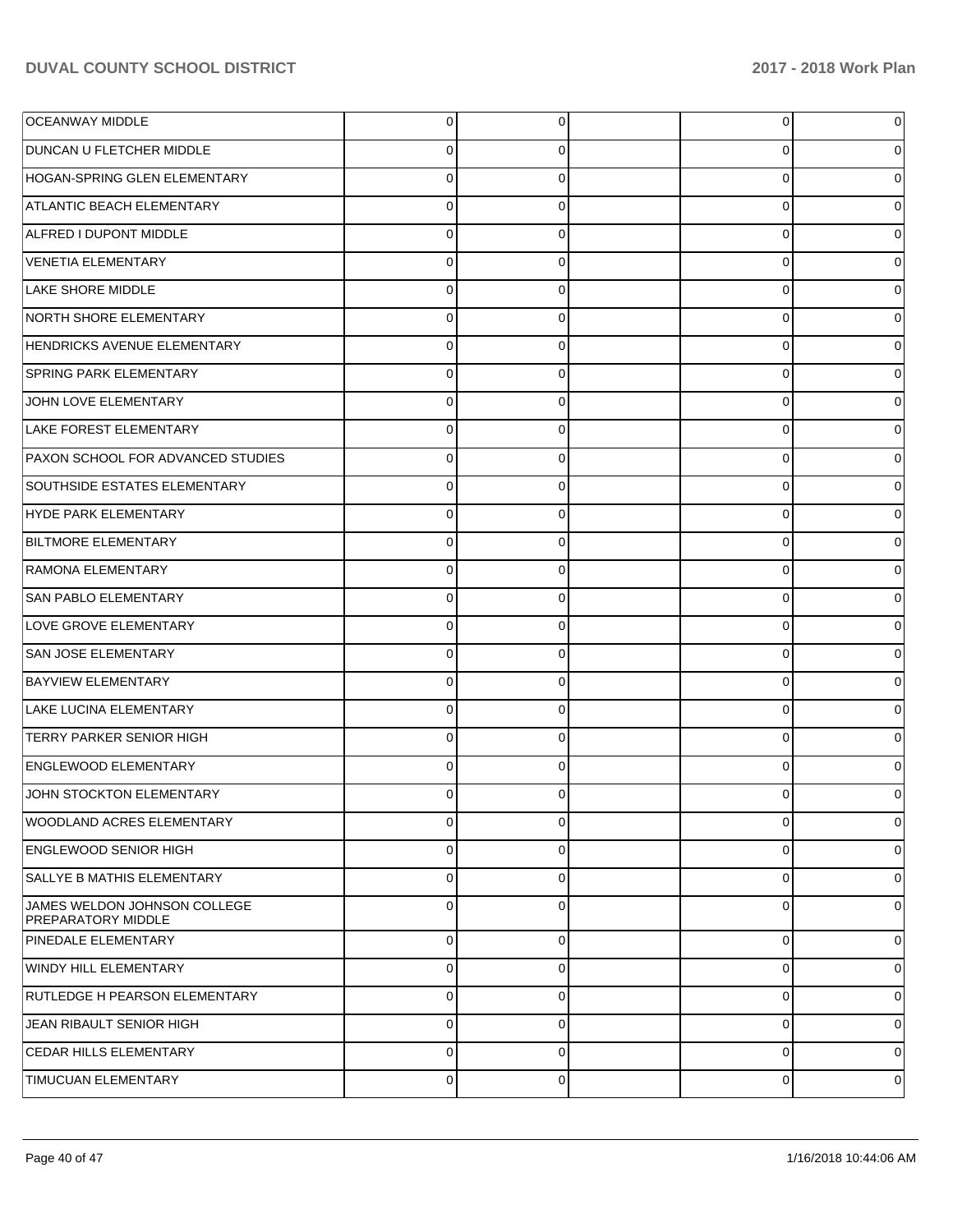| <b>OCEANWAY MIDDLE</b>                                    | 0           | 0           | $\overline{0}$ | 0 |
|-----------------------------------------------------------|-------------|-------------|----------------|---|
| DUNCAN U FLETCHER MIDDLE                                  | 0           | 0           | 0              |   |
| HOGAN-SPRING GLEN ELEMENTARY                              | $\Omega$    | 0           | $\overline{0}$ |   |
| <b>ATLANTIC BEACH ELEMENTARY</b>                          | $\Omega$    | 0           | $\overline{0}$ |   |
| ALFRED I DUPONT MIDDLE                                    | $\Omega$    | $\Omega$    | $\overline{0}$ |   |
| VENETIA ELEMENTARY                                        | $\Omega$    | 0           | $\overline{0}$ |   |
| <b>LAKE SHORE MIDDLE</b>                                  | $\Omega$    | $\Omega$    | $\overline{0}$ |   |
| NORTH SHORE ELEMENTARY                                    | $\Omega$    | 0           | $\overline{0}$ |   |
| HENDRICKS AVENUE ELEMENTARY                               | $\Omega$    | $\Omega$    | $\overline{0}$ |   |
| <b>SPRING PARK ELEMENTARY</b>                             | $\Omega$    | 0           | $\overline{0}$ |   |
| JOHN LOVE ELEMENTARY                                      | $\Omega$    | $\Omega$    | $\overline{0}$ |   |
| LAKE FOREST ELEMENTARY                                    | $\Omega$    | 0           | $\overline{0}$ |   |
| PAXON SCHOOL FOR ADVANCED STUDIES                         | $\Omega$    | $\Omega$    | $\overline{0}$ |   |
| SOUTHSIDE ESTATES ELEMENTARY                              | $\Omega$    | 0           | $\overline{0}$ |   |
| HYDE PARK ELEMENTARY                                      | $\Omega$    | 0           | $\overline{0}$ |   |
| <b>BILTMORE ELEMENTARY</b>                                | $\Omega$    | 0           | $\overline{0}$ |   |
| <b>RAMONA ELEMENTARY</b>                                  | $\Omega$    | 0           | $\overline{0}$ |   |
| <b>SAN PABLO ELEMENTARY</b>                               | $\Omega$    | 0           | $\overline{0}$ |   |
| LOVE GROVE ELEMENTARY                                     | $\Omega$    | $\Omega$    | $\overline{0}$ |   |
| SAN JOSE ELEMENTARY                                       | $\Omega$    | 0           | $\overline{0}$ |   |
| <b>BAYVIEW ELEMENTARY</b>                                 | $\Omega$    | 0           | $\overline{0}$ |   |
| LAKE LUCINA ELEMENTARY                                    | $\Omega$    | 0           | $\overline{0}$ |   |
| <b>TERRY PARKER SENIOR HIGH</b>                           | $\Omega$    | 0           | $\overline{0}$ |   |
| <b>ENGLEWOOD ELEMENTARY</b>                               | $\Omega$    | 0           | $\overline{0}$ |   |
| JOHN STOCKTON ELEMENTARY                                  | 0           |             | $\Omega$       |   |
| <b>WOODLAND ACRES ELEMENTARY</b>                          | 0           | 0           | $\overline{0}$ | 0 |
| <b>ENGLEWOOD SENIOR HIGH</b>                              | $\mathbf 0$ | 0           | $\overline{0}$ | 0 |
| SALLYE B MATHIS ELEMENTARY                                | $\mathbf 0$ | $\Omega$    | $\overline{0}$ | 0 |
| JAMES WELDON JOHNSON COLLEGE<br><b>PREPARATORY MIDDLE</b> | $\mathbf 0$ | $\Omega$    | $\mathbf 0$    | 0 |
| <b>PINEDALE ELEMENTARY</b>                                | 0           | $\Omega$    | 0              | 0 |
| WINDY HILL ELEMENTARY                                     | 0           | $\Omega$    | $\mathbf 0$    | 0 |
| RUTLEDGE H PEARSON ELEMENTARY                             | 0           | $\mathbf 0$ | $\mathbf 0$    | 0 |
| JEAN RIBAULT SENIOR HIGH                                  | 0           | 0           | $\mathbf 0$    | 0 |
| <b>CEDAR HILLS ELEMENTARY</b>                             | 0           | $\mathbf 0$ | 0              | 0 |
| TIMUCUAN ELEMENTARY                                       | 0           | 0           | $\pmb{0}$      | 0 |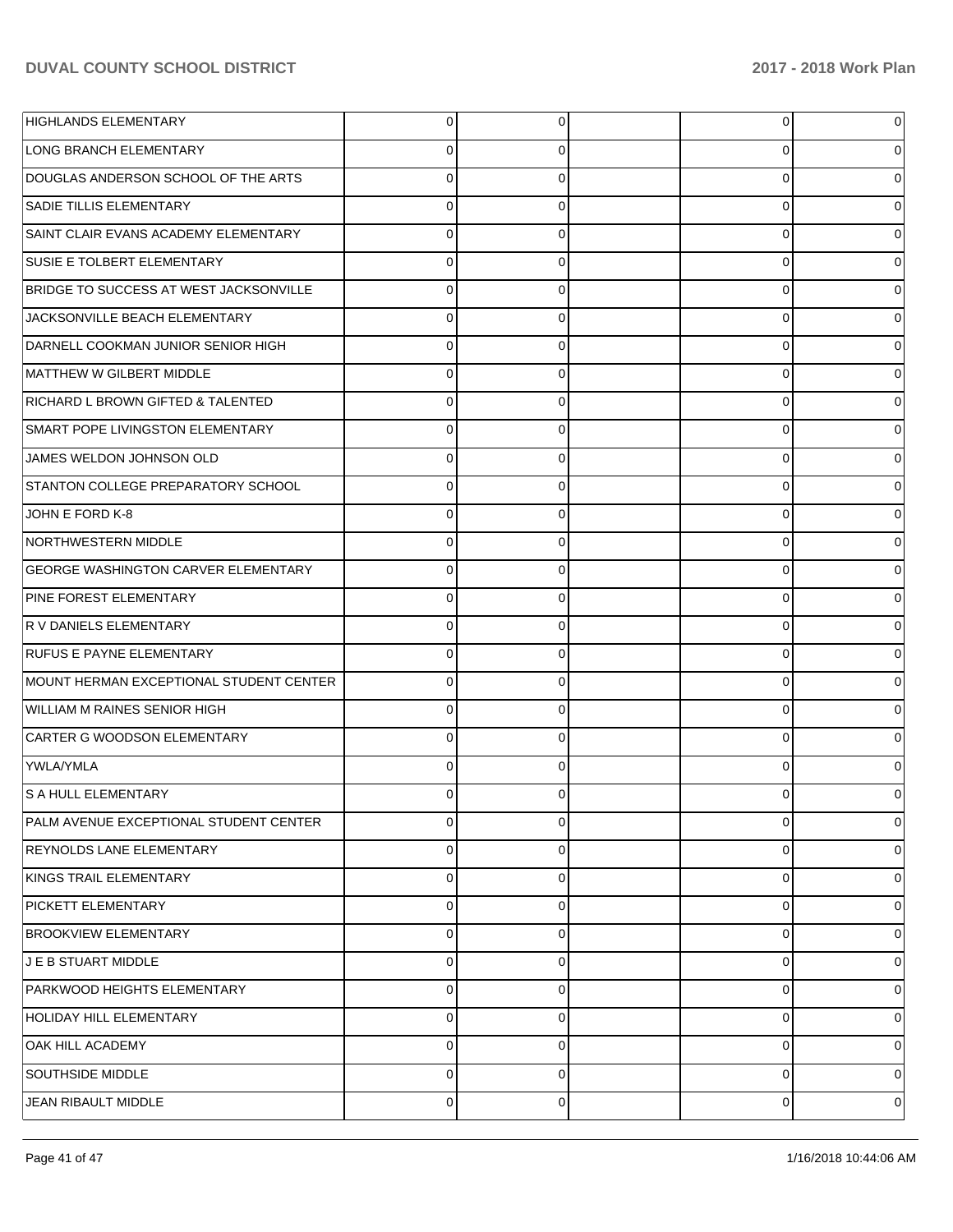| <b>HIGHLANDS ELEMENTARY</b>                | 0           | 0        | $\overline{0}$ |          |
|--------------------------------------------|-------------|----------|----------------|----------|
| <b>LONG BRANCH ELEMENTARY</b>              | 0           | 0        | 0              |          |
| DOUGLAS ANDERSON SCHOOL OF THE ARTS        | $\Omega$    | $\Omega$ | $\overline{0}$ |          |
| <b>SADIE TILLIS ELEMENTARY</b>             | $\Omega$    | 0        | $\overline{0}$ |          |
| SAINT CLAIR EVANS ACADEMY ELEMENTARY       | $\Omega$    | $\Omega$ | 0              |          |
| <b>SUSIE E TOLBERT ELEMENTARY</b>          | $\Omega$    | 0        | $\overline{0}$ |          |
| BRIDGE TO SUCCESS AT WEST JACKSONVILLE     | $\Omega$    | 0        | 0              |          |
| JACKSONVILLE BEACH ELEMENTARY              | $\Omega$    | 0        | 0              |          |
| DARNELL COOKMAN JUNIOR SENIOR HIGH         | $\Omega$    | 0        | 0              |          |
| MATTHEW W GILBERT MIDDLE                   | $\Omega$    | 0        | $\overline{0}$ |          |
| RICHARD L BROWN GIFTED & TALENTED          | $\Omega$    | $\Omega$ | 0              |          |
| SMART POPE LIVINGSTON ELEMENTARY           | $\Omega$    | 0        | $\overline{0}$ |          |
| JAMES WELDON JOHNSON OLD                   | $\Omega$    | 0        | 0              |          |
| STANTON COLLEGE PREPARATORY SCHOOL         | $\Omega$    | 0        | 0              |          |
| JOHN E FORD K-8                            | $\Omega$    | 0        | 0              |          |
| NORTHWESTERN MIDDLE                        | $\Omega$    | 0        | $\overline{0}$ |          |
| <b>GEORGE WASHINGTON CARVER ELEMENTARY</b> | $\Omega$    | 0        | $\overline{0}$ |          |
| PINE FOREST ELEMENTARY                     | $\Omega$    | 0        | 0              |          |
| R V DANIELS ELEMENTARY                     | $\Omega$    | 0        | 0              |          |
| <b>RUFUS E PAYNE ELEMENTARY</b>            | $\Omega$    | 0        | 0              |          |
| MOUNT HERMAN EXCEPTIONAL STUDENT CENTER    | $\Omega$    | 0        | 0              |          |
| WILLIAM M RAINES SENIOR HIGH               | $\Omega$    | 0        | 0              |          |
| CARTER G WOODSON ELEMENTARY                | $\Omega$    | 0        | $\overline{0}$ |          |
| YWLA/YMLA                                  | $\Omega$    | 0        | $\Omega$       |          |
| S A HULL ELEMENTARY                        |             |          | 0              |          |
| PALM AVENUE EXCEPTIONAL STUDENT CENTER     | 0           | $\Omega$ | $\overline{0}$ | 0        |
| <b>REYNOLDS LANE ELEMENTARY</b>            | 0           | 0        | $\overline{0}$ | $\Omega$ |
| KINGS TRAIL ELEMENTARY                     | $\mathbf 0$ | 0        | $\overline{0}$ | $\Omega$ |
| <b>PICKETT ELEMENTARY</b>                  | 0           | 0        | $\overline{0}$ | 0        |
| <b>BROOKVIEW ELEMENTARY</b>                | $\Omega$    | 0        | $\overline{0}$ | 0        |
| J E B STUART MIDDLE                        | $\Omega$    | $\Omega$ | $\overline{0}$ | $\Omega$ |
| PARKWOOD HEIGHTS ELEMENTARY                | $\Omega$    | $\Omega$ | $\overline{0}$ | 0        |
| <b>HOLIDAY HILL ELEMENTARY</b>             | $\Omega$    | 0        | $\overline{0}$ | $\Omega$ |
| OAK HILL ACADEMY                           | $\Omega$    | $\Omega$ | $\overline{0}$ | 0        |
| SOUTHSIDE MIDDLE                           | $\Omega$    | 0        | $\overline{0}$ | 0        |
| JEAN RIBAULT MIDDLE                        | $\mathbf 0$ | 0        | $\overline{0}$ | 0        |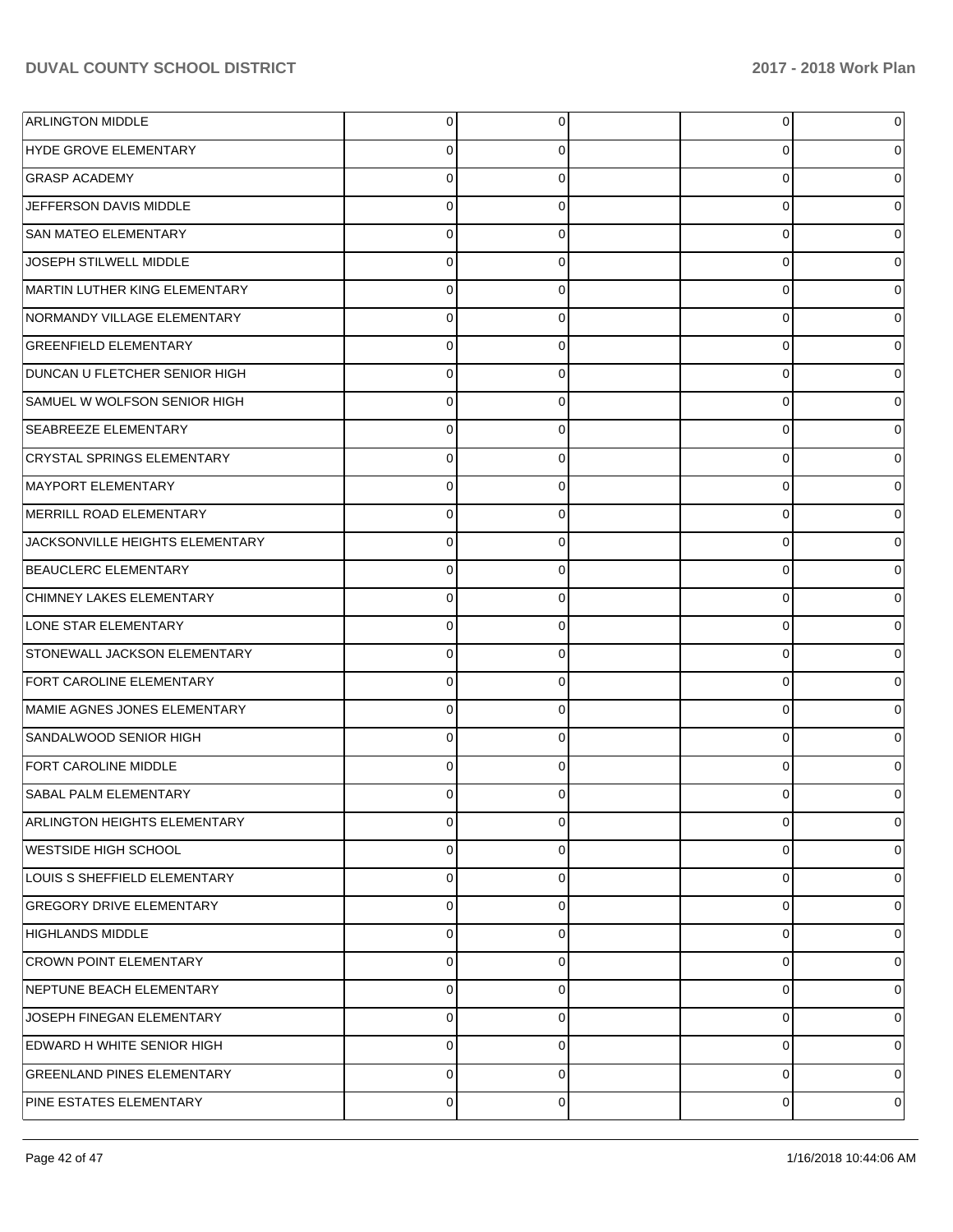| <b>ARLINGTON MIDDLE</b>             | 0           | 0              | $\overline{0}$ | 0 |
|-------------------------------------|-------------|----------------|----------------|---|
| HYDE GROVE ELEMENTARY               | 0           | 0              | 0              | 0 |
| <b>GRASP ACADEMY</b>                | $\mathbf 0$ | 0              | 0              | 0 |
| JEFFERSON DAVIS MIDDLE              | 0           | 0              | 0              | 0 |
| <b>SAN MATEO ELEMENTARY</b>         | $\mathbf 0$ | 0              | 0              | 0 |
| JOSEPH STILWELL MIDDLE              | 0           | 0              | 0              | 0 |
| MARTIN LUTHER KING ELEMENTARY       | $\mathbf 0$ | 0              | 0              | 0 |
| NORMANDY VILLAGE ELEMENTARY         | 0           | 0              | 0              | 0 |
| <b>GREENFIELD ELEMENTARY</b>        | 0           | 0              | 0              | 0 |
| DUNCAN U FLETCHER SENIOR HIGH       | 0           | 0              | 0              | 0 |
| SAMUEL W WOLFSON SENIOR HIGH        | 0           | 0              | 0              | 0 |
| <b>SEABREEZE ELEMENTARY</b>         | 0           | 0              | 0              | 0 |
| CRYSTAL SPRINGS ELEMENTARY          | 0           | 0              | 0              | 0 |
| MAYPORT ELEMENTARY                  | 0           | 0              | 0              | 0 |
| MERRILL ROAD ELEMENTARY             | 0           | 0              | 0              | 0 |
| JACKSONVILLE HEIGHTS ELEMENTARY     | 0           | 0              | 0              | 0 |
| BEAUCLERC ELEMENTARY                | 0           | 0              | 0              | 0 |
| CHIMNEY LAKES ELEMENTARY            | 0           | 0              | 0              | 0 |
| LONE STAR ELEMENTARY                | 0           | 0              | 0              | 0 |
| STONEWALL JACKSON ELEMENTARY        | 0           | 0              | 0              | 0 |
| <b>FORT CAROLINE ELEMENTARY</b>     | 0           | 0              | 0              | 0 |
| MAMIE AGNES JONES ELEMENTARY        | 0           | 0              | 0              | 0 |
| SANDALWOOD SENIOR HIGH              | 0           | 0              | 0              | 0 |
| <b>FORT CAROLINE MIDDLE</b>         | 0           | 0              | 0              | 0 |
| <b>SABAL PALM ELEMENTARY</b>        | O           | 0              | 0              |   |
| <b>ARLINGTON HEIGHTS ELEMENTARY</b> | 0           | $\overline{0}$ | $\overline{0}$ | 0 |
| WESTSIDE HIGH SCHOOL                | 0           | 0              | 0              | 0 |
| LOUIS S SHEFFIELD ELEMENTARY        | 0           | 0              | 0              | 0 |
| <b>GREGORY DRIVE ELEMENTARY</b>     | 0           | 0              | 0              | 0 |
| <b>HIGHLANDS MIDDLE</b>             | $\mathbf 0$ | 0              | 0              | 0 |
| <b>CROWN POINT ELEMENTARY</b>       | $\mathbf 0$ | 0              | 0              | 0 |
| NEPTUNE BEACH ELEMENTARY            | $\mathbf 0$ | 0              | 0              | 0 |
| JOSEPH FINEGAN ELEMENTARY           | $\mathbf 0$ | 0              | 0              | 0 |
| EDWARD H WHITE SENIOR HIGH          | 0           | 0              | 0              | 0 |
| <b>GREENLAND PINES ELEMENTARY</b>   | 0           | 0              | 0              | 0 |
| PINE ESTATES ELEMENTARY             | $\pmb{0}$   | 0              | 0              | 0 |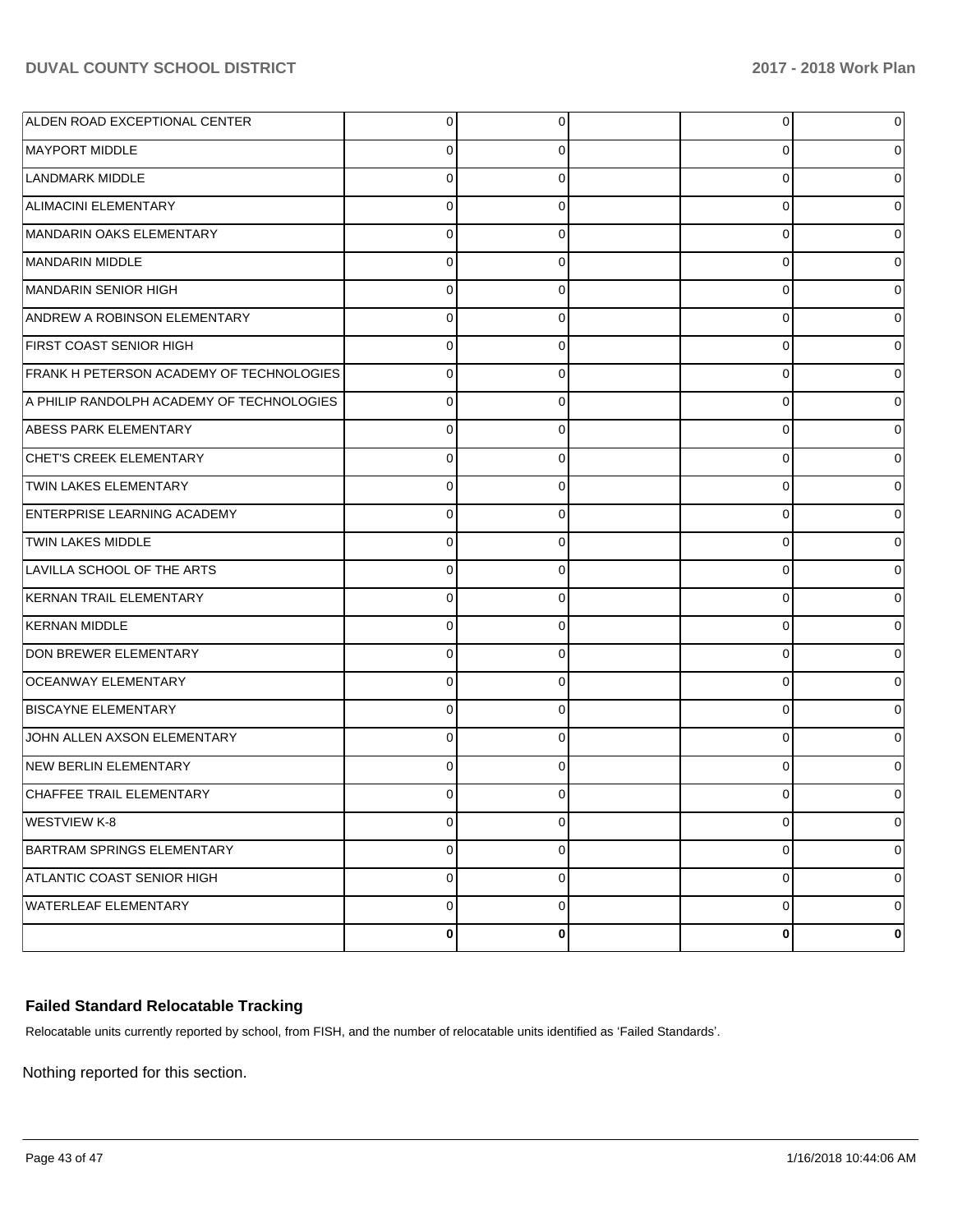| ALDEN ROAD EXCEPTIONAL CENTER             | $\overline{0}$ | 0           | 0        | 0              |
|-------------------------------------------|----------------|-------------|----------|----------------|
| MAYPORT MIDDLE                            | 0              | $\Omega$    |          | $\overline{0}$ |
| <b>LANDMARK MIDDLE</b>                    | $\Omega$       | $\Omega$    | O        | $\overline{0}$ |
| ALIMACINI ELEMENTARY                      | $\Omega$       | $\Omega$    | 0        | $\overline{0}$ |
| MANDARIN OAKS ELEMENTARY                  | $\Omega$       | $\Omega$    | 0        | $\overline{0}$ |
| MANDARIN MIDDLE                           | $\Omega$       | $\Omega$    | U        | $\overline{0}$ |
| MANDARIN SENIOR HIGH                      | $\Omega$       | $\Omega$    | O        | $\overline{0}$ |
| ANDREW A ROBINSON ELEMENTARY              | $\Omega$       | $\Omega$    | U        | $\overline{0}$ |
| <b>FIRST COAST SENIOR HIGH</b>            | $\Omega$       | $\Omega$    | 0        | $\overline{0}$ |
| FRANK H PETERSON ACADEMY OF TECHNOLOGIES  | 0              | $\Omega$    | 0        | $\overline{0}$ |
| A PHILIP RANDOLPH ACADEMY OF TECHNOLOGIES | $\Omega$       | $\Omega$    | 0        | $\overline{0}$ |
| ABESS PARK ELEMENTARY                     | $\Omega$       | $\Omega$    | O        | $\overline{0}$ |
| CHET'S CREEK ELEMENTARY                   | $\Omega$       | $\Omega$    | O        | $\overline{0}$ |
| TWIN LAKES ELEMENTARY                     | $\Omega$       | $\Omega$    | U        | $\overline{0}$ |
| <b>ENTERPRISE LEARNING ACADEMY</b>        | $\Omega$       | $\Omega$    | O        | $\overline{0}$ |
| <b>TWIN LAKES MIDDLE</b>                  | $\Omega$       | $\Omega$    | 0        | $\overline{0}$ |
| LAVILLA SCHOOL OF THE ARTS                | $\Omega$       | $\Omega$    | 0        | $\overline{0}$ |
| KERNAN TRAIL ELEMENTARY                   | $\Omega$       | $\Omega$    | 0        | $\overline{0}$ |
| <b>KERNAN MIDDLE</b>                      | $\Omega$       | $\Omega$    | O        | $\overline{0}$ |
| <b>DON BREWER ELEMENTARY</b>              | $\Omega$       | $\Omega$    | U        | $\overline{0}$ |
| OCEANWAY ELEMENTARY                       | $\Omega$       | $\Omega$    | O        | $\overline{0}$ |
| <b>BISCAYNE ELEMENTARY</b>                | $\Omega$       | $\Omega$    | 0        | $\overline{0}$ |
| JOHN ALLEN AXSON ELEMENTARY               | $\Omega$       | $\Omega$    | $\Omega$ | $\overline{0}$ |
| NEW BERLIN ELEMENTARY                     | $\Omega$       | $\Omega$    | 0        | $\overline{0}$ |
| CHAFFEE TRAIL ELEMENTARY                  | 0              | $\Omega$    |          | 0              |
| <b>WESTVIEW K-8</b>                       | $\overline{0}$ | 0           | 0        | 0              |
| BARTRAM SPRINGS ELEMENTARY                | $\mathbf 0$    | 0           | 0        | $\overline{0}$ |
| ATLANTIC COAST SENIOR HIGH                | $\mathbf 0$    | $\mathbf 0$ | 0        | $\overline{0}$ |
| WATERLEAF ELEMENTARY                      | $\mathbf 0$    | 0           | 0        | $\overline{0}$ |
|                                           | $\bf{0}$       | 0           | 0        | $\mathbf 0$    |

### **Failed Standard Relocatable Tracking**

Relocatable units currently reported by school, from FISH, and the number of relocatable units identified as 'Failed Standards'.

Nothing reported for this section.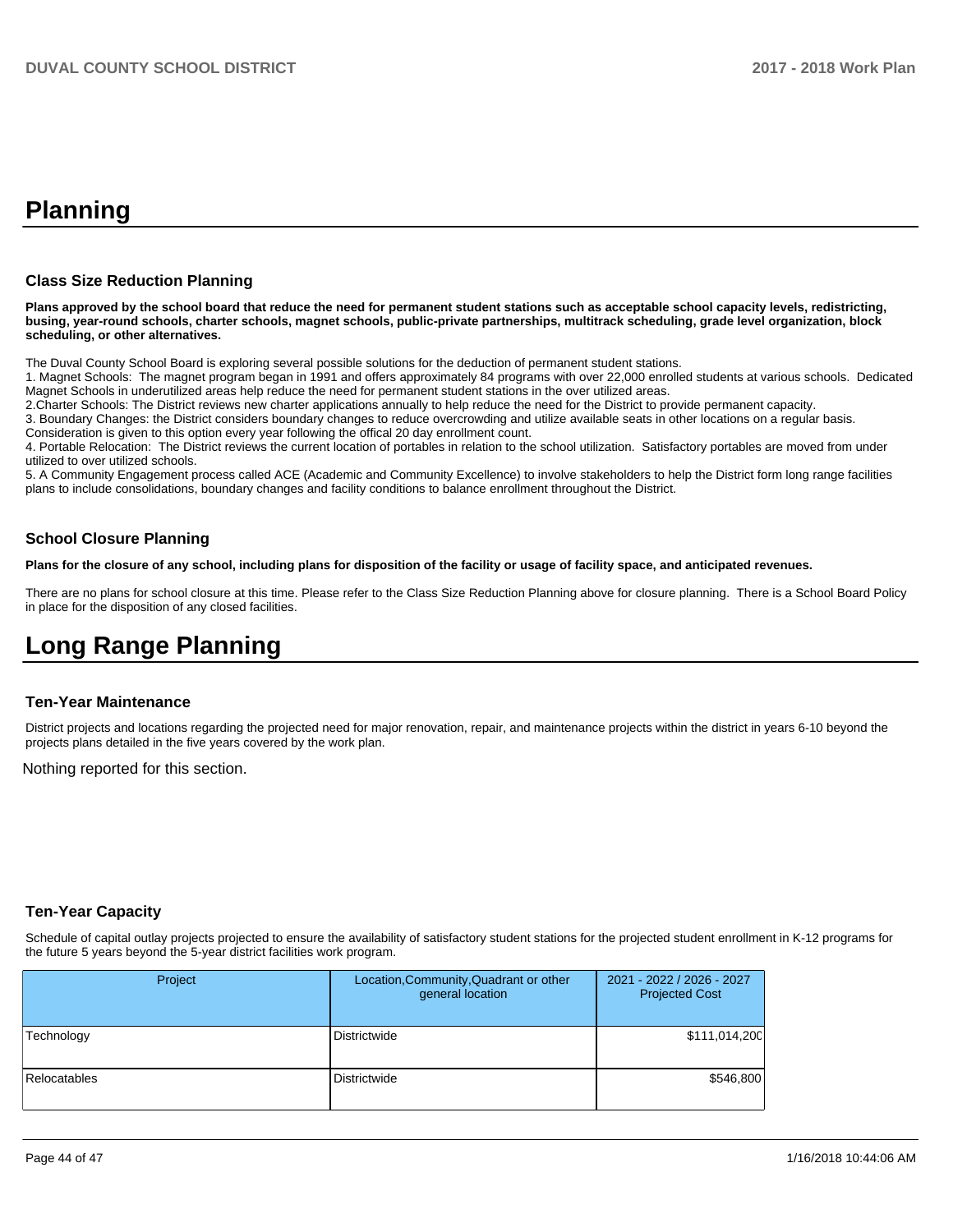# **Planning**

### **Class Size Reduction Planning**

**Plans approved by the school board that reduce the need for permanent student stations such as acceptable school capacity levels, redistricting, busing, year-round schools, charter schools, magnet schools, public-private partnerships, multitrack scheduling, grade level organization, block scheduling, or other alternatives.**

The Duval County School Board is exploring several possible solutions for the deduction of permanent student stations.

1. Magnet Schools: The magnet program began in 1991 and offers approximately 84 programs with over 22,000 enrolled students at various schools. Dedicated Magnet Schools in underutilized areas help reduce the need for permanent student stations in the over utilized areas.

2.Charter Schools: The District reviews new charter applications annually to help reduce the need for the District to provide permanent capacity.

3. Boundary Changes: the District considers boundary changes to reduce overcrowding and utilize available seats in other locations on a regular basis.

Consideration is given to this option every year following the offical 20 day enrollment count.

4. Portable Relocation: The District reviews the current location of portables in relation to the school utilization. Satisfactory portables are moved from under utilized to over utilized schools.

5. A Community Engagement process called ACE (Academic and Community Excellence) to involve stakeholders to help the District form long range facilities plans to include consolidations, boundary changes and facility conditions to balance enrollment throughout the District.

### **School Closure Planning**

**Plans for the closure of any school, including plans for disposition of the facility or usage of facility space, and anticipated revenues.** 

There are no plans for school closure at this time. Please refer to the Class Size Reduction Planning above for closure planning. There is a School Board Policy in place for the disposition of any closed facilities.

# **Long Range Planning**

### **Ten-Year Maintenance**

District projects and locations regarding the projected need for major renovation, repair, and maintenance projects within the district in years 6-10 beyond the projects plans detailed in the five years covered by the work plan.

Nothing reported for this section.

### **Ten-Year Capacity**

Schedule of capital outlay projects projected to ensure the availability of satisfactory student stations for the projected student enrollment in K-12 programs for the future 5 years beyond the 5-year district facilities work program.

| Project             | Location, Community, Quadrant or other<br>general location | 2021 - 2022 / 2026 - 2027<br><b>Projected Cost</b> |
|---------------------|------------------------------------------------------------|----------------------------------------------------|
| Technology          | Districtwide                                               | \$111,014,200                                      |
| <b>Relocatables</b> | <b>Districtwide</b>                                        | \$546,800                                          |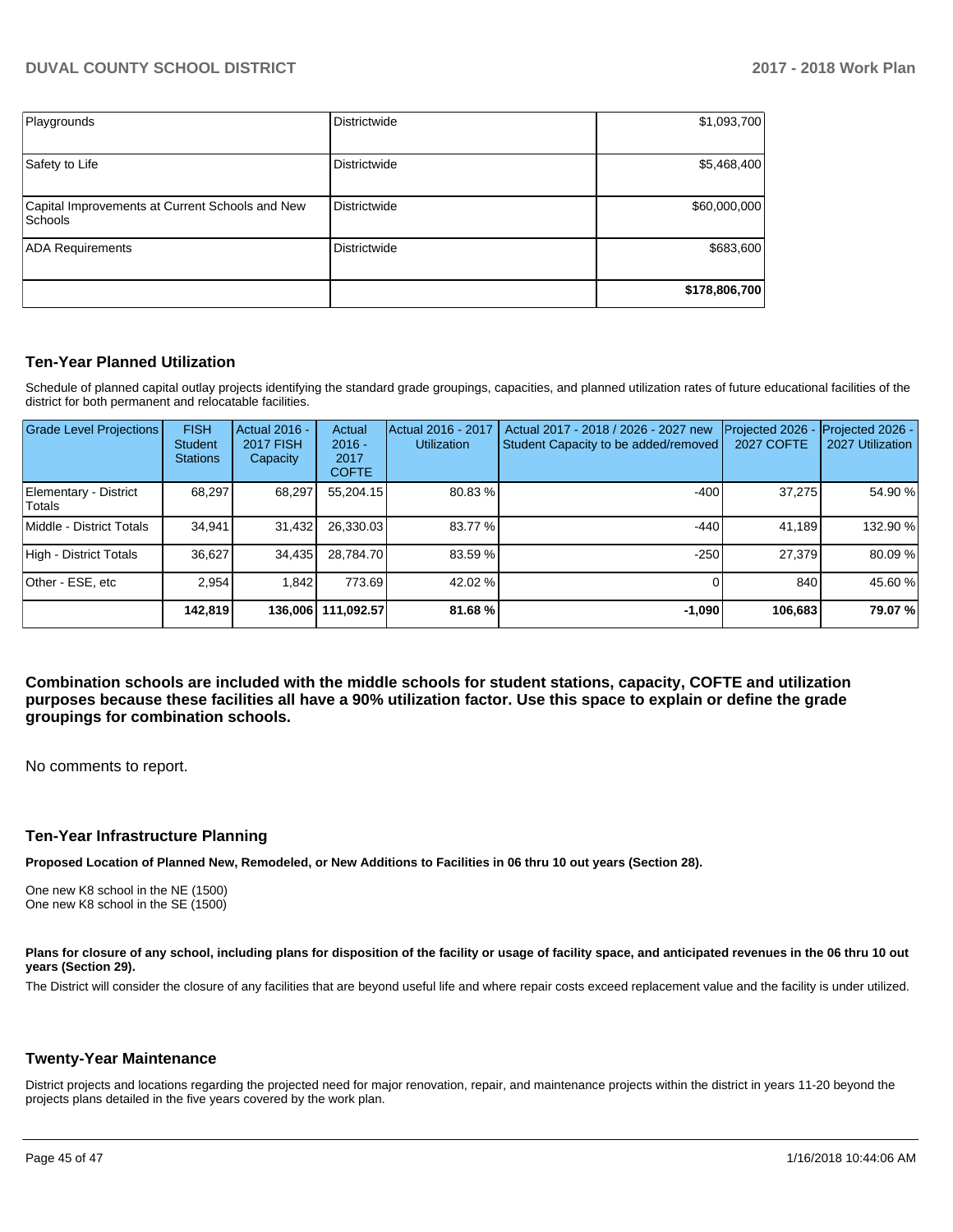| Playgrounds                                                       | Districtwide        | \$1,093,700   |
|-------------------------------------------------------------------|---------------------|---------------|
| Safety to Life                                                    | Districtwide        | \$5,468,400   |
| Capital Improvements at Current Schools and New<br><b>Schools</b> | <b>Districtwide</b> | \$60,000,000  |
| <b>ADA Requirements</b>                                           | <b>Districtwide</b> | \$683,600     |
|                                                                   |                     | \$178,806,700 |

### **Ten-Year Planned Utilization**

Schedule of planned capital outlay projects identifying the standard grade groupings, capacities, and planned utilization rates of future educational facilities of the district for both permanent and relocatable facilities.

| <b>Grade Level Projections</b>  | <b>FISH</b><br><b>Student</b><br><b>Stations</b> | Actual 2016 -<br><b>2017 FISH</b><br>Capacity | Actual<br>$2016 -$<br>2017<br><b>COFTE</b> | Actual 2016 - 2017<br><b>Utilization</b> | Actual 2017 - 2018 / 2026 - 2027 new<br>Student Capacity to be added/removed | Projected 2026<br><b>2027 COFTE</b> | Projected 2026 -<br>2027 Utilization |
|---------------------------------|--------------------------------------------------|-----------------------------------------------|--------------------------------------------|------------------------------------------|------------------------------------------------------------------------------|-------------------------------------|--------------------------------------|
| Elementary - District<br>Totals | 68,297                                           | 68,297                                        | 55,204.15                                  | 80.83%                                   | $-400$                                                                       | 37.275                              | 54.90 %                              |
| Middle - District Totals        | 34.941                                           | 31,432                                        | 26,330.03                                  | 83.77 %                                  | $-440$                                                                       | 41.189                              | 132.90 %                             |
| High - District Totals          | 36.627                                           | 34,435                                        | 28,784.70                                  | 83.59 %                                  | $-250$                                                                       | 27.379                              | 80.09%                               |
| Other - ESE. etc                | 2.954                                            | 1.842                                         | 773.69                                     | 42.02 %                                  |                                                                              | 840                                 | 45.60 %                              |
|                                 | 142.819                                          |                                               | 136.006 111.092.57                         | 81.68%                                   | $-1.090$                                                                     | 106.683                             | 79.07%                               |

**Combination schools are included with the middle schools for student stations, capacity, COFTE and utilization purposes because these facilities all have a 90% utilization factor. Use this space to explain or define the grade groupings for combination schools.** 

No comments to report.

#### **Ten-Year Infrastructure Planning**

**Proposed Location of Planned New, Remodeled, or New Additions to Facilities in 06 thru 10 out years (Section 28).**

One new K8 school in the NE (1500) One new K8 school in the SE (1500)

Plans for closure of any school, including plans for disposition of the facility or usage of facility space, and anticipated revenues in the 06 thru 10 out **years (Section 29).**

The District will consider the closure of any facilities that are beyond useful life and where repair costs exceed replacement value and the facility is under utilized.

### **Twenty-Year Maintenance**

District projects and locations regarding the projected need for major renovation, repair, and maintenance projects within the district in years 11-20 beyond the projects plans detailed in the five years covered by the work plan.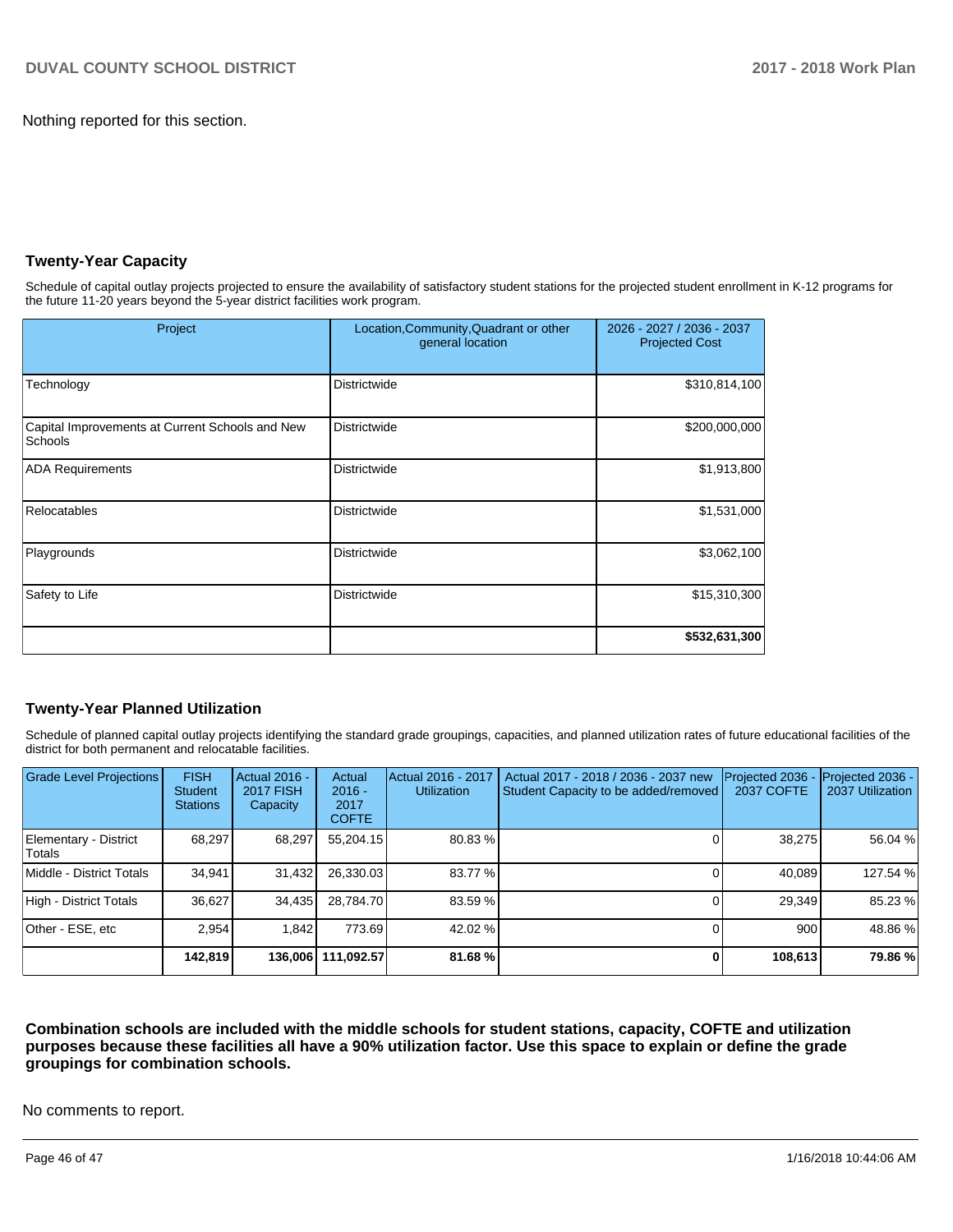Nothing reported for this section.

# **Twenty-Year Capacity**

Schedule of capital outlay projects projected to ensure the availability of satisfactory student stations for the projected student enrollment in K-12 programs for the future 11-20 years beyond the 5-year district facilities work program.

| Project                                                           | Location, Community, Quadrant or other<br>general location | 2026 - 2027 / 2036 - 2037<br><b>Projected Cost</b> |  |
|-------------------------------------------------------------------|------------------------------------------------------------|----------------------------------------------------|--|
| Technology                                                        | <b>Districtwide</b>                                        | \$310,814,100                                      |  |
| Capital Improvements at Current Schools and New<br><b>Schools</b> | <b>Districtwide</b>                                        | \$200,000,000                                      |  |
| <b>ADA Requirements</b>                                           | <b>Districtwide</b>                                        | \$1,913,800                                        |  |
| Relocatables                                                      | <b>Districtwide</b>                                        | \$1,531,000                                        |  |
| Playgrounds                                                       | Districtwide                                               | \$3,062,100                                        |  |
| Safety to Life                                                    | Districtwide                                               | \$15,310,300                                       |  |
|                                                                   |                                                            | \$532,631,300                                      |  |

### **Twenty-Year Planned Utilization**

Schedule of planned capital outlay projects identifying the standard grade groupings, capacities, and planned utilization rates of future educational facilities of the district for both permanent and relocatable facilities.

| <b>Grade Level Projections</b>  | <b>FISH</b><br><b>Student</b><br><b>Stations</b> | Actual 2016 -<br><b>2017 FISH</b><br>Capacity | Actual<br>$2016 -$<br>2017<br><b>COFTE</b> | Actual 2016 - 2017<br><b>Utilization</b> | Actual 2017 - 2018 / 2036 - 2037 new<br>Student Capacity to be added/removed | Projected 2036 -<br><b>2037 COFTE</b> | Projected 2036 -<br>2037 Utilization |
|---------------------------------|--------------------------------------------------|-----------------------------------------------|--------------------------------------------|------------------------------------------|------------------------------------------------------------------------------|---------------------------------------|--------------------------------------|
| Elementary - District<br>Totals | 68.297                                           | 68,297                                        | 55.204.15                                  | 80.83 %                                  |                                                                              | 38,275                                | 56.04 %                              |
| Middle - District Totals        | 34.941                                           | 31,432                                        | 26,330.03                                  | 83.77 %                                  |                                                                              | 40.089                                | 127.54 %                             |
| High - District Totals          | 36.627                                           | 34,435                                        | 28.784.70                                  | 83.59 %                                  |                                                                              | 29,349                                | 85.23 %                              |
| Other - ESE. etc                | 2.954                                            | 1.842                                         | 773.69                                     | 42.02 %                                  |                                                                              | 900                                   | 48.86 %                              |
|                                 | 142,819                                          |                                               | 136,006   111,092.57                       | 81.68%                                   |                                                                              | 108,613                               | 79.86 %                              |

**Combination schools are included with the middle schools for student stations, capacity, COFTE and utilization purposes because these facilities all have a 90% utilization factor. Use this space to explain or define the grade groupings for combination schools.** 

No comments to report.